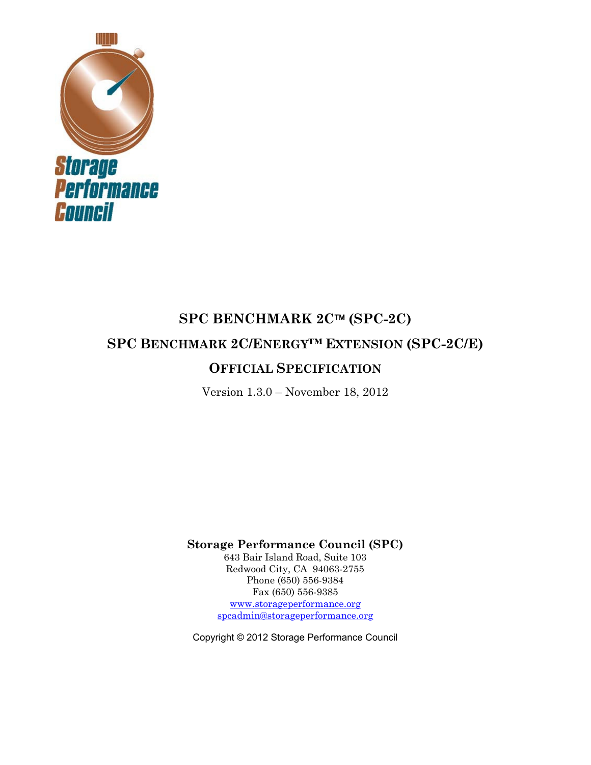

# **SPC BENCHMARK 2C (SPC-2C) SPC BENCHMARK 2C/ENERGY™ EXTENSION (SPC-2C/E) OFFICIAL SPECIFICATION**

Version 1.3.0 – November 18, 2012

**Storage Performance Council (SPC)** 

643 Bair Island Road, Suite 103 Redwood City, CA 94063-2755 Phone (650) 556-9384 Fax (650) 556-9385 www.storageperformance.org spcadmin@storageperformance.org

Copyright © 2012 Storage Performance Council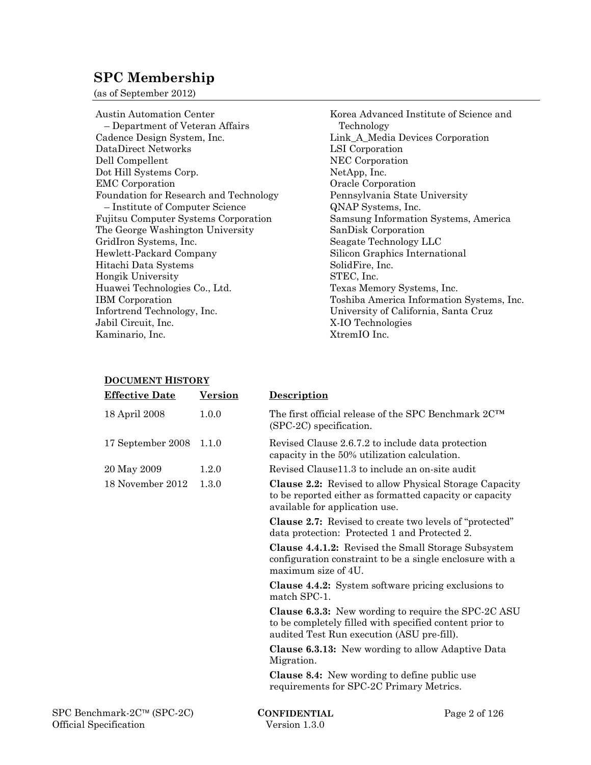## **SPC Membership**

(as of September 2012)

Austin Automation Center – Department of Veteran Affairs Cadence Design System, Inc. DataDirect Networks Dell Compellent Dot Hill Systems Corp. EMC Corporation Foundation for Research and Technology – Institute of Computer Science Fujitsu Computer Systems Corporation The George Washington University GridIron Systems, Inc. Hewlett-Packard Company Hitachi Data Systems Hongik University Huawei Technologies Co., Ltd. IBM Corporation Infortrend Technology, Inc. Jabil Circuit, Inc. Kaminario, Inc.

Korea Advanced Institute of Science and Technology Link\_A\_Media Devices Corporation LSI Corporation NEC Corporation NetApp, Inc. Oracle Corporation Pennsylvania State University QNAP Systems, Inc. Samsung Information Systems, America SanDisk Corporation Seagate Technology LLC Silicon Graphics International SolidFire, Inc. STEC, Inc. Texas Memory Systems, Inc. Toshiba America Information Systems, Inc. University of California, Santa Cruz X-IO Technologies XtremIO Inc.

#### **DOCUMENT HISTORY**

| <b>Effective Date</b>      | <b>Version</b> | Description                                                                                                                                   |                                                               |
|----------------------------|----------------|-----------------------------------------------------------------------------------------------------------------------------------------------|---------------------------------------------------------------|
| 18 April 2008              | 1.0.0          | The first official release of the SPC Benchmark 2CTM<br>$(SPC-2C)$ specification.                                                             |                                                               |
| 17 September 2008          | 1.1.0          | Revised Clause 2.6.7.2 to include data protection<br>capacity in the 50% utilization calculation.                                             |                                                               |
| 20 May 2009                | 1.2.0          | Revised Clause11.3 to include an on-site audit                                                                                                |                                                               |
| 18 November 2012           | 1.3.0          | to be reported either as formatted capacity or capacity<br>available for application use.                                                     | <b>Clause 2.2:</b> Revised to allow Physical Storage Capacity |
|                            |                | <b>Clause 2.7:</b> Revised to create two levels of "protected"<br>data protection: Protected 1 and Protected 2.                               |                                                               |
|                            |                | <b>Clause 4.4.1.2:</b> Revised the Small Storage Subsystem<br>configuration constraint to be a single enclosure with a<br>maximum size of 4U. |                                                               |
|                            |                | <b>Clause 4.4.2:</b> System software pricing exclusions to<br>match SPC-1.                                                                    |                                                               |
|                            |                | to be completely filled with specified content prior to<br>audited Test Run execution (ASU pre-fill).                                         | <b>Clause 6.3.3:</b> New wording to require the SPC-2C ASU    |
|                            |                | <b>Clause 6.3.13:</b> New wording to allow Adaptive Data<br>Migration.                                                                        |                                                               |
|                            |                | Clause 8.4: New wording to define public use<br>requirements for SPC-2C Primary Metrics.                                                      |                                                               |
| SPC Benchmark-2C™ (SPC-2C) |                | <b>CONFIDENTIAL</b>                                                                                                                           | Page 2 of $126$                                               |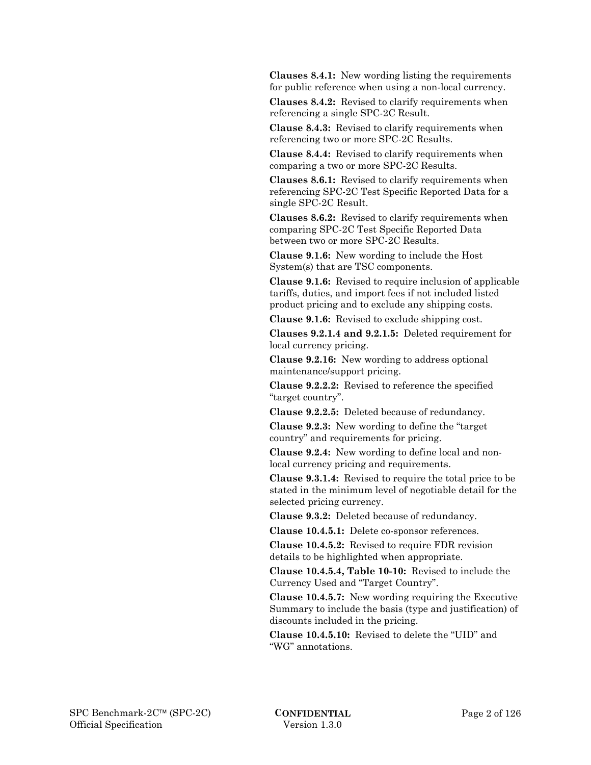**Clauses 8.4.1:** New wording listing the requirements for public reference when using a non-local currency.

 **Clauses 8.4.2:** Revised to clarify requirements when referencing a single SPC-2C Result.

 **Clause 8.4.3:** Revised to clarify requirements when referencing two or more SPC-2C Results.

 **Clause 8.4.4:** Revised to clarify requirements when comparing a two or more SPC-2C Results.

 **Clauses 8.6.1:** Revised to clarify requirements when referencing SPC-2C Test Specific Reported Data for a single SPC-2C Result.

 **Clauses 8.6.2:** Revised to clarify requirements when comparing SPC-2C Test Specific Reported Data between two or more SPC-2C Results.

 **Clause 9.1.6:** New wording to include the Host System(s) that are TSC components.

 **Clause 9.1.6:** Revised to require inclusion of applicable tariffs, duties, and import fees if not included listed product pricing and to exclude any shipping costs.

 **Clause 9.1.6:** Revised to exclude shipping cost.

 **Clauses 9.2.1.4 and 9.2.1.5:** Deleted requirement for local currency pricing.

 **Clause 9.2.16:** New wording to address optional maintenance/support pricing.

 **Clause 9.2.2.2:** Revised to reference the specified "target country".

 **Clause 9.2.2.5:** Deleted because of redundancy.

 **Clause 9.2.3:** New wording to define the "target country" and requirements for pricing.

 **Clause 9.2.4:** New wording to define local and nonlocal currency pricing and requirements.

 **Clause 9.3.1.4:** Revised to require the total price to be stated in the minimum level of negotiable detail for the selected pricing currency.

 **Clause 9.3.2:** Deleted because of redundancy.

 **Clause 10.4.5.1:** Delete co-sponsor references.

 **Clause 10.4.5.2:** Revised to require FDR revision details to be highlighted when appropriate.

 **Clause 10.4.5.4, Table 10-10:** Revised to include the Currency Used and "Target Country".

 **Clause 10.4.5.7:** New wording requiring the Executive Summary to include the basis (type and justification) of discounts included in the pricing.

 **Clause 10.4.5.10:** Revised to delete the "UID" and "WG" annotations.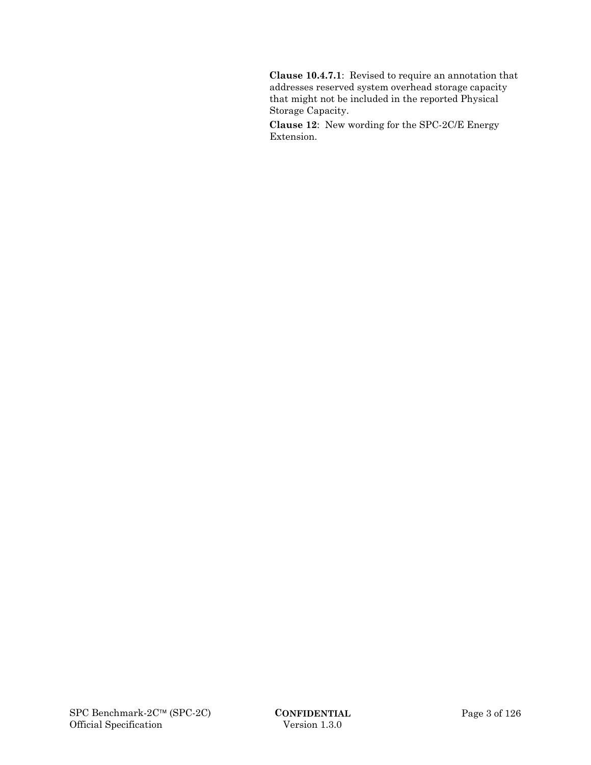**Clause 10.4.7.1**: Revised to require an annotation that addresses reserved system overhead storage capacity that might not be included in the reported Physical Storage Capacity.

 **Clause 12**: New wording for the SPC-2C/E Energy Extension.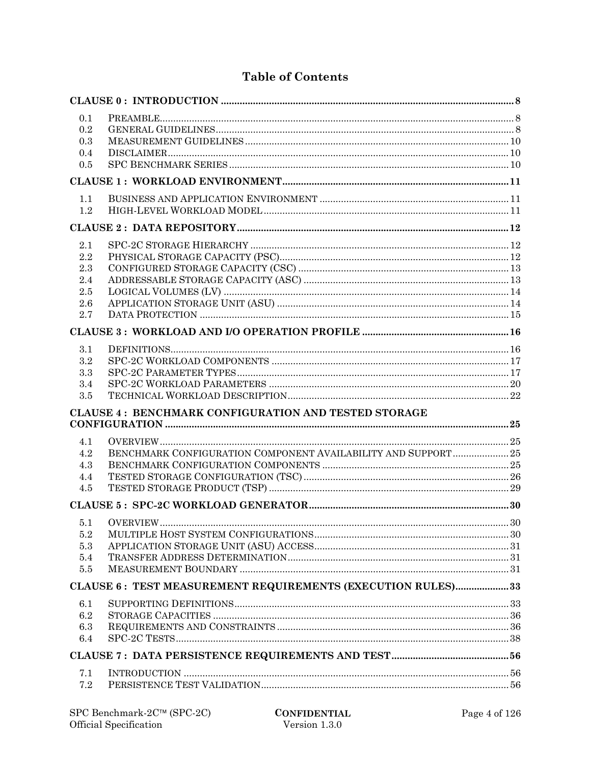## **Table of Contents**

| 0.1     |                                                                |  |
|---------|----------------------------------------------------------------|--|
| 0.2     |                                                                |  |
| 0.3     |                                                                |  |
| 0.4     |                                                                |  |
| 0.5     |                                                                |  |
|         |                                                                |  |
| 1.1     |                                                                |  |
| 1.2     |                                                                |  |
|         |                                                                |  |
| 2.1     |                                                                |  |
| 2.2     |                                                                |  |
| 2.3     |                                                                |  |
| 2.4     |                                                                |  |
| 2.5     |                                                                |  |
| 2.6     |                                                                |  |
| 2.7     |                                                                |  |
|         |                                                                |  |
| 3.1     |                                                                |  |
| 3.2     |                                                                |  |
| 3.3     |                                                                |  |
| 3.4     |                                                                |  |
| 3.5     |                                                                |  |
|         | <b>CLAUSE 4: BENCHMARK CONFIGURATION AND TESTED STORAGE</b>    |  |
| 4.1     |                                                                |  |
| 4.2     | BENCHMARK CONFIGURATION COMPONENT AVAILABILITY AND SUPPORT  25 |  |
| 4.3     |                                                                |  |
| 4.4     |                                                                |  |
| 4.5     |                                                                |  |
|         |                                                                |  |
| 5.1     |                                                                |  |
| $5.2\,$ |                                                                |  |
| 5.3     |                                                                |  |
| 5.4     |                                                                |  |
| 5.5     |                                                                |  |
|         | CLAUSE 6: TEST MEASUREMENT REQUIREMENTS (EXECUTION RULES)33    |  |
| 6.1     |                                                                |  |
| 6.2     |                                                                |  |
| 6.3     |                                                                |  |
| 6.4     |                                                                |  |
|         |                                                                |  |
| 7.1     |                                                                |  |
| 7.2     |                                                                |  |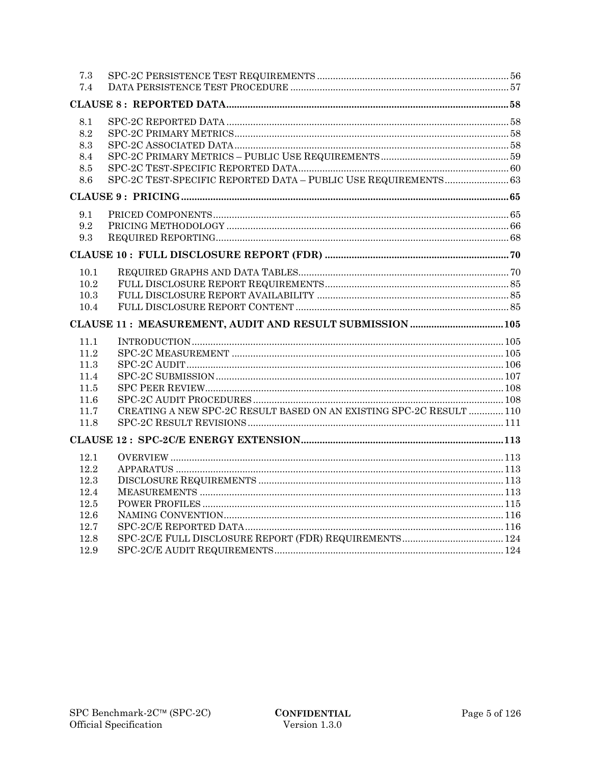| 7.3          |                                                                     |  |
|--------------|---------------------------------------------------------------------|--|
| 7.4          |                                                                     |  |
|              |                                                                     |  |
| 8.1          |                                                                     |  |
| 8.2          |                                                                     |  |
| 8.3          |                                                                     |  |
| 8.4          |                                                                     |  |
| 8.5          |                                                                     |  |
| 8.6          | SPC-2C TEST-SPECIFIC REPORTED DATA - PUBLIC USE REQUIREMENTS 63     |  |
|              |                                                                     |  |
| 9.1          |                                                                     |  |
| 9.2          |                                                                     |  |
| 9.3          |                                                                     |  |
|              |                                                                     |  |
| 10.1         |                                                                     |  |
| 10.2         |                                                                     |  |
| 10.3         |                                                                     |  |
| 10.4         |                                                                     |  |
|              |                                                                     |  |
|              |                                                                     |  |
| 11.1         |                                                                     |  |
| 11.2         |                                                                     |  |
| 11.3         |                                                                     |  |
| 11.4         |                                                                     |  |
| 11.5         |                                                                     |  |
| 11.6         |                                                                     |  |
| 11.7         | CREATING A NEW SPC-2C RESULT BASED ON AN EXISTING SPC-2C RESULT 110 |  |
| 11.8         |                                                                     |  |
|              |                                                                     |  |
| 12.1         |                                                                     |  |
| 12.2         |                                                                     |  |
| 12.3         |                                                                     |  |
| 12.4         |                                                                     |  |
| 12.5         |                                                                     |  |
| 12.6         |                                                                     |  |
| 12.7         |                                                                     |  |
| 12.8<br>12.9 |                                                                     |  |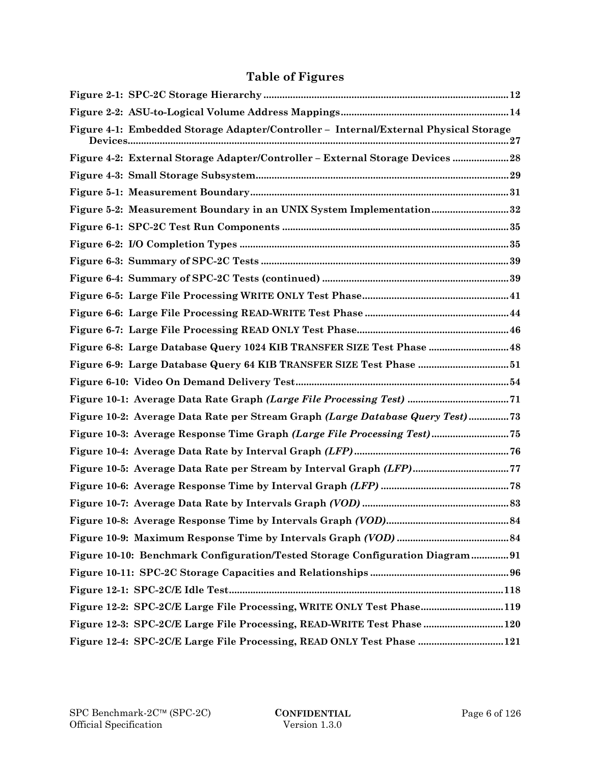## **Table of Figures**

| Figure 4-1: Embedded Storage Adapter/Controller - Internal/External Physical Storage |
|--------------------------------------------------------------------------------------|
| Figure 4-2: External Storage Adapter/Controller - External Storage Devices  28       |
|                                                                                      |
|                                                                                      |
| Figure 5-2: Measurement Boundary in an UNIX System Implementation32                  |
|                                                                                      |
|                                                                                      |
|                                                                                      |
|                                                                                      |
|                                                                                      |
|                                                                                      |
|                                                                                      |
| Figure 6-8: Large Database Query 1024 KIB TRANSFER SIZE Test Phase  48               |
| Figure 6-9: Large Database Query 64 KIB TRANSFER SIZE Test Phase 51                  |
|                                                                                      |
|                                                                                      |
| Figure 10-2: Average Data Rate per Stream Graph (Large Database Query Test)73        |
| Figure 10-3: Average Response Time Graph (Large File Processing Test) 75             |
|                                                                                      |
|                                                                                      |
|                                                                                      |
|                                                                                      |
|                                                                                      |
|                                                                                      |
| Figure 10-10: Benchmark Configuration/Tested Storage Configuration Diagram91         |
|                                                                                      |
|                                                                                      |
| Figure 12-2: SPC-2C/E Large File Processing, WRITE ONLY Test Phase119                |
| Figure 12-3: SPC-2C/E Large File Processing, READ-WRITE Test Phase  120              |
| Figure 12-4: SPC-2C/E Large File Processing, READ ONLY Test Phase  121               |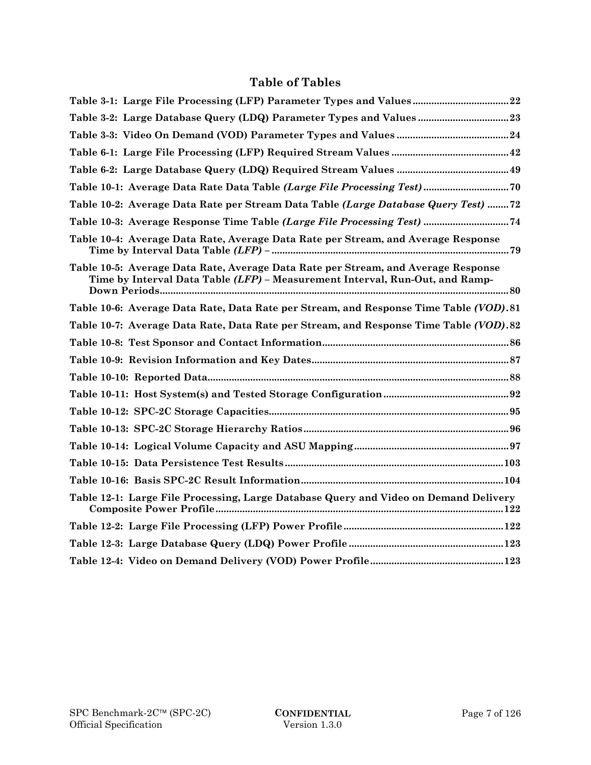## **Table of Tables**

| Table 3-1: Large File Processing (LFP) Parameter Types and Values 22                                                                                              |
|-------------------------------------------------------------------------------------------------------------------------------------------------------------------|
|                                                                                                                                                                   |
|                                                                                                                                                                   |
|                                                                                                                                                                   |
|                                                                                                                                                                   |
| Table 10-1: Average Data Rate Data Table (Large File Processing Test) 70                                                                                          |
| Table 10-2: Average Data Rate per Stream Data Table (Large Database Query Test) 72                                                                                |
| Table 10-3: Average Response Time Table (Large File Processing Test)  74                                                                                          |
| Table 10-4: Average Data Rate, Average Data Rate per Stream, and Average Response                                                                                 |
| Table 10-5: Average Data Rate, Average Data Rate per Stream, and Average Response<br>Time by Interval Data Table (LFP) - Measurement Interval, Run-Out, and Ramp- |
| Table 10-6: Average Data Rate, Data Rate per Stream, and Response Time Table (VOD). 81                                                                            |
| Table 10-7: Average Data Rate, Data Rate per Stream, and Response Time Table (VOD).82                                                                             |
|                                                                                                                                                                   |
|                                                                                                                                                                   |
|                                                                                                                                                                   |
|                                                                                                                                                                   |
|                                                                                                                                                                   |
|                                                                                                                                                                   |
|                                                                                                                                                                   |
|                                                                                                                                                                   |
|                                                                                                                                                                   |
| Table 12-1: Large File Processing, Large Database Query and Video on Demand Delivery                                                                              |
|                                                                                                                                                                   |
|                                                                                                                                                                   |
|                                                                                                                                                                   |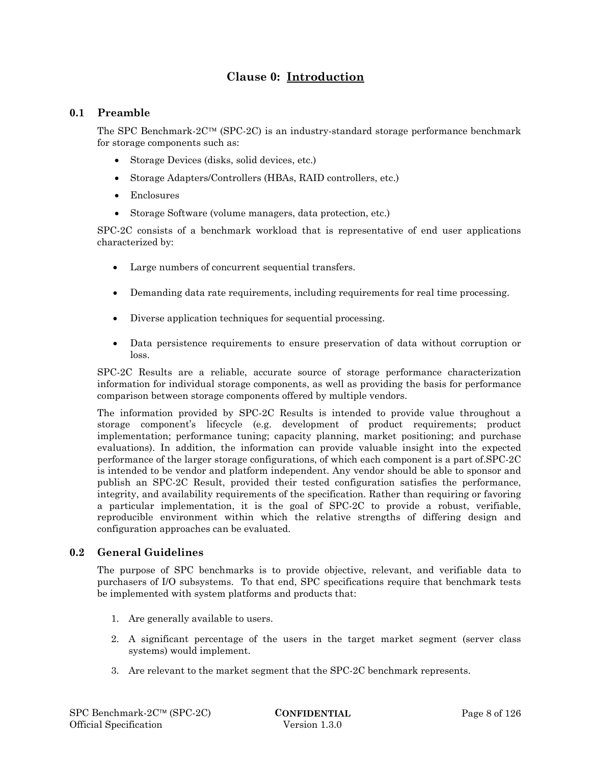## **Clause 0: Introduction**

## **0.1 Preamble**

The SPC Benchmark- $2C^{TM}$  (SPC-2C) is an industry-standard storage performance benchmark for storage components such as:

- Storage Devices (disks, solid devices, etc.)
- Storage Adapters/Controllers (HBAs, RAID controllers, etc.)
- Enclosures
- Storage Software (volume managers, data protection, etc.)

SPC-2C consists of a benchmark workload that is representative of end user applications characterized by:

- Large numbers of concurrent sequential transfers.
- Demanding data rate requirements, including requirements for real time processing.
- Diverse application techniques for sequential processing.
- Data persistence requirements to ensure preservation of data without corruption or loss.

SPC-2C Results are a reliable, accurate source of storage performance characterization information for individual storage components, as well as providing the basis for performance comparison between storage components offered by multiple vendors.

The information provided by SPC-2C Results is intended to provide value throughout a storage component's lifecycle (e.g. development of product requirements; product implementation; performance tuning; capacity planning, market positioning; and purchase evaluations). In addition, the information can provide valuable insight into the expected performance of the larger storage configurations, of which each component is a part of.SPC-2C is intended to be vendor and platform independent. Any vendor should be able to sponsor and publish an SPC-2C Result, provided their tested configuration satisfies the performance, integrity, and availability requirements of the specification. Rather than requiring or favoring a particular implementation, it is the goal of SPC-2C to provide a robust, verifiable, reproducible environment within which the relative strengths of differing design and configuration approaches can be evaluated.

## **0.2 General Guidelines**

The purpose of SPC benchmarks is to provide objective, relevant, and verifiable data to purchasers of I/O subsystems. To that end, SPC specifications require that benchmark tests be implemented with system platforms and products that:

- 1. Are generally available to users.
- 2. A significant percentage of the users in the target market segment (server class systems) would implement.
- 3. Are relevant to the market segment that the SPC-2C benchmark represents.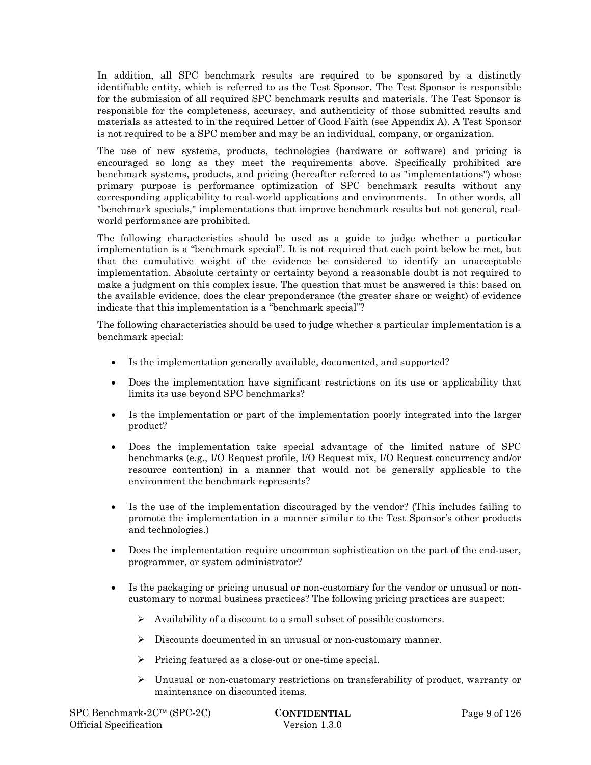In addition, all SPC benchmark results are required to be sponsored by a distinctly identifiable entity, which is referred to as the Test Sponsor. The Test Sponsor is responsible for the submission of all required SPC benchmark results and materials. The Test Sponsor is responsible for the completeness, accuracy, and authenticity of those submitted results and materials as attested to in the required Letter of Good Faith (see Appendix A). A Test Sponsor is not required to be a SPC member and may be an individual, company, or organization.

The use of new systems, products, technologies (hardware or software) and pricing is encouraged so long as they meet the requirements above. Specifically prohibited are benchmark systems, products, and pricing (hereafter referred to as "implementations") whose primary purpose is performance optimization of SPC benchmark results without any corresponding applicability to real-world applications and environments. In other words, all "benchmark specials," implementations that improve benchmark results but not general, realworld performance are prohibited.

The following characteristics should be used as a guide to judge whether a particular implementation is a "benchmark special". It is not required that each point below be met, but that the cumulative weight of the evidence be considered to identify an unacceptable implementation. Absolute certainty or certainty beyond a reasonable doubt is not required to make a judgment on this complex issue. The question that must be answered is this: based on the available evidence, does the clear preponderance (the greater share or weight) of evidence indicate that this implementation is a "benchmark special"?

The following characteristics should be used to judge whether a particular implementation is a benchmark special:

- Is the implementation generally available, documented, and supported?
- Does the implementation have significant restrictions on its use or applicability that limits its use beyond SPC benchmarks?
- Is the implementation or part of the implementation poorly integrated into the larger product?
- Does the implementation take special advantage of the limited nature of SPC benchmarks (e.g., I/O Request profile, I/O Request mix, I/O Request concurrency and/or resource contention) in a manner that would not be generally applicable to the environment the benchmark represents?
- Is the use of the implementation discouraged by the vendor? (This includes failing to promote the implementation in a manner similar to the Test Sponsor's other products and technologies.)
- Does the implementation require uncommon sophistication on the part of the end-user, programmer, or system administrator?
- Is the packaging or pricing unusual or non-customary for the vendor or unusual or noncustomary to normal business practices? The following pricing practices are suspect:
	- $\triangleright$  Availability of a discount to a small subset of possible customers.
	- Discounts documented in an unusual or non-customary manner.
	- $\triangleright$  Pricing featured as a close-out or one-time special.
	- $\triangleright$  Unusual or non-customary restrictions on transferability of product, warranty or maintenance on discounted items.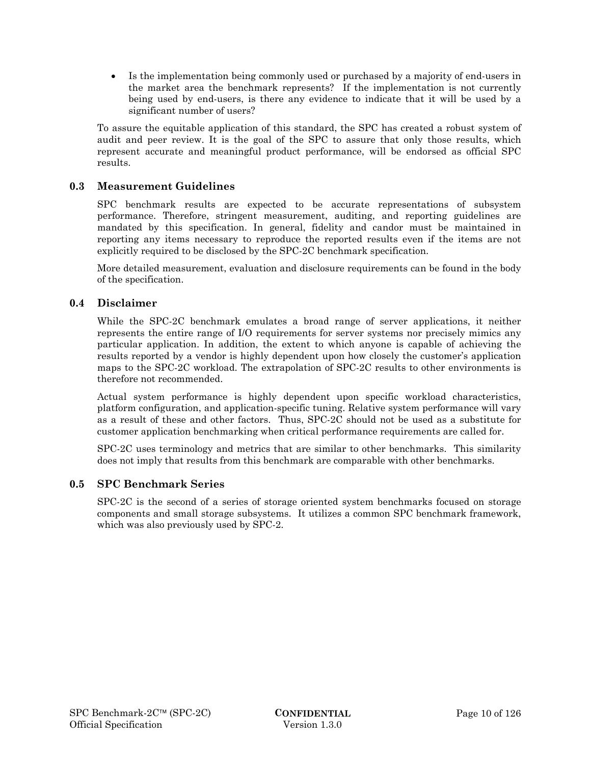Is the implementation being commonly used or purchased by a majority of end-users in the market area the benchmark represents? If the implementation is not currently being used by end-users, is there any evidence to indicate that it will be used by a significant number of users?

To assure the equitable application of this standard, the SPC has created a robust system of audit and peer review. It is the goal of the SPC to assure that only those results, which represent accurate and meaningful product performance, will be endorsed as official SPC results.

## **0.3 Measurement Guidelines**

SPC benchmark results are expected to be accurate representations of subsystem performance. Therefore, stringent measurement, auditing, and reporting guidelines are mandated by this specification. In general, fidelity and candor must be maintained in reporting any items necessary to reproduce the reported results even if the items are not explicitly required to be disclosed by the SPC-2C benchmark specification.

More detailed measurement, evaluation and disclosure requirements can be found in the body of the specification.

## **0.4 Disclaimer**

While the SPC-2C benchmark emulates a broad range of server applications, it neither represents the entire range of I/O requirements for server systems nor precisely mimics any particular application. In addition, the extent to which anyone is capable of achieving the results reported by a vendor is highly dependent upon how closely the customer's application maps to the SPC-2C workload. The extrapolation of SPC-2C results to other environments is therefore not recommended.

Actual system performance is highly dependent upon specific workload characteristics, platform configuration, and application-specific tuning. Relative system performance will vary as a result of these and other factors. Thus, SPC-2C should not be used as a substitute for customer application benchmarking when critical performance requirements are called for.

SPC-2C uses terminology and metrics that are similar to other benchmarks. This similarity does not imply that results from this benchmark are comparable with other benchmarks.

## **0.5 SPC Benchmark Series**

SPC-2C is the second of a series of storage oriented system benchmarks focused on storage components and small storage subsystems. It utilizes a common SPC benchmark framework, which was also previously used by SPC-2.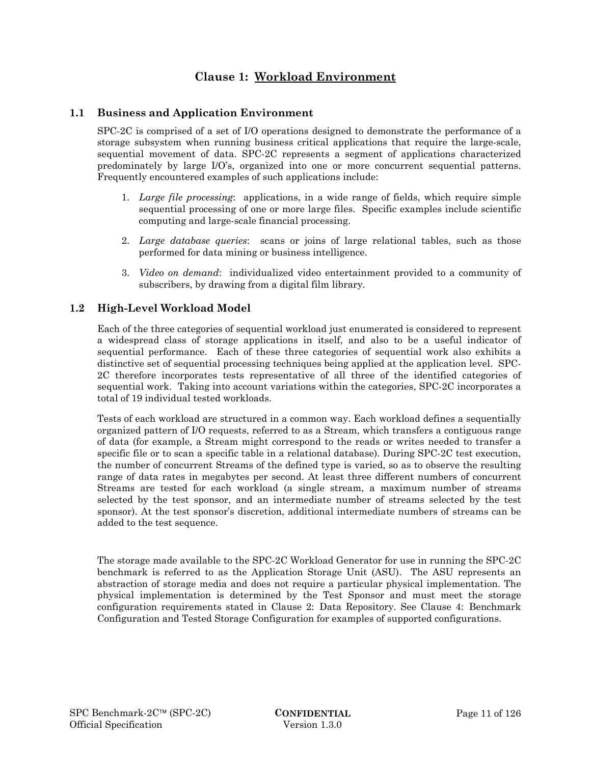## **Clause 1: Workload Environment**

## **1.1 Business and Application Environment**

SPC-2C is comprised of a set of I/O operations designed to demonstrate the performance of a storage subsystem when running business critical applications that require the large-scale, sequential movement of data. SPC-2C represents a segment of applications characterized predominately by large I/O's, organized into one or more concurrent sequential patterns. Frequently encountered examples of such applications include:

- 1. *Large file processing*: applications, in a wide range of fields, which require simple sequential processing of one or more large files. Specific examples include scientific computing and large-scale financial processing.
- 2. *Large database queries*: scans or joins of large relational tables, such as those performed for data mining or business intelligence.
- 3. *Video on demand*: individualized video entertainment provided to a community of subscribers, by drawing from a digital film library.

## **1.2 High-Level Workload Model**

Each of the three categories of sequential workload just enumerated is considered to represent a widespread class of storage applications in itself, and also to be a useful indicator of sequential performance. Each of these three categories of sequential work also exhibits a distinctive set of sequential processing techniques being applied at the application level. SPC-2C therefore incorporates tests representative of all three of the identified categories of sequential work. Taking into account variations within the categories, SPC-2C incorporates a total of 19 individual tested workloads.

Tests of each workload are structured in a common way. Each workload defines a sequentially organized pattern of I/O requests, referred to as a Stream, which transfers a contiguous range of data (for example, a Stream might correspond to the reads or writes needed to transfer a specific file or to scan a specific table in a relational database). During SPC-2C test execution, the number of concurrent Streams of the defined type is varied, so as to observe the resulting range of data rates in megabytes per second. At least three different numbers of concurrent Streams are tested for each workload (a single stream, a maximum number of streams selected by the test sponsor, and an intermediate number of streams selected by the test sponsor). At the test sponsor's discretion, additional intermediate numbers of streams can be added to the test sequence.

The storage made available to the SPC-2C Workload Generator for use in running the SPC-2C benchmark is referred to as the Application Storage Unit (ASU). The ASU represents an abstraction of storage media and does not require a particular physical implementation. The physical implementation is determined by the Test Sponsor and must meet the storage configuration requirements stated in Clause 2: Data Repository. See Clause 4: Benchmark Configuration and Tested Storage Configuration for examples of supported configurations.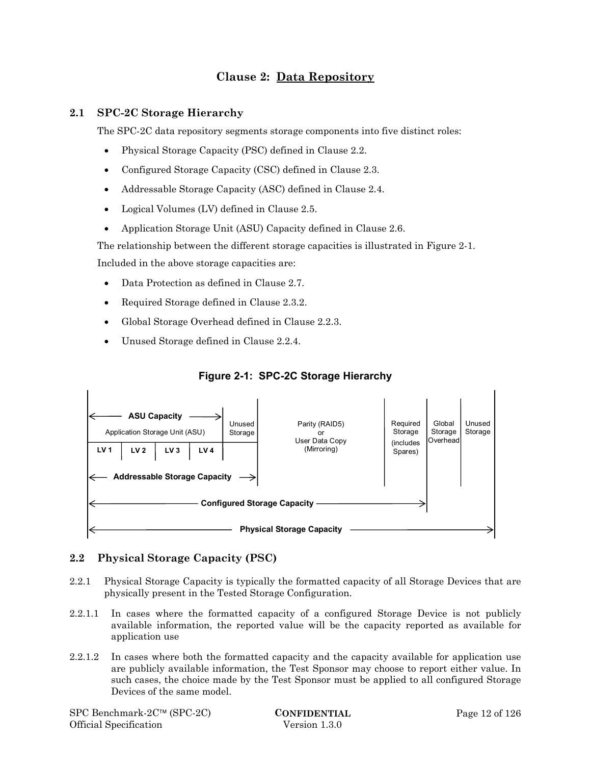## **Clause 2: Data Repository**

## **2.1 SPC-2C Storage Hierarchy**

The SPC-2C data repository segments storage components into five distinct roles:

- Physical Storage Capacity (PSC) defined in Clause 2.2.
- Configured Storage Capacity (CSC) defined in Clause 2.3.
- Addressable Storage Capacity (ASC) defined in Clause 2.4.
- Logical Volumes (LV) defined in Clause 2.5.
- Application Storage Unit (ASU) Capacity defined in Clause 2.6.

The relationship between the different storage capacities is illustrated in Figure 2-1. Included in the above storage capacities are:

- Data Protection as defined in Clause 2.7.
- Required Storage defined in Clause 2.3.2.
- Global Storage Overhead defined in Clause 2.2.3.
- Unused Storage defined in Clause 2.2.4.



## **Figure 2-1: SPC-2C Storage Hierarchy**

## **2.2 Physical Storage Capacity (PSC)**

- 2.2.1 Physical Storage Capacity is typically the formatted capacity of all Storage Devices that are physically present in the Tested Storage Configuration.
- 2.2.1.1 In cases where the formatted capacity of a configured Storage Device is not publicly available information, the reported value will be the capacity reported as available for application use
- 2.2.1.2 In cases where both the formatted capacity and the capacity available for application use are publicly available information, the Test Sponsor may choose to report either value. In such cases, the choice made by the Test Sponsor must be applied to all configured Storage Devices of the same model.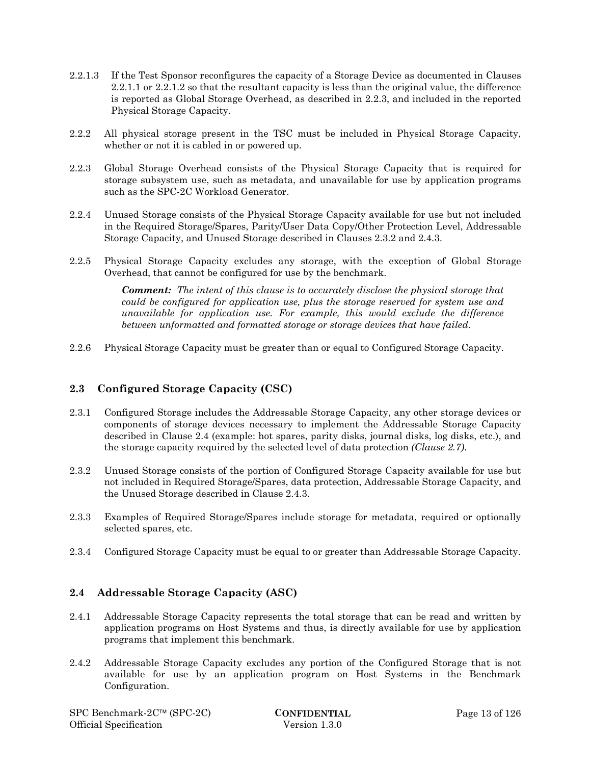- 2.2.1.3 If the Test Sponsor reconfigures the capacity of a Storage Device as documented in Clauses 2.2.1.1 or 2.2.1.2 so that the resultant capacity is less than the original value, the difference is reported as Global Storage Overhead, as described in 2.2.3, and included in the reported Physical Storage Capacity.
- 2.2.2 All physical storage present in the TSC must be included in Physical Storage Capacity, whether or not it is cabled in or powered up.
- 2.2.3 Global Storage Overhead consists of the Physical Storage Capacity that is required for storage subsystem use, such as metadata, and unavailable for use by application programs such as the SPC-2C Workload Generator.
- 2.2.4 Unused Storage consists of the Physical Storage Capacity available for use but not included in the Required Storage/Spares, Parity/User Data Copy/Other Protection Level, Addressable Storage Capacity, and Unused Storage described in Clauses 2.3.2 and 2.4.3.
- 2.2.5 Physical Storage Capacity excludes any storage, with the exception of Global Storage Overhead, that cannot be configured for use by the benchmark.

*Comment: The intent of this clause is to accurately disclose the physical storage that could be configured for application use, plus the storage reserved for system use and unavailable for application use. For example, this would exclude the difference between unformatted and formatted storage or storage devices that have failed.* 

2.2.6 Physical Storage Capacity must be greater than or equal to Configured Storage Capacity.

## **2.3 Configured Storage Capacity (CSC)**

- 2.3.1 Configured Storage includes the Addressable Storage Capacity, any other storage devices or components of storage devices necessary to implement the Addressable Storage Capacity described in Clause 2.4 (example: hot spares, parity disks, journal disks, log disks, etc.), and the storage capacity required by the selected level of data protection *(Clause 2.7)*.
- 2.3.2 Unused Storage consists of the portion of Configured Storage Capacity available for use but not included in Required Storage/Spares, data protection, Addressable Storage Capacity, and the Unused Storage described in Clause 2.4.3.
- 2.3.3 Examples of Required Storage/Spares include storage for metadata, required or optionally selected spares, etc.
- 2.3.4 Configured Storage Capacity must be equal to or greater than Addressable Storage Capacity.

## **2.4 Addressable Storage Capacity (ASC)**

- 2.4.1 Addressable Storage Capacity represents the total storage that can be read and written by application programs on Host Systems and thus, is directly available for use by application programs that implement this benchmark.
- 2.4.2 Addressable Storage Capacity excludes any portion of the Configured Storage that is not available for use by an application program on Host Systems in the Benchmark Configuration.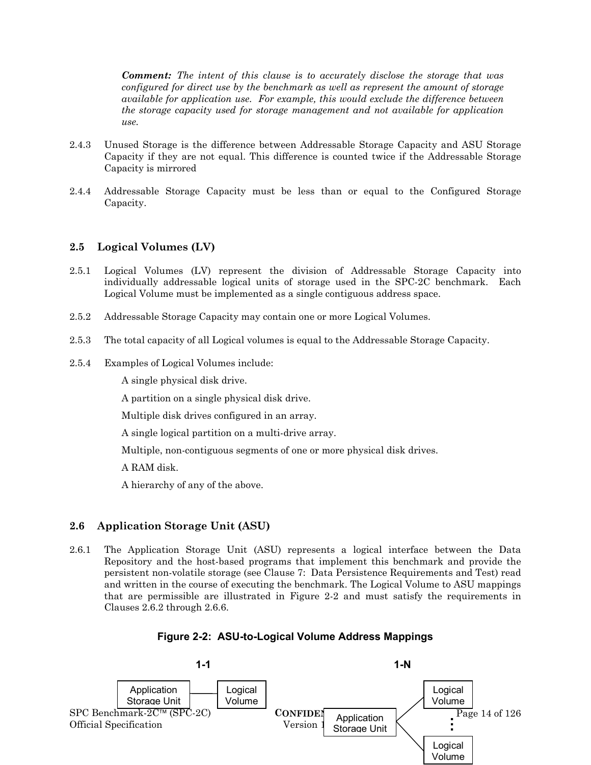*Comment: The intent of this clause is to accurately disclose the storage that was configured for direct use by the benchmark as well as represent the amount of storage available for application use. For example, this would exclude the difference between the storage capacity used for storage management and not available for application use.* 

- 2.4.3 Unused Storage is the difference between Addressable Storage Capacity and ASU Storage Capacity if they are not equal. This difference is counted twice if the Addressable Storage Capacity is mirrored
- 2.4.4 Addressable Storage Capacity must be less than or equal to the Configured Storage Capacity.

## **2.5 Logical Volumes (LV)**

- 2.5.1 Logical Volumes (LV) represent the division of Addressable Storage Capacity into individually addressable logical units of storage used in the SPC-2C benchmark. Each Logical Volume must be implemented as a single contiguous address space.
- 2.5.2 Addressable Storage Capacity may contain one or more Logical Volumes.
- 2.5.3 The total capacity of all Logical volumes is equal to the Addressable Storage Capacity.
- 2.5.4 Examples of Logical Volumes include:

A single physical disk drive.

A partition on a single physical disk drive.

Multiple disk drives configured in an array.

A single logical partition on a multi-drive array.

Multiple, non-contiguous segments of one or more physical disk drives.

A RAM disk.

A hierarchy of any of the above.

## **2.6 Application Storage Unit (ASU)**

2.6.1 The Application Storage Unit (ASU) represents a logical interface between the Data Repository and the host-based programs that implement this benchmark and provide the persistent non-volatile storage (see Clause 7: Data Persistence Requirements and Test) read and written in the course of executing the benchmark. The Logical Volume to ASU mappings that are permissible are illustrated in Figure 2-2 and must satisfy the requirements in Clauses 2.6.2 through 2.6.6.

## **Figure 2-2: ASU-to-Logical Volume Address Mappings**

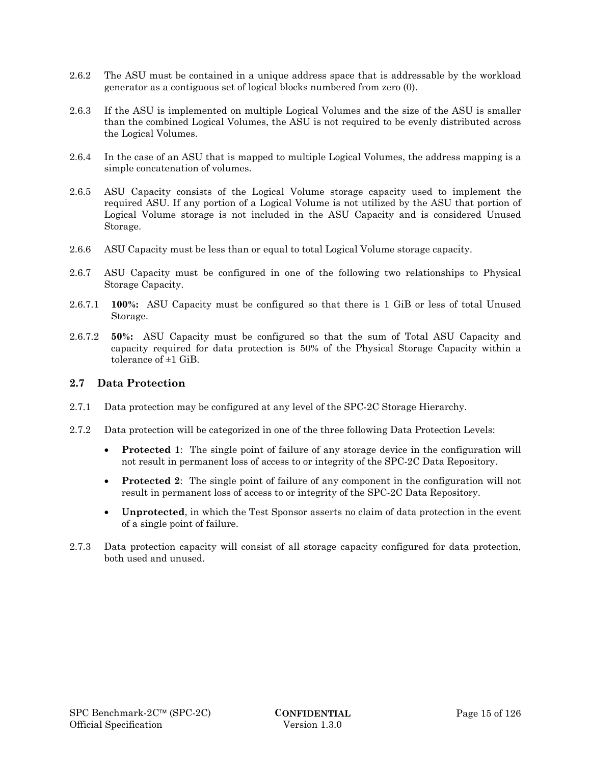- 2.6.2 The ASU must be contained in a unique address space that is addressable by the workload generator as a contiguous set of logical blocks numbered from zero (0).
- 2.6.3 If the ASU is implemented on multiple Logical Volumes and the size of the ASU is smaller than the combined Logical Volumes, the ASU is not required to be evenly distributed across the Logical Volumes.
- 2.6.4 In the case of an ASU that is mapped to multiple Logical Volumes, the address mapping is a simple concatenation of volumes.
- 2.6.5 ASU Capacity consists of the Logical Volume storage capacity used to implement the required ASU. If any portion of a Logical Volume is not utilized by the ASU that portion of Logical Volume storage is not included in the ASU Capacity and is considered Unused Storage.
- 2.6.6 ASU Capacity must be less than or equal to total Logical Volume storage capacity.
- 2.6.7 ASU Capacity must be configured in one of the following two relationships to Physical Storage Capacity.
- 2.6.7.1 **100%:** ASU Capacity must be configured so that there is 1 GiB or less of total Unused Storage.
- 2.6.7.2 **50%:** ASU Capacity must be configured so that the sum of Total ASU Capacity and capacity required for data protection is 50% of the Physical Storage Capacity within a tolerance of ±1 GiB.

### **2.7 Data Protection**

- 2.7.1 Data protection may be configured at any level of the SPC-2C Storage Hierarchy.
- 2.7.2 Data protection will be categorized in one of the three following Data Protection Levels:
	- **Protected 1**: The single point of failure of any storage device in the configuration will not result in permanent loss of access to or integrity of the SPC-2C Data Repository.
	- **Protected 2**: The single point of failure of any component in the configuration will not result in permanent loss of access to or integrity of the SPC-2C Data Repository.
	- **Unprotected**, in which the Test Sponsor asserts no claim of data protection in the event of a single point of failure.
- 2.7.3 Data protection capacity will consist of all storage capacity configured for data protection, both used and unused.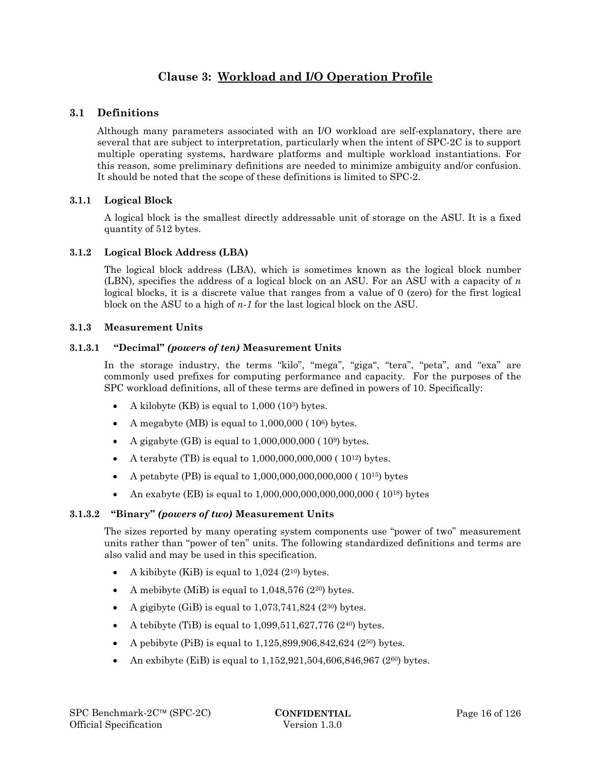## **Clause 3: Workload and I/O Operation Profile**

## **3.1 Definitions**

Although many parameters associated with an I/O workload are self-explanatory, there are several that are subject to interpretation, particularly when the intent of SPC-2C is to support multiple operating systems, hardware platforms and multiple workload instantiations. For this reason, some preliminary definitions are needed to minimize ambiguity and/or confusion. It should be noted that the scope of these definitions is limited to SPC-2.

## **3.1.1 Logical Block**

A logical block is the smallest directly addressable unit of storage on the ASU. It is a fixed quantity of 512 bytes.

#### **3.1.2 Logical Block Address (LBA)**

The logical block address (LBA), which is sometimes known as the logical block number (LBN), specifies the address of a logical block on an ASU. For an ASU with a capacity of *n* logical blocks, it is a discrete value that ranges from a value of 0 (zero) for the first logical block on the ASU to a high of *n-1* for the last logical block on the ASU.

#### **3.1.3 Measurement Units**

#### **3.1.3.1 "Decimal"** *(powers of ten)* **Measurement Units**

In the storage industry, the terms "kilo", "mega", "giga", "tera", "peta", and "exa" are commonly used prefixes for computing performance and capacity. For the purposes of the SPC workload definitions, all of these terms are defined in powers of 10. Specifically:

- A kilobyte (KB) is equal to 1,000 (103) bytes.
- A megabyte (MB) is equal to  $1,000,000$  ( $10<sup>6</sup>$ ) bytes.
- A gigabyte (GB) is equal to  $1,000,000,000$  ( $10<sup>9</sup>$ ) bytes.
- A terabyte (TB) is equal to  $1,000,000,000,000$  ( $10^{12}$ ) bytes.
- A petabyte (PB) is equal to  $1,000,000,000,000,000$  ( $10^{15}$ ) bytes
- An exabyte (EB) is equal to  $1,000,000,000,000,000,000$  ( $10^{18}$ ) bytes

## **3.1.3.2 "Binary"** *(powers of two)* **Measurement Units**

The sizes reported by many operating system components use "power of two" measurement units rather than "power of ten" units. The following standardized definitions and terms are also valid and may be used in this specification.

- A kibibyte (KiB) is equal to  $1,024$  (2<sup>10</sup>) bytes.
- A mebibyte (MiB) is equal to  $1,048,576$  (2<sup>20</sup>) bytes.
- A gigibyte (GiB) is equal to  $1,073,741,824$  ( $2^{30}$ ) bytes.
- A tebibyte (TiB) is equal to  $1,099,511,627,776$  (240) bytes.
- A pebibyte (PiB) is equal to 1,125,899,906,842,624 (250) bytes.
- An exbibyte (EiB) is equal to 1,152,921,504,606,846,967 (2<sup>60</sup>) bytes.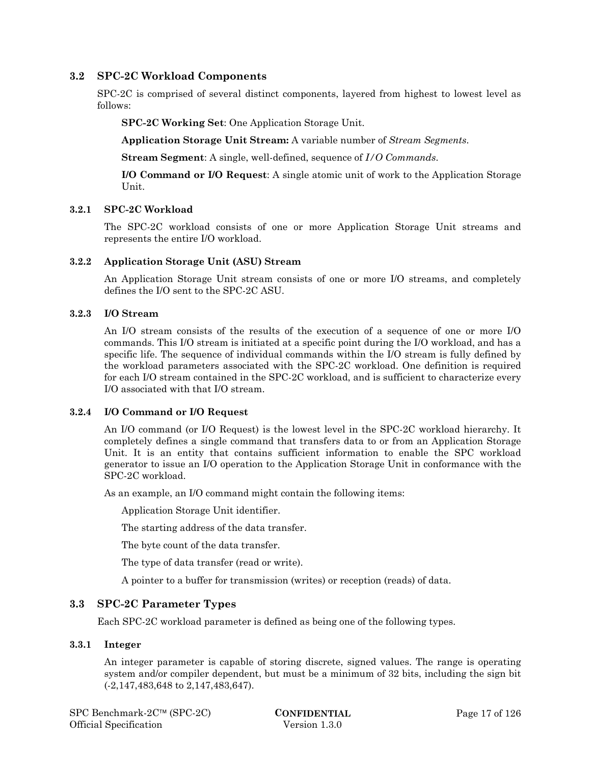## **3.2 SPC-2C Workload Components**

SPC-2C is comprised of several distinct components, layered from highest to lowest level as follows:

**SPC-2C Working Set**: One Application Storage Unit.

**Application Storage Unit Stream:** A variable number of *Stream Segments*.

**Stream Segment**: A single, well-defined, sequence of *I/O Commands*.

**I/O Command or I/O Request**: A single atomic unit of work to the Application Storage Unit.

#### **3.2.1 SPC-2C Workload**

The SPC-2C workload consists of one or more Application Storage Unit streams and represents the entire I/O workload.

#### **3.2.2 Application Storage Unit (ASU) Stream**

An Application Storage Unit stream consists of one or more I/O streams, and completely defines the I/O sent to the SPC-2C ASU.

#### **3.2.3 I/O Stream**

An I/O stream consists of the results of the execution of a sequence of one or more I/O commands. This I/O stream is initiated at a specific point during the I/O workload, and has a specific life. The sequence of individual commands within the I/O stream is fully defined by the workload parameters associated with the SPC-2C workload. One definition is required for each I/O stream contained in the SPC-2C workload, and is sufficient to characterize every I/O associated with that I/O stream.

#### **3.2.4 I/O Command or I/O Request**

An I/O command (or I/O Request) is the lowest level in the SPC-2C workload hierarchy. It completely defines a single command that transfers data to or from an Application Storage Unit. It is an entity that contains sufficient information to enable the SPC workload generator to issue an I/O operation to the Application Storage Unit in conformance with the SPC-2C workload.

As an example, an I/O command might contain the following items:

Application Storage Unit identifier.

The starting address of the data transfer.

The byte count of the data transfer.

The type of data transfer (read or write).

A pointer to a buffer for transmission (writes) or reception (reads) of data.

#### **3.3 SPC-2C Parameter Types**

Each SPC-2C workload parameter is defined as being one of the following types.

#### **3.3.1 Integer**

An integer parameter is capable of storing discrete, signed values. The range is operating system and/or compiler dependent, but must be a minimum of 32 bits, including the sign bit (-2,147,483,648 to 2,147,483,647).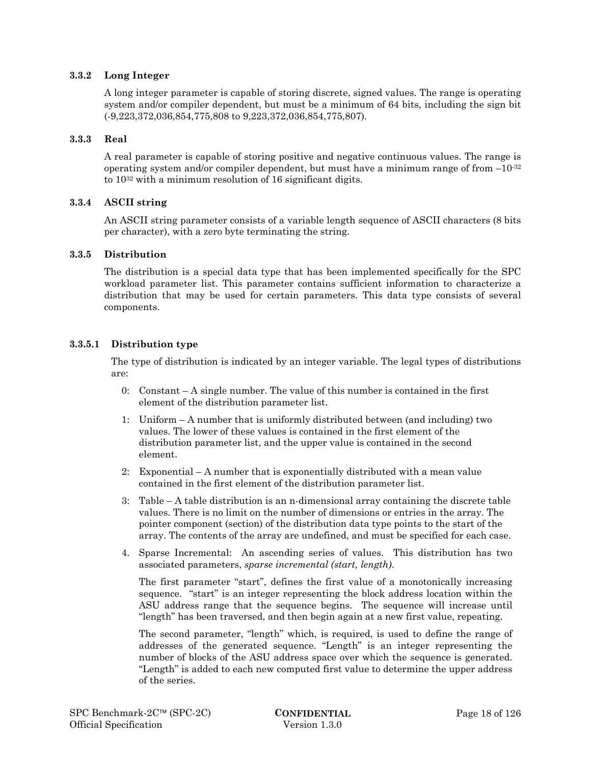#### **3.3.2 Long Integer**

A long integer parameter is capable of storing discrete, signed values. The range is operating system and/or compiler dependent, but must be a minimum of 64 bits, including the sign bit (-9,223,372,036,854,775,808 to 9,223,372,036,854,775,807).

#### **3.3.3 Real**

A real parameter is capable of storing positive and negative continuous values. The range is operating system and/or compiler dependent, but must have a minimum range of from  $-10^{-32}$ to 1032 with a minimum resolution of 16 significant digits.

#### **3.3.4 ASCII string**

An ASCII string parameter consists of a variable length sequence of ASCII characters (8 bits per character), with a zero byte terminating the string.

#### **3.3.5 Distribution**

The distribution is a special data type that has been implemented specifically for the SPC workload parameter list. This parameter contains sufficient information to characterize a distribution that may be used for certain parameters. This data type consists of several components.

#### **3.3.5.1 Distribution type**

The type of distribution is indicated by an integer variable. The legal types of distributions are:

- 0: Constant A single number. The value of this number is contained in the first element of the distribution parameter list.
- 1: Uniform A number that is uniformly distributed between (and including) two values. The lower of these values is contained in the first element of the distribution parameter list, and the upper value is contained in the second element.
- 2: Exponential A number that is exponentially distributed with a mean value contained in the first element of the distribution parameter list.
- 3: Table A table distribution is an n-dimensional array containing the discrete table values. There is no limit on the number of dimensions or entries in the array. The pointer component (section) of the distribution data type points to the start of the array. The contents of the array are undefined, and must be specified for each case.
- 4. Sparse Incremental: An ascending series of values. This distribution has two associated parameters, *sparse incremental (start, length)*.

The first parameter "start", defines the first value of a monotonically increasing sequence. "start" is an integer representing the block address location within the ASU address range that the sequence begins. The sequence will increase until "length" has been traversed, and then begin again at a new first value, repeating.

The second parameter, "length" which, is required, is used to define the range of addresses of the generated sequence. "Length" is an integer representing the number of blocks of the ASU address space over which the sequence is generated. "Length" is added to each new computed first value to determine the upper address of the series.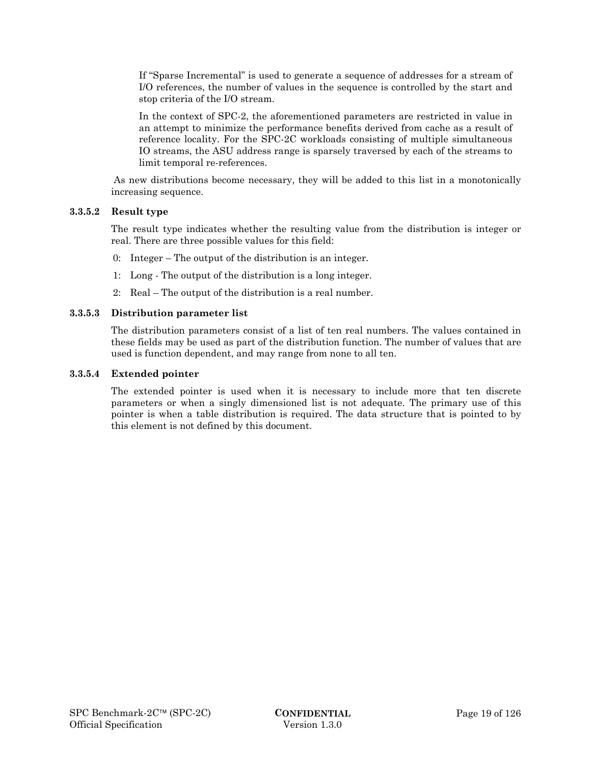If "Sparse Incremental" is used to generate a sequence of addresses for a stream of I/O references, the number of values in the sequence is controlled by the start and stop criteria of the I/O stream.

In the context of SPC-2, the aforementioned parameters are restricted in value in an attempt to minimize the performance benefits derived from cache as a result of reference locality. For the SPC-2C workloads consisting of multiple simultaneous IO streams, the ASU address range is sparsely traversed by each of the streams to limit temporal re-references.

 As new distributions become necessary, they will be added to this list in a monotonically increasing sequence.

#### **3.3.5.2 Result type**

The result type indicates whether the resulting value from the distribution is integer or real. There are three possible values for this field:

- 0: Integer The output of the distribution is an integer.
- 1: Long The output of the distribution is a long integer.
- 2: Real The output of the distribution is a real number.

#### **3.3.5.3 Distribution parameter list**

The distribution parameters consist of a list of ten real numbers. The values contained in these fields may be used as part of the distribution function. The number of values that are used is function dependent, and may range from none to all ten.

#### **3.3.5.4 Extended pointer**

The extended pointer is used when it is necessary to include more that ten discrete parameters or when a singly dimensioned list is not adequate. The primary use of this pointer is when a table distribution is required. The data structure that is pointed to by this element is not defined by this document.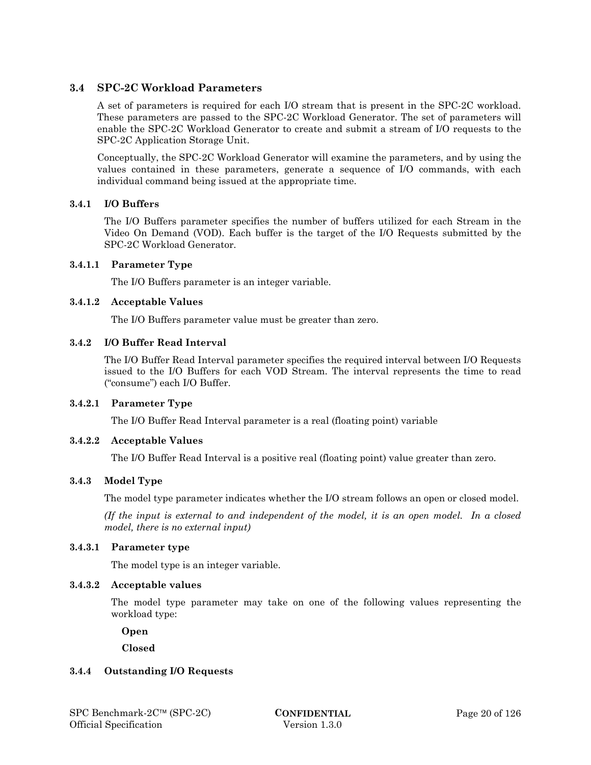## **3.4 SPC-2C Workload Parameters**

A set of parameters is required for each I/O stream that is present in the SPC-2C workload. These parameters are passed to the SPC-2C Workload Generator. The set of parameters will enable the SPC-2C Workload Generator to create and submit a stream of I/O requests to the SPC-2C Application Storage Unit.

Conceptually, the SPC-2C Workload Generator will examine the parameters, and by using the values contained in these parameters, generate a sequence of I/O commands, with each individual command being issued at the appropriate time*.* 

## **3.4.1 I/O Buffers**

The I/O Buffers parameter specifies the number of buffers utilized for each Stream in the Video On Demand (VOD). Each buffer is the target of the I/O Requests submitted by the SPC-2C Workload Generator.

## **3.4.1.1 Parameter Type**

The I/O Buffers parameter is an integer variable.

#### **3.4.1.2 Acceptable Values**

The I/O Buffers parameter value must be greater than zero.

#### **3.4.2 I/O Buffer Read Interval**

The I/O Buffer Read Interval parameter specifies the required interval between I/O Requests issued to the I/O Buffers for each VOD Stream. The interval represents the time to read ("consume") each I/O Buffer.

## **3.4.2.1 Parameter Type**

The I/O Buffer Read Interval parameter is a real (floating point) variable

## **3.4.2.2 Acceptable Values**

The I/O Buffer Read Interval is a positive real (floating point) value greater than zero.

## **3.4.3 Model Type**

The model type parameter indicates whether the I/O stream follows an open or closed model.

*(If the input is external to and independent of the model, it is an open model. In a closed model, there is no external input)* 

#### **3.4.3.1 Parameter type**

The model type is an integer variable.

#### **3.4.3.2 Acceptable values**

The model type parameter may take on one of the following values representing the workload type:

 **Open** 

 **Closed** 

#### **3.4.4 Outstanding I/O Requests**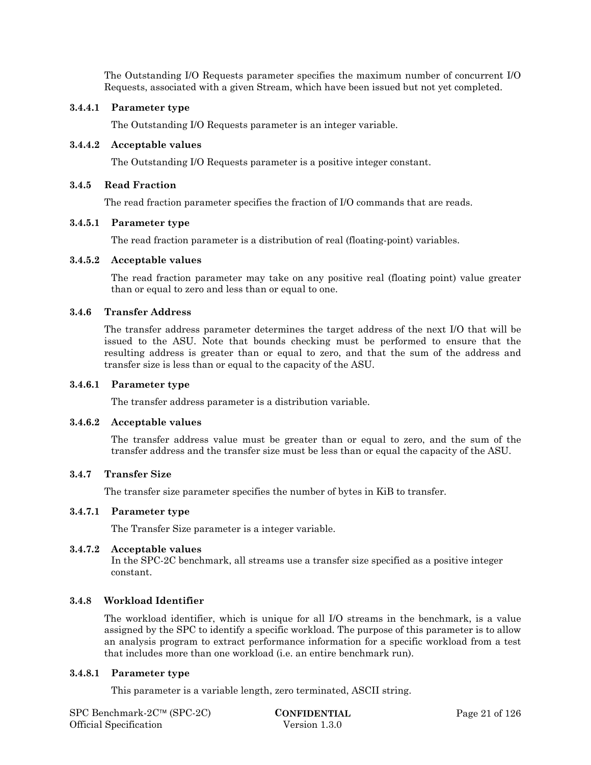The Outstanding I/O Requests parameter specifies the maximum number of concurrent I/O Requests, associated with a given Stream, which have been issued but not yet completed.

#### **3.4.4.1 Parameter type**

The Outstanding I/O Requests parameter is an integer variable.

#### **3.4.4.2 Acceptable values**

The Outstanding I/O Requests parameter is a positive integer constant.

#### **3.4.5 Read Fraction**

The read fraction parameter specifies the fraction of I/O commands that are reads.

#### **3.4.5.1 Parameter type**

The read fraction parameter is a distribution of real (floating-point) variables.

#### **3.4.5.2 Acceptable values**

The read fraction parameter may take on any positive real (floating point) value greater than or equal to zero and less than or equal to one.

#### **3.4.6 Transfer Address**

The transfer address parameter determines the target address of the next I/O that will be issued to the ASU. Note that bounds checking must be performed to ensure that the resulting address is greater than or equal to zero, and that the sum of the address and transfer size is less than or equal to the capacity of the ASU.

#### **3.4.6.1 Parameter type**

The transfer address parameter is a distribution variable.

#### **3.4.6.2 Acceptable values**

The transfer address value must be greater than or equal to zero, and the sum of the transfer address and the transfer size must be less than or equal the capacity of the ASU.

#### **3.4.7 Transfer Size**

The transfer size parameter specifies the number of bytes in KiB to transfer.

#### **3.4.7.1 Parameter type**

The Transfer Size parameter is a integer variable.

#### **3.4.7.2 Acceptable values**

In the SPC-2C benchmark, all streams use a transfer size specified as a positive integer constant.

## **3.4.8 Workload Identifier**

The workload identifier, which is unique for all I/O streams in the benchmark, is a value assigned by the SPC to identify a specific workload. The purpose of this parameter is to allow an analysis program to extract performance information for a specific workload from a test that includes more than one workload (i.e. an entire benchmark run).

## **3.4.8.1 Parameter type**

This parameter is a variable length, zero terminated, ASCII string.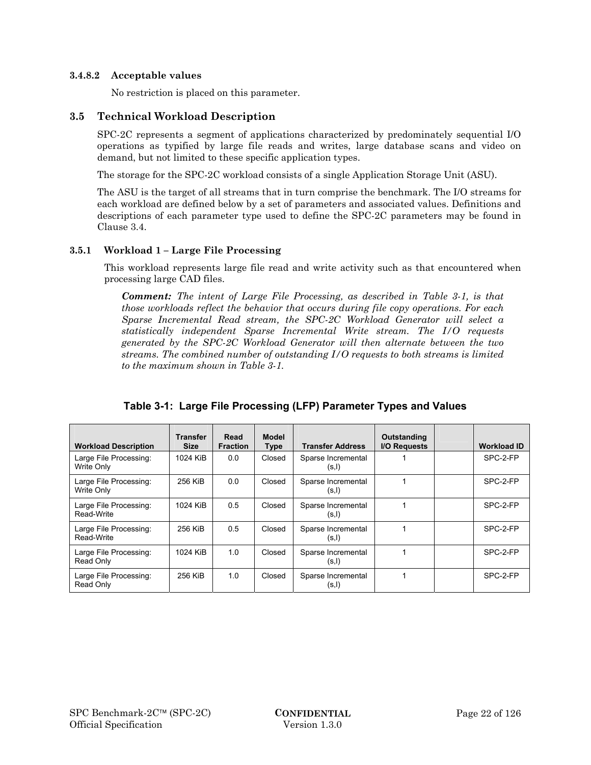#### **3.4.8.2 Acceptable values**

No restriction is placed on this parameter.

## **3.5 Technical Workload Description**

SPC-2C represents a segment of applications characterized by predominately sequential I/O operations as typified by large file reads and writes, large database scans and video on demand, but not limited to these specific application types.

The storage for the SPC-2C workload consists of a single Application Storage Unit (ASU).

The ASU is the target of all streams that in turn comprise the benchmark. The I/O streams for each workload are defined below by a set of parameters and associated values. Definitions and descriptions of each parameter type used to define the SPC-2C parameters may be found in Clause 3.4.

## **3.5.1 Workload 1 – Large File Processing**

This workload represents large file read and write activity such as that encountered when processing large CAD files.

*Comment: The intent of Large File Processing, as described in Table 3-1, is that those workloads reflect the behavior that occurs during file copy operations. For each Sparse Incremental Read stream, the SPC-2C Workload Generator will select a statistically independent Sparse Incremental Write stream. The I/O requests generated by the SPC-2C Workload Generator will then alternate between the two streams. The combined number of outstanding I/O requests to both streams is limited to the maximum shown in Table 3-1.* 

| <b>Workload Description</b>          | <b>Transfer</b><br><b>Size</b> | Read<br><b>Fraction</b> | <b>Model</b><br><b>Type</b> | <b>Transfer Address</b>      | Outstanding<br>I/O Requests | <b>Workload ID</b> |
|--------------------------------------|--------------------------------|-------------------------|-----------------------------|------------------------------|-----------------------------|--------------------|
| Large File Processing:<br>Write Only | 1024 KiB                       | 0.0                     | Closed                      | Sparse Incremental<br>(s, I) |                             | SPC-2-FP           |
| Large File Processing:<br>Write Only | 256 KiB                        | 0.0                     | Closed                      | Sparse Incremental<br>(s, l) |                             | SPC-2-FP           |
| Large File Processing:<br>Read-Write | 1024 KiB                       | 0.5                     | Closed                      | Sparse Incremental<br>(s, l) |                             | SPC-2-FP           |
| Large File Processing:<br>Read-Write | 256 KiB                        | 0.5                     | Closed                      | Sparse Incremental<br>(s, l) |                             | SPC-2-FP           |
| Large File Processing:<br>Read Only  | 1024 KiB                       | 1.0                     | Closed                      | Sparse Incremental<br>(s, l) |                             | SPC-2-FP           |
| Large File Processing:<br>Read Only  | 256 KiB                        | 1.0                     | Closed                      | Sparse Incremental<br>(s, l) |                             | SPC-2-FP           |

|  |  | Table 3-1: Large File Processing (LFP) Parameter Types and Values |
|--|--|-------------------------------------------------------------------|
|  |  |                                                                   |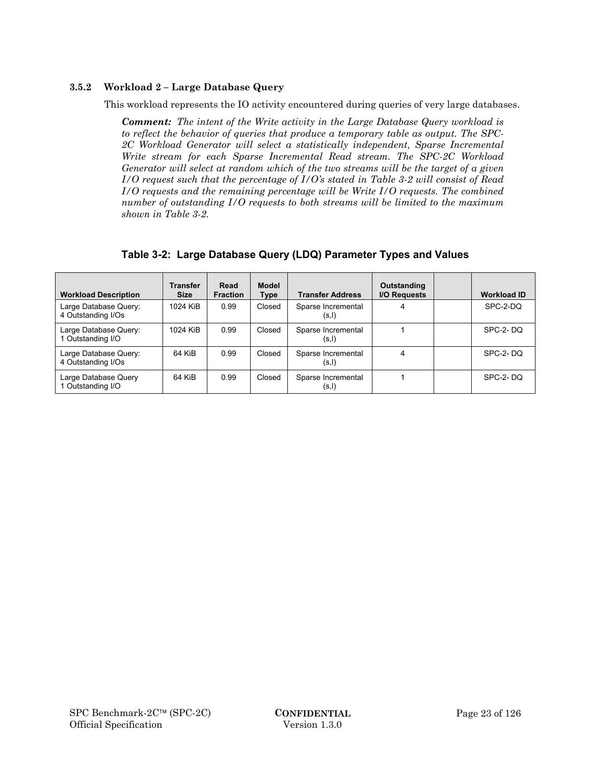## **3.5.2 Workload 2 – Large Database Query**

This workload represents the IO activity encountered during queries of very large databases.

*Comment: The intent of the Write activity in the Large Database Query workload is to reflect the behavior of queries that produce a temporary table as output. The SPC-2C Workload Generator will select a statistically independent, Sparse Incremental Write stream for each Sparse Incremental Read stream. The SPC-2C Workload Generator will select at random which of the two streams will be the target of a given I/O request such that the percentage of I/O's stated in Table 3-2 will consist of Read I/O requests and the remaining percentage will be Write I/O requests. The combined number of outstanding I/O requests to both streams will be limited to the maximum shown in Table 3-2.* 

| <b>Workload Description</b>                 | <b>Transfer</b><br><b>Size</b> | Read<br><b>Fraction</b> | Model<br><b>Type</b> | <b>Transfer Address</b>      | Outstanding<br><b>I/O Requests</b> | <b>Workload ID</b> |
|---------------------------------------------|--------------------------------|-------------------------|----------------------|------------------------------|------------------------------------|--------------------|
| Large Database Query:<br>4 Outstanding I/Os | 1024 KiB                       | 0.99                    | Closed               | Sparse Incremental<br>(s,I)  | 4                                  | SPC-2-DO           |
| Large Database Query:<br>1 Outstanding I/O  | 1024 KiB                       | 0.99                    | Closed               | Sparse Incremental<br>(s, I) |                                    | SPC-2-DO           |
| Large Database Query:<br>4 Outstanding I/Os | 64 KiB                         | 0.99                    | Closed               | Sparse Incremental<br>(s,l)  | 4                                  | SPC-2-DO           |
| Large Database Query<br>1 Outstanding I/O   | 64 KiB                         | 0.99                    | Closed               | Sparse Incremental<br>(s, I) |                                    | SPC-2-DQ           |

## **Table 3-2: Large Database Query (LDQ) Parameter Types and Values**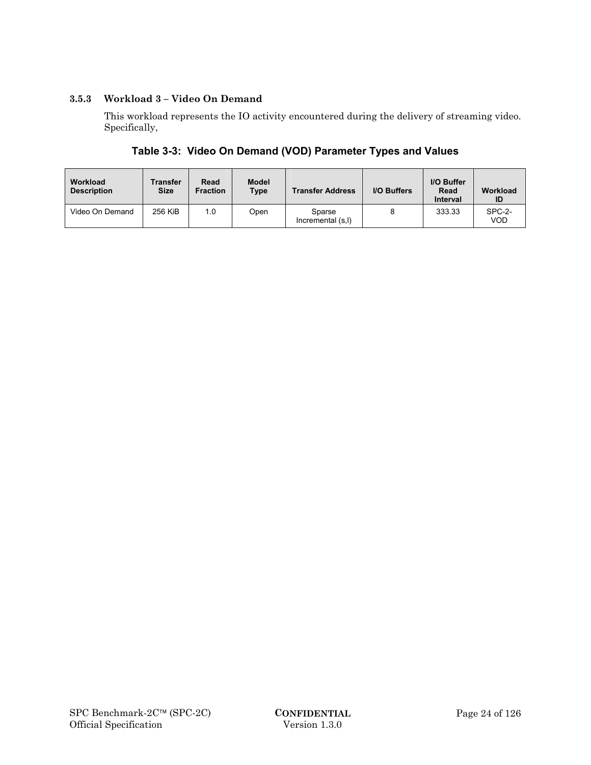## **3.5.3 Workload 3 – Video On Demand**

This workload represents the IO activity encountered during the delivery of streaming video. Specifically,

## **Table 3-3: Video On Demand (VOD) Parameter Types and Values**

| Workload<br><b>Description</b> | Transfer<br><b>Size</b> | Read<br><b>Fraction</b> | <b>Model</b><br><b>Type</b> | <b>Transfer Address</b>     | <b>I/O Buffers</b> | I/O Buffer<br>Read<br><b>Interval</b> | Workload<br>ID       |
|--------------------------------|-------------------------|-------------------------|-----------------------------|-----------------------------|--------------------|---------------------------------------|----------------------|
| Video On Demand                | 256 KiB                 | 1.0                     | Open                        | Sparse<br>Incremental (s,l) |                    | 333.33                                | SPC-2-<br><b>VOD</b> |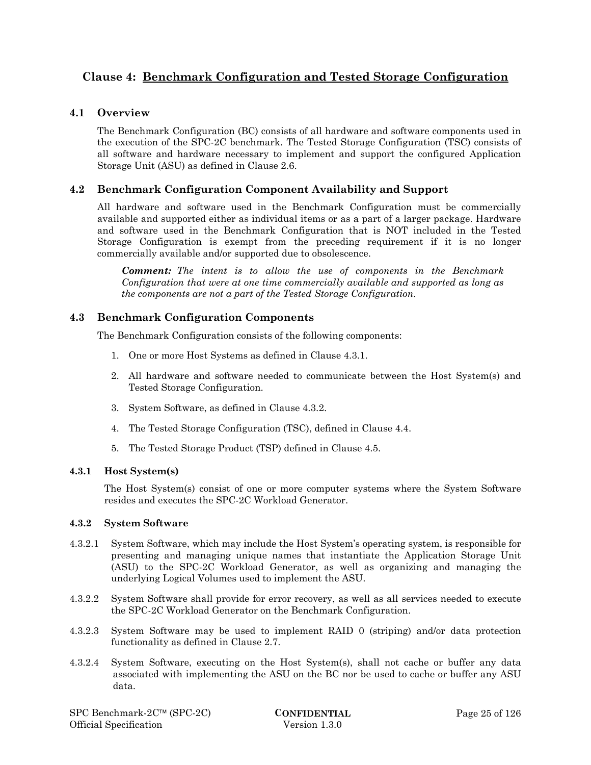## **Clause 4: Benchmark Configuration and Tested Storage Configuration**

## **4.1 Overview**

The Benchmark Configuration (BC) consists of all hardware and software components used in the execution of the SPC-2C benchmark. The Tested Storage Configuration (TSC) consists of all software and hardware necessary to implement and support the configured Application Storage Unit (ASU) as defined in Clause 2.6.

## **4.2 Benchmark Configuration Component Availability and Support**

All hardware and software used in the Benchmark Configuration must be commercially available and supported either as individual items or as a part of a larger package. Hardware and software used in the Benchmark Configuration that is NOT included in the Tested Storage Configuration is exempt from the preceding requirement if it is no longer commercially available and/or supported due to obsolescence.

*Comment: The intent is to allow the use of components in the Benchmark Configuration that were at one time commercially available and supported as long as the components are not a part of the Tested Storage Configuration.* 

## **4.3 Benchmark Configuration Components**

The Benchmark Configuration consists of the following components:

- 1. One or more Host Systems as defined in Clause 4.3.1.
- 2. All hardware and software needed to communicate between the Host System(s) and Tested Storage Configuration.
- 3. System Software, as defined in Clause 4.3.2.
- 4. The Tested Storage Configuration (TSC), defined in Clause 4.4.
- 5. The Tested Storage Product (TSP) defined in Clause 4.5.

#### **4.3.1 Host System(s)**

The Host System(s) consist of one or more computer systems where the System Software resides and executes the SPC-2C Workload Generator.

#### **4.3.2 System Software**

- 4.3.2.1 System Software, which may include the Host System's operating system, is responsible for presenting and managing unique names that instantiate the Application Storage Unit (ASU) to the SPC-2C Workload Generator, as well as organizing and managing the underlying Logical Volumes used to implement the ASU.
- 4.3.2.2 System Software shall provide for error recovery, as well as all services needed to execute the SPC-2C Workload Generator on the Benchmark Configuration.
- 4.3.2.3 System Software may be used to implement RAID 0 (striping) and/or data protection functionality as defined in Clause 2.7.
- 4.3.2.4 System Software, executing on the Host System(s), shall not cache or buffer any data associated with implementing the ASU on the BC nor be used to cache or buffer any ASU data.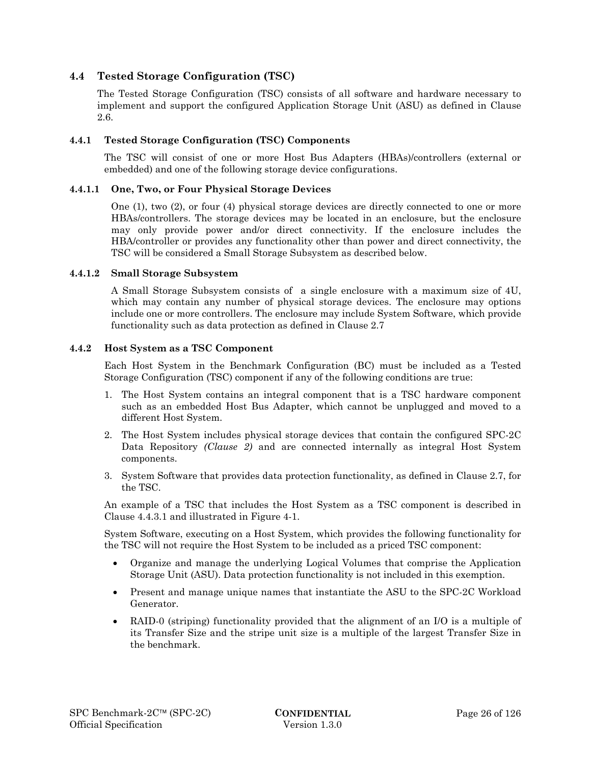## **4.4 Tested Storage Configuration (TSC)**

The Tested Storage Configuration (TSC) consists of all software and hardware necessary to implement and support the configured Application Storage Unit (ASU) as defined in Clause 2.6.

#### **4.4.1 Tested Storage Configuration (TSC) Components**

The TSC will consist of one or more Host Bus Adapters (HBAs)/controllers (external or embedded) and one of the following storage device configurations.

#### **4.4.1.1 One, Two, or Four Physical Storage Devices**

One (1), two (2), or four (4) physical storage devices are directly connected to one or more HBAs/controllers. The storage devices may be located in an enclosure, but the enclosure may only provide power and/or direct connectivity. If the enclosure includes the HBA/controller or provides any functionality other than power and direct connectivity, the TSC will be considered a Small Storage Subsystem as described below.

#### **4.4.1.2 Small Storage Subsystem**

A Small Storage Subsystem consists of a single enclosure with a maximum size of 4U, which may contain any number of physical storage devices. The enclosure may options include one or more controllers. The enclosure may include System Software, which provide functionality such as data protection as defined in Clause 2.7

#### **4.4.2 Host System as a TSC Component**

Each Host System in the Benchmark Configuration (BC) must be included as a Tested Storage Configuration (TSC) component if any of the following conditions are true:

- 1. The Host System contains an integral component that is a TSC hardware component such as an embedded Host Bus Adapter, which cannot be unplugged and moved to a different Host System.
- 2. The Host System includes physical storage devices that contain the configured SPC-2C Data Repository *(Clause 2)* and are connected internally as integral Host System components.
- 3. System Software that provides data protection functionality, as defined in Clause 2.7, for the TSC.

An example of a TSC that includes the Host System as a TSC component is described in Clause 4.4.3.1 and illustrated in Figure 4-1.

System Software, executing on a Host System, which provides the following functionality for the TSC will not require the Host System to be included as a priced TSC component:

- Organize and manage the underlying Logical Volumes that comprise the Application Storage Unit (ASU). Data protection functionality is not included in this exemption.
- Present and manage unique names that instantiate the ASU to the SPC-2C Workload Generator.
- RAID-0 (striping) functionality provided that the alignment of an I/O is a multiple of its Transfer Size and the stripe unit size is a multiple of the largest Transfer Size in the benchmark.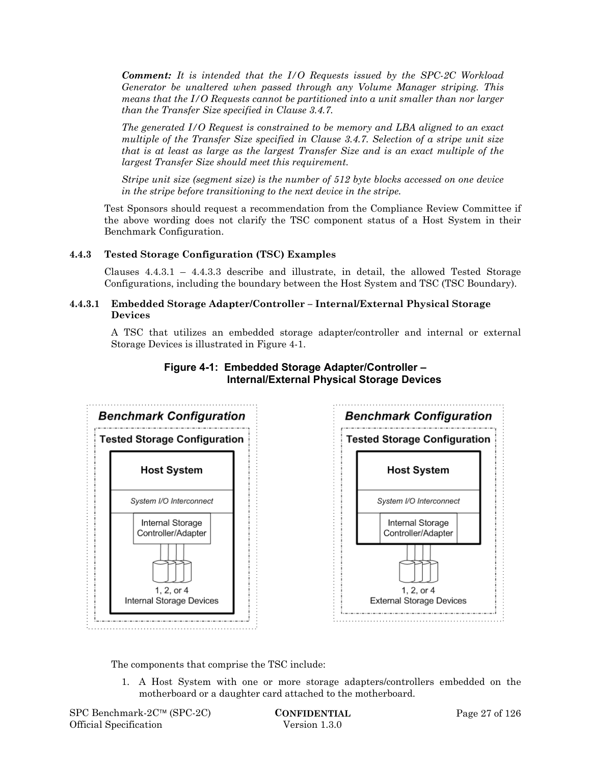*Comment: It is intended that the I/O Requests issued by the SPC-2C Workload Generator be unaltered when passed through any Volume Manager striping. This means that the I/O Requests cannot be partitioned into a unit smaller than nor larger than the Transfer Size specified in Clause 3.4.7.* 

*The generated I/O Request is constrained to be memory and LBA aligned to an exact multiple of the Transfer Size specified in Clause 3.4.7. Selection of a stripe unit size that is at least as large as the largest Transfer Size and is an exact multiple of the largest Transfer Size should meet this requirement.* 

*Stripe unit size (segment size) is the number of 512 byte blocks accessed on one device in the stripe before transitioning to the next device in the stripe.* 

Test Sponsors should request a recommendation from the Compliance Review Committee if the above wording does not clarify the TSC component status of a Host System in their Benchmark Configuration.

## **4.4.3 Tested Storage Configuration (TSC) Examples**

Clauses  $4.4.3.1 - 4.4.3.3$  describe and illustrate, in detail, the allowed Tested Storage Configurations, including the boundary between the Host System and TSC (TSC Boundary).

#### **4.4.3.1 Embedded Storage Adapter/Controller – Internal/External Physical Storage Devices**

A TSC that utilizes an embedded storage adapter/controller and internal or external Storage Devices is illustrated in Figure 4-1.



## **Figure 4-1: Embedded Storage Adapter/Controller – Internal/External Physical Storage Devices**

The components that comprise the TSC include:

1. A Host System with one or more storage adapters/controllers embedded on the motherboard or a daughter card attached to the motherboard.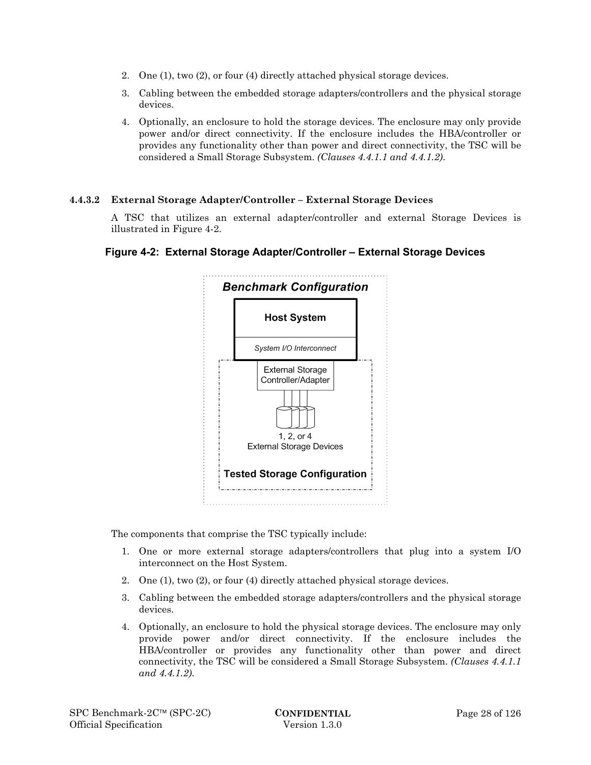- 2. One (1), two (2), or four (4) directly attached physical storage devices.
- 3. Cabling between the embedded storage adapters/controllers and the physical storage devices.
- 4. Optionally, an enclosure to hold the storage devices. The enclosure may only provide power and/or direct connectivity. If the enclosure includes the HBA/controller or provides any functionality other than power and direct connectivity, the TSC will be considered a Small Storage Subsystem. *(Clauses 4.4.1.1 and 4.4.1.2)*.

## **4.4.3.2 External Storage Adapter/Controller – External Storage Devices**

A TSC that utilizes an external adapter/controller and external Storage Devices is illustrated in Figure 4-2.





The components that comprise the TSC typically include:

- 1. One or more external storage adapters/controllers that plug into a system I/O interconnect on the Host System.
- 2. One (1), two (2), or four (4) directly attached physical storage devices.
- 3. Cabling between the embedded storage adapters/controllers and the physical storage devices.
- 4. Optionally, an enclosure to hold the physical storage devices. The enclosure may only provide power and/or direct connectivity. If the enclosure includes the HBA/controller or provides any functionality other than power and direct connectivity, the TSC will be considered a Small Storage Subsystem. *(Clauses 4.4.1.1 and 4.4.1.2)*.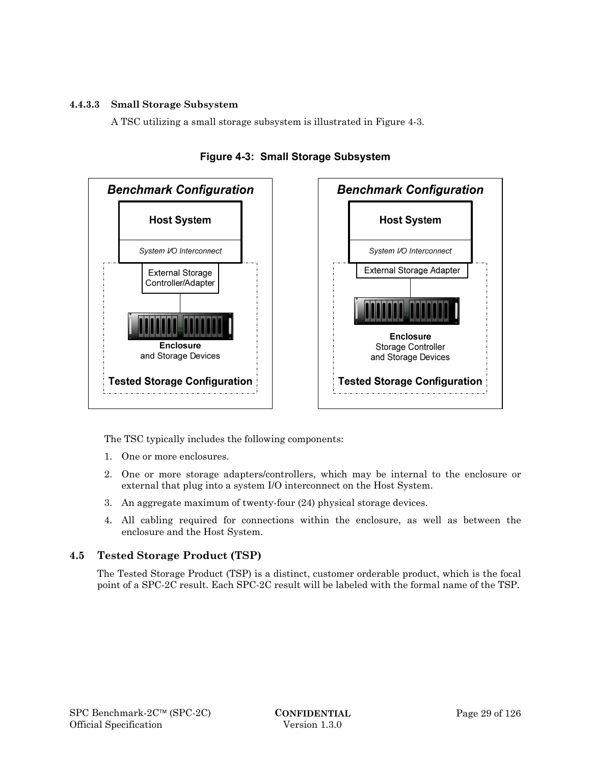## **4.4.3.3 Small Storage Subsystem**

A TSC utilizing a small storage subsystem is illustrated in Figure 4-3.



**Figure 4-3: Small Storage Subsystem** 

The TSC typically includes the following components:

- 1. One or more enclosures.
- 2. One or more storage adapters/controllers, which may be internal to the enclosure or external that plug into a system I/O interconnect on the Host System.
- 3. An aggregate maximum of twenty-four (24) physical storage devices.
- 4. All cabling required for connections within the enclosure, as well as between the enclosure and the Host System.

## **4.5 Tested Storage Product (TSP)**

The Tested Storage Product (TSP) is a distinct, customer orderable product, which is the focal point of a SPC-2C result. Each SPC-2C result will be labeled with the formal name of the TSP.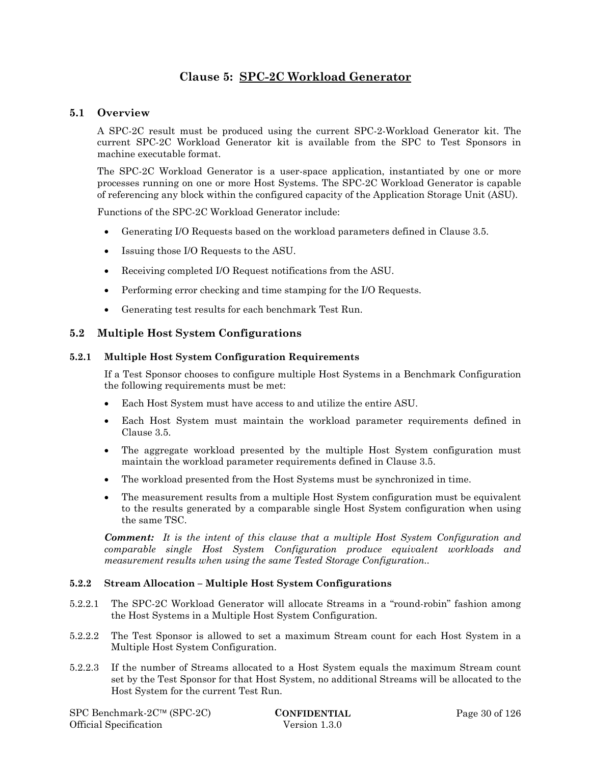## **Clause 5: SPC-2C Workload Generator**

## **5.1 Overview**

A SPC-2C result must be produced using the current SPC-2-Workload Generator kit. The current SPC-2C Workload Generator kit is available from the SPC to Test Sponsors in machine executable format.

The SPC-2C Workload Generator is a user-space application, instantiated by one or more processes running on one or more Host Systems. The SPC-2C Workload Generator is capable of referencing any block within the configured capacity of the Application Storage Unit (ASU).

Functions of the SPC-2C Workload Generator include:

- Generating I/O Requests based on the workload parameters defined in Clause 3.5.
- Issuing those I/O Requests to the ASU.
- Receiving completed I/O Request notifications from the ASU.
- Performing error checking and time stamping for the I/O Requests.
- Generating test results for each benchmark Test Run.

#### **5.2 Multiple Host System Configurations**

#### **5.2.1 Multiple Host System Configuration Requirements**

If a Test Sponsor chooses to configure multiple Host Systems in a Benchmark Configuration the following requirements must be met:

- Each Host System must have access to and utilize the entire ASU.
- Each Host System must maintain the workload parameter requirements defined in Clause 3.5.
- The aggregate workload presented by the multiple Host System configuration must maintain the workload parameter requirements defined in Clause 3.5.
- The workload presented from the Host Systems must be synchronized in time.
- The measurement results from a multiple Host System configuration must be equivalent to the results generated by a comparable single Host System configuration when using the same TSC.

*Comment: It is the intent of this clause that a multiple Host System Configuration and comparable single Host System Configuration produce equivalent workloads and measurement results when using the same Tested Storage Configuration..* 

#### **5.2.2 Stream Allocation – Multiple Host System Configurations**

- 5.2.2.1 The SPC-2C Workload Generator will allocate Streams in a "round-robin" fashion among the Host Systems in a Multiple Host System Configuration.
- 5.2.2.2 The Test Sponsor is allowed to set a maximum Stream count for each Host System in a Multiple Host System Configuration.
- 5.2.2.3 If the number of Streams allocated to a Host System equals the maximum Stream count set by the Test Sponsor for that Host System, no additional Streams will be allocated to the Host System for the current Test Run.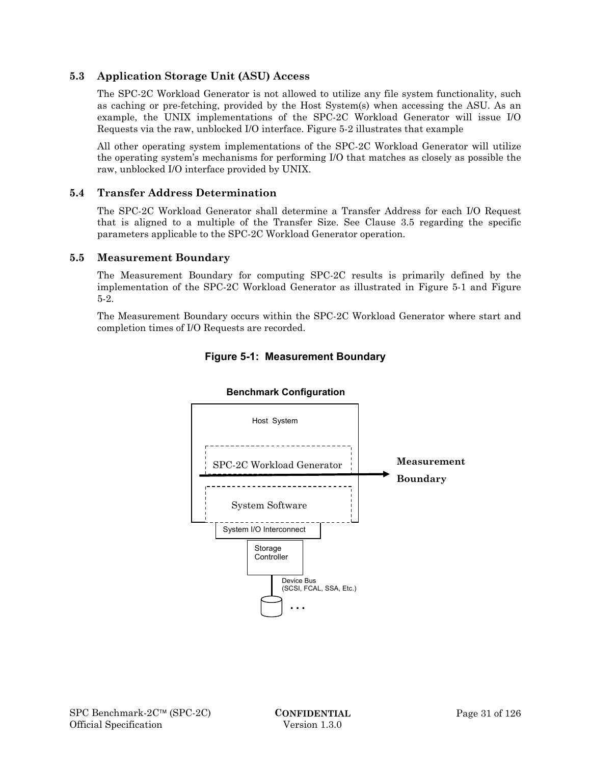## **5.3 Application Storage Unit (ASU) Access**

The SPC-2C Workload Generator is not allowed to utilize any file system functionality, such as caching or pre-fetching, provided by the Host System(s) when accessing the ASU. As an example, the UNIX implementations of the SPC-2C Workload Generator will issue I/O Requests via the raw, unblocked I/O interface. Figure 5-2 illustrates that example

All other operating system implementations of the SPC-2C Workload Generator will utilize the operating system's mechanisms for performing I/O that matches as closely as possible the raw, unblocked I/O interface provided by UNIX.

## **5.4 Transfer Address Determination**

The SPC-2C Workload Generator shall determine a Transfer Address for each I/O Request that is aligned to a multiple of the Transfer Size. See Clause 3.5 regarding the specific parameters applicable to the SPC-2C Workload Generator operation.

#### **5.5 Measurement Boundary**

The Measurement Boundary for computing SPC-2C results is primarily defined by the implementation of the SPC-2C Workload Generator as illustrated in Figure 5-1 and Figure 5-2.

The Measurement Boundary occurs within the SPC-2C Workload Generator where start and completion times of I/O Requests are recorded.



## **Figure 5-1: Measurement Boundary**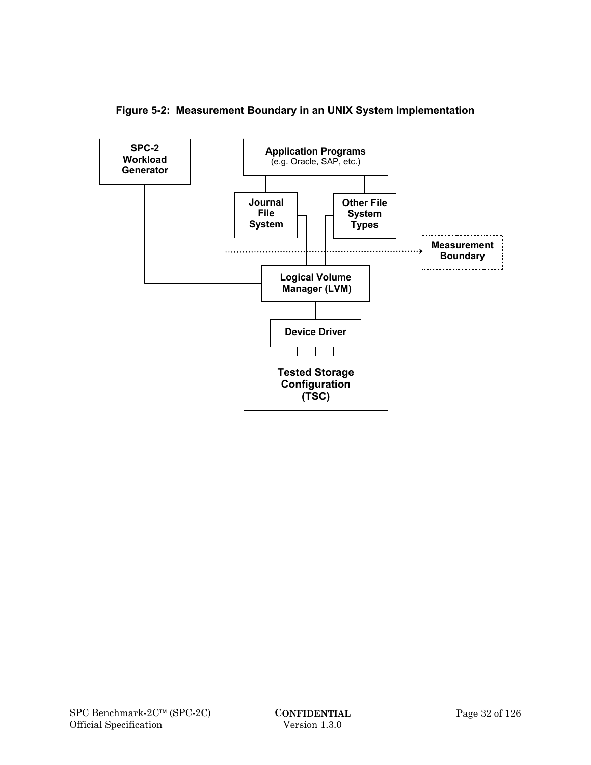

**Figure 5-2: Measurement Boundary in an UNIX System Implementation**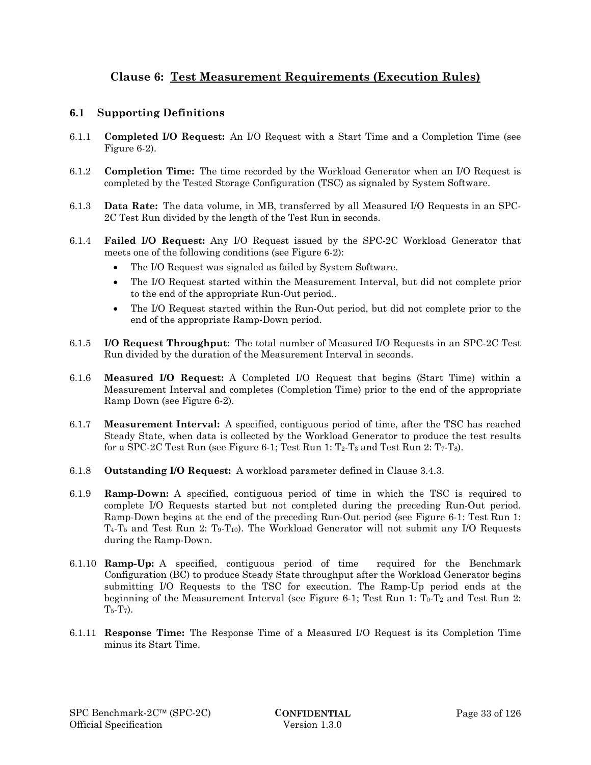## **Clause 6: Test Measurement Requirements (Execution Rules)**

## **6.1 Supporting Definitions**

- 6.1.1 **Completed I/O Request:** An I/O Request with a Start Time and a Completion Time (see Figure 6-2).
- 6.1.2 **Completion Time:** The time recorded by the Workload Generator when an I/O Request is completed by the Tested Storage Configuration (TSC) as signaled by System Software.
- 6.1.3 **Data Rate:** The data volume, in MB, transferred by all Measured I/O Requests in an SPC-2C Test Run divided by the length of the Test Run in seconds.
- 6.1.4 **Failed I/O Request:** Any I/O Request issued by the SPC-2C Workload Generator that meets one of the following conditions (see Figure 6-2):
	- The I/O Request was signaled as failed by System Software.
	- The I/O Request started within the Measurement Interval, but did not complete prior to the end of the appropriate Run-Out period..
	- The I/O Request started within the Run-Out period, but did not complete prior to the end of the appropriate Ramp-Down period.
- 6.1.5 **I/O Request Throughput:** The total number of Measured I/O Requests in an SPC-2C Test Run divided by the duration of the Measurement Interval in seconds.
- 6.1.6 **Measured I/O Request:** A Completed I/O Request that begins (Start Time) within a Measurement Interval and completes (Completion Time) prior to the end of the appropriate Ramp Down (see Figure 6-2).
- 6.1.7 **Measurement Interval:** A specified, contiguous period of time, after the TSC has reached Steady State, when data is collected by the Workload Generator to produce the test results for a SPC-2C Test Run (see Figure 6-1; Test Run 1:  $T_2$ - $T_3$  and Test Run 2:  $T_7$ - $T_8$ ).
- 6.1.8 **Outstanding I/O Request:** A workload parameter defined in Clause 3.4.3.
- 6.1.9 **Ramp-Down:** A specified, contiguous period of time in which the TSC is required to complete I/O Requests started but not completed during the preceding Run-Out period. Ramp-Down begins at the end of the preceding Run-Out period (see Figure 6-1: Test Run 1:  $T_4$ -T<sub>5</sub> and Test Run 2: T<sub>9</sub>-T<sub>10</sub>). The Workload Generator will not submit any I/O Requests during the Ramp-Down.
- 6.1.10 **Ramp-Up:** A specified, contiguous period of time required for the Benchmark Configuration (BC) to produce Steady State throughput after the Workload Generator begins submitting I/O Requests to the TSC for execution. The Ramp-Up period ends at the beginning of the Measurement Interval (see Figure 6-1; Test Run 1:  $T_0$ -T<sub>2</sub> and Test Run 2:  $T_{5}$ - $T_{7}$ ).
- 6.1.11 **Response Time:** The Response Time of a Measured I/O Request is its Completion Time minus its Start Time.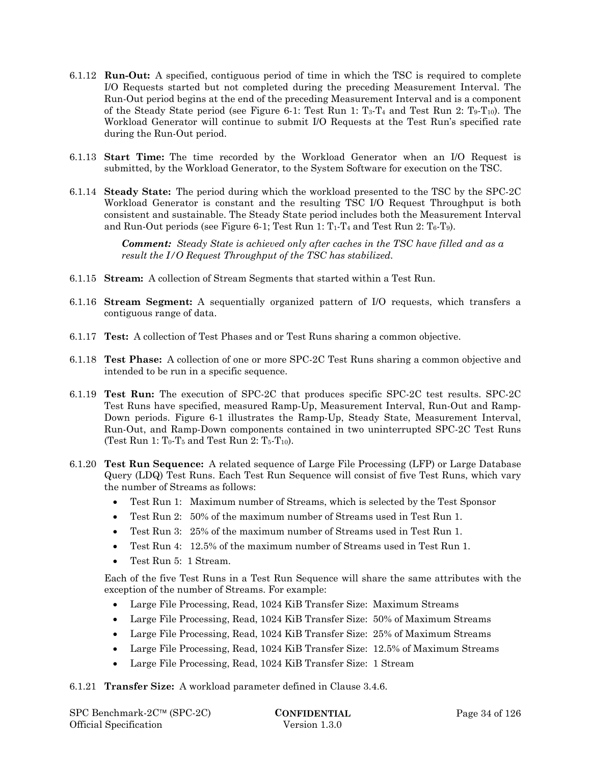- 6.1.12 **Run-Out:** A specified, contiguous period of time in which the TSC is required to complete I/O Requests started but not completed during the preceding Measurement Interval. The Run-Out period begins at the end of the preceding Measurement Interval and is a component of the Steady State period (see Figure 6-1: Test Run 1:  $T_3$ -T<sub>4</sub> and Test Run 2: T<sub>9</sub>-T<sub>10</sub>). The Workload Generator will continue to submit I/O Requests at the Test Run's specified rate during the Run-Out period.
- 6.1.13 **Start Time:** The time recorded by the Workload Generator when an I/O Request is submitted, by the Workload Generator, to the System Software for execution on the TSC.
- 6.1.14 **Steady State:** The period during which the workload presented to the TSC by the SPC-2C Workload Generator is constant and the resulting TSC I/O Request Throughput is both consistent and sustainable. The Steady State period includes both the Measurement Interval and Run-Out periods (see Figure 6-1; Test Run 1:  $T_1$ - $T_4$  and Test Run 2:  $T_6$ - $T_9$ ).

*Comment: Steady State is achieved only after caches in the TSC have filled and as a result the I/O Request Throughput of the TSC has stabilized.* 

- 6.1.15 **Stream:** A collection of Stream Segments that started within a Test Run.
- 6.1.16 **Stream Segment:** A sequentially organized pattern of I/O requests, which transfers a contiguous range of data.
- 6.1.17 **Test:** A collection of Test Phases and or Test Runs sharing a common objective.
- 6.1.18 **Test Phase:** A collection of one or more SPC-2C Test Runs sharing a common objective and intended to be run in a specific sequence.
- 6.1.19 **Test Run:** The execution of SPC-2C that produces specific SPC-2C test results. SPC-2C Test Runs have specified, measured Ramp-Up, Measurement Interval, Run-Out and Ramp-Down periods. Figure 6-1 illustrates the Ramp-Up, Steady State, Measurement Interval, Run-Out, and Ramp-Down components contained in two uninterrupted SPC-2C Test Runs (Test Run 1:  $T_0$ - $T_5$  and Test Run 2:  $T_5$ - $T_{10}$ ).
- 6.1.20 **Test Run Sequence:** A related sequence of Large File Processing (LFP) or Large Database Query (LDQ) Test Runs. Each Test Run Sequence will consist of five Test Runs, which vary the number of Streams as follows:
	- Test Run 1: Maximum number of Streams, which is selected by the Test Sponsor
	- Test Run 2: 50% of the maximum number of Streams used in Test Run 1.
	- Test Run 3: 25% of the maximum number of Streams used in Test Run 1.
	- Test Run 4: 12.5% of the maximum number of Streams used in Test Run 1.
	- Test Run 5: 1 Stream.

Each of the five Test Runs in a Test Run Sequence will share the same attributes with the exception of the number of Streams. For example:

- Large File Processing, Read, 1024 KiB Transfer Size: Maximum Streams
- Large File Processing, Read, 1024 KiB Transfer Size: 50% of Maximum Streams
- Large File Processing, Read, 1024 KiB Transfer Size: 25% of Maximum Streams
- Large File Processing, Read, 1024 KiB Transfer Size: 12.5% of Maximum Streams
- Large File Processing, Read, 1024 KiB Transfer Size: 1 Stream

6.1.21 **Transfer Size:** A workload parameter defined in Clause 3.4.6.

| $SPC$ Benchmark-2 $C^{\text{TM}}$ (SPC-2C) |
|--------------------------------------------|
| Official Specification                     |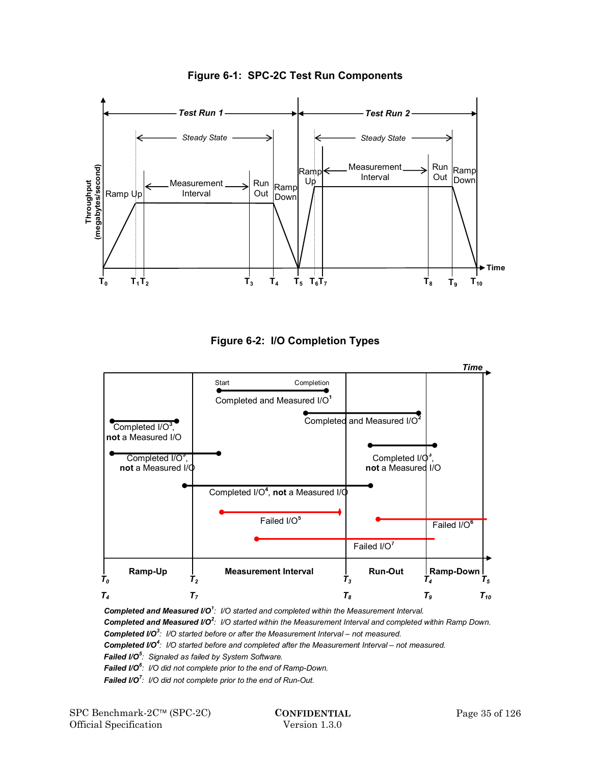

**Figure 6-1: SPC-2C Test Run Components** 





*Completed and Measured I/O<sup>1</sup> : I/O started and completed within the Measurement Interval. Completed and Measured I/O<sup>2</sup> : I/O started within the Measurement Interval and completed within Ramp Down. Completed I/O<sup>3</sup> : I/O started before or after the Measurement Interval – not measured. Completed I/O<sup>4</sup> : I/O started before and completed after the Measurement Interval – not measured. Failed I/O<sup>5</sup> : Signaled as failed by System Software. Failed I/O<sup>6</sup> : I/O did not complete prior to the end of Ramp-Down. Failed I/O<sup>7</sup> : I/O did not complete prior to the end of Run-Out.*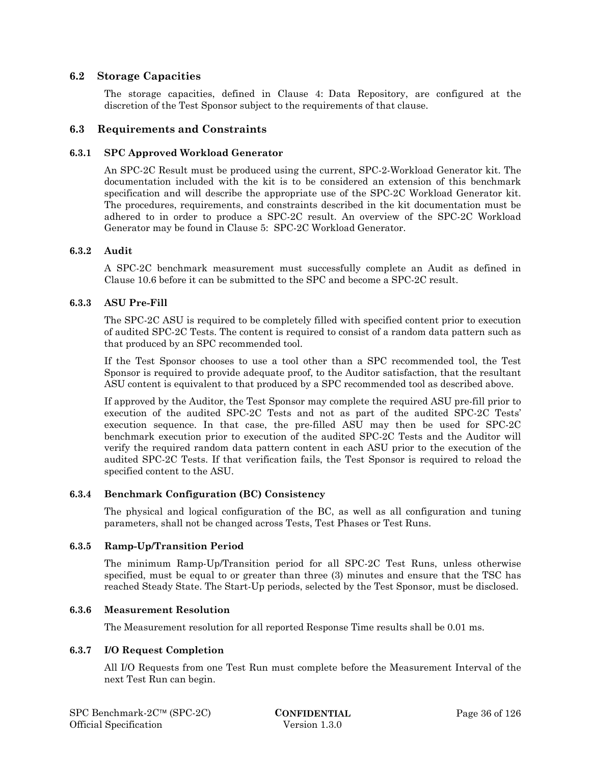# **6.2 Storage Capacities**

The storage capacities, defined in Clause 4: Data Repository, are configured at the discretion of the Test Sponsor subject to the requirements of that clause.

### **6.3 Requirements and Constraints**

### **6.3.1 SPC Approved Workload Generator**

An SPC-2C Result must be produced using the current, SPC-2-Workload Generator kit. The documentation included with the kit is to be considered an extension of this benchmark specification and will describe the appropriate use of the SPC-2C Workload Generator kit. The procedures, requirements, and constraints described in the kit documentation must be adhered to in order to produce a SPC-2C result. An overview of the SPC-2C Workload Generator may be found in Clause 5: SPC-2C Workload Generator.

### **6.3.2 Audit**

A SPC-2C benchmark measurement must successfully complete an Audit as defined in Clause 10.6 before it can be submitted to the SPC and become a SPC-2C result.

### **6.3.3 ASU Pre-Fill**

The SPC-2C ASU is required to be completely filled with specified content prior to execution of audited SPC-2C Tests. The content is required to consist of a random data pattern such as that produced by an SPC recommended tool.

If the Test Sponsor chooses to use a tool other than a SPC recommended tool, the Test Sponsor is required to provide adequate proof, to the Auditor satisfaction, that the resultant ASU content is equivalent to that produced by a SPC recommended tool as described above.

If approved by the Auditor, the Test Sponsor may complete the required ASU pre-fill prior to execution of the audited SPC-2C Tests and not as part of the audited SPC-2C Tests' execution sequence. In that case, the pre-filled ASU may then be used for SPC-2C benchmark execution prior to execution of the audited SPC-2C Tests and the Auditor will verify the required random data pattern content in each ASU prior to the execution of the audited SPC-2C Tests. If that verification fails, the Test Sponsor is required to reload the specified content to the ASU.

### **6.3.4 Benchmark Configuration (BC) Consistency**

The physical and logical configuration of the BC, as well as all configuration and tuning parameters, shall not be changed across Tests, Test Phases or Test Runs.

### **6.3.5 Ramp-Up/Transition Period**

The minimum Ramp-Up/Transition period for all SPC-2C Test Runs, unless otherwise specified, must be equal to or greater than three (3) minutes and ensure that the TSC has reached Steady State. The Start-Up periods, selected by the Test Sponsor, must be disclosed.

### **6.3.6 Measurement Resolution**

The Measurement resolution for all reported Response Time results shall be 0.01 ms.

### **6.3.7 I/O Request Completion**

All I/O Requests from one Test Run must complete before the Measurement Interval of the next Test Run can begin.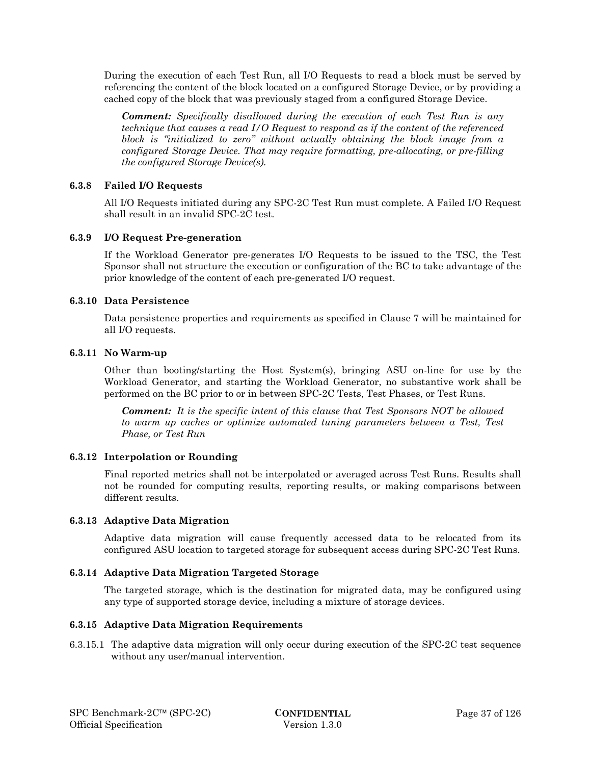During the execution of each Test Run, all I/O Requests to read a block must be served by referencing the content of the block located on a configured Storage Device, or by providing a cached copy of the block that was previously staged from a configured Storage Device.

*Comment: Specifically disallowed during the execution of each Test Run is any technique that causes a read I/O Request to respond as if the content of the referenced block is "initialized to zero" without actually obtaining the block image from a configured Storage Device. That may require formatting, pre-allocating, or pre-filling the configured Storage Device(s).* 

### **6.3.8 Failed I/O Requests**

All I/O Requests initiated during any SPC-2C Test Run must complete. A Failed I/O Request shall result in an invalid SPC-2C test.

### **6.3.9 I/O Request Pre-generation**

If the Workload Generator pre-generates I/O Requests to be issued to the TSC, the Test Sponsor shall not structure the execution or configuration of the BC to take advantage of the prior knowledge of the content of each pre-generated I/O request.

### **6.3.10 Data Persistence**

Data persistence properties and requirements as specified in Clause 7 will be maintained for all I/O requests.

### **6.3.11 No Warm-up**

Other than booting/starting the Host System(s), bringing ASU on-line for use by the Workload Generator, and starting the Workload Generator, no substantive work shall be performed on the BC prior to or in between SPC-2C Tests, Test Phases, or Test Runs.

*Comment: It is the specific intent of this clause that Test Sponsors NOT be allowed to warm up caches or optimize automated tuning parameters between a Test, Test Phase, or Test Run* 

# **6.3.12 Interpolation or Rounding**

Final reported metrics shall not be interpolated or averaged across Test Runs. Results shall not be rounded for computing results, reporting results, or making comparisons between different results.

### **6.3.13 Adaptive Data Migration**

Adaptive data migration will cause frequently accessed data to be relocated from its configured ASU location to targeted storage for subsequent access during SPC-2C Test Runs.

### **6.3.14 Adaptive Data Migration Targeted Storage**

The targeted storage, which is the destination for migrated data, may be configured using any type of supported storage device, including a mixture of storage devices.

### **6.3.15 Adaptive Data Migration Requirements**

6.3.15.1 The adaptive data migration will only occur during execution of the SPC-2C test sequence without any user/manual intervention.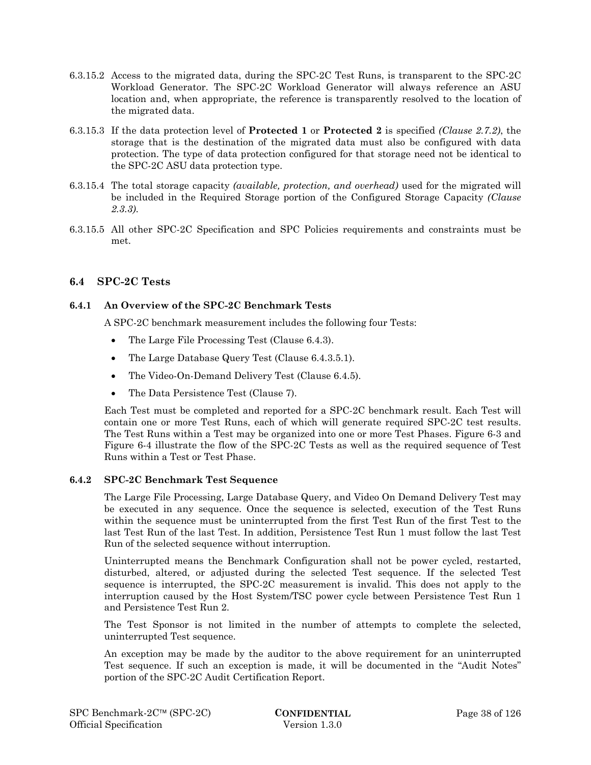- 6.3.15.2 Access to the migrated data, during the SPC-2C Test Runs, is transparent to the SPC-2C Workload Generator. The SPC-2C Workload Generator will always reference an ASU location and, when appropriate, the reference is transparently resolved to the location of the migrated data.
- 6.3.15.3 If the data protection level of **Protected 1** or **Protected 2** is specified *(Clause 2.7.2)*, the storage that is the destination of the migrated data must also be configured with data protection. The type of data protection configured for that storage need not be identical to the SPC-2C ASU data protection type.
- 6.3.15.4 The total storage capacity *(available, protection, and overhead)* used for the migrated will be included in the Required Storage portion of the Configured Storage Capacity *(Clause 2.3.3)*.
- 6.3.15.5 All other SPC-2C Specification and SPC Policies requirements and constraints must be met.

# **6.4 SPC-2C Tests**

# **6.4.1 An Overview of the SPC-2C Benchmark Tests**

A SPC-2C benchmark measurement includes the following four Tests:

- The Large File Processing Test (Clause 6.4.3).
- The Large Database Query Test (Clause 6.4.3.5.1).
- The Video-On-Demand Delivery Test (Clause 6.4.5).
- The Data Persistence Test (Clause 7).

Each Test must be completed and reported for a SPC-2C benchmark result. Each Test will contain one or more Test Runs, each of which will generate required SPC-2C test results. The Test Runs within a Test may be organized into one or more Test Phases. Figure 6-3 and Figure 6-4 illustrate the flow of the SPC-2C Tests as well as the required sequence of Test Runs within a Test or Test Phase.

### **6.4.2 SPC-2C Benchmark Test Sequence**

The Large File Processing, Large Database Query, and Video On Demand Delivery Test may be executed in any sequence. Once the sequence is selected, execution of the Test Runs within the sequence must be uninterrupted from the first Test Run of the first Test to the last Test Run of the last Test. In addition, Persistence Test Run 1 must follow the last Test Run of the selected sequence without interruption.

Uninterrupted means the Benchmark Configuration shall not be power cycled, restarted, disturbed, altered, or adjusted during the selected Test sequence. If the selected Test sequence is interrupted, the SPC-2C measurement is invalid. This does not apply to the interruption caused by the Host System/TSC power cycle between Persistence Test Run 1 and Persistence Test Run 2.

The Test Sponsor is not limited in the number of attempts to complete the selected, uninterrupted Test sequence.

An exception may be made by the auditor to the above requirement for an uninterrupted Test sequence. If such an exception is made, it will be documented in the "Audit Notes" portion of the SPC-2C Audit Certification Report.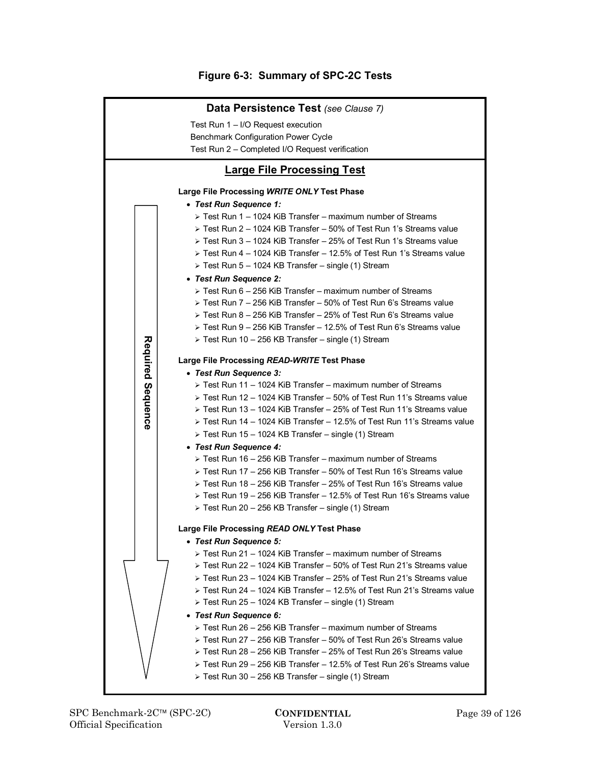# **Figure 6-3: Summary of SPC-2C Tests**

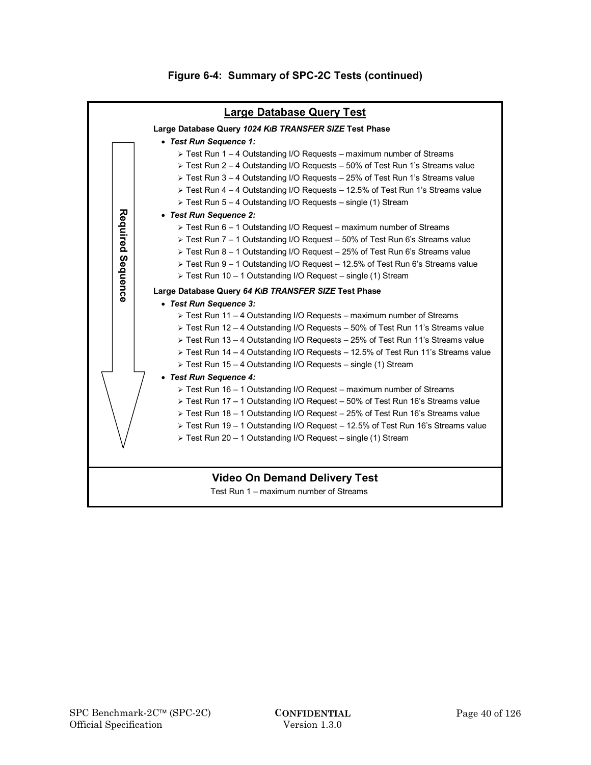

# **Figure 6-4: Summary of SPC-2C Tests (continued)**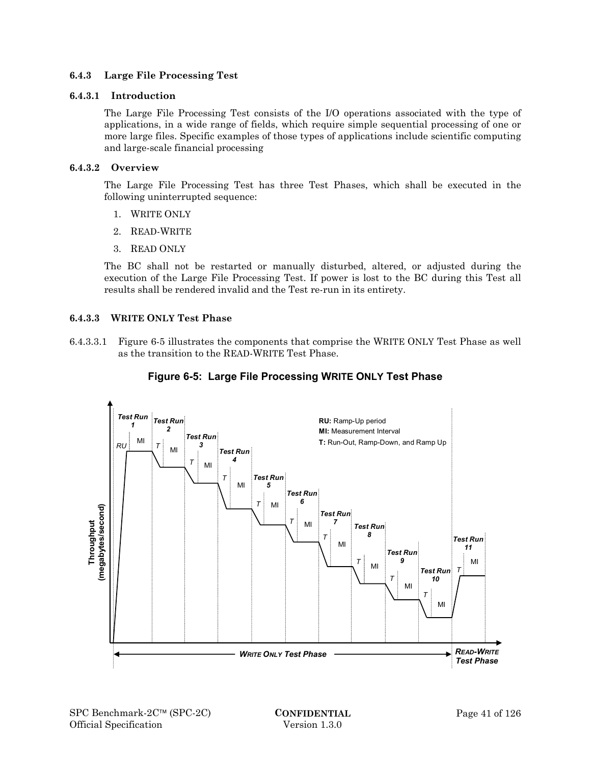### **6.4.3 Large File Processing Test**

### **6.4.3.1 Introduction**

The Large File Processing Test consists of the I/O operations associated with the type of applications, in a wide range of fields, which require simple sequential processing of one or more large files. Specific examples of those types of applications include scientific computing and large-scale financial processing

### **6.4.3.2 Overview**

The Large File Processing Test has three Test Phases, which shall be executed in the following uninterrupted sequence:

- 1. WRITE ONLY
- 2. READ-WRITE
- 3. READ ONLY

The BC shall not be restarted or manually disturbed, altered, or adjusted during the execution of the Large File Processing Test. If power is lost to the BC during this Test all results shall be rendered invalid and the Test re-run in its entirety.

### **6.4.3.3 WRITE ONLY Test Phase**

6.4.3.3.1 Figure 6-5 illustrates the components that comprise the WRITE ONLY Test Phase as well as the transition to the READ-WRITE Test Phase.



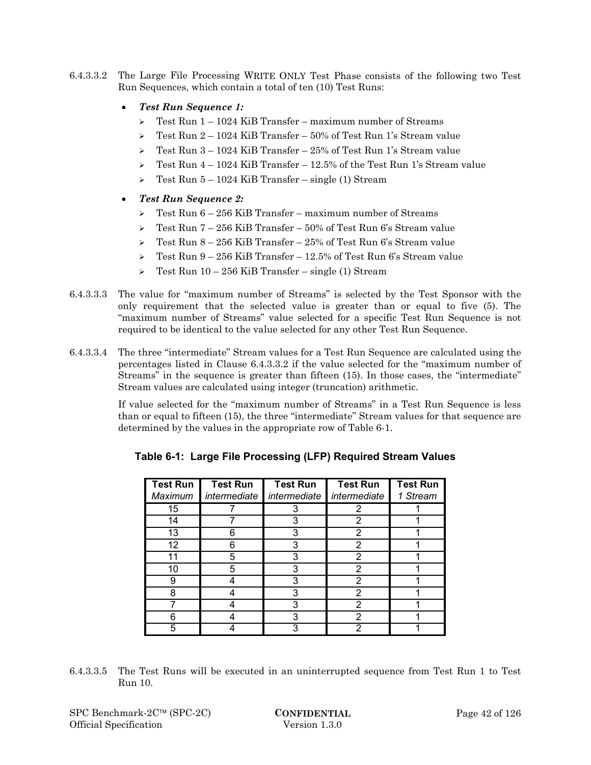6.4.3.3.2 The Large File Processing WRITE ONLY Test Phase consists of the following two Test Run Sequences, which contain a total of ten (10) Test Runs:

# *Test Run Sequence 1:*

- $\geq$  Test Run 1 1024 KiB Transfer maximum number of Streams
- $\geq$  Test Run 2 1024 KiB Transfer 50% of Test Run 1's Stream value
- $\geq$  Test Run 3 1024 KiB Transfer 25% of Test Run 1's Stream value
- $\geq$  Test Run 4 1024 KiB Transfer 12.5% of the Test Run 1's Stream value
- $\geq$  Test Run 5 1024 KiB Transfer single (1) Stream
- *Test Run Sequence 2:* 
	- $\geq$  Test Run 6 256 KiB Transfer maximum number of Streams
	- $\geq$  Test Run 7 256 KiB Transfer 50% of Test Run 6's Stream value
	- $\geq$  Test Run 8 256 KiB Transfer 25% of Test Run 6's Stream value
	- $\geq$  Test Run 9 256 KiB Transfer 12.5% of Test Run 6's Stream value
	- $\geq$  Test Run 10 256 KiB Transfer single (1) Stream
- 6.4.3.3.3 The value for "maximum number of Streams" is selected by the Test Sponsor with the only requirement that the selected value is greater than or equal to five (5). The "maximum number of Streams" value selected for a specific Test Run Sequence is not required to be identical to the value selected for any other Test Run Sequence.
- 6.4.3.3.4 The three "intermediate" Stream values for a Test Run Sequence are calculated using the percentages listed in Clause 6.4.3.3.2 if the value selected for the "maximum number of Streams" in the sequence is greater than fifteen (15). In those cases, the "intermediate" Stream values are calculated using integer (truncation) arithmetic.

If value selected for the "maximum number of Streams" in a Test Run Sequence is less than or equal to fifteen (15), the three "intermediate" Stream values for that sequence are determined by the values in the appropriate row of Table 6-1.

| <b>Test Run</b><br>Maximum | <b>Test Run</b><br>intermediate | <b>Test Run</b><br>intermediate | <b>Test Run</b><br>intermediate | <b>Test Run</b><br>1 Stream |
|----------------------------|---------------------------------|---------------------------------|---------------------------------|-----------------------------|
| 15                         |                                 | 3                               | 2                               |                             |
| 14                         |                                 | 3                               | 2                               |                             |
| 13                         | 6                               | 3                               | 2                               |                             |
| 12                         | 6                               | 3                               | 2                               |                             |
| 11                         | 5                               | 3                               | 2                               |                             |
| 10                         | 5                               | 3                               | 2                               |                             |
| 9                          |                                 | 3                               | 2                               |                             |
| 8                          |                                 | 3                               | 2                               |                             |
|                            |                                 | 3                               | 2                               |                             |
|                            |                                 | 3                               | 2                               |                             |
| 5                          |                                 | 3                               | 2                               |                             |

6.4.3.3.5 The Test Runs will be executed in an uninterrupted sequence from Test Run 1 to Test Run 10.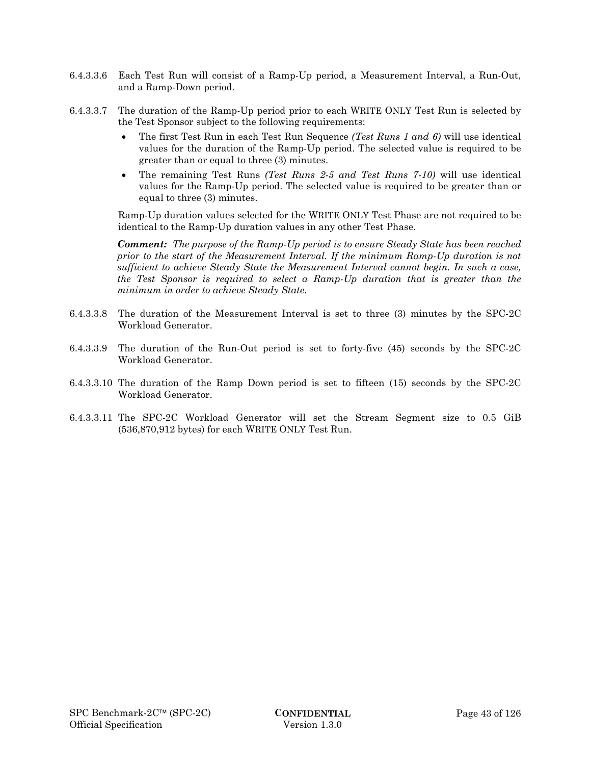- 6.4.3.3.6 Each Test Run will consist of a Ramp-Up period, a Measurement Interval, a Run-Out, and a Ramp-Down period.
- 6.4.3.3.7 The duration of the Ramp-Up period prior to each WRITE ONLY Test Run is selected by the Test Sponsor subject to the following requirements:
	- The first Test Run in each Test Run Sequence *(Test Runs 1 and 6)* will use identical values for the duration of the Ramp-Up period. The selected value is required to be greater than or equal to three (3) minutes.
	- The remaining Test Runs *(Test Runs 2-5 and Test Runs 7-10)* will use identical values for the Ramp-Up period. The selected value is required to be greater than or equal to three (3) minutes.

Ramp-Up duration values selected for the WRITE ONLY Test Phase are not required to be identical to the Ramp-Up duration values in any other Test Phase.

*Comment: The purpose of the Ramp-Up period is to ensure Steady State has been reached prior to the start of the Measurement Interval. If the minimum Ramp-Up duration is not sufficient to achieve Steady State the Measurement Interval cannot begin. In such a case, the Test Sponsor is required to select a Ramp-Up duration that is greater than the minimum in order to achieve Steady State.*

- 6.4.3.3.8 The duration of the Measurement Interval is set to three (3) minutes by the SPC-2C Workload Generator.
- 6.4.3.3.9 The duration of the Run-Out period is set to forty-five (45) seconds by the SPC-2C Workload Generator.
- 6.4.3.3.10 The duration of the Ramp Down period is set to fifteen (15) seconds by the SPC-2C Workload Generator.
- 6.4.3.3.11 The SPC-2C Workload Generator will set the Stream Segment size to 0.5 GiB (536,870,912 bytes) for each WRITE ONLY Test Run.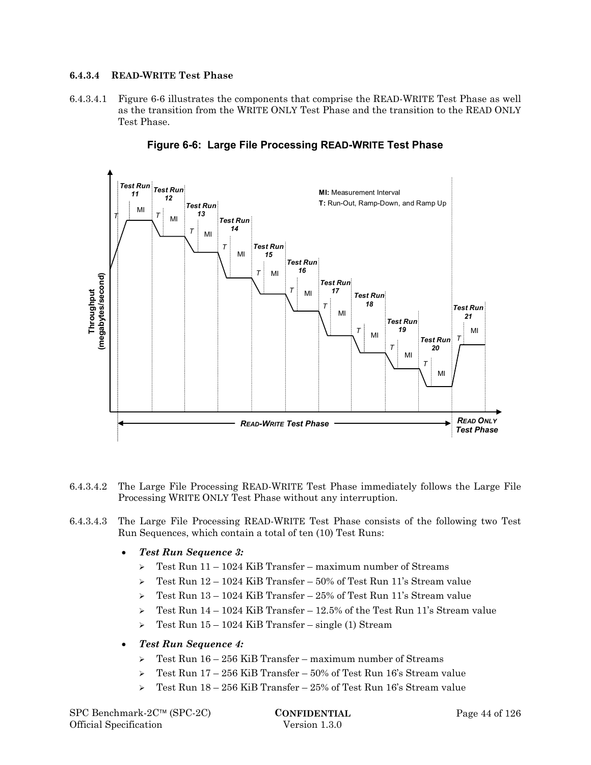### **6.4.3.4 READ-WRITE Test Phase**

6.4.3.4.1 Figure 6-6 illustrates the components that comprise the READ-WRITE Test Phase as well as the transition from the WRITE ONLY Test Phase and the transition to the READ ONLY Test Phase.



**Figure 6-6: Large File Processing READ-WRITE Test Phase** 

- 6.4.3.4.2 The Large File Processing READ-WRITE Test Phase immediately follows the Large File Processing WRITE ONLY Test Phase without any interruption.
- 6.4.3.4.3 The Large File Processing READ-WRITE Test Phase consists of the following two Test Run Sequences, which contain a total of ten (10) Test Runs:
	- *Test Run Sequence 3:* 
		- $\geq$  Test Run 11 1024 KiB Transfer maximum number of Streams
		- $\geq$  Test Run 12 1024 KiB Transfer 50% of Test Run 11's Stream value
		- $\geq$  Test Run 13 1024 KiB Transfer 25% of Test Run 11's Stream value
		- $\geq$  Test Run 14 1024 KiB Transfer 12.5% of the Test Run 11's Stream value
		- $\geq$  Test Run 15 1024 KiB Transfer single (1) Stream

### *Test Run Sequence 4:*

- $\geq$  Test Run 16 256 KiB Transfer maximum number of Streams
- $\geq$  Test Run 17 256 KiB Transfer 50% of Test Run 16's Stream value
- $\geq$  Test Run 18 256 KiB Transfer 25% of Test Run 16's Stream value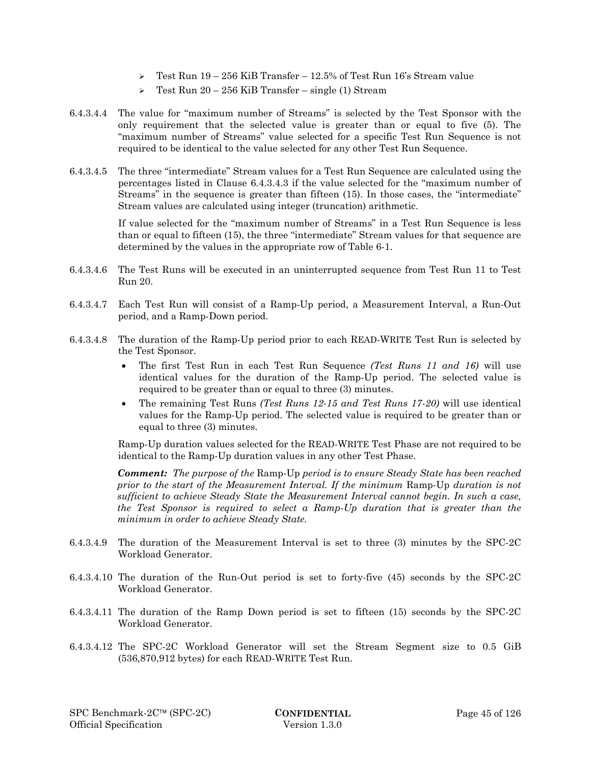- $\geq$  Test Run 19 256 KiB Transfer 12.5% of Test Run 16's Stream value
- $\geq$  Test Run 20 256 KiB Transfer single (1) Stream
- 6.4.3.4.4 The value for "maximum number of Streams" is selected by the Test Sponsor with the only requirement that the selected value is greater than or equal to five (5). The "maximum number of Streams" value selected for a specific Test Run Sequence is not required to be identical to the value selected for any other Test Run Sequence.
- 6.4.3.4.5 The three "intermediate" Stream values for a Test Run Sequence are calculated using the percentages listed in Clause 6.4.3.4.3 if the value selected for the "maximum number of Streams" in the sequence is greater than fifteen (15). In those cases, the "intermediate" Stream values are calculated using integer (truncation) arithmetic.

If value selected for the "maximum number of Streams" in a Test Run Sequence is less than or equal to fifteen (15), the three "intermediate" Stream values for that sequence are determined by the values in the appropriate row of Table 6-1.

- 6.4.3.4.6 The Test Runs will be executed in an uninterrupted sequence from Test Run 11 to Test Run 20.
- 6.4.3.4.7 Each Test Run will consist of a Ramp-Up period, a Measurement Interval, a Run-Out period, and a Ramp-Down period.
- 6.4.3.4.8 The duration of the Ramp-Up period prior to each READ-WRITE Test Run is selected by the Test Sponsor.
	- The first Test Run in each Test Run Sequence *(Test Runs 11 and 16)* will use identical values for the duration of the Ramp-Up period. The selected value is required to be greater than or equal to three (3) minutes.
	- The remaining Test Runs *(Test Runs 12-15 and Test Runs 17-20)* will use identical values for the Ramp-Up period. The selected value is required to be greater than or equal to three (3) minutes.

Ramp-Up duration values selected for the READ-WRITE Test Phase are not required to be identical to the Ramp-Up duration values in any other Test Phase.

*Comment: The purpose of the* Ramp-Up *period is to ensure Steady State has been reached prior to the start of the Measurement Interval. If the minimum* Ramp-Up *duration is not sufficient to achieve Steady State the Measurement Interval cannot begin. In such a case, the Test Sponsor is required to select a Ramp-Up duration that is greater than the minimum in order to achieve Steady State.*

- 6.4.3.4.9 The duration of the Measurement Interval is set to three (3) minutes by the SPC-2C Workload Generator.
- 6.4.3.4.10 The duration of the Run-Out period is set to forty-five (45) seconds by the SPC-2C Workload Generator.
- 6.4.3.4.11 The duration of the Ramp Down period is set to fifteen (15) seconds by the SPC-2C Workload Generator.
- 6.4.3.4.12 The SPC-2C Workload Generator will set the Stream Segment size to 0.5 GiB (536,870,912 bytes) for each READ-WRITE Test Run.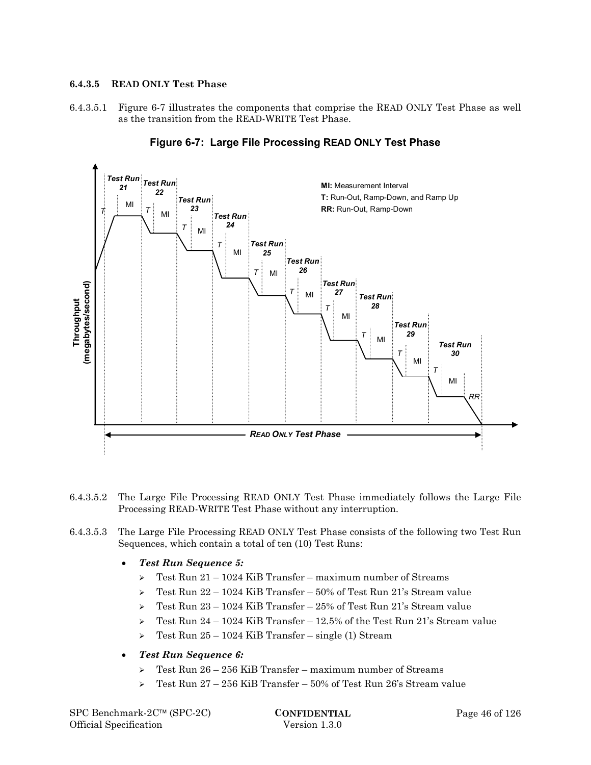### **6.4.3.5 READ ONLY Test Phase**

6.4.3.5.1 Figure 6-7 illustrates the components that comprise the READ ONLY Test Phase as well as the transition from the READ-WRITE Test Phase.



### **Figure 6-7: Large File Processing READ ONLY Test Phase**

- 6.4.3.5.2 The Large File Processing READ ONLY Test Phase immediately follows the Large File Processing READ-WRITE Test Phase without any interruption.
- 6.4.3.5.3 The Large File Processing READ ONLY Test Phase consists of the following two Test Run Sequences, which contain a total of ten (10) Test Runs:
	- *Test Run Sequence 5:* 
		- $\geq$  Test Run 21 1024 KiB Transfer maximum number of Streams
		- $\geq$  Test Run 22 1024 KiB Transfer 50% of Test Run 21's Stream value
		- $\geq$  Test Run 23 1024 KiB Transfer 25% of Test Run 21's Stream value
		- $\geq$  Test Run 24 1024 KiB Transfer 12.5% of the Test Run 21's Stream value
		- $\triangleright$  Test Run 25 1024 KiB Transfer single (1) Stream
	- *Test Run Sequence 6:* 
		- $\geq$  Test Run 26 256 KiB Transfer maximum number of Streams
		- $\geq$  Test Run 27 256 KiB Transfer 50% of Test Run 26's Stream value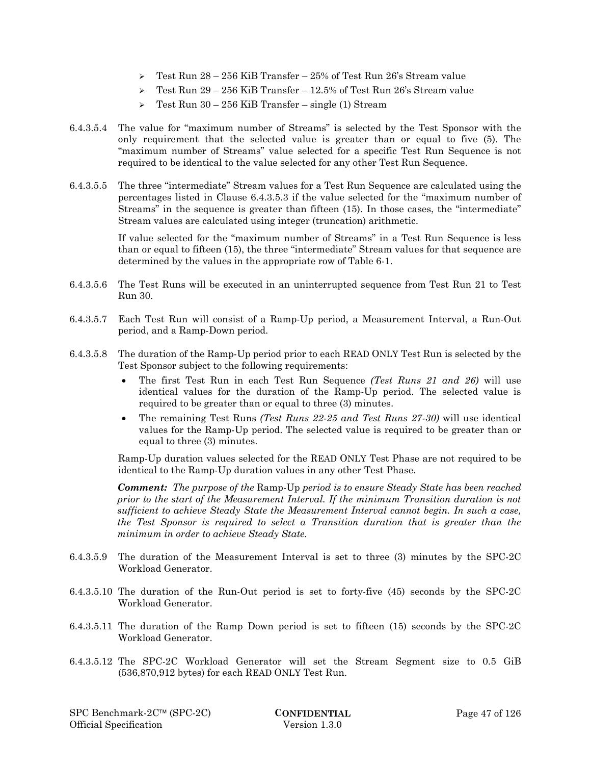- $\geq$  Test Run 28 256 KiB Transfer 25% of Test Run 26's Stream value
- $\geq$  Test Run 29 256 KiB Transfer 12.5% of Test Run 26's Stream value
- $\geq$  Test Run 30 256 KiB Transfer single (1) Stream
- 6.4.3.5.4 The value for "maximum number of Streams" is selected by the Test Sponsor with the only requirement that the selected value is greater than or equal to five (5). The "maximum number of Streams" value selected for a specific Test Run Sequence is not required to be identical to the value selected for any other Test Run Sequence.
- 6.4.3.5.5 The three "intermediate" Stream values for a Test Run Sequence are calculated using the percentages listed in Clause 6.4.3.5.3 if the value selected for the "maximum number of Streams" in the sequence is greater than fifteen (15). In those cases, the "intermediate" Stream values are calculated using integer (truncation) arithmetic.

If value selected for the "maximum number of Streams" in a Test Run Sequence is less than or equal to fifteen (15), the three "intermediate" Stream values for that sequence are determined by the values in the appropriate row of Table 6-1.

- 6.4.3.5.6 The Test Runs will be executed in an uninterrupted sequence from Test Run 21 to Test Run 30.
- 6.4.3.5.7 Each Test Run will consist of a Ramp-Up period, a Measurement Interval, a Run-Out period, and a Ramp-Down period.
- 6.4.3.5.8 The duration of the Ramp-Up period prior to each READ ONLY Test Run is selected by the Test Sponsor subject to the following requirements:
	- The first Test Run in each Test Run Sequence *(Test Runs 21 and 26)* will use identical values for the duration of the Ramp-Up period. The selected value is required to be greater than or equal to three (3) minutes.
	- The remaining Test Runs *(Test Runs 22-25 and Test Runs 27-30)* will use identical values for the Ramp-Up period. The selected value is required to be greater than or equal to three (3) minutes.

Ramp-Up duration values selected for the READ ONLY Test Phase are not required to be identical to the Ramp-Up duration values in any other Test Phase.

*Comment: The purpose of the* Ramp-Up *period is to ensure Steady State has been reached prior to the start of the Measurement Interval. If the minimum Transition duration is not sufficient to achieve Steady State the Measurement Interval cannot begin. In such a case, the Test Sponsor is required to select a Transition duration that is greater than the minimum in order to achieve Steady State.*

- 6.4.3.5.9 The duration of the Measurement Interval is set to three (3) minutes by the SPC-2C Workload Generator.
- 6.4.3.5.10 The duration of the Run-Out period is set to forty-five (45) seconds by the SPC-2C Workload Generator.
- 6.4.3.5.11 The duration of the Ramp Down period is set to fifteen (15) seconds by the SPC-2C Workload Generator.
- 6.4.3.5.12 The SPC-2C Workload Generator will set the Stream Segment size to 0.5 GiB (536,870,912 bytes) for each READ ONLY Test Run.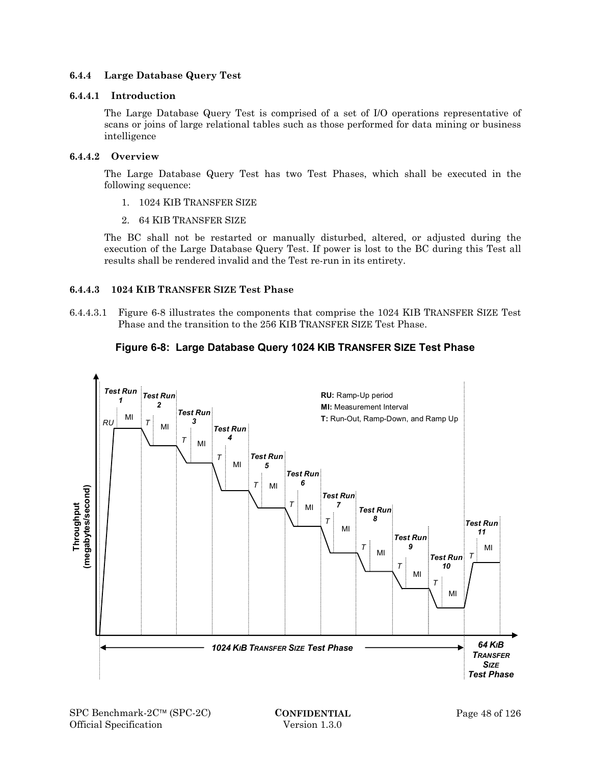### **6.4.4 Large Database Query Test**

### **6.4.4.1 Introduction**

The Large Database Query Test is comprised of a set of I/O operations representative of scans or joins of large relational tables such as those performed for data mining or business intelligence

### **6.4.4.2 Overview**

The Large Database Query Test has two Test Phases, which shall be executed in the following sequence:

- 1. 1024 KIB TRANSFER SIZE
- 2. 64 KIB TRANSFER SIZE

The BC shall not be restarted or manually disturbed, altered, or adjusted during the execution of the Large Database Query Test. If power is lost to the BC during this Test all results shall be rendered invalid and the Test re-run in its entirety.

# **6.4.4.3 1024 KIB TRANSFER SIZE Test Phase**

6.4.4.3.1 Figure 6-8 illustrates the components that comprise the 1024 KIB TRANSFER SIZE Test Phase and the transition to the 256 KIB TRANSFER SIZE Test Phase.

# **Figure 6-8: Large Database Query 1024 KIB TRANSFER SIZE Test Phase**

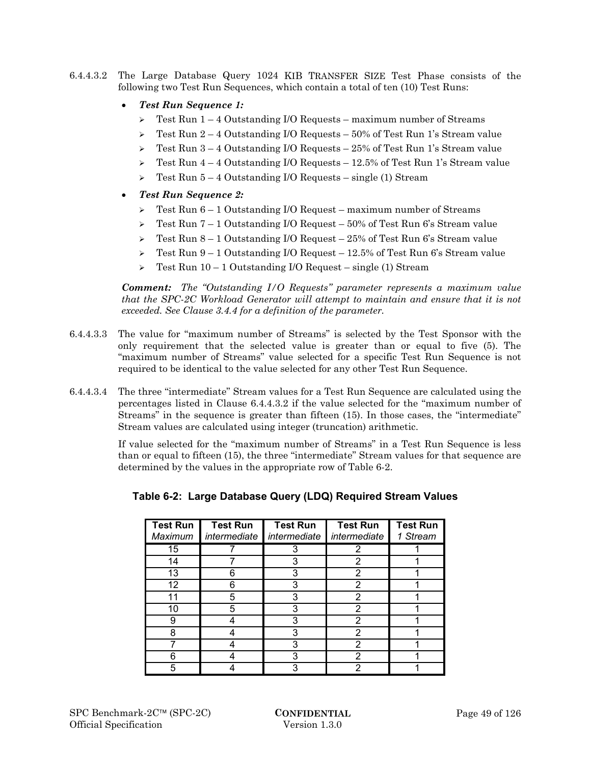6.4.4.3.2 The Large Database Query 1024 KIB TRANSFER SIZE Test Phase consists of the following two Test Run Sequences, which contain a total of ten (10) Test Runs:

# *Test Run Sequence 1:*

- $\geq$  Test Run 1 4 Outstanding I/O Requests maximum number of Streams
- $\geq$  Test Run 2 4 Outstanding I/O Requests 50% of Test Run 1's Stream value
- $\geq$  Test Run 3 4 Outstanding I/O Requests 25% of Test Run 1's Stream value
- $\geq$  Test Run 4 4 Outstanding I/O Requests 12.5% of Test Run 1's Stream value
- $\geq$  Test Run 5 4 Outstanding I/O Requests single (1) Stream
- *Test Run Sequence 2:* 
	- $\geq$  Test Run 6 1 Outstanding I/O Request maximum number of Streams
	- $\geq$  Test Run 7 1 Outstanding I/O Request 50% of Test Run 6's Stream value
	- $\geq$  Test Run 8 1 Outstanding I/O Request 25% of Test Run 6's Stream value
	- $\geq$  Test Run 9 1 Outstanding I/O Request 12.5% of Test Run 6's Stream value
	- $\geq$  Test Run 10 1 Outstanding I/O Request single (1) Stream

*Comment: The "Outstanding I/O Requests" parameter represents a maximum value that the SPC-2C Workload Generator will attempt to maintain and ensure that it is not exceeded. See Clause 3.4.4 for a definition of the parameter.*

- 6.4.4.3.3 The value for "maximum number of Streams" is selected by the Test Sponsor with the only requirement that the selected value is greater than or equal to five (5). The "maximum number of Streams" value selected for a specific Test Run Sequence is not required to be identical to the value selected for any other Test Run Sequence.
- 6.4.4.3.4 The three "intermediate" Stream values for a Test Run Sequence are calculated using the percentages listed in Clause 6.4.4.3.2 if the value selected for the "maximum number of Streams" in the sequence is greater than fifteen (15). In those cases, the "intermediate" Stream values are calculated using integer (truncation) arithmetic.

If value selected for the "maximum number of Streams" in a Test Run Sequence is less than or equal to fifteen (15), the three "intermediate" Stream values for that sequence are determined by the values in the appropriate row of Table 6-2.

| <b>Test Run</b><br>Maximum | <b>Test Run</b><br>intermediate | <b>Test Run</b><br>intermediate | <b>Test Run</b><br>intermediate | <b>Test Run</b><br>1 Stream |
|----------------------------|---------------------------------|---------------------------------|---------------------------------|-----------------------------|
| 15                         |                                 | 3                               | 2                               |                             |
| 14                         |                                 | 3                               | 2                               |                             |
| 13                         | 6                               | 3                               | 2                               |                             |
| 12                         | 6                               | 3                               | 2                               |                             |
| 11                         | 5                               | 3                               |                                 |                             |
| 10                         | 5                               | 3                               | 2                               |                             |
| 9                          |                                 | 3                               | 2                               |                             |
| 8                          |                                 | 3                               | 2                               |                             |
|                            |                                 | 3                               | 2                               |                             |
| 6                          |                                 | 3                               | 2                               |                             |
| 5                          |                                 | 3                               |                                 |                             |

# **Table 6-2: Large Database Query (LDQ) Required Stream Values**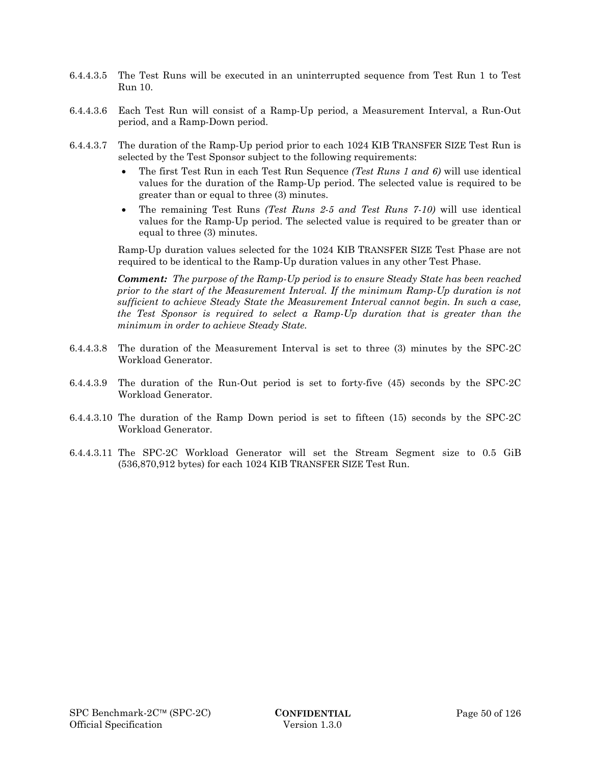- 6.4.4.3.5 The Test Runs will be executed in an uninterrupted sequence from Test Run 1 to Test Run 10.
- 6.4.4.3.6 Each Test Run will consist of a Ramp-Up period, a Measurement Interval, a Run-Out period, and a Ramp-Down period.
- 6.4.4.3.7 The duration of the Ramp-Up period prior to each 1024 KIB TRANSFER SIZE Test Run is selected by the Test Sponsor subject to the following requirements:
	- The first Test Run in each Test Run Sequence *(Test Runs 1 and 6)* will use identical values for the duration of the Ramp-Up period. The selected value is required to be greater than or equal to three (3) minutes.
	- The remaining Test Runs *(Test Runs 2-5 and Test Runs 7-10)* will use identical values for the Ramp-Up period. The selected value is required to be greater than or equal to three (3) minutes.

Ramp-Up duration values selected for the 1024 KIB TRANSFER SIZE Test Phase are not required to be identical to the Ramp-Up duration values in any other Test Phase.

*Comment: The purpose of the Ramp-Up period is to ensure Steady State has been reached prior to the start of the Measurement Interval. If the minimum Ramp-Up duration is not sufficient to achieve Steady State the Measurement Interval cannot begin. In such a case, the Test Sponsor is required to select a Ramp-Up duration that is greater than the minimum in order to achieve Steady State.*

- 6.4.4.3.8 The duration of the Measurement Interval is set to three (3) minutes by the SPC-2C Workload Generator.
- 6.4.4.3.9 The duration of the Run-Out period is set to forty-five (45) seconds by the SPC-2C Workload Generator.
- 6.4.4.3.10 The duration of the Ramp Down period is set to fifteen (15) seconds by the SPC-2C Workload Generator.
- 6.4.4.3.11 The SPC-2C Workload Generator will set the Stream Segment size to 0.5 GiB (536,870,912 bytes) for each 1024 KIB TRANSFER SIZE Test Run.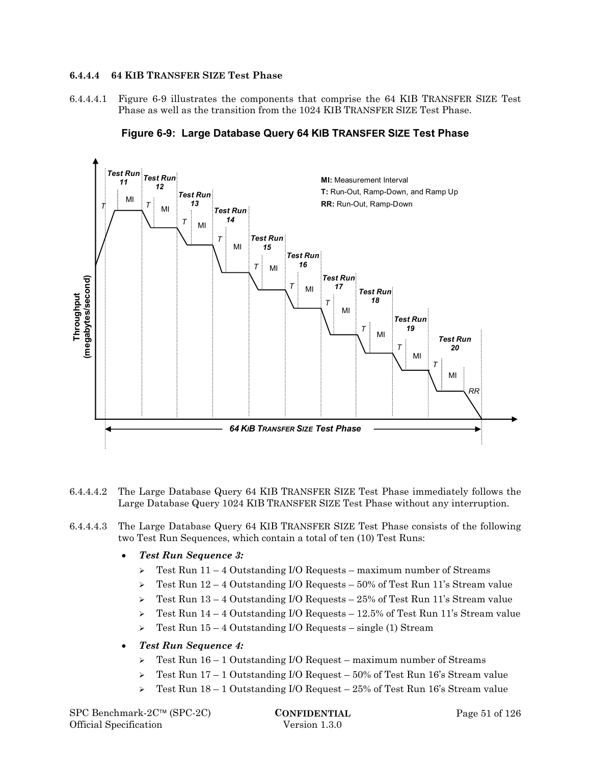### **6.4.4.4 64 KIB TRANSFER SIZE Test Phase**

6.4.4.4.1 Figure 6-9 illustrates the components that comprise the 64 KIB TRANSFER SIZE Test Phase as well as the transition from the 1024 KIB TRANSFER SIZE Test Phase.



**Figure 6-9: Large Database Query 64 KIB TRANSFER SIZE Test Phase** 

- 6.4.4.4.2 The Large Database Query 64 KIB TRANSFER SIZE Test Phase immediately follows the Large Database Query 1024 KIB TRANSFER SIZE Test Phase without any interruption.
- 6.4.4.4.3 The Large Database Query 64 KIB TRANSFER SIZE Test Phase consists of the following two Test Run Sequences, which contain a total of ten (10) Test Runs:
	- *Test Run Sequence 3:* 
		- $\geq$  Test Run 11 4 Outstanding I/O Requests maximum number of Streams
		- $\geq$  Test Run 12 4 Outstanding I/O Requests 50% of Test Run 11's Stream value
		- $\geq$  Test Run 13 4 Outstanding I/O Requests 25% of Test Run 11's Stream value
		- $\geq$  Test Run 14 4 Outstanding I/O Requests 12.5% of Test Run 11's Stream value
		- $\geq$  Test Run 15 4 Outstanding I/O Requests single (1) Stream
	- *Test Run Sequence 4:* 
		- $\triangleright$  Test Run 16 1 Outstanding I/O Request maximum number of Streams
		- $\geq$  Test Run 17 1 Outstanding I/O Request 50% of Test Run 16's Stream value
		- $\geq$  Test Run 18 1 Outstanding I/O Request 25% of Test Run 16's Stream value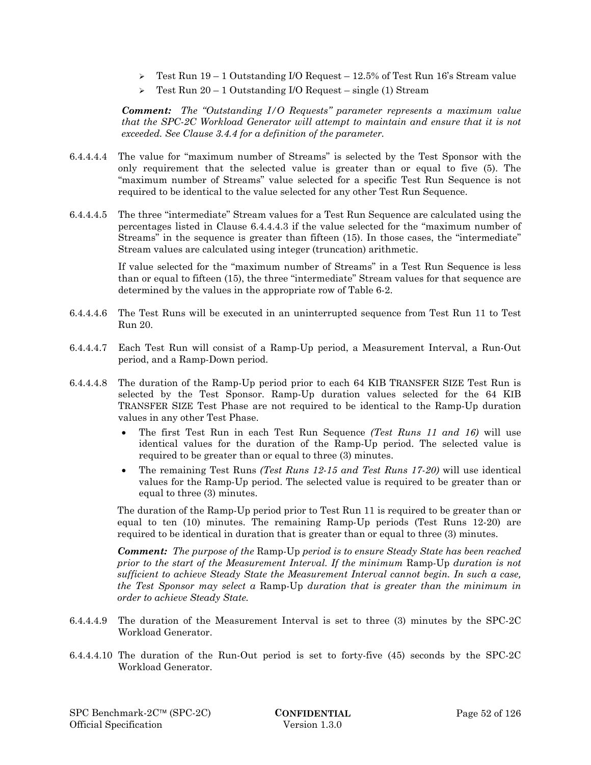- $\geq$  Test Run 19 1 Outstanding I/O Request 12.5% of Test Run 16's Stream value
- $\geq$  Test Run 20 1 Outstanding I/O Request single (1) Stream

*Comment: The "Outstanding I/O Requests" parameter represents a maximum value that the SPC-2C Workload Generator will attempt to maintain and ensure that it is not exceeded. See Clause 3.4.4 for a definition of the parameter.*

- 6.4.4.4.4 The value for "maximum number of Streams" is selected by the Test Sponsor with the only requirement that the selected value is greater than or equal to five (5). The "maximum number of Streams" value selected for a specific Test Run Sequence is not required to be identical to the value selected for any other Test Run Sequence.
- 6.4.4.4.5 The three "intermediate" Stream values for a Test Run Sequence are calculated using the percentages listed in Clause 6.4.4.4.3 if the value selected for the "maximum number of Streams" in the sequence is greater than fifteen (15). In those cases, the "intermediate" Stream values are calculated using integer (truncation) arithmetic.

If value selected for the "maximum number of Streams" in a Test Run Sequence is less than or equal to fifteen (15), the three "intermediate" Stream values for that sequence are determined by the values in the appropriate row of Table 6-2.

- 6.4.4.4.6 The Test Runs will be executed in an uninterrupted sequence from Test Run 11 to Test Run 20.
- 6.4.4.4.7 Each Test Run will consist of a Ramp-Up period, a Measurement Interval, a Run-Out period, and a Ramp-Down period.
- 6.4.4.4.8 The duration of the Ramp-Up period prior to each 64 KIB TRANSFER SIZE Test Run is selected by the Test Sponsor. Ramp-Up duration values selected for the 64 KIB TRANSFER SIZE Test Phase are not required to be identical to the Ramp-Up duration values in any other Test Phase.
	- The first Test Run in each Test Run Sequence *(Test Runs 11 and 16)* will use identical values for the duration of the Ramp-Up period. The selected value is required to be greater than or equal to three (3) minutes.
	- The remaining Test Runs *(Test Runs 12-15 and Test Runs 17-20)* will use identical values for the Ramp-Up period. The selected value is required to be greater than or equal to three (3) minutes.

The duration of the Ramp-Up period prior to Test Run 11 is required to be greater than or equal to ten (10) minutes. The remaining Ramp-Up periods (Test Runs 12-20) are required to be identical in duration that is greater than or equal to three (3) minutes.

*Comment: The purpose of the* Ramp-Up *period is to ensure Steady State has been reached prior to the start of the Measurement Interval. If the minimum* Ramp-Up *duration is not sufficient to achieve Steady State the Measurement Interval cannot begin. In such a case, the Test Sponsor may select a* Ramp-Up *duration that is greater than the minimum in order to achieve Steady State.*

- 6.4.4.4.9 The duration of the Measurement Interval is set to three (3) minutes by the SPC-2C Workload Generator.
- 6.4.4.4.10 The duration of the Run-Out period is set to forty-five (45) seconds by the SPC-2C Workload Generator.

SPC Benchmark-2C™ (SPC-2C) **CONFIDENTIAL** Page 52 of 126 Official Specification Version 1.3.0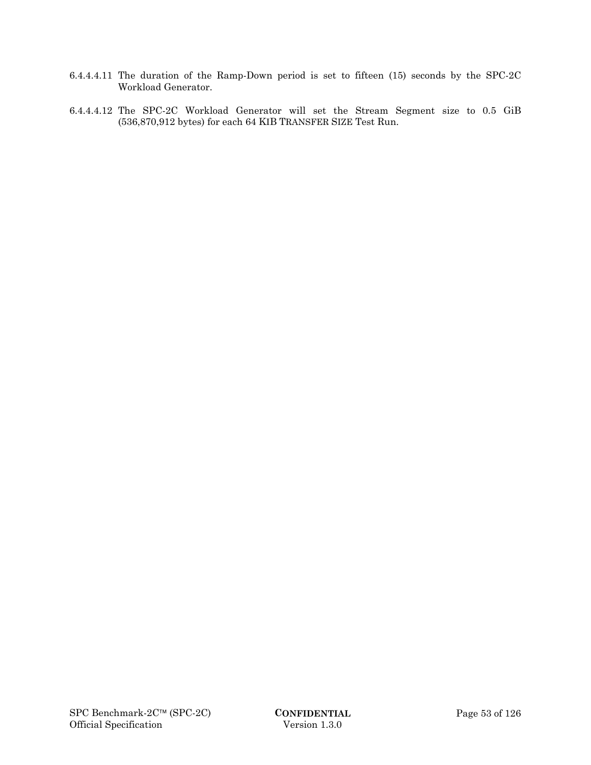- 6.4.4.4.11 The duration of the Ramp-Down period is set to fifteen (15) seconds by the SPC-2C Workload Generator.
- 6.4.4.4.12 The SPC-2C Workload Generator will set the Stream Segment size to 0.5 GiB (536,870,912 bytes) for each 64 KIB TRANSFER SIZE Test Run.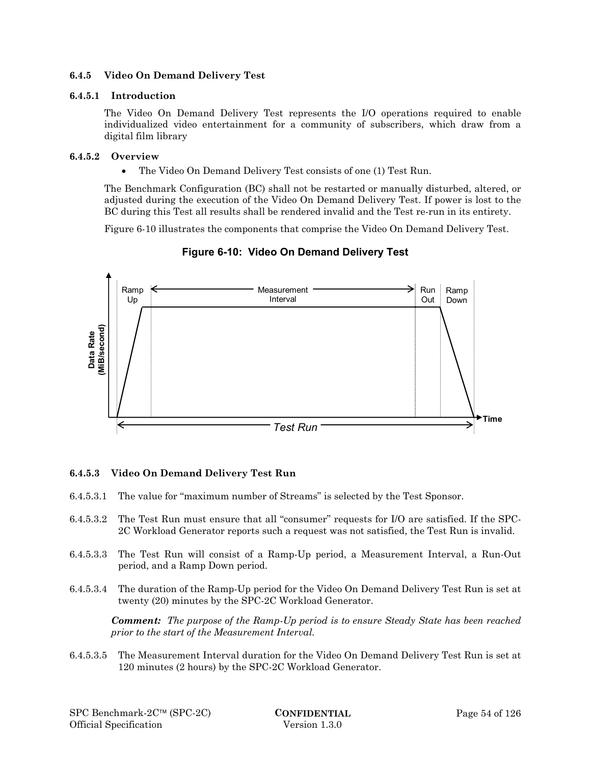### **6.4.5 Video On Demand Delivery Test**

### **6.4.5.1 Introduction**

The Video On Demand Delivery Test represents the I/O operations required to enable individualized video entertainment for a community of subscribers, which draw from a digital film library

### **6.4.5.2 Overview**

The Video On Demand Delivery Test consists of one (1) Test Run.

The Benchmark Configuration (BC) shall not be restarted or manually disturbed, altered, or adjusted during the execution of the Video On Demand Delivery Test. If power is lost to the BC during this Test all results shall be rendered invalid and the Test re-run in its entirety.

Figure 6-10 illustrates the components that comprise the Video On Demand Delivery Test.



# **Figure 6-10: Video On Demand Delivery Test**

# **6.4.5.3 Video On Demand Delivery Test Run**

- 6.4.5.3.1 The value for "maximum number of Streams" is selected by the Test Sponsor.
- 6.4.5.3.2 The Test Run must ensure that all "consumer" requests for I/O are satisfied. If the SPC-2C Workload Generator reports such a request was not satisfied, the Test Run is invalid.
- 6.4.5.3.3 The Test Run will consist of a Ramp-Up period, a Measurement Interval, a Run-Out period, and a Ramp Down period.
- 6.4.5.3.4 The duration of the Ramp-Up period for the Video On Demand Delivery Test Run is set at twenty (20) minutes by the SPC-2C Workload Generator.

*Comment: The purpose of the Ramp-Up period is to ensure Steady State has been reached prior to the start of the Measurement Interval.*

6.4.5.3.5 The Measurement Interval duration for the Video On Demand Delivery Test Run is set at 120 minutes (2 hours) by the SPC-2C Workload Generator.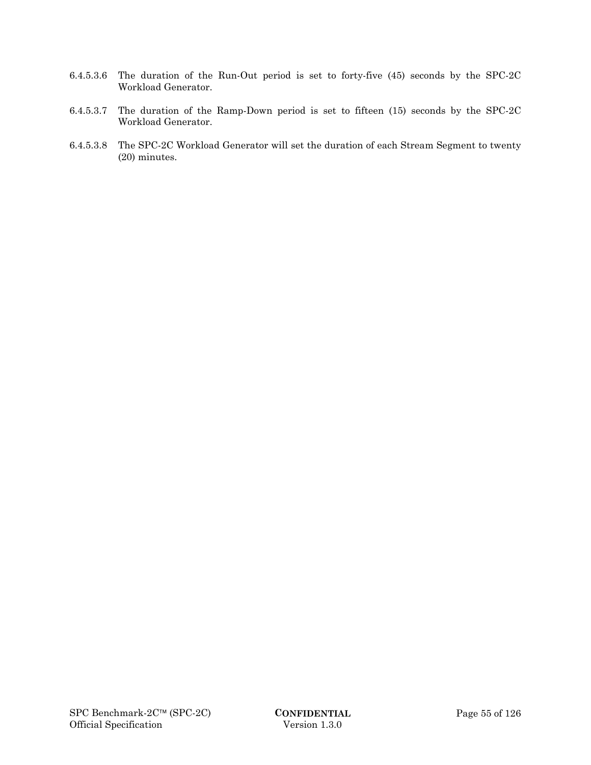- 6.4.5.3.6 The duration of the Run-Out period is set to forty-five (45) seconds by the SPC-2C Workload Generator.
- 6.4.5.3.7 The duration of the Ramp-Down period is set to fifteen (15) seconds by the SPC-2C Workload Generator.
- 6.4.5.3.8 The SPC-2C Workload Generator will set the duration of each Stream Segment to twenty (20) minutes.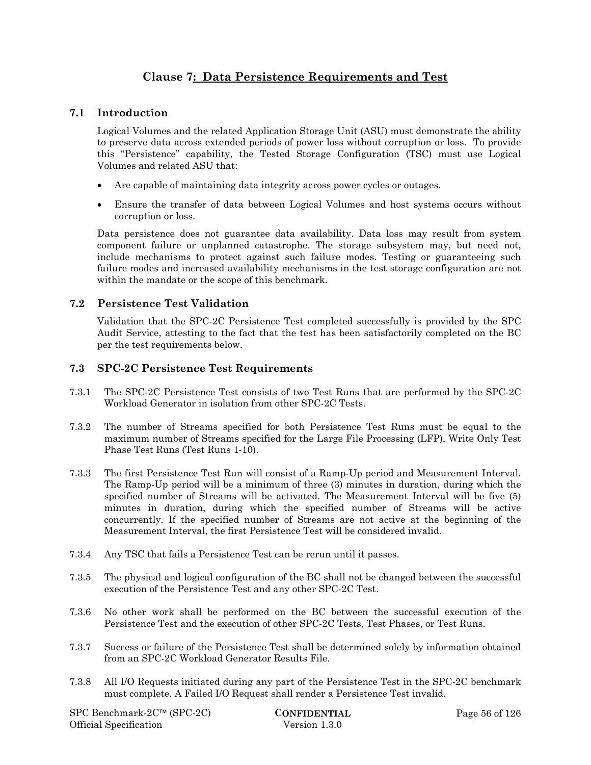# **Clause 7: Data Persistence Requirements and Test**

# **7.1 Introduction**

Logical Volumes and the related Application Storage Unit (ASU) must demonstrate the ability to preserve data across extended periods of power loss without corruption or loss. To provide this "Persistence" capability, the Tested Storage Configuration (TSC) must use Logical Volumes and related ASU that:

- Are capable of maintaining data integrity across power cycles or outages.
- Ensure the transfer of data between Logical Volumes and host systems occurs without corruption or loss.

Data persistence does not guarantee data availability. Data loss may result from system component failure or unplanned catastrophe. The storage subsystem may, but need not, include mechanisms to protect against such failure modes. Testing or guaranteeing such failure modes and increased availability mechanisms in the test storage configuration are not within the mandate or the scope of this benchmark.

# **7.2 Persistence Test Validation**

Validation that the SPC-2C Persistence Test completed successfully is provided by the SPC Audit Service, attesting to the fact that the test has been satisfactorily completed on the BC per the test requirements below.

# **7.3 SPC-2C Persistence Test Requirements**

- 7.3.1 The SPC-2C Persistence Test consists of two Test Runs that are performed by the SPC-2C Workload Generator in isolation from other SPC-2C Tests.
- 7.3.2 The number of Streams specified for both Persistence Test Runs must be equal to the maximum number of Streams specified for the Large File Processing (LFP), Write Only Test Phase Test Runs (Test Runs 1-10).
- 7.3.3 The first Persistence Test Run will consist of a Ramp-Up period and Measurement Interval. The Ramp-Up period will be a minimum of three (3) minutes in duration, during which the specified number of Streams will be activated. The Measurement Interval will be five (5) minutes in duration, during which the specified number of Streams will be active concurrently. If the specified number of Streams are not active at the beginning of the Measurement Interval, the first Persistence Test will be considered invalid.
- 7.3.4 Any TSC that fails a Persistence Test can be rerun until it passes.
- 7.3.5 The physical and logical configuration of the BC shall not be changed between the successful execution of the Persistence Test and any other SPC-2C Test.
- 7.3.6 No other work shall be performed on the BC between the successful execution of the Persistence Test and the execution of other SPC-2C Tests, Test Phases, or Test Runs.
- 7.3.7 Success or failure of the Persistence Test shall be determined solely by information obtained from an SPC-2C Workload Generator Results File.
- 7.3.8 All I/O Requests initiated during any part of the Persistence Test in the SPC-2C benchmark must complete. A Failed I/O Request shall render a Persistence Test invalid.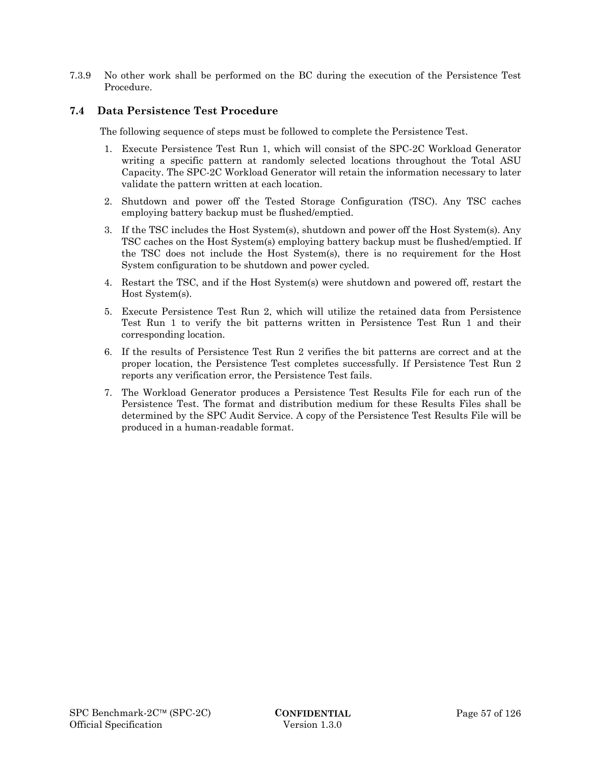7.3.9 No other work shall be performed on the BC during the execution of the Persistence Test Procedure.

# **7.4 Data Persistence Test Procedure**

The following sequence of steps must be followed to complete the Persistence Test.

- 1. Execute Persistence Test Run 1, which will consist of the SPC-2C Workload Generator writing a specific pattern at randomly selected locations throughout the Total ASU Capacity. The SPC-2C Workload Generator will retain the information necessary to later validate the pattern written at each location.
- 2. Shutdown and power off the Tested Storage Configuration (TSC). Any TSC caches employing battery backup must be flushed/emptied.
- 3. If the TSC includes the Host System(s), shutdown and power off the Host System(s). Any TSC caches on the Host System(s) employing battery backup must be flushed/emptied. If the TSC does not include the Host System(s), there is no requirement for the Host System configuration to be shutdown and power cycled.
- 4. Restart the TSC, and if the Host System(s) were shutdown and powered off, restart the Host System(s).
- 5. Execute Persistence Test Run 2, which will utilize the retained data from Persistence Test Run 1 to verify the bit patterns written in Persistence Test Run 1 and their corresponding location.
- 6. If the results of Persistence Test Run 2 verifies the bit patterns are correct and at the proper location, the Persistence Test completes successfully. If Persistence Test Run 2 reports any verification error, the Persistence Test fails.
- 7. The Workload Generator produces a Persistence Test Results File for each run of the Persistence Test. The format and distribution medium for these Results Files shall be determined by the SPC Audit Service. A copy of the Persistence Test Results File will be produced in a human-readable format.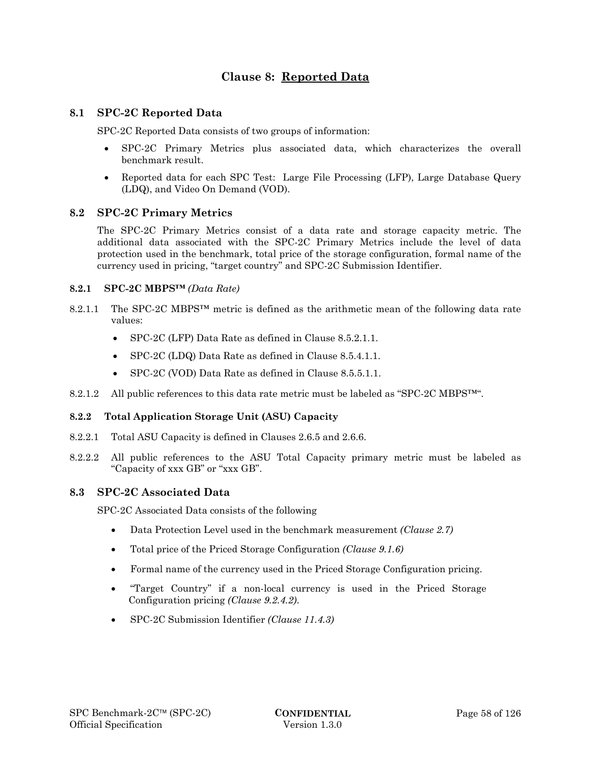# **Clause 8: Reported Data**

# **8.1 SPC-2C Reported Data**

SPC-2C Reported Data consists of two groups of information:

- SPC-2C Primary Metrics plus associated data, which characterizes the overall benchmark result.
- Reported data for each SPC Test: Large File Processing (LFP), Large Database Query (LDQ), and Video On Demand (VOD).

# **8.2 SPC-2C Primary Metrics**

The SPC-2C Primary Metrics consist of a data rate and storage capacity metric. The additional data associated with the SPC-2C Primary Metrics include the level of data protection used in the benchmark, total price of the storage configuration, formal name of the currency used in pricing, "target country" and SPC-2C Submission Identifier.

### **8.2.1 SPC-2C MBPS™** *(Data Rate)*

- 8.2.1.1 The SPC-2C MBPS™ metric is defined as the arithmetic mean of the following data rate values:
	- SPC-2C (LFP) Data Rate as defined in Clause 8.5.2.1.1.
	- SPC-2C (LDQ) Data Rate as defined in Clause 8.5.4.1.1.
	- SPC-2C (VOD) Data Rate as defined in Clause 8.5.5.1.1.
- 8.2.1.2 All public references to this data rate metric must be labeled as "SPC-2C MBPS<sup>™".</sup>

# **8.2.2 Total Application Storage Unit (ASU) Capacity**

- 8.2.2.1 Total ASU Capacity is defined in Clauses 2.6.5 and 2.6.6.
- 8.2.2.2 All public references to the ASU Total Capacity primary metric must be labeled as "Capacity of xxx GB" or "xxx GB".

### **8.3 SPC-2C Associated Data**

SPC-2C Associated Data consists of the following

- Data Protection Level used in the benchmark measurement *(Clause 2.7)*
- Total price of the Priced Storage Configuration *(Clause 9.1.6)*
- Formal name of the currency used in the Priced Storage Configuration pricing.
- "Target Country" if a non-local currency is used in the Priced Storage Configuration pricing *(Clause 9.2.4.2)*.
- SPC-2C Submission Identifier *(Clause 11.4.3)*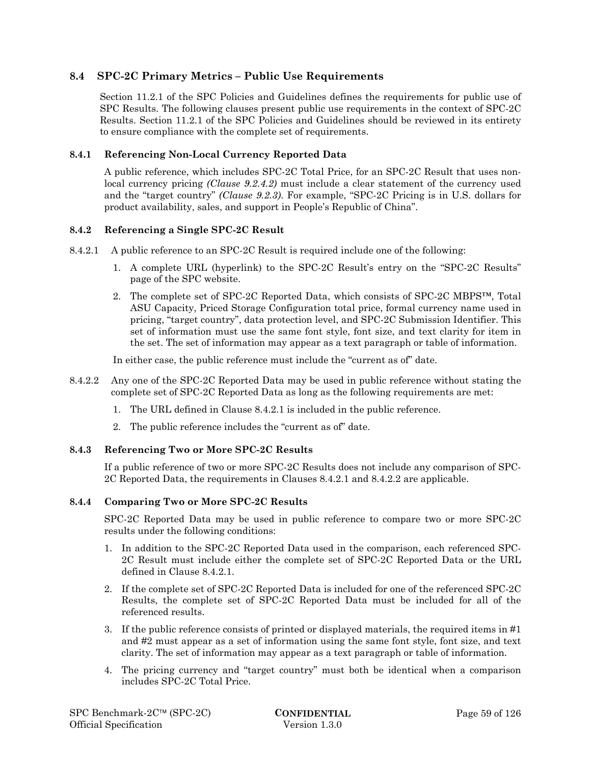# **8.4 SPC-2C Primary Metrics – Public Use Requirements**

Section 11.2.1 of the SPC Policies and Guidelines defines the requirements for public use of SPC Results. The following clauses present public use requirements in the context of SPC-2C Results. Section 11.2.1 of the SPC Policies and Guidelines should be reviewed in its entirety to ensure compliance with the complete set of requirements.

# **8.4.1 Referencing Non-Local Currency Reported Data**

A public reference, which includes SPC-2C Total Price, for an SPC-2C Result that uses nonlocal currency pricing *(Clause 9.2.4.2)* must include a clear statement of the currency used and the "target country" *(Clause 9.2.3)*. For example, "SPC-2C Pricing is in U.S. dollars for product availability, sales, and support in People's Republic of China".

# **8.4.2 Referencing a Single SPC-2C Result**

- 8.4.2.1 A public reference to an SPC-2C Result is required include one of the following:
	- 1. A complete URL (hyperlink) to the SPC-2C Result's entry on the "SPC-2C Results" page of the SPC website.
	- 2. The complete set of SPC-2C Reported Data, which consists of SPC-2C MBPS™, Total ASU Capacity, Priced Storage Configuration total price, formal currency name used in pricing, "target country", data protection level, and SPC-2C Submission Identifier. This set of information must use the same font style, font size, and text clarity for item in the set. The set of information may appear as a text paragraph or table of information.

In either case, the public reference must include the "current as of" date.

- 8.4.2.2 Any one of the SPC-2C Reported Data may be used in public reference without stating the complete set of SPC-2C Reported Data as long as the following requirements are met:
	- 1. The URL defined in Clause 8.4.2.1 is included in the public reference.
	- 2. The public reference includes the "current as of" date.

# **8.4.3 Referencing Two or More SPC-2C Results**

If a public reference of two or more SPC-2C Results does not include any comparison of SPC-2C Reported Data, the requirements in Clauses 8.4.2.1 and 8.4.2.2 are applicable.

# **8.4.4 Comparing Two or More SPC-2C Results**

SPC-2C Reported Data may be used in public reference to compare two or more SPC-2C results under the following conditions:

- 1. In addition to the SPC-2C Reported Data used in the comparison, each referenced SPC-2C Result must include either the complete set of SPC-2C Reported Data or the URL defined in Clause 8.4.2.1.
- 2. If the complete set of SPC-2C Reported Data is included for one of the referenced SPC-2C Results, the complete set of SPC-2C Reported Data must be included for all of the referenced results.
- 3. If the public reference consists of printed or displayed materials, the required items in #1 and #2 must appear as a set of information using the same font style, font size, and text clarity. The set of information may appear as a text paragraph or table of information.
- 4. The pricing currency and "target country" must both be identical when a comparison includes SPC-2C Total Price.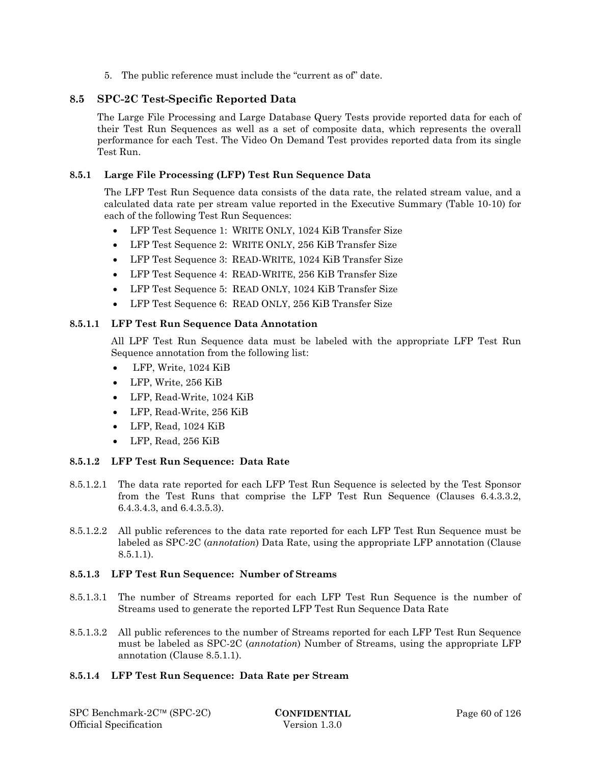5. The public reference must include the "current as of" date.

# **8.5 SPC-2C Test-Specific Reported Data**

The Large File Processing and Large Database Query Tests provide reported data for each of their Test Run Sequences as well as a set of composite data, which represents the overall performance for each Test. The Video On Demand Test provides reported data from its single Test Run.

# **8.5.1 Large File Processing (LFP) Test Run Sequence Data**

The LFP Test Run Sequence data consists of the data rate, the related stream value, and a calculated data rate per stream value reported in the Executive Summary (Table 10-10) for each of the following Test Run Sequences:

- LFP Test Sequence 1: WRITE ONLY, 1024 KiB Transfer Size
- LFP Test Sequence 2: WRITE ONLY, 256 KiB Transfer Size
- LFP Test Sequence 3: READ-WRITE, 1024 KiB Transfer Size
- LFP Test Sequence 4: READ-WRITE, 256 KiB Transfer Size
- LFP Test Sequence 5: READ ONLY, 1024 KiB Transfer Size
- LFP Test Sequence 6: READ ONLY, 256 KiB Transfer Size

# **8.5.1.1 LFP Test Run Sequence Data Annotation**

All LPF Test Run Sequence data must be labeled with the appropriate LFP Test Run Sequence annotation from the following list:

- LFP, Write, 1024 KiB
- LFP, Write, 256 KiB
- LFP, Read-Write, 1024 KiB
- LFP, Read-Write, 256 KiB
- LFP, Read, 1024 KiB
- LFP, Read, 256 KiB

# **8.5.1.2 LFP Test Run Sequence: Data Rate**

- 8.5.1.2.1 The data rate reported for each LFP Test Run Sequence is selected by the Test Sponsor from the Test Runs that comprise the LFP Test Run Sequence (Clauses 6.4.3.3.2, 6.4.3.4.3, and 6.4.3.5.3).
- 8.5.1.2.2 All public references to the data rate reported for each LFP Test Run Sequence must be labeled as SPC-2C (*annotation*) Data Rate, using the appropriate LFP annotation (Clause 8.5.1.1).

# **8.5.1.3 LFP Test Run Sequence: Number of Streams**

- 8.5.1.3.1 The number of Streams reported for each LFP Test Run Sequence is the number of Streams used to generate the reported LFP Test Run Sequence Data Rate
- 8.5.1.3.2 All public references to the number of Streams reported for each LFP Test Run Sequence must be labeled as SPC-2C (*annotation*) Number of Streams, using the appropriate LFP annotation (Clause 8.5.1.1).

# **8.5.1.4 LFP Test Run Sequence: Data Rate per Stream**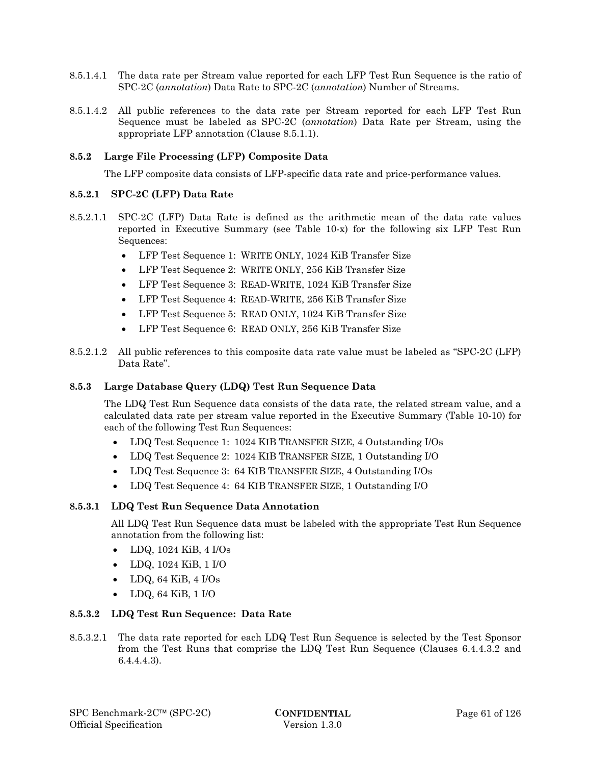- 8.5.1.4.1 The data rate per Stream value reported for each LFP Test Run Sequence is the ratio of SPC-2C (*annotation*) Data Rate to SPC-2C (*annotation*) Number of Streams.
- 8.5.1.4.2 All public references to the data rate per Stream reported for each LFP Test Run Sequence must be labeled as SPC-2C (*annotation*) Data Rate per Stream, using the appropriate LFP annotation (Clause 8.5.1.1).

### **8.5.2 Large File Processing (LFP) Composite Data**

The LFP composite data consists of LFP-specific data rate and price-performance values.

### **8.5.2.1 SPC-2C (LFP) Data Rate**

- 8.5.2.1.1 SPC-2C (LFP) Data Rate is defined as the arithmetic mean of the data rate values reported in Executive Summary (see Table 10-x) for the following six LFP Test Run Sequences:
	- LFP Test Sequence 1: WRITE ONLY, 1024 KiB Transfer Size
	- LFP Test Sequence 2: WRITE ONLY, 256 KiB Transfer Size
	- LFP Test Sequence 3: READ-WRITE, 1024 KiB Transfer Size
	- LFP Test Sequence 4: READ-WRITE, 256 KiB Transfer Size
	- LFP Test Sequence 5: READ ONLY, 1024 KiB Transfer Size
	- LFP Test Sequence 6: READ ONLY, 256 KiB Transfer Size
- 8.5.2.1.2 All public references to this composite data rate value must be labeled as "SPC-2C (LFP) Data Rate".

### **8.5.3 Large Database Query (LDQ) Test Run Sequence Data**

The LDQ Test Run Sequence data consists of the data rate, the related stream value, and a calculated data rate per stream value reported in the Executive Summary (Table 10-10) for each of the following Test Run Sequences:

- LDQ Test Sequence 1: 1024 KIB TRANSFER SIZE, 4 Outstanding I/Os
- LDQ Test Sequence 2: 1024 KIB TRANSFER SIZE, 1 Outstanding I/O
- LDQ Test Sequence 3: 64 KIB TRANSFER SIZE, 4 Outstanding I/Os
- LDQ Test Sequence 4: 64 KIB TRANSFER SIZE, 1 Outstanding I/O

### **8.5.3.1 LDQ Test Run Sequence Data Annotation**

All LDQ Test Run Sequence data must be labeled with the appropriate Test Run Sequence annotation from the following list:

- $\bullet$  LDQ, 1024 KiB, 4 I/Os
- LDQ, 1024 KiB, 1 I/O
- LDQ, 64 KiB, 4 I/Os
- LDQ, 64 KiB, 1 I/O

### **8.5.3.2 LDQ Test Run Sequence: Data Rate**

8.5.3.2.1 The data rate reported for each LDQ Test Run Sequence is selected by the Test Sponsor from the Test Runs that comprise the LDQ Test Run Sequence (Clauses 6.4.4.3.2 and 6.4.4.4.3).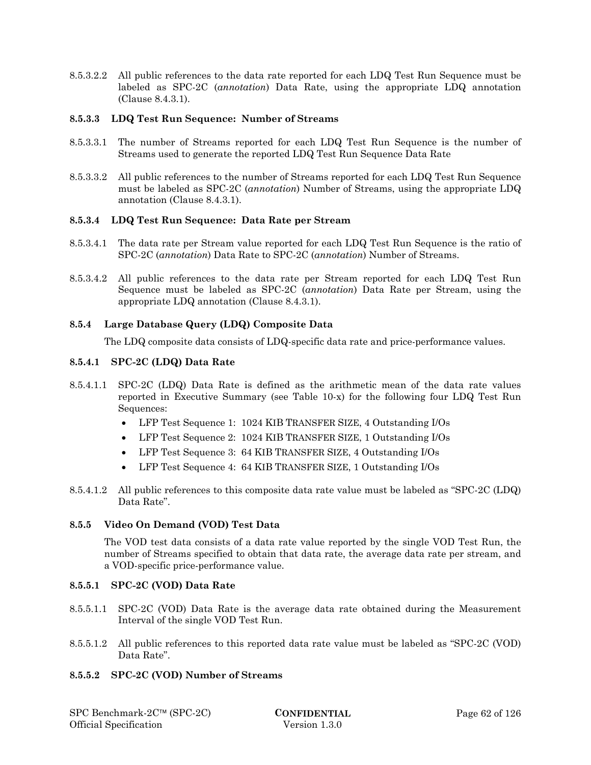8.5.3.2.2 All public references to the data rate reported for each LDQ Test Run Sequence must be labeled as SPC-2C (*annotation*) Data Rate, using the appropriate LDQ annotation (Clause 8.4.3.1).

### **8.5.3.3 LDQ Test Run Sequence: Number of Streams**

- 8.5.3.3.1 The number of Streams reported for each LDQ Test Run Sequence is the number of Streams used to generate the reported LDQ Test Run Sequence Data Rate
- 8.5.3.3.2 All public references to the number of Streams reported for each LDQ Test Run Sequence must be labeled as SPC-2C (*annotation*) Number of Streams, using the appropriate LDQ annotation (Clause 8.4.3.1).

### **8.5.3.4 LDQ Test Run Sequence: Data Rate per Stream**

- 8.5.3.4.1 The data rate per Stream value reported for each LDQ Test Run Sequence is the ratio of SPC-2C (*annotation*) Data Rate to SPC-2C (*annotation*) Number of Streams.
- 8.5.3.4.2 All public references to the data rate per Stream reported for each LDQ Test Run Sequence must be labeled as SPC-2C (*annotation*) Data Rate per Stream, using the appropriate LDQ annotation (Clause 8.4.3.1).

# **8.5.4 Large Database Query (LDQ) Composite Data**

The LDQ composite data consists of LDQ-specific data rate and price-performance values.

### **8.5.4.1 SPC-2C (LDQ) Data Rate**

- 8.5.4.1.1 SPC-2C (LDQ) Data Rate is defined as the arithmetic mean of the data rate values reported in Executive Summary (see Table 10-x) for the following four LDQ Test Run Sequences:
	- LFP Test Sequence 1: 1024 KIB TRANSFER SIZE, 4 Outstanding I/Os
	- LFP Test Sequence 2: 1024 KIB TRANSFER SIZE, 1 Outstanding I/Os
	- LFP Test Sequence 3: 64 KIB TRANSFER SIZE, 4 Outstanding I/Os
	- LFP Test Sequence 4: 64 KIB TRANSFER SIZE, 1 Outstanding I/Os
- 8.5.4.1.2 All public references to this composite data rate value must be labeled as "SPC-2C (LDQ) Data Rate".

### **8.5.5 Video On Demand (VOD) Test Data**

The VOD test data consists of a data rate value reported by the single VOD Test Run, the number of Streams specified to obtain that data rate, the average data rate per stream, and a VOD-specific price-performance value.

### **8.5.5.1 SPC-2C (VOD) Data Rate**

- 8.5.5.1.1 SPC-2C (VOD) Data Rate is the average data rate obtained during the Measurement Interval of the single VOD Test Run.
- 8.5.5.1.2 All public references to this reported data rate value must be labeled as "SPC-2C (VOD) Data Rate".

# **8.5.5.2 SPC-2C (VOD) Number of Streams**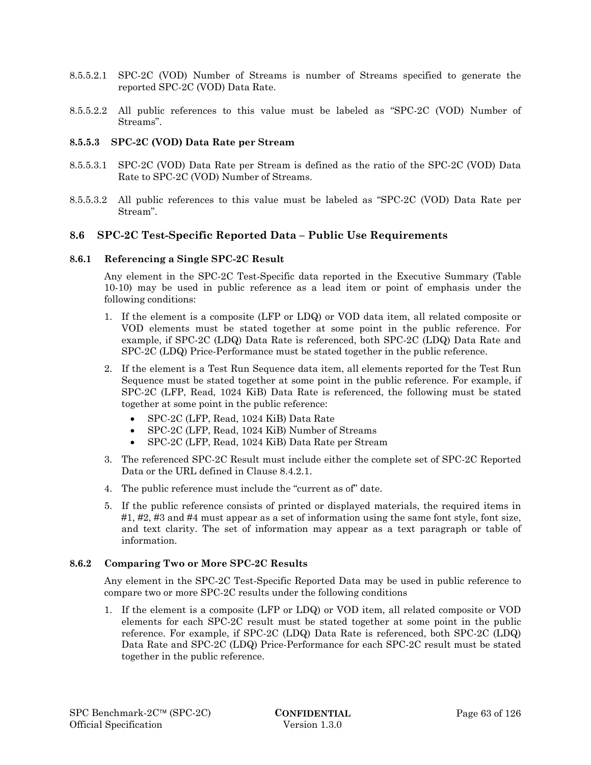- 8.5.5.2.1 SPC-2C (VOD) Number of Streams is number of Streams specified to generate the reported SPC-2C (VOD) Data Rate.
- 8.5.5.2.2 All public references to this value must be labeled as "SPC-2C (VOD) Number of Streams".

### **8.5.5.3 SPC-2C (VOD) Data Rate per Stream**

- 8.5.5.3.1 SPC-2C (VOD) Data Rate per Stream is defined as the ratio of the SPC-2C (VOD) Data Rate to SPC-2C (VOD) Number of Streams.
- 8.5.5.3.2 All public references to this value must be labeled as "SPC-2C (VOD) Data Rate per Stream".

# **8.6 SPC-2C Test-Specific Reported Data – Public Use Requirements**

### **8.6.1 Referencing a Single SPC-2C Result**

Any element in the SPC-2C Test-Specific data reported in the Executive Summary (Table 10-10) may be used in public reference as a lead item or point of emphasis under the following conditions:

- 1. If the element is a composite (LFP or LDQ) or VOD data item, all related composite or VOD elements must be stated together at some point in the public reference. For example, if SPC-2C (LDQ) Data Rate is referenced, both SPC-2C (LDQ) Data Rate and SPC-2C (LDQ) Price-Performance must be stated together in the public reference.
- 2. If the element is a Test Run Sequence data item, all elements reported for the Test Run Sequence must be stated together at some point in the public reference. For example, if SPC-2C (LFP, Read, 1024 KiB) Data Rate is referenced, the following must be stated together at some point in the public reference:
	- SPC-2C (LFP, Read, 1024 KiB) Data Rate
	- SPC-2C (LFP, Read, 1024 KiB) Number of Streams
	- SPC-2C (LFP, Read, 1024 KiB) Data Rate per Stream
- 3. The referenced SPC-2C Result must include either the complete set of SPC-2C Reported Data or the URL defined in Clause 8.4.2.1.
- 4. The public reference must include the "current as of" date.
- 5. If the public reference consists of printed or displayed materials, the required items in #1, #2, #3 and #4 must appear as a set of information using the same font style, font size, and text clarity. The set of information may appear as a text paragraph or table of information.

### **8.6.2 Comparing Two or More SPC-2C Results**

Any element in the SPC-2C Test-Specific Reported Data may be used in public reference to compare two or more SPC-2C results under the following conditions

1. If the element is a composite (LFP or LDQ) or VOD item, all related composite or VOD elements for each SPC-2C result must be stated together at some point in the public reference. For example, if SPC-2C (LDQ) Data Rate is referenced, both SPC-2C (LDQ) Data Rate and SPC-2C (LDQ) Price-Performance for each SPC-2C result must be stated together in the public reference.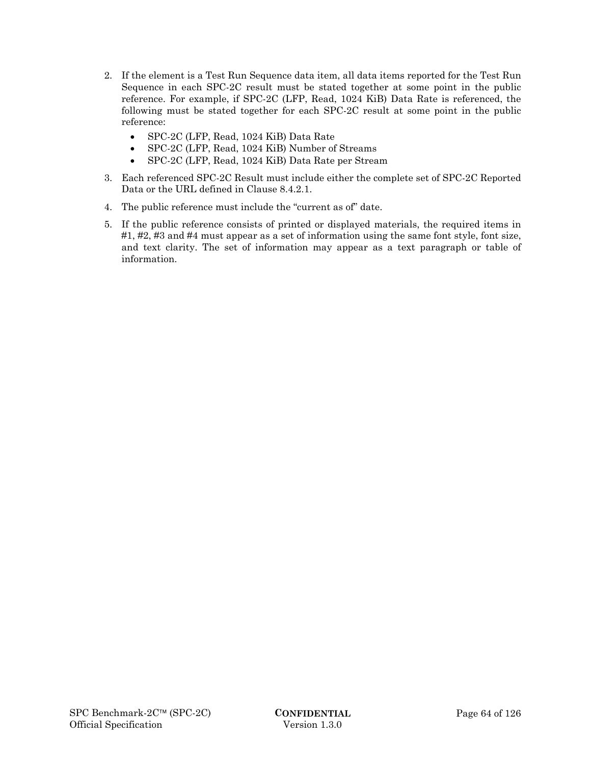- 2. If the element is a Test Run Sequence data item, all data items reported for the Test Run Sequence in each SPC-2C result must be stated together at some point in the public reference. For example, if SPC-2C (LFP, Read, 1024 KiB) Data Rate is referenced, the following must be stated together for each SPC-2C result at some point in the public reference:
	- SPC-2C (LFP, Read, 1024 KiB) Data Rate
	- SPC-2C (LFP, Read, 1024 KiB) Number of Streams
	- SPC-2C (LFP, Read, 1024 KiB) Data Rate per Stream
- 3. Each referenced SPC-2C Result must include either the complete set of SPC-2C Reported Data or the URL defined in Clause 8.4.2.1.
- 4. The public reference must include the "current as of" date.
- 5. If the public reference consists of printed or displayed materials, the required items in #1, #2, #3 and #4 must appear as a set of information using the same font style, font size, and text clarity. The set of information may appear as a text paragraph or table of information.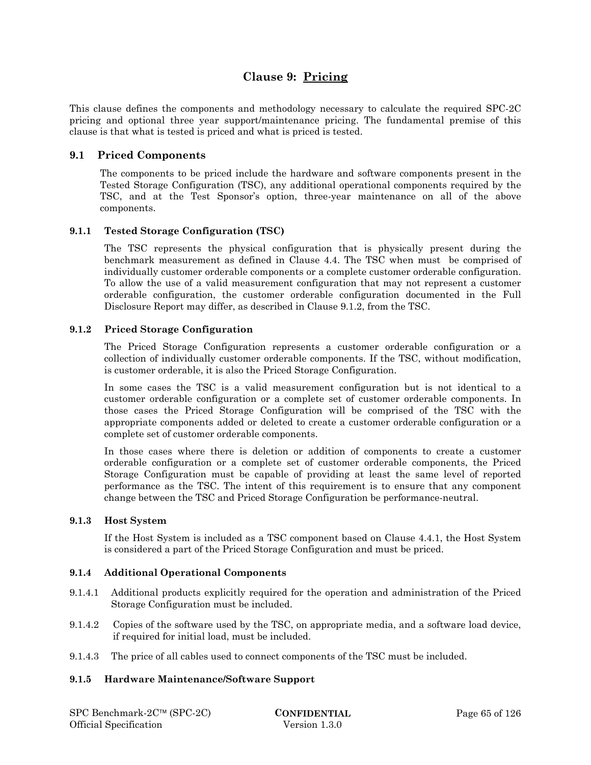# **Clause 9: Pricing**

This clause defines the components and methodology necessary to calculate the required SPC-2C pricing and optional three year support/maintenance pricing. The fundamental premise of this clause is that what is tested is priced and what is priced is tested.

# **9.1 Priced Components**

The components to be priced include the hardware and software components present in the Tested Storage Configuration (TSC), any additional operational components required by the TSC, and at the Test Sponsor's option, three-year maintenance on all of the above components.

# **9.1.1 Tested Storage Configuration (TSC)**

The TSC represents the physical configuration that is physically present during the benchmark measurement as defined in Clause 4.4. The TSC when must be comprised of individually customer orderable components or a complete customer orderable configuration. To allow the use of a valid measurement configuration that may not represent a customer orderable configuration, the customer orderable configuration documented in the Full Disclosure Report may differ, as described in Clause 9.1.2, from the TSC.

### **9.1.2 Priced Storage Configuration**

The Priced Storage Configuration represents a customer orderable configuration or a collection of individually customer orderable components. If the TSC, without modification, is customer orderable, it is also the Priced Storage Configuration.

In some cases the TSC is a valid measurement configuration but is not identical to a customer orderable configuration or a complete set of customer orderable components. In those cases the Priced Storage Configuration will be comprised of the TSC with the appropriate components added or deleted to create a customer orderable configuration or a complete set of customer orderable components.

In those cases where there is deletion or addition of components to create a customer orderable configuration or a complete set of customer orderable components, the Priced Storage Configuration must be capable of providing at least the same level of reported performance as the TSC. The intent of this requirement is to ensure that any component change between the TSC and Priced Storage Configuration be performance-neutral.

### **9.1.3 Host System**

If the Host System is included as a TSC component based on Clause 4.4.1, the Host System is considered a part of the Priced Storage Configuration and must be priced.

### **9.1.4 Additional Operational Components**

- 9.1.4.1 Additional products explicitly required for the operation and administration of the Priced Storage Configuration must be included.
- 9.1.4.2 Copies of the software used by the TSC, on appropriate media, and a software load device, if required for initial load, must be included.
- 9.1.4.3 The price of all cables used to connect components of the TSC must be included.

# **9.1.5 Hardware Maintenance/Software Support**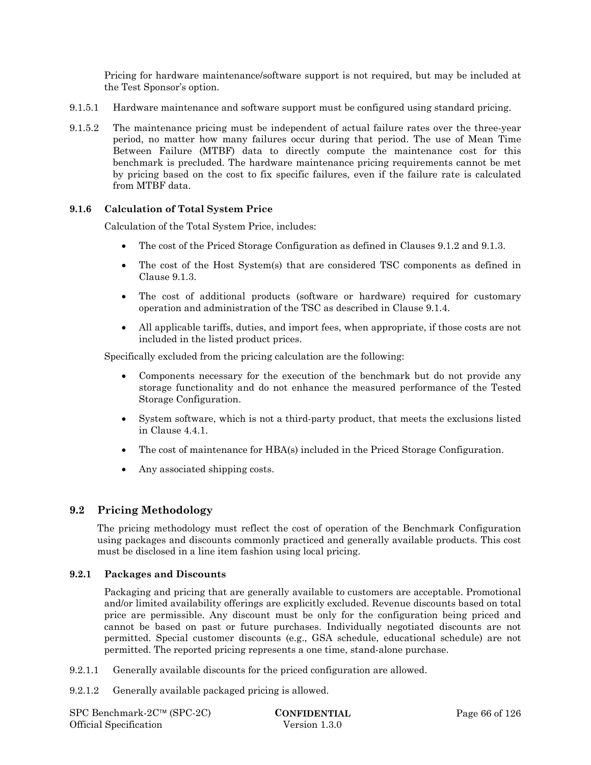Pricing for hardware maintenance/software support is not required, but may be included at the Test Sponsor's option.

- 9.1.5.1 Hardware maintenance and software support must be configured using standard pricing.
- 9.1.5.2 The maintenance pricing must be independent of actual failure rates over the three-year period, no matter how many failures occur during that period. The use of Mean Time Between Failure (MTBF) data to directly compute the maintenance cost for this benchmark is precluded. The hardware maintenance pricing requirements cannot be met by pricing based on the cost to fix specific failures, even if the failure rate is calculated from MTBF data.

# **9.1.6 Calculation of Total System Price**

Calculation of the Total System Price, includes:

- The cost of the Priced Storage Configuration as defined in Clauses 9.1.2 and 9.1.3.
- The cost of the Host System(s) that are considered TSC components as defined in Clause 9.1.3.
- The cost of additional products (software or hardware) required for customary operation and administration of the TSC as described in Clause 9.1.4.
- All applicable tariffs, duties, and import fees, when appropriate, if those costs are not included in the listed product prices.

Specifically excluded from the pricing calculation are the following:

- Components necessary for the execution of the benchmark but do not provide any storage functionality and do not enhance the measured performance of the Tested Storage Configuration.
- System software, which is not a third-party product, that meets the exclusions listed in Clause 4.4.1.
- The cost of maintenance for HBA(s) included in the Priced Storage Configuration.
- Any associated shipping costs.

# **9.2 Pricing Methodology**

The pricing methodology must reflect the cost of operation of the Benchmark Configuration using packages and discounts commonly practiced and generally available products. This cost must be disclosed in a line item fashion using local pricing.

### **9.2.1 Packages and Discounts**

Packaging and pricing that are generally available to customers are acceptable. Promotional and/or limited availability offerings are explicitly excluded. Revenue discounts based on total price are permissible. Any discount must be only for the configuration being priced and cannot be based on past or future purchases. Individually negotiated discounts are not permitted. Special customer discounts (e.g., GSA schedule, educational schedule) are not permitted. The reported pricing represents a one time, stand-alone purchase.

- 9.2.1.1 Generally available discounts for the priced configuration are allowed.
- 9.2.1.2 Generally available packaged pricing is allowed.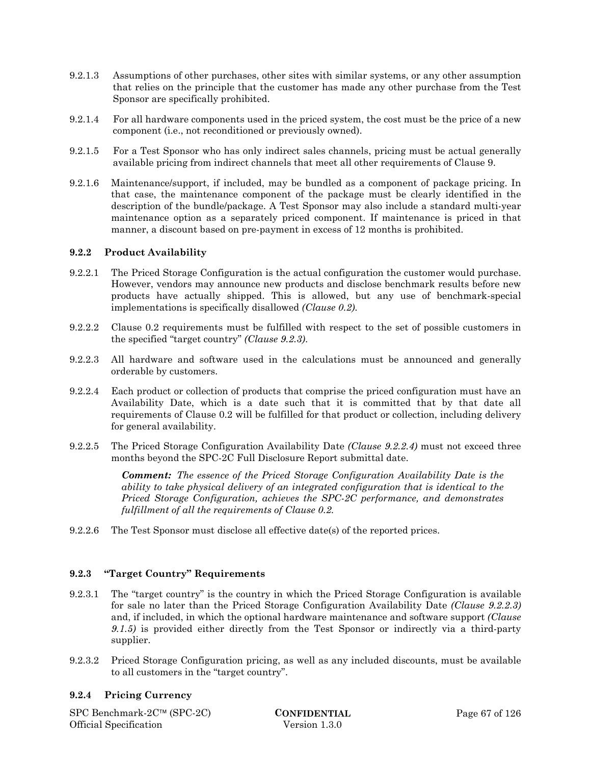- 9.2.1.3 Assumptions of other purchases, other sites with similar systems, or any other assumption that relies on the principle that the customer has made any other purchase from the Test Sponsor are specifically prohibited.
- 9.2.1.4 For all hardware components used in the priced system, the cost must be the price of a new component (i.e., not reconditioned or previously owned).
- 9.2.1.5 For a Test Sponsor who has only indirect sales channels, pricing must be actual generally available pricing from indirect channels that meet all other requirements of Clause 9.
- 9.2.1.6 Maintenance/support, if included, may be bundled as a component of package pricing. In that case, the maintenance component of the package must be clearly identified in the description of the bundle/package. A Test Sponsor may also include a standard multi-year maintenance option as a separately priced component. If maintenance is priced in that manner, a discount based on pre-payment in excess of 12 months is prohibited.

### **9.2.2 Product Availability**

- 9.2.2.1 The Priced Storage Configuration is the actual configuration the customer would purchase. However, vendors may announce new products and disclose benchmark results before new products have actually shipped. This is allowed, but any use of benchmark-special implementations is specifically disallowed *(Clause 0.2)*.
- 9.2.2.2 Clause 0.2 requirements must be fulfilled with respect to the set of possible customers in the specified "target country" *(Clause 9.2.3)*.
- 9.2.2.3 All hardware and software used in the calculations must be announced and generally orderable by customers.
- 9.2.2.4 Each product or collection of products that comprise the priced configuration must have an Availability Date, which is a date such that it is committed that by that date all requirements of Clause 0.2 will be fulfilled for that product or collection, including delivery for general availability.
- 9.2.2.5 The Priced Storage Configuration Availability Date *(Clause 9.2.2.4)* must not exceed three months beyond the SPC-2C Full Disclosure Report submittal date.

*Comment: The essence of the Priced Storage Configuration Availability Date is the ability to take physical delivery of an integrated configuration that is identical to the Priced Storage Configuration, achieves the SPC-2C performance, and demonstrates fulfillment of all the requirements of Clause 0.2.* 

9.2.2.6 The Test Sponsor must disclose all effective date(s) of the reported prices.

# **9.2.3 "Target Country" Requirements**

- 9.2.3.1 The "target country" is the country in which the Priced Storage Configuration is available for sale no later than the Priced Storage Configuration Availability Date *(Clause 9.2.2.3)* and, if included, in which the optional hardware maintenance and software support *(Clause 9.1.5)* is provided either directly from the Test Sponsor or indirectly via a third-party supplier.
- 9.2.3.2 Priced Storage Configuration pricing, as well as any included discounts, must be available to all customers in the "target country".

### **9.2.4 Pricing Currency**

SPC Benchmark-2C™ (SPC-2C) **CONFIDENTIAL** Page 67 of 126 Official Specification Version 1.3.0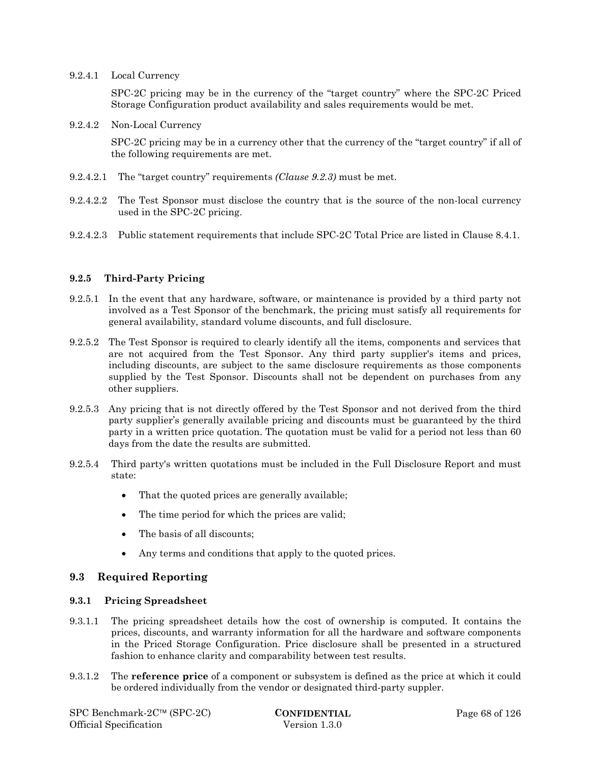9.2.4.1 Local Currency

SPC-2C pricing may be in the currency of the "target country" where the SPC-2C Priced Storage Configuration product availability and sales requirements would be met.

9.2.4.2 Non-Local Currency

SPC-2C pricing may be in a currency other that the currency of the "target country" if all of the following requirements are met.

- 9.2.4.2.1 The "target country" requirements *(Clause 9.2.3)* must be met.
- 9.2.4.2.2 The Test Sponsor must disclose the country that is the source of the non-local currency used in the SPC-2C pricing.
- 9.2.4.2.3 Public statement requirements that include SPC-2C Total Price are listed in Clause 8.4.1.

### **9.2.5 Third-Party Pricing**

- 9.2.5.1 In the event that any hardware, software, or maintenance is provided by a third party not involved as a Test Sponsor of the benchmark, the pricing must satisfy all requirements for general availability, standard volume discounts, and full disclosure.
- 9.2.5.2 The Test Sponsor is required to clearly identify all the items, components and services that are not acquired from the Test Sponsor. Any third party supplier's items and prices, including discounts, are subject to the same disclosure requirements as those components supplied by the Test Sponsor. Discounts shall not be dependent on purchases from any other suppliers.
- 9.2.5.3 Any pricing that is not directly offered by the Test Sponsor and not derived from the third party supplier's generally available pricing and discounts must be guaranteed by the third party in a written price quotation. The quotation must be valid for a period not less than 60 days from the date the results are submitted.
- 9.2.5.4 Third party's written quotations must be included in the Full Disclosure Report and must state:
	- That the quoted prices are generally available;
	- The time period for which the prices are valid;
	- The basis of all discounts:
	- Any terms and conditions that apply to the quoted prices.

# **9.3 Required Reporting**

### **9.3.1 Pricing Spreadsheet**

- 9.3.1.1 The pricing spreadsheet details how the cost of ownership is computed. It contains the prices, discounts, and warranty information for all the hardware and software components in the Priced Storage Configuration. Price disclosure shall be presented in a structured fashion to enhance clarity and comparability between test results.
- 9.3.1.2 The **reference price** of a component or subsystem is defined as the price at which it could be ordered individually from the vendor or designated third-party suppler.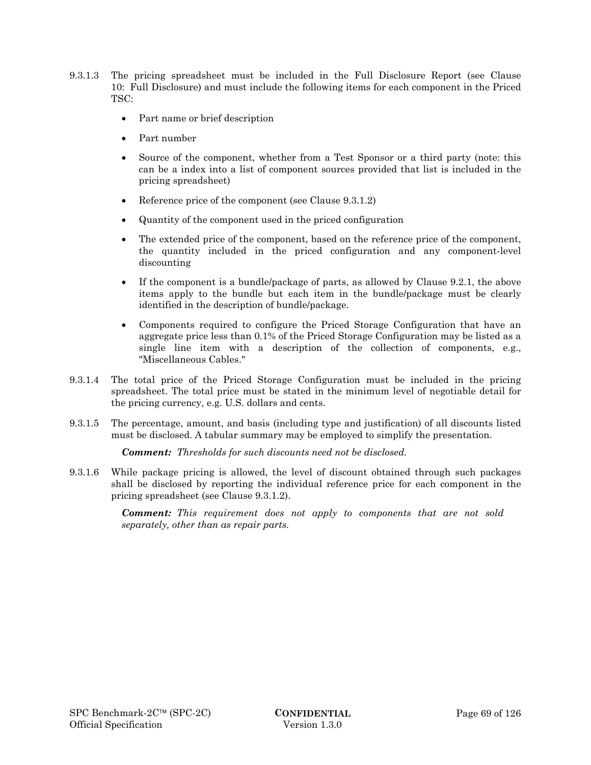- 9.3.1.3 The pricing spreadsheet must be included in the Full Disclosure Report (see Clause 10: Full Disclosure) and must include the following items for each component in the Priced TSC:
	- Part name or brief description
	- Part number
	- Source of the component, whether from a Test Sponsor or a third party (note: this can be a index into a list of component sources provided that list is included in the pricing spreadsheet)
	- Reference price of the component (see Clause  $9.3.1.2$ )
	- Quantity of the component used in the priced configuration
	- The extended price of the component, based on the reference price of the component, the quantity included in the priced configuration and any component-level discounting
	- If the component is a bundle/package of parts, as allowed by Clause 9.2.1, the above items apply to the bundle but each item in the bundle/package must be clearly identified in the description of bundle/package.
	- Components required to configure the Priced Storage Configuration that have an aggregate price less than 0.1% of the Priced Storage Configuration may be listed as a single line item with a description of the collection of components, e.g., "Miscellaneous Cables."
- 9.3.1.4 The total price of the Priced Storage Configuration must be included in the pricing spreadsheet. The total price must be stated in the minimum level of negotiable detail for the pricing currency, e.g. U.S. dollars and cents.
- 9.3.1.5 The percentage, amount, and basis (including type and justification) of all discounts listed must be disclosed. A tabular summary may be employed to simplify the presentation.

*Comment: Thresholds for such discounts need not be disclosed.* 

9.3.1.6 While package pricing is allowed, the level of discount obtained through such packages shall be disclosed by reporting the individual reference price for each component in the pricing spreadsheet (see Clause 9.3.1.2).

> *Comment: This requirement does not apply to components that are not sold separately, other than as repair parts.*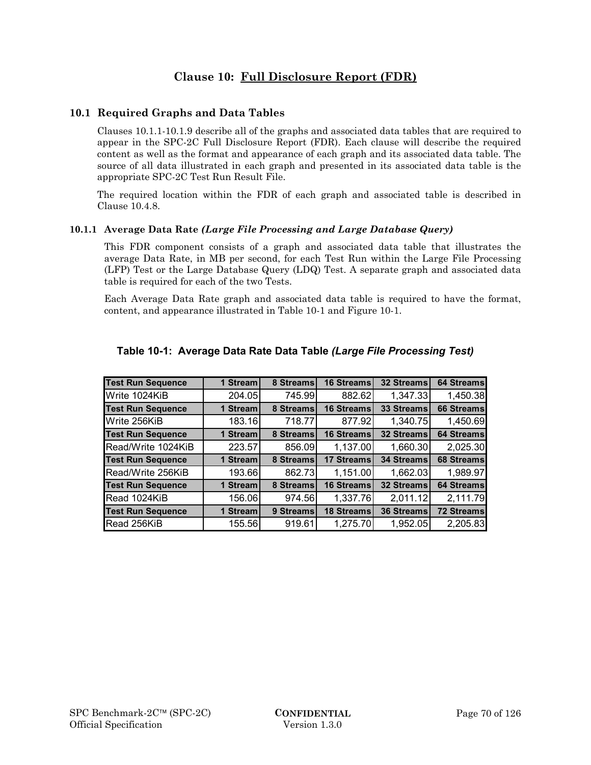# **Clause 10: Full Disclosure Report (FDR)**

# **10.1 Required Graphs and Data Tables**

Clauses 10.1.1-10.1.9 describe all of the graphs and associated data tables that are required to appear in the SPC-2C Full Disclosure Report (FDR). Each clause will describe the required content as well as the format and appearance of each graph and its associated data table. The source of all data illustrated in each graph and presented in its associated data table is the appropriate SPC-2C Test Run Result File.

The required location within the FDR of each graph and associated table is described in Clause 10.4.8.

### **10.1.1 Average Data Rate** *(Large File Processing and Large Database Query)*

This FDR component consists of a graph and associated data table that illustrates the average Data Rate, in MB per second, for each Test Run within the Large File Processing (LFP) Test or the Large Database Query (LDQ) Test. A separate graph and associated data table is required for each of the two Tests.

Each Average Data Rate graph and associated data table is required to have the format, content, and appearance illustrated in Table 10-1 and Figure 10-1.

| <b>Test Run Sequence</b> | 1 Stream | 8 Streams | 16 Streams        | <b>32 Streams</b> | 64 Streams        |
|--------------------------|----------|-----------|-------------------|-------------------|-------------------|
| Write 1024KiB            | 204.05   | 745.99    | 882.62            | 1,347.33          | 1,450.38          |
| <b>Test Run Sequence</b> | 1 Stream | 8 Streams | 16 Streams        | 33 Streams        | <b>66 Streams</b> |
| Write 256KiB             | 183.16   | 718.77    | 877.92            | 1,340.75          | 1,450.69          |
| <b>Test Run Sequence</b> | 1 Stream | 8 Streams | 16 Streams        | 32 Streams        | <b>64 Streams</b> |
| Read/Write 1024KiB       | 223.57   | 856.09    | 1,137.00          | 1,660.30          | 2,025.30          |
| <b>Test Run Sequence</b> | 1 Stream | 8 Streams | 17 Streams        | <b>34 Streams</b> | 68 Streams        |
| Read/Write 256KiB        | 193.66   | 862.73    | 1,151.00          | 1,662.03          | 1,989.97          |
| <b>Test Run Sequence</b> | 1 Stream | 8 Streams | 16 Streams        | 32 Streams        | <b>64 Streams</b> |
| Read 1024KiB             | 156.06   | 974.56    | 1,337.76          | 2,011.12          | 2,111.79          |
| <b>Test Run Sequence</b> | 1 Stream | 9 Streams | <b>18 Streams</b> | 36 Streams        | <b>72 Streams</b> |
| Read 256KiB              | 155.56   | 919.61    | 1,275.70          | 1,952.05          | 2,205.83          |

# **Table 10-1: Average Data Rate Data Table** *(Large File Processing Test)*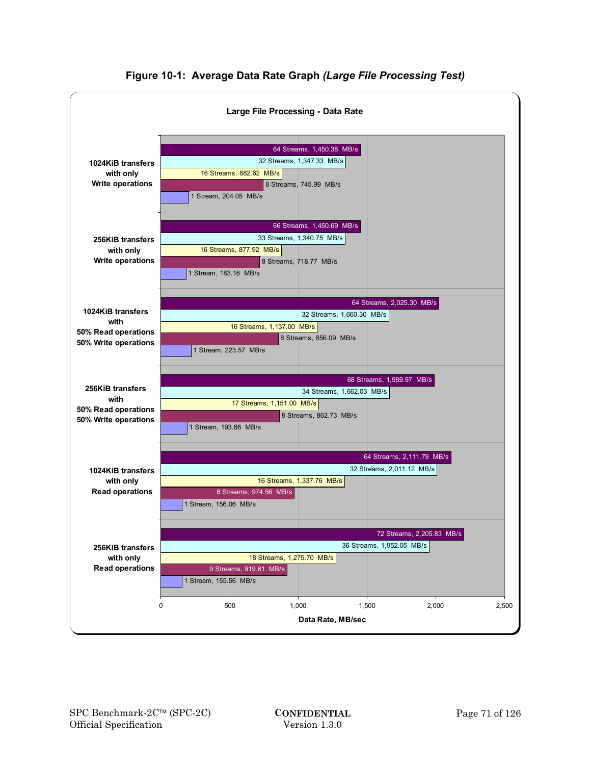

**Figure 10-1: Average Data Rate Graph** *(Large File Processing Test)*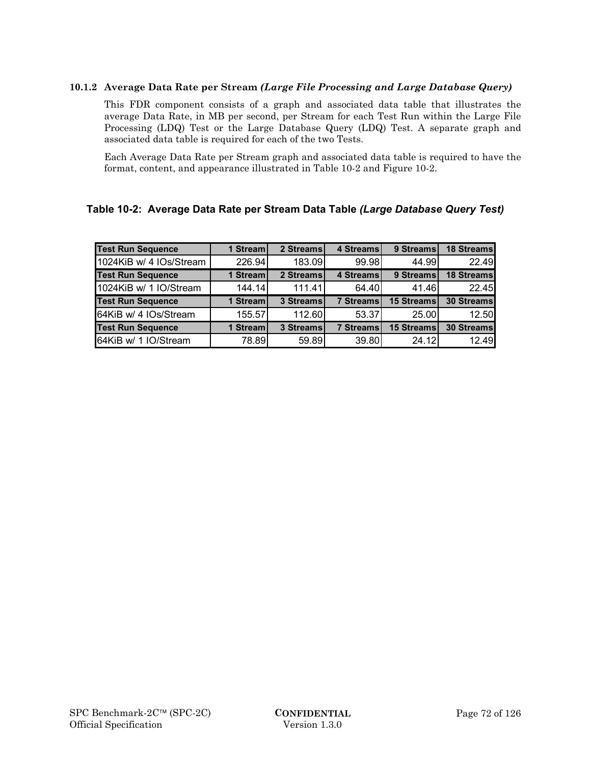# **10.1.2 Average Data Rate per Stream** *(Large File Processing and Large Database Query)*

This FDR component consists of a graph and associated data table that illustrates the average Data Rate, in MB per second, per Stream for each Test Run within the Large File Processing (LDQ) Test or the Large Database Query (LDQ) Test. A separate graph and associated data table is required for each of the two Tests.

Each Average Data Rate per Stream graph and associated data table is required to have the format, content, and appearance illustrated in Table 10-2 and Figure 10-2.

# **Table 10-2: Average Data Rate per Stream Data Table** *(Large Database Query Test)*

| <b>Test Run Sequence</b> | 1 Stream | 2 Streams | <b>4 Streams</b>  | 9 Streams  | <b>18 Streams</b> |
|--------------------------|----------|-----------|-------------------|------------|-------------------|
| 1024KiB w/ 4 IOs/Stream  | 226.94   | 183.09    | 99.98             | 44.99      | 22.49             |
| <b>Test Run Sequence</b> | 1 Stream | 2 Streams | 4 Streams         | 9 Streams  | <b>18 Streams</b> |
| 1024KiB w/ 1 IO/Stream   | 144.14   | 111.41    | 64.40             | 41.46      | 22.45             |
| <b>Test Run Sequence</b> | 1 Stream | 3 Streams | <b>7 Streamsl</b> | 15 Streams | 30 Streams        |
| 64KiB w/ 4 IOs/Stream    | 155.57   | 112.60    | 53.37             | 25.00      | 12.50             |
| <b>Test Run Sequence</b> | 1 Stream | 3 Streams | <b>7 Streams</b>  | 15 Streams | 30 Streams        |
| 64KiB w/ 1 IO/Stream     | 78.89    | 59.89     | 39.80             | 24.12      | 12.49             |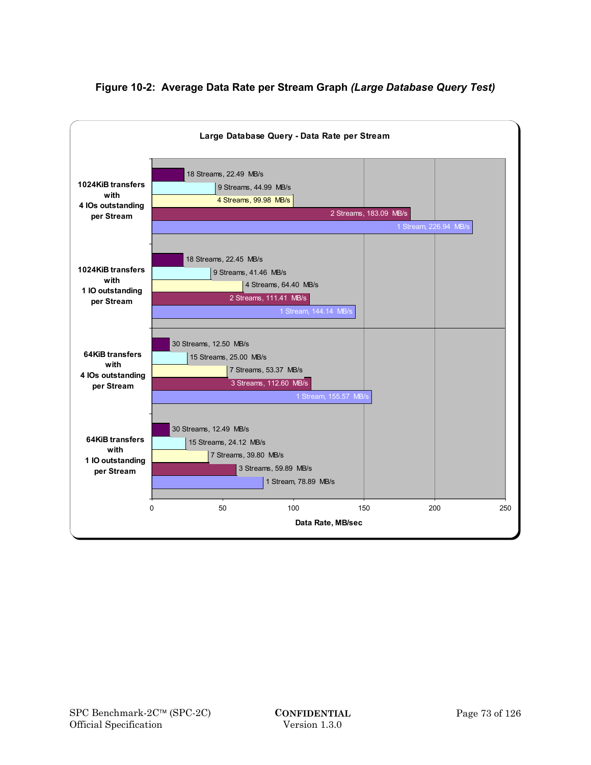

# **Figure 10-2: Average Data Rate per Stream Graph** *(Large Database Query Test)*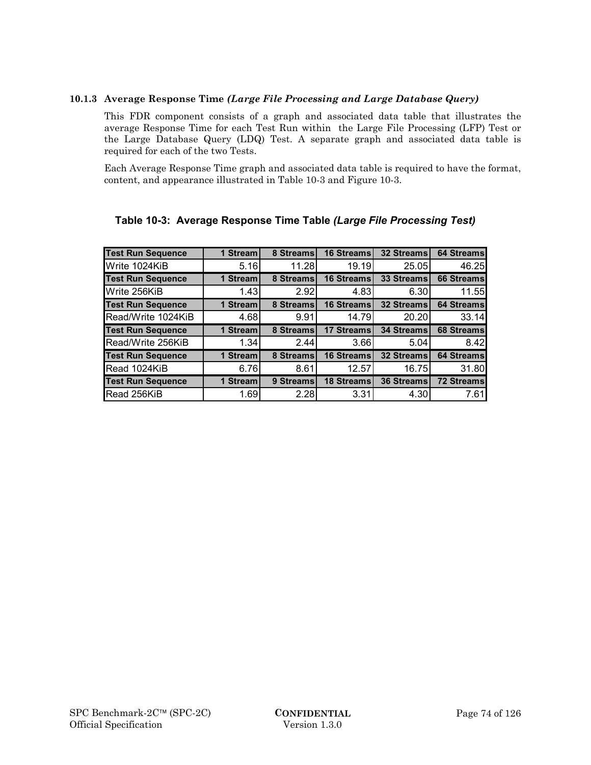## **10.1.3 Average Response Time** *(Large File Processing and Large Database Query)*

This FDR component consists of a graph and associated data table that illustrates the average Response Time for each Test Run within the Large File Processing (LFP) Test or the Large Database Query (LDQ) Test. A separate graph and associated data table is required for each of the two Tests.

Each Average Response Time graph and associated data table is required to have the format, content, and appearance illustrated in Table 10-3 and Figure 10-3.

| <b>Test Run Sequence</b> | 1 Stream | 8 Streams | 16 Streams        | 32 Streams | 64 Streams                                                     |
|--------------------------|----------|-----------|-------------------|------------|----------------------------------------------------------------|
| Write 1024KiB            | 5.16     | 11.28     | 19.19             | 25.05      | 46.25                                                          |
| <b>Test Run Sequence</b> | 1 Stream | 8 Streams | 16 Streams        | 33 Streams | <b>66 Streams</b>                                              |
| Write 256KiB             | 1.43     | 2.92      | 4.83              | 6.30       | 11.55                                                          |
| <b>Test Run Sequence</b> | 1 Stream | 8 Streams | 16 Streams        | 32 Streams | <b>64 Streams</b>                                              |
| Read/Write 1024KiB       | 4.68     | 9.91      | 14.79l            | 20.20      | 33.14                                                          |
|                          |          |           |                   |            |                                                                |
| <b>Test Run Sequence</b> | 1 Stream | 8 Streams | 17 Streams        | 34 Streams |                                                                |
| Read/Write 256KiB        | 1.34     | 2.44      | 3.66              | 5.04       |                                                                |
| <b>Test Run Sequence</b> | 1 Stream | 8 Streams | 16 Streams        | 32 Streams |                                                                |
| Read 1024KiB             | 6.76     | 8.61      | 12.57             | 16.75      |                                                                |
| <b>Test Run Sequence</b> | 1 Stream | 9 Streams | <b>18 Streams</b> | 36 Streams | 68 Streams<br>8.42<br>64 Streams<br>31.80<br><b>72 Streams</b> |

# **Table 10-3: Average Response Time Table** *(Large File Processing Test)*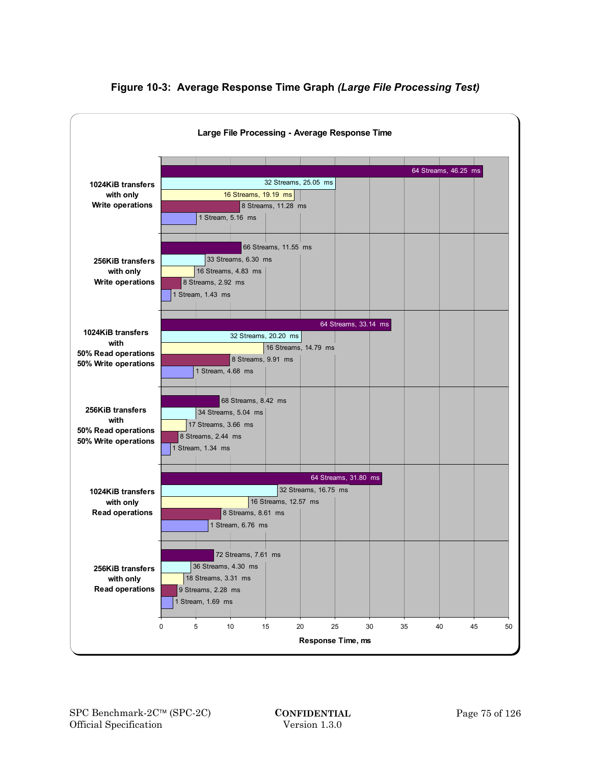

# **Figure 10-3: Average Response Time Graph** *(Large File Processing Test)*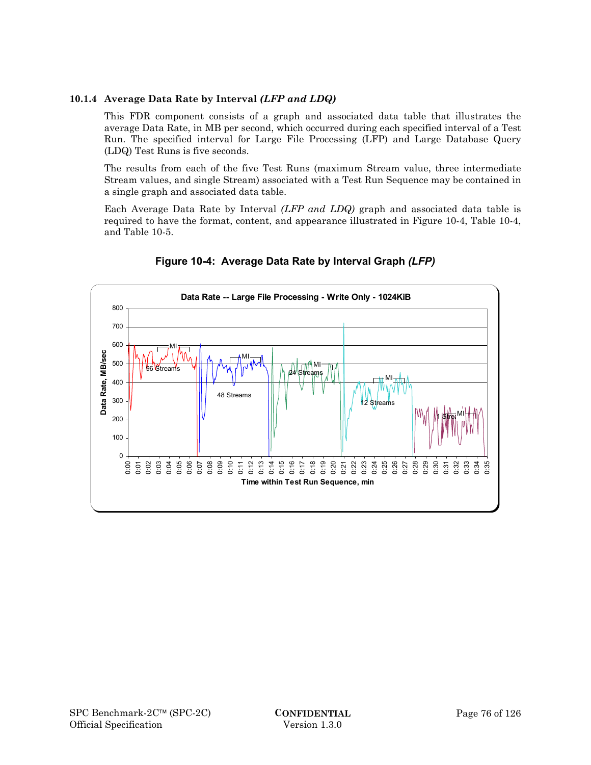# **10.1.4 Average Data Rate by Interval** *(LFP and LDQ)*

This FDR component consists of a graph and associated data table that illustrates the average Data Rate, in MB per second, which occurred during each specified interval of a Test Run. The specified interval for Large File Processing (LFP) and Large Database Query (LDQ) Test Runs is five seconds.

The results from each of the five Test Runs (maximum Stream value, three intermediate Stream values, and single Stream) associated with a Test Run Sequence may be contained in a single graph and associated data table.

Each Average Data Rate by Interval *(LFP and LDQ)* graph and associated data table is required to have the format, content, and appearance illustrated in Figure 10-4, Table 10-4, and Table 10-5.



**Figure 10-4: Average Data Rate by Interval Graph** *(LFP)*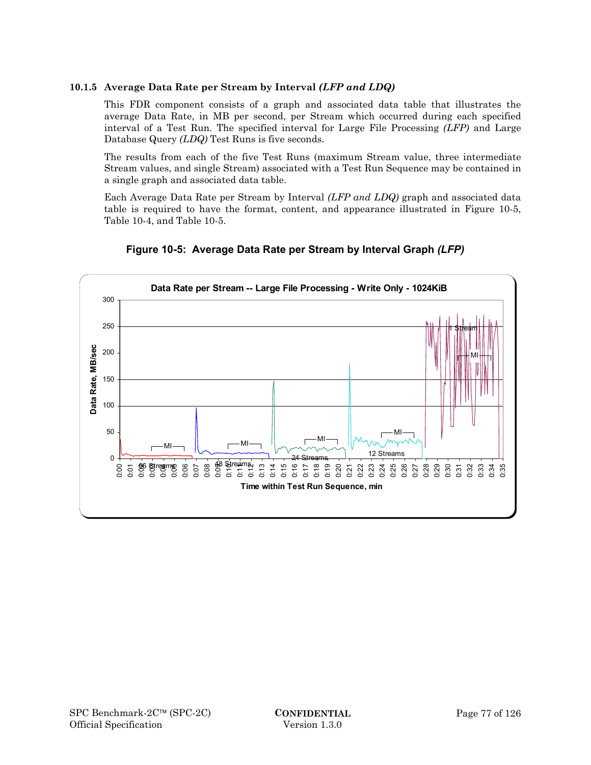# **10.1.5 Average Data Rate per Stream by Interval** *(LFP and LDQ)*

This FDR component consists of a graph and associated data table that illustrates the average Data Rate, in MB per second, per Stream which occurred during each specified interval of a Test Run. The specified interval for Large File Processing *(LFP)* and Large Database Query *(LDQ)* Test Runs is five seconds.

The results from each of the five Test Runs (maximum Stream value, three intermediate Stream values, and single Stream) associated with a Test Run Sequence may be contained in a single graph and associated data table.

Each Average Data Rate per Stream by Interval *(LFP and LDQ)* graph and associated data table is required to have the format, content, and appearance illustrated in Figure 10-5, Table 10-4, and Table 10-5.



**Figure 10-5: Average Data Rate per Stream by Interval Graph** *(LFP)*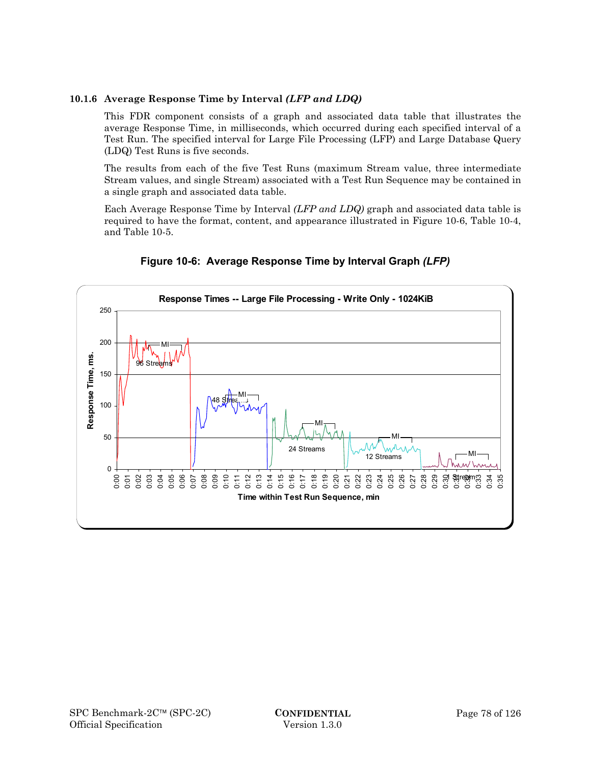# **10.1.6 Average Response Time by Interval** *(LFP and LDQ)*

This FDR component consists of a graph and associated data table that illustrates the average Response Time, in milliseconds, which occurred during each specified interval of a Test Run. The specified interval for Large File Processing (LFP) and Large Database Query (LDQ) Test Runs is five seconds.

The results from each of the five Test Runs (maximum Stream value, three intermediate Stream values, and single Stream) associated with a Test Run Sequence may be contained in a single graph and associated data table.

Each Average Response Time by Interval *(LFP and LDQ)* graph and associated data table is required to have the format, content, and appearance illustrated in Figure 10-6, Table 10-4, and Table 10-5.



**Figure 10-6: Average Response Time by Interval Graph** *(LFP)*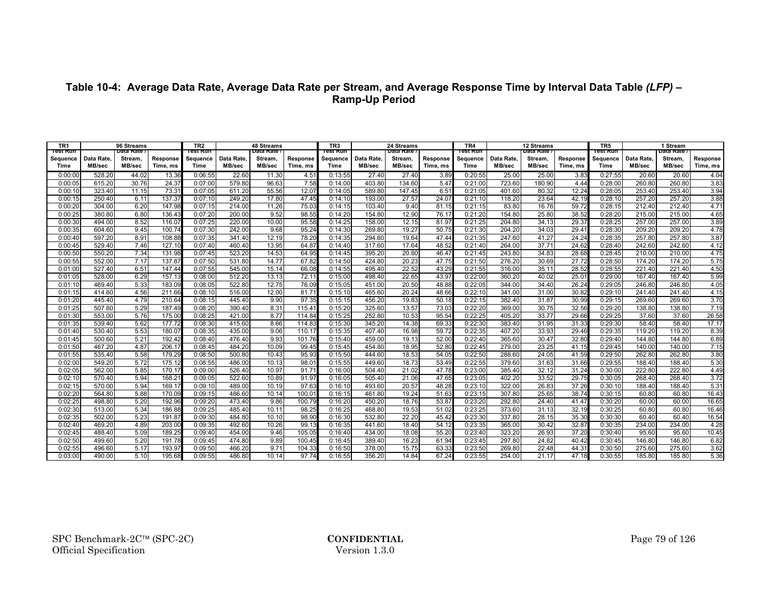| TR1              |           | 96 Streams             |                 | TR <sub>2</sub><br>rest Run |            | 48 Streams             |          | TR <sub>3</sub><br>lest Run |               | 24 Streams             |          | TR <sub>4</sub><br>Test Run |               | 12 Streams             |          | TR5<br>Test Run  |            | 1 Stream               |          |
|------------------|-----------|------------------------|-----------------|-----------------------------|------------|------------------------|----------|-----------------------------|---------------|------------------------|----------|-----------------------------|---------------|------------------------|----------|------------------|------------|------------------------|----------|
| Test Run         | Data Rate | Data Rate /<br>Stream, | Response        | Sequence                    | Data Rate. | Data Rate /<br>Stream. | Response | Sequence                    | Data Rate.    | Data Rate /<br>Stream. | Response | Sequence                    | Data Rate.    | Data Rate /<br>Stream. | Response |                  | Data Rate. | Data Rate .<br>Stream. | Response |
| Sequence<br>Time | MB/sec    | MB/sec                 | Time, ms        | Time                        | MB/sec     | MB/sec                 | Time, ms | Time                        | <b>MB/sec</b> | MB/sec                 | Time, ms | Time                        | <b>MB/sec</b> | MB/sec                 | Time, ms | Sequence<br>Time | MB/sec     | MB/sec                 | Time, ms |
| 0:00:00          | 528.20    | 44.02                  | 13.36           | 0:06:55                     | 22.60      | 11.30                  | 4.51     | 0:13:55                     | 27.40         | 27.40                  | 3.89     | 0:20:55                     | 25.00         | 25.00                  | 3.83     | 0:27:55          | 20.60      | 20.60                  | 4.04     |
| 0:00:05          | 615.20    | 30.76                  | 24.37           | 0:07:00                     | 579.80     | 96.63                  | 7.58     | 0:14:00                     | 403.80        | 134.60                 | 5.47     | 0:21:00                     | 723.60        | 180.90                 | 4.44     | 0:28:00          | 260.80     | 260.80                 | 3.83     |
| 0:00:10          | 323.40    | 11.15                  | 73.31           | 0:07:05                     | 611.20     | 55.56                  | 12.07    | 0:14:05                     | 589.80        | 147.45                 | 6.51     | 0:21:05                     | 401.60        | 80.32                  | 12.24    | 0:28:05          | 253.40     | 253.40                 | 3.94     |
| 0:00:15          | 250.40    | 6.11                   | 137.37          | 0:07:10                     | 249.20     | 17.80                  | 47.45    | 0:14:10                     | 193.00        | 27.57                  | 24.07    | 0:21:10                     | 118.20        | 23.64                  | 42.19    | 0:28:10          | 257.20     | 257.20                 | 3.88     |
| 0:00:20          | 304.00    | 6.20                   | 147.98          | 0:07:15                     | 214.00     | 11.26                  | 75.03    | 0:14:15                     | 103.40        | 9.40                   | 81.15    | 0:21:15                     | 83.80         | 16.76                  | 59.72    | 0:28:15          | 212.40     | 212.40                 | 4.71     |
| 0:00:25          | 380.80    | 6.80                   | 136.43          | 0:07:20                     | 200.00     | 9.52                   | 98.55    | 0:14:20                     | 154.80        | 12.90                  | 76.17    | 0:21:20                     | 154.80        | 25.80                  | 38.52    | 0:28:20          | 215.00     | 215.00                 | 4.65     |
| 0:00:30          | 494.00    | 8.52                   | 116.0           | 0:07:25                     | 220.00     | 10.00                  | 95.58    | 0:14:25                     | 158.00        | 12.15                  | 81.97    | 0:21:25                     | 204.80        | 34.13                  | 29.37    | 0:28:25          | 257.00     | 257.00                 | 3.89     |
| 0:00:35          | 604.60    | 9.45                   | 100.74          | 0:07:30                     | 242.00     | 9.68                   | 95.24    | 0:14:30                     | 269.80        | 19.27                  | 50.75    | 0:21:30                     | 204.20        | 34.03                  | 29.4     | 0:28:30          | 209.20     | 209.20                 | 4.78     |
| 0:00:40          | 597.20    | 8.91                   | 108.88          | 0:07:35                     | 341.40     | 12.19                  | 78.20    | 0:14:35                     | 294.60        | 19.64                  | 47.44    | 0:21:35                     | 247.60        | 41.27                  | 24.24    | 0:28:35          | 257.80     | 257.80                 | 3.87     |
| 0:00:45          | 529.40    | 7.46                   | 127.10          | 0:07:40                     | 460.40     | 13.95                  | 64.8     | 0:14:40                     | 317.60        | 17.64                  | 48.52    | 0:21:40                     | 264.00        | 37.71                  | 24.62    | 0:28:40          | 242.60     | 242.60                 | 4.12     |
| 0:00:50          | 550.20    | 7.34                   | 131.98          | 0:07:45                     | 523.20     | 14.53                  | 64.95    | 0:14:45                     | 395.20        | 20.80                  | 46.47    | 0:21:45                     | 243.80        | 34.83                  | 28.68    | 0:28:45          | 210.00     | 210.00                 | 4.75     |
| 0:00:55          | 552.00    | 7.17                   | 137.87          | 0:07:50                     | 531.80     | 14.77                  | 67.82    | 0:14:50                     | 424.80        | 20.23                  | 47.75    | 0:21:50                     | 276.20        | 30.69                  | 27.72    | 0:28:50          | 174.20     | 174.20                 | 5.75     |
| 0:01:00          | 527.40    | 6.51                   | 147.44          | 0:07:55                     | 545.00     | 15.14                  | 66.08    | 0:14:55                     | 495.40        | 22.52                  | 43.29    | 0:21:55                     | 316.00        | 35.11                  | 28.52    | 0:28:55          | 221.40     | 221.40                 | 4.50     |
| 0:01:05          | 528.00    | 6.29                   | 157.13          | 0:08:00                     | 512.20     | 13.13                  | 72.1     | 0:15:00                     | 498.40        | 22.65                  | 43.97    | 0:22:00                     | 360.20        | 40.02                  | 25.01    | 0:29:00          | 167.40     | 167.40                 | 5.99     |
| 0:01:10          | 469.40    | 5.33                   | 183.09          | 0:08:05                     | 522.80     | 12.75                  | 76.09    | 0:15:05                     | 451.00        | 20.50                  | 48.88    | 0:22:05                     | 344.00        | 34.40                  | 26.24    | 0:29:05          | 246.80     | 246.80                 | 4.05     |
| 0:01:15          | 414.60    | 4.56                   | 211.66          | 0:08:10                     | 516.00     | 12.00                  | 81.7     | 0:15:10                     | 465.60        | 20.24                  | 48.66    | 0:22:10                     | 341.00        | 31.00                  | 30.82    | 0:29:10          | 241.40     | 241.40                 | 4.15     |
| 0:01:20          | 445.40    | 4.79                   | 210.64          | 0:08:15                     | 445.40     | 9.90                   | 97.35    | 0:15:15                     | 456.20        | 19.83                  | 50.18    | 0:22:15                     | 382.40        | 31.87                  | 30.99    | 0:29:15          | 269.60     | 269.60                 | 3.70     |
| 0:01:25          | 507.60    | 5.29                   | 187.49          | 0:08:20                     | 390.40     | 8.31                   | 115.4    | 0:15:20                     | 325.60        | 13.57                  | 73.03    | 0:22:20                     | 369.00        | 30.75                  | 32.56    | 0:29:20          | 138.80     | 138.80                 | 7.19     |
| 0:01:30          | 553.00    | 5.76                   | 175.00          | 0:08:25                     | 421.00     | 8.77                   | 114.84   | 0:15:25                     | 252.80        | 10.53                  | 95.54    | 0:22:25                     | 405.20        | 33.77                  | 29.66    | 0:29:25          | 37.60      | 37.60                  | 26.58    |
| 0:01:35          | 539.40    | 5.62                   | 177.72          | 0:08:30                     | 415.60     | 8.66                   | 114.8    | 0:15:30                     | 345.20        | 14.38                  | 69.33    | 0:22:30                     | 383.40        | 31.95                  | 31.33    | 0:29:30          | 58.40      | 58.40                  | 17.17    |
| 0:01:40          | 530.40    | 5.53                   | 180.07          | 0:08:35                     | 435.00     | 9.06                   | 110.1    | 0:15:35                     | 407.40        | 16.98                  | 59.72    | 0:22:35                     | 407.20        | 33.93                  | 29.46    | 0:29:35          | 119.20     | 119.20                 | 8.39     |
| 0:01:45          | 500.60    | 5.21                   | 192.42          | 0:08:40                     | 476.40     | 9.93                   | 101.76   | 0:15:40                     | 459.00        | 19.13                  | 52.0     | 0:22:40                     | 365.60        | 30.47                  | 32.80    | 0:29:40          | 144.80     | 144.80                 | 6.89     |
| 0:01:50          | 467.20    | 4.87                   | 206.17          | 0:08:45                     | 484.20     | 10.09                  | 99.45    | 0:15:45                     | 454.80        | 18.95                  | 52.80    | 0:22:45                     | 279.00        | 23.25                  | 41.15    | 0:29:45          | 140.00     | 140.00                 | 7.15     |
| 0:01:55          | 535.40    | 5.58                   | 179.29          | 0:08:50                     | 500.80     | 10.43                  | 95.9     | 0:15:50                     | 444.60        | 18.53                  | 54.05    | 0:22:50                     | 288.60        | 24.05                  | 41.59    | 0:29:50          | 262.80     | 262.80                 | 3.80     |
| 0:02:00          | 549.20    | 5.72                   | 175.12          | 0:08:55                     | 486.00     | 10.13                  | 98.0     | 0:15:55                     | 449.60        | 18.73                  | 53.49    | 0:22:55                     | 379.60        | 31.63                  | 31.66    | 0:29:55          | 188.40     | 188.40                 | 5.30     |
| 0:02:05          | 562.00    | 5.85                   | 170.17          | 0:09:00                     | 526.40     | 10.97                  | 91.7     | 0:16:00                     | 504.40        | 21.02                  | 47.78    | 0:23:00                     | 385.40        | 32.12                  | 31.24    | 0:30:00          | 222.80     | 222.80                 | 4.49     |
| 0:02:10          | 570.40    | 5.94                   | $168.2^{\circ}$ | 0:09:05                     | 522.60     | 10.89                  | 91.97    | 0:16:05                     | 505.40        | 21.06                  | 47.65    | 0:23:05                     | 402.20        | 33.52                  | 29.75    | 0:30:05          | 268.40     | 268.40                 | 3.72     |
| 0:02:15          | 570.00    | 5.94                   | 169.17          | 0:09:10                     | 489.00     | 10.19                  | 97.63    | 0:16:10                     | 493.60        | 20.57                  | 48.28    | 0:23:10                     | 322.00        | 26.83                  | 37.26    | 0:30:10          | 188.40     | 188.40                 | 5.31     |
| 0:02:20          | 564.80    | 5.88                   | 170.09          | 0:09:15                     | 486.60     | 10.14                  | 100.0    | 0:16:15                     | 461.80        | 19.24                  | 51.63    | 0:23:15                     | 307.80        | 25.65                  | 38.74    | 0:30:15          | 60.80      | 60.80                  | 16.43    |
| 0:02:25          | 498.80    | 5.20                   | 192.96          | 0:09:20                     | 473.40     | 9.86                   | 100.79   | 0:16:20                     | 450.20        | 18.76                  | 53.87    | 0:23:20                     | 292.80        | 24.40                  | 41.47    | 0:30:20          | 60.00      | 60.00                  | 16.65    |
| 0:02:30          | 513.00    | 5.34                   | 186.88          | 0:09:25                     | 485.40     | 10.11                  | 98.2     | 0:16:25                     | 468.80        | 19.53                  | 51.02    | 0:23:25                     | 373.60        | 31.13                  | 32.19    | 0:30:25          | 60.80      | 60.80                  | 16.46    |
| 0:02:35          | 502.00    | 5.23                   | 191.8           | 0:09:30                     | 484.80     | 10.10                  | 98.9     | 0:16:30                     | 532.80        | 22.20                  | 45.42    | 0:23:30                     | 337.80        | 28.15                  | 35.30    | 0:30:30          | 60.40      | 60.40                  | 16.54    |
| 0:02:40          | 469.20    | 4.89                   | 203.00          | 0:09:35                     | 492.60     | 10.26                  | 99.1     | 0:16:35                     | 441.60        | 18.40                  | 54.12    | 0:23:35                     | 365.00        | 30.42                  | 32.87    | 0:30:35          | 234.00     | 234.00                 | 4.28     |
| 0:02:45          | 488.40    | 5.09                   | 189.25          | 0:09:40                     | 454.00     | 9.46                   | 105.0    | 0:16:40                     | 434.00        | 18.08                  | 55.20    | 0:23:40                     | 323.20        | 26.93                  | 37.20    | 0:30:40          | 95.60      | 95.60                  | 10.45    |
| 0:02:50          | 499.60    | 5.20                   | 191.78          | 0:09:45                     | 474.80     | 9.89                   | 100.4    | 0:16:45                     | 389.40        | 16.23                  | 61.94    | 0:23:45                     | 297.80        | 24.82                  | 40.42    | 0:30:45          | 146.80     | 146.80                 | 6.82     |
| 0:02:55          | 496.60    | 5.17                   | 193.97          | 0:09:50                     | 466.20     | 9.71                   | 104.3    | 0:16:50                     | 378.00        | 15.75                  | 63.33    | 0:23:50                     | 269.80        | 22.48                  | 44.31    | 0:30:50          | 275.60     | 275.60                 | 3.62     |
| 0:03:00          | 490.00    | 5.10                   | 195.68          | 0:09:55                     | 486.80     | 10.14                  | 97.74    | 0:16:55                     | 356.20        | 14.84                  | 67.24    | 0:23:55                     | 254.00        | 21.17                  | 47.18    | 0:30:55          | 185.80     | 185.80                 | 5.36     |

### **Table 10-4: Average Data Rate, Average Data Rate per Stream, and Average Response Time by Interval Data Table** *(LFP)* **– Ramp-Up Period**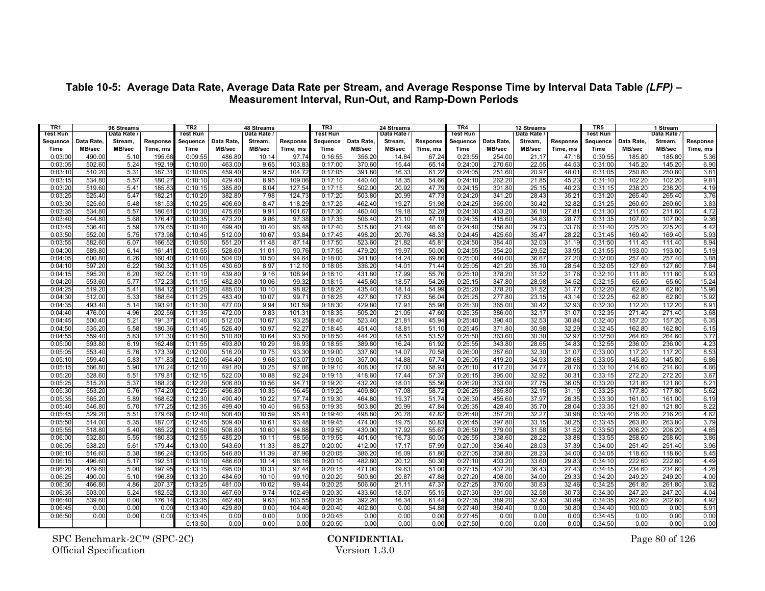| TR <sub>1</sub>    |                  | 96 Streams   |                 | TR <sub>2</sub>    |                  | 48 Streams     |              | TR <sub>3</sub>    |                  | 24 Streams     |                | TR <sub>4</sub>    |                  | 12 Streams     |                | TR <sub>5</sub>    |                  | 1 Stream         |              |
|--------------------|------------------|--------------|-----------------|--------------------|------------------|----------------|--------------|--------------------|------------------|----------------|----------------|--------------------|------------------|----------------|----------------|--------------------|------------------|------------------|--------------|
| Test Run           |                  | Data Rate    |                 | Test Run           |                  | Data Rate      |              | <b>Test Run</b>    |                  | Data Rate      |                | Test Run           |                  | Data Rate /    |                | Test Run           |                  | Data Rate .      |              |
| Sequence           | Data Rate,       | Stream,      | Response        | Sequence           | Data Rate        | Stream,        | Response     | Sequence           | Data Rate        | Stream,        | Response       | Sequence           | Data Rate.       | Stream,        | Response       | Sequence           | Data Rate.       | Stream,          | Response     |
| <b>Time</b>        | MB/sec           | MB/sec       | Time, ms        | Time               | MB/sec           | MB/sec         | Time, ms     | Time               | MB/sec           | MB/sec         | Time, ms       | <b>Time</b>        | MB/sec           | MB/sec         | Time, ms       | Time               | MB/sec           | MB/sec           | Time, ms     |
| 0:03:00            | 490.00           | 5.10         | 195.68          | 0:09:55            | 486.80           | 10.14          | 97.74        | 0:16:55            | 356.20           | 14.84          | 67.24          | 0:23:55            | 254.00           | 21.17          | 47.18          | 0:30:55            | 185.80           | 185.80           | 5.36         |
| 0:03:05            | 502.60           | 5.24         | 192.1           | 0:10:00            | 463.00           | 9.65           | 103.8        | 0:17:00            | 370.60           | 15.44          | 65.14          | 0:24:00            | 270.60           | 22.55          | 44.5           | 0:31:00            | 145.20           | 145.20           | 6.90         |
| 0:03:10            | 510.20           | 5.31         | 187.3           | 0:10:05            | 459.40           | 9.57           | 104.7        | 0:17:05            | 391.80           | 16.33          | 61.22          | 0:24:05            | 251.60           | 20.97          | 48.0           | 0:31:05            | 250.80           | 250.80           | 3.81         |
| 0:03:15            | 534.80           | 5.57         | 180.27          | 0:10:10            | 429.40           | 8.95           | 109.0        | 0:17:10            | 440.40           | 18.35          | 54.66          | 0:24:10            | 262.20           | 21.85          | 45.23          | 0:31:10            | 102.20           | 102.20           | 9.81         |
| 0:03:20            | 519.60           | 5.41         | 185.83          | 0:10:15            | 385.80           | 8.04           | 127.54       | 0:17:15            | 502.00           | 20.92          | 47.79          | 0:24:15            | 301.80           | 25.15          | 40.23          | 0:31:15            | 238.20           | 238.20           | 4.19         |
| 0:03:25            | 525.40           | 5.47         | $182.2^{\circ}$ | 0:10:20            | 382.80           | 7.98           | 124.7        | 0:17:20            | 503.80           | 20.99          | 47.73          | 0:24:20            | 341.20           | 28.43          | $35.2^{\circ}$ | 0:31:20            | 265.40           | 265.40           | 3.76         |
| 0:03:30            | 525.60           | 5.48         | 181.5           | 0:10:25            | 406.60           | 8.47           | 118.2        | 0:17:25            | 462.40           | 19.27          | 51.98          | 0:24:25            | 365.00           | 30.42          | 32.82          | 0:31:25            | 260.60           | 260.60           | 3.83         |
| 0:03:35            | 534.80           | 5.57         | 180.6           | 0:10:30            | 475.60           | 9.91           | 101.67       | 0:17:30            | 460.40           | 19.18          | 52.28          | 0:24:30            | 433.20           | 36.10          | 27.8           | 0:31:30            | 211.60           | 211.60           | 4.72         |
| 0:03:40            | 544.80           | 5.68         | 176.47          | 0:10:35            | 473.20           | 9.86           | 97.38        | 0:17:35            | 506.40           | 21.10          | 47.19          | 0:24:35            | 415.60           | 34.63          | 28.7           | 0:31:35            | 107.00           | 107.00           | 9.36         |
| 0:03:45            | 536.40           | 5.59         | 179.6           | 0:10:40            | 499.40           | 10.40          | 96.48        | 0:17:40            | 515.80           | 21.49          | $46.6^{\circ}$ | 0:24:40            | 356.80           | 29.73          | 33.76          | 0:31:40            | 225.20           | 225.20           | 4.42         |
| 0:03:50            | 552.00           | 5.75         | 173.98          | 0:10:45            | 512.00           | 10.67          | 93.84        | 0:17:45            | 498.20           | 20.76          | 48.3           | 0:24:45            | 425.60           | 35.47          | 28.2           | 0:31:45            | 169.40           | 169.40           | 5.93         |
| 0:03:55            | 582.60           | 6.07         | 166.52          | 0:10:50            | 551.20           | 11.48          | 87.14        | 0:17:50            | 523.60           | 21.82          | 45.81          | 0:24:50            | 384.40           | 32.03          | 31.19          | 0:31:50            | 111.40           | 111.40           | 8.94         |
| 0:04:00            | 589.80           | 6.14         | 161.4'          | 0:10:55            | 528.60           | 11.01          | 90.76        | 0:17:55            | 479.20           | 19.97          | 50.00          | 0:24:55            | 354.20           | 29.52          | 33.95          | 0:31:55            | 193.00           | 193.00           | 5.19         |
| 0:04:05            | 600.80           | 6.26         | 160.40          | 0:11:00            | 504.00           | 10.50          | 94.64        | 0:18:00            | 341.80           | 14.24          | 69.86          | 0:25:00            | 440.00           | 36.67          | 27.20          | 0:32:00            | 257.40           | 257.40           | 3.88         |
| 0:04:10            | 597.20           | 6.22         | 160.32          | 0:11:05            | 430.60           | 8.97           | 112.10       | 0:18:05            | 336.20           | 14.01          | 71.44          | 0:25:05            | 421.20           | 35.10          | 28.54          | 0:32:05            | 127.60           | 127.60           | 7.84         |
| 0:04:15            | 595.20           | 6.20         | 162.0<br>172.23 | 0:11:10            | 439.80<br>482.80 | 9.16           | 108.94       | 0:18:10            | 431.80           | 17.99          | 55.76          | 0:25:10            | 378.20<br>347.80 | 31.52          | 31.76          | 0:32:10            | 111.80           | 111.80           | 8.93         |
| 0:04:20            | 553.60           | 5.77         |                 | 0:11:15            |                  | 10.06          | 99.32        | 0:18:15            | 445.60           | 18.57          | 54.26          | 0:25:15            |                  | 28.98          | 34.52          | 0:32:15            | 65.60            | 65.60            | 15.24        |
| 0:04:25            | 519.20           | 5.41         | 184.12          | 0:11:20            | 485.00           | 10.10          | 98.8         | 0:18:20            | 435.40           | 18.14          | 54.9           | 0:25:20            | 378.20           | 31.52          | 31.7           | 0:32:20            | 62.80            | 62.80            | 15.96        |
| 0:04:30            | 512.00<br>493.40 | 5.33<br>5.14 | 188.64<br>193.9 | 0:11:25<br>0:11:30 | 483.40<br>477.00 | 10.07<br>9.94  | 99.7         | 0:18:25            | 427.80<br>429.80 | 17.83<br>17.91 | 56.04<br>55.98 | 0:25:25<br>0:25:30 | 277.80<br>365.00 | 23.15<br>30.42 | 43.14<br>32.9  | 0:32:25<br>0:32:30 | 62.80<br>112.20  | 62.80<br>112.20  | 15.92        |
| 0:04:35            |                  |              |                 |                    | 472.00           |                | 101.59       | 0:18:30            |                  | 21.05          |                |                    |                  |                |                |                    |                  |                  | 8.91         |
| 0:04:40            | 476.00           | 4.96         | 202.56          | 0:11:35            | 512.00           | 9.83           | 101.3        | 0:18:35            | 505.20           |                | 47.6           | 0:25:35            | 386.00           | 32.17          | 31.0           | 0:32:35            | 271.40           | 271.40           | 3.68         |
| 0:04:45<br>0:04:50 | 500.40<br>535.20 | 5.21<br>5.58 | 191.3<br>180.36 | 0:11:40<br>0:11:45 | 526.40           | 10.67<br>10.97 | 93.2<br>92.2 | 0:18:40<br>0:18:45 | 523.40<br>451.40 | 21.81<br>18.81 | 45.94<br>51.10 | 0:25:40<br>0:25:45 | 390.40<br>371.80 | 32.53<br>30.98 | 30.84<br>32.29 | 0:32:40<br>0:32:45 | 157.20<br>162.80 | 157.20<br>162.80 | 6.35<br>6.15 |
| 0:04:55            | 559.40           | 5.83         | 171.3           | 0:11:50            | 510.80           | 10.64          | 93.50        | 0:18:50            | 444.20           | 18.51          | 53.52          | 0:25:50            | 363.60           | 30.30          | 32.97          | 0:32:50            | 264.60           | 264.60           | 3.77         |
| 0:05:00            | 593.80           | 6.19         | 162.48          | 0:11:55            | 493.80           | 10.29          | 96.93        | 0:18:55            | 389.80           | 16.24          | 61.92          | 0:25:55            | 343.80           | 28.65          | 34.83          | 0:32:55            | 236.00           | 236.00           | 4.23         |
| 0:05:05            | 553.40           | 5.76         | 173.39          | 0:12:00            | 516.20           | 10.75          | 93.30        | 0:19:00            | 337.60           | 14.07          | 70.58          | 0:26:00            | 387.60           | 32.30          | 31.07          | 0:33:00            | 117.20           | 117.20           | 8.53         |
| 0:05:10            | 559.40           | 5.83         | 171.83          | 0:12:05            | 464.40           | 9.68           | 103.07       | 0:19:05            | 357.00           | 14.88          | 67.74          | 0:26:05            | 419.20           | 34.93          | 28.68          | 0:33:05            | 145.80           | 145.80           | 6.86         |
| 0:05:15            | 566.80           | 5.90         | 170.24          | 0:12:10            | 491.80           | 10.25          | 97.86        | 0:19:10            | 408.00           | 17.00          | 58.9           | 0:26:10            | 417.20           | 34.77          | 28.76          | 0:33:10            | 214.60           | 214.60           | 4.66         |
| 0:05:20            | 528.60           | 5.51         | 179.8           | 0:12:15            | 522.00           | 10.88          | 92.2         | 0:19:15            | 418.60           | 17.44          | 57.3           | 0:26:15            | 395.00           | 32.92          | 30.3           | 0:33:15            | 272.20           | 272.20           | 3.67         |
| 0:05:25            | 515.20           | 5.37         | 188.2           | 0:12:20            | 506.80           | 10.56          | 94.7         | 0:19:20            | 432.20           | 18.01          | 55.56          | 0:26:20            | 333.00           | 27.75          | 36.05          | 0:33:20            | 121.80           | 121.80           | 8.21         |
| 0:05:30            | 553.20           | 5.76         | 174.2           | 0:12:25            | 496.80           | 10.35          | 96.45        | 0:19:25            | 409.80           | 17.08          | 58.7           | 0:26:25            | 385.80           | 32.15          | 31.19          | 0:33:25            | 177.80           | 177.80           | 5.62         |
| 0:05:35            | 565.20           | 5.89         | 168.6           | 0:12:30            | 490.40           | 10.22          | 97.74        | 0:19:30            | 464.80           | 19.37          | 51.74          | 0:26:30            | 455.60           | 37.97          | 26.3           | 0:33:30            | 161.00           | 161.00           | 6.19         |
| 0:05:40            | 546.80           | 5.70         | 177.2           | 0:12:35            | 499.40           | 10.40          | 96.53        | 0:19:35            | 503.80           | 20.99          | 47.84          | 0:26:35            | 428.40           | 35.70          | 28.04          | 0:33:35            | 121.80           | 121.80           | 8.22         |
| 0:05:45            | 529.20           | 5.51         | 179.66          | 0:12:40            | 508.40           | 10.59          | 95.41        | 0:19:40            | 498.80           | 20.78          | 47.82          | 0:26:40            | 387.20           | 32.27          | 30.98          | 0:33:40            | 216.20           | 216.20           | 4.62         |
| 0:05:50            | 514.00           | 5.35         | 187.0           | 0:12:45            | 509.40           | 10.61          | 93.48        | 0:19:45            | 474.00           | 19.75          | 50.83          | 0:26:45            | 397.80           | 33.15          | 30.25          | 0:33:45            | 263.80           | 263.80           | 3.79         |
| 0:05:55            | 518.80           | 5.40         | 185.22          | 0:12:50            | 508.80           | 10.60          | 94.88        | 0:19:50            | 430.00           | 17.92          | 55.6           | 0:26:50            | 379.00           | 31.58          | 31.52          | 0:33:50            | 206.20           | 206.20           | 4.85         |
| 0:06:00            | 532.80           | 5.55         | 180.8           | 0:12:55            | 485.20           | 10.11          | 98.56        | 0:19:55            | 401.60           | 16.73          | 60.05          | 0:26:55            | 338.60           | 28.22          | 33.88          | 0:33:55            | 258.60           | 258.60           | 3.86         |
| 0:06:05            | 538.20           | 5.61         | 179.44          | 0:13:00            | 543.60           | 11.33          | 88.27        | 0:20:00            | 412.00           | 17.17          | 57.99          | 0:27:00            | 336.40           | 28.03          | 37.39          | 0:34:00            | 251.40           | 251.40           | 3.96         |
| 0:06:10            | 516.60           | 5.38         | 186.24          | 0:13:05            | 546.80           | 11.39          | 87.96        | 0:20:05            | 386.20           | 16.09          | 61.80          | 0:27:05            | 338.80           | 28.23          | 34.00          | 0:34:05            | 118.60           | 118.60           | 8.45         |
| 0:06:15            | 496.60           | 5.17         | 192.5           | 0:13:10            | 486.60           | 10.14          | 98.16        | 0:20:10            | 482.80           | 20.12          | 50.30          | 0:27:10            | 403.20           | 33.60          | 29.8           | 0:34:10            | 222.60           | 222.60           | 4.49         |
| 0:06:20            | 479.60           | 5.00         | 197.9           | 0:13:15            | 495.00           | 10.31          | 97.4         | 0:20:15            | 471.00           | 19.63          | 51.00          | 0:27:15            | 437.20           | 36.43          | 27.43          | 0:34:15            | 234.60           | 234.60           | 4.26         |
| 0:06:25            | 490.00           | 5.10         | 196.8           | 0:13:20            | 484.60           | 10.10          | 99.10        | 0:20:20            | 500.80           | 20.87          | 47.88          | 0:27:20            | 408.00           | 34.00          | 29.3           | 0:34:20            | 249.20           | 249.20           | 4.00         |
| 0:06:30            | 466.80           | 4.86         | 207.3           | 0:13:25            | 481.00           | 10.02          | 99.4         | 0:20:25            | 506.60           | 21.11          | 47.37          | 0:27:25            | 370.00           | 30.83          | 32.46          | 0:34:25            | 261.80           | 261.80           | 3.82         |
| 0:06:35            | 503.00           | 5.24         | 182.5           | 0:13:30            | 467.60           | 9.74           | 102.49       | 0:20:30            | 433.60           | 18.07          | 55.15          | 0:27:30            | 391.00           | 32.58          | 30.73          | 0:34:30            | 247.20           | 247.20           | 4.04         |
| 0:06:40            | 539.60           | 0.00         | 176.14          | 0:13:35            | 462.40           | 9.63           | 103.55       | 0:20:35            | 392.20           | 16.34          | 61.44          | 0:27:35            | 389.20           | 32.43          | 30.89          | 0:34:35            | 202.60           | 202.60           | 4.92         |
| 0:06:45            | 0.00             | 0.00         | 0.0(            | 0:13:40            | 429.80           | 0.00           | 104.40       | 0:20:40            | 402.80           | 0.00           | 54.88          | 0:27:40            | 360.40           | 0.00           | 30.80          | 0:34:40            | 100.00           | 0.00             | 8.91         |
| 0:06:50            | 0.00             | 0.00         | 0.00            | 0:13:45            | 0.00             | 0.00           | 0.00         | 0:20:45            | 0.00             | 0.00           | 0.00           | 0:27:45            | 0.00             | 0.00           | 0.00           | 0:34:45            | 0.00             | 0.00             | 0.00         |
|                    |                  |              |                 | 0:13:50            | 0.00             | 0.00           | 0.00         | 0:20:50            | 0.00             | 0.00           | 0.00           | 0:27:50            | 0.00             | 0.00           | 0.00           | 0:34:50            | 0.00             | 0.00             | 0.00         |

### **Table 10-5: Average Data Rate, Average Data Rate per Stream, and Average Response Time by Interval Data Table** *(LFP)* **– Measurement Interval, Run-Out, and Ramp-Down Periods**

SPC Benchmark-2C™ (SPC-2C) **CONFIDENTIAL** Page 80 of 126<br>Official Specification Version 1.3.0 Official Specification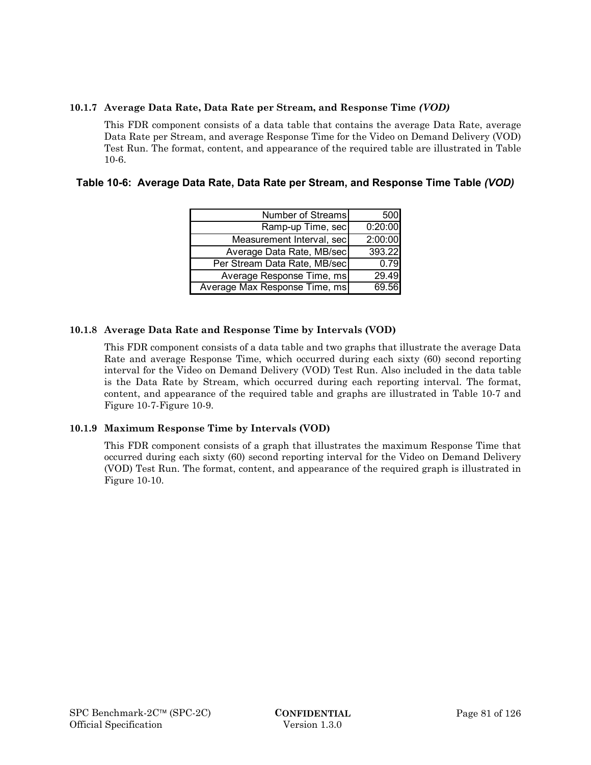### **10.1.7 Average Data Rate, Data Rate per Stream, and Response Time** *(VOD)*

This FDR component consists of a data table that contains the average Data Rate, average Data Rate per Stream, and average Response Time for the Video on Demand Delivery (VOD) Test Run. The format, content, and appearance of the required table are illustrated in Table 10-6.

| Table 10-6: Average Data Rate, Data Rate per Stream, and Response Time Table (VOD) |  |  |  |
|------------------------------------------------------------------------------------|--|--|--|
|------------------------------------------------------------------------------------|--|--|--|

| Number of Streams             | 500     |
|-------------------------------|---------|
| Ramp-up Time, sec             | 0:20:00 |
| Measurement Interval, sec     | 2:00:00 |
| Average Data Rate, MB/sec     | 393.22  |
| Per Stream Data Rate, MB/sec  | 0.79    |
| Average Response Time, ms     | 29.49   |
| Average Max Response Time, ms | 69.56   |

### **10.1.8 Average Data Rate and Response Time by Intervals (VOD)**

This FDR component consists of a data table and two graphs that illustrate the average Data Rate and average Response Time, which occurred during each sixty (60) second reporting interval for the Video on Demand Delivery (VOD) Test Run. Also included in the data table is the Data Rate by Stream, which occurred during each reporting interval. The format, content, and appearance of the required table and graphs are illustrated in Table 10-7 and Figure 10-7-Figure 10-9.

## **10.1.9 Maximum Response Time by Intervals (VOD)**

This FDR component consists of a graph that illustrates the maximum Response Time that occurred during each sixty (60) second reporting interval for the Video on Demand Delivery (VOD) Test Run. The format, content, and appearance of the required graph is illustrated in Figure 10-10.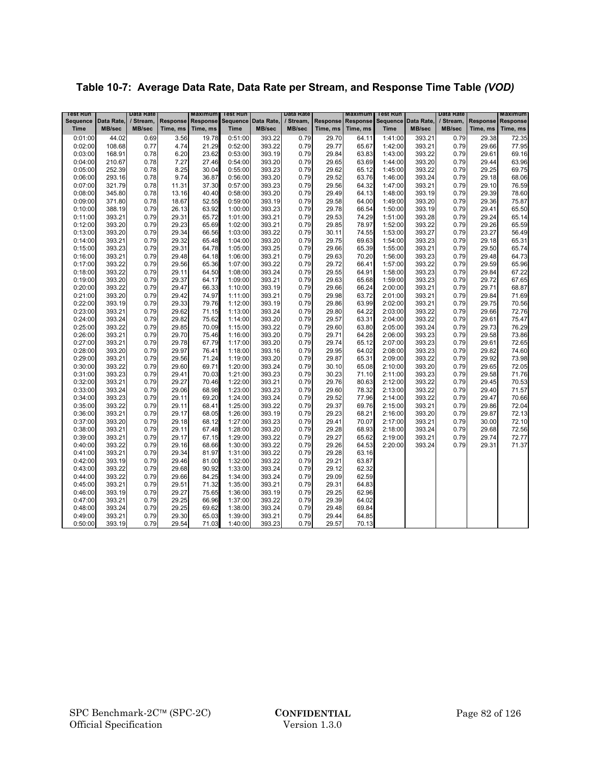|  |  | Table 10-7: Average Data Rate, Data Rate per Stream, and Response Time Table (VOD) |
|--|--|------------------------------------------------------------------------------------|
|--|--|------------------------------------------------------------------------------------|

| Test Run           |                  | Data Rate    |                | <b>Maximum</b> | <b>Test Run</b>    |                     | Data Rate    |                | <b>Maximum</b>           | <b>Test Run</b> |                       | Data Rate |                 | <b>Maximum</b> |
|--------------------|------------------|--------------|----------------|----------------|--------------------|---------------------|--------------|----------------|--------------------------|-----------------|-----------------------|-----------|-----------------|----------------|
| <b>Sequence</b>    | Data Rate,       | / Stream,    | Response       | Response       |                    | Sequence Data Rate, | / Stream,    |                | <b>Response Response</b> |                 | Sequence   Data Rate, | / Stream, | <b>Response</b> | Response       |
| <b>Time</b>        | MB/sec           | MB/sec       | Time, ms       | Time, ms       | <b>Time</b>        | MB/sec              | MB/sec       | Time, ms       | Time, ms                 | <b>Time</b>     | MB/sec                | MB/sec    | Time, ms        | Time, ms       |
| 0:01:00            | 44.02            | 0.69         | 3.56           | 19.78          | 0:51:00            | 393.22              | 0.79         | 29.70          | 64.11                    | 1:41:00         | 393.21                | 0.79      | 29.38           | 72.35          |
| 0:02:00            | 108.68           | 0.77         | 4.74           | 21.29          | 0:52:00            | 393.22              | 0.79         | 29.77          | 65.67                    | 1:42:00         | 393.21                | 0.79      | 29.66           | 77.95          |
| 0:03:00            | 168.91           | 0.78         | 6.20           | 23.62          | 0:53:00            | 393.19              | 0.79         | 29.84          | 63.83                    | 1:43:00         | 393.22                | 0.79      | 29.61           | 69.16          |
| 0:04:00            | 210.67           | 0.78         | 7.27           | 27.46          | 0:54:00            | 393.20              | 0.79         | 29.65          | 63.69                    | 1:44:00         | 393.20                | 0.79      | 29.44           | 63.96          |
| 0:05:00            | 252.39           | 0.78         | 8.25           | 30.04          | 0:55:00            | 393.23              | 0.79         | 29.62          | 65.12                    | 1:45:00         | 393.22                | 0.79      | 29.25           | 69.75          |
| 0:06:00            | 293.16           | 0.78         | 9.74           | 36.87          | 0:56:00            | 393.20              | 0.79         | 29.52          | 63.76                    | 1:46:00         | 393.24                | 0.79      | 29.18           | 68.06          |
| 0:07:00            | 321.79           | 0.78         | 11.31          | 37.30          | 0:57:00            | 393.23              | 0.79         | 29.56          | 64.32                    | 1:47:00         | 393.21                | 0.79      | 29.10           | 76.59          |
| 0:08:00            | 345.80           | 0.78         | 13.16          | 40.40          | 0:58:00            | 393.20              | 0.79         | 29.49          | 64.13                    | 1:48:00         | 393.19                | 0.79      | 29.39           | 78.60          |
| 0:09:00            | 371.80           | 0.78         | 18.67          | 52.55          | 0:59:00            | 393.19              | 0.79         | 29.58          | 64.00                    | 1:49:00         | 393.20                | 0.79      | 29.36           | 75.87          |
| 0:10:00            | 388.19           | 0.79         | 26.13          | 63.92          | 1:00:00            | 393.23              | 0.79         | 29.78          | 66.54                    | 1:50:00         | 393.19                | 0.79      | 29.41           | 65.50          |
| 0:11:00            | 393.21           | 0.79         | 29.31          | 65.72          | 1:01:00            | 393.21              | 0.79         | 29.53          | 74.29                    | 1:51:00         | 393.28                | 0.79      | 29.24           | 65.14          |
| 0:12:00            | 393.20           | 0.79         | 29.23          | 65.69          | 1:02:00            | 393.21              | 0.79         | 29.85          | 78.97                    | 1:52:00         | 393.22                | 0.79      | 29.26           | 65.59          |
| 0:13:00            | 393.20           | 0.79         | 29.34          | 66.56          | 1:03:00            | 393.22              | 0.79         | 30.11          | 74.55                    | 1:53:00         | 393.27                | 0.79      | 23.27           | 56.49          |
| 0:14:00            | 393.21           | 0.79         | 29.32          | 65.48          | 1:04:00            | 393.20              | 0.79         | 29.75          | 69.63                    | 1:54:00         | 393.23                | 0.79      | 29.18           | 65.31          |
| 0:15:00            | 393.23           | 0.79         | 29.31          | 64.78          | 1:05:00            | 393.25              | 0.79         | 29.66          | 65.39                    | 1:55:00         | 393.21                | 0.79      | 29.50           | 65.74          |
| 0:16:00            | 393.21           | 0.79         | 29.48          | 64.18          | 1:06:00            | 393.21              | 0.79         | 29.63          | 70.20                    | 1:56:00         | 393.23                | 0.79      | 29.48           | 64.73          |
| 0:17:00            | 393.22           | 0.79         | 29.56          | 65.36          | 1:07:00            | 393.22              | 0.79         | 29.72          | 66.41                    | 1:57:00         | 393.22                | 0.79      | 29.59           | 65.96          |
| 0:18:00            | 393.22           | 0.79         | 29.11          | 64.50          | 1:08:00            | 393.24              | 0.79         | 29.55          | 64.91                    | 1:58:00         | 393.23                | 0.79      | 29.84           | 67.22          |
| 0:19:00            | 393.20           | 0.79         | 29.37          | 64.17          | 1:09:00            | 393.21              | 0.79         | 29.63          | 65.68                    | 1:59:00         | 393.23                | 0.79      | 29.72           | 67.65          |
| 0:20:00            | 393.22           | 0.79         | 29.47          | 66.33          | 1:10:00            | 393.19              | 0.79         | 29.66          | 66.24                    | 2:00:00         | 393.21                | 0.79      | 29.71           | 68.87          |
| 0:21:00            | 393.20           | 0.79         | 29.42          | 74.97          | 1:11:00            | 393.21              | 0.79         | 29.98          | 63.72                    | 2:01:00         | 393.21                | 0.79      | 29.84           | 71.69          |
| 0:22:00            | 393.19           | 0.79         | 29.33          | 79.76          | 1:12:00            | 393.19              | 0.79         | 29.86          | 63.99                    | 2:02:00         | 393.21                | 0.79      | 29.75           | 70.56          |
| 0:23:00            | 393.21           | 0.79         | 29.62          | 71.15          | 1:13:00            | 393.24              | 0.79         | 29.80          | 64.22                    | 2:03:00         | 393.22                | 0.79      | 29.66           | 72.76          |
| 0:24:00            | 393.24           | 0.79         | 29.82          | 75.62          | 1:14:00            | 393.20              | 0.79         | 29.57          | 63.31                    | 2:04:00         | 393.22                | 0.79      | 29.61           | 75.47          |
| 0:25:00            | 393.22           | 0.79         | 29.85          | 70.09          | 1:15:00            | 393.22              | 0.79         | 29.60          | 63.80                    | 2:05:00         | 393.24                | 0.79      | 29.73           | 76.29          |
| 0:26:00            | 393.21           | 0.79         | 29.70          | 75.46          | 1:16:00            | 393.20              | 0.79         | 29.71          | 64.28                    | 2:06:00         | 393.23                | 0.79      | 29.58           | 73.86          |
| 0:27:00            | 393.21           | 0.79         | 29.78          | 67.79          | 1:17:00            | 393.20              | 0.79         | 29.74          | 65.12                    | 2:07:00         | 393.23                | 0.79      | 29.61           | 72.65          |
| 0:28:00            | 393.20           | 0.79         | 29.97          | 76.41          | 1:18:00            | 393.16              | 0.79         | 29.95          | 64.02                    | 2:08:00         | 393.23                | 0.79      | 29.82           | 74.60          |
| 0:29:00            | 393.21           | 0.79         | 29.56          | 71.24          | 1:19:00            | 393.20              | 0.79         | 29.87          | 65.31                    | 2:09:00         | 393.22                | 0.79      | 29.92           | 73.98          |
| 0:30:00            | 393.22           | 0.79         | 29.60          | 69.71          | 1:20:00            | 393.24              | 0.79         | 30.10          | 65.08                    | 2:10:00         | 393.20                | 0.79      | 29.65           | 72.05          |
| 0:31:00            | 393.23           | 0.79         | 29.41          | 70.03          | 1:21:00            | 393.23              | 0.79         | 30.23          | 71.10                    | 2:11:00         | 393.23                | 0.79      | 29.58           | 71.76          |
| 0:32:00            | 393.21           | 0.79         | 29.27          | 70.46          | 1:22:00            | 393.21              | 0.79         | 29.76          | 80.63                    | 2:12:00         | 393.22                | 0.79      | 29.45           | 70.53          |
| 0:33:00            | 393.24           | 0.79         | 29.06          | 68.98          | 1:23:00            | 393.23              | 0.79         | 29.60          | 78.32                    | 2:13:00         | 393.22                | 0.79      | 29.40           | 71.57          |
| 0:34:00            | 393.23           | 0.79         | 29.11          | 69.20          | 1:24:00            | 393.24              | 0.79         | 29.52          | 77.96                    | 2:14:00         | 393.22                | 0.79      | 29.47           | 70.66          |
| 0:35:00            | 393.22           | 0.79         | 29.11          | 68.41          | 1:25:00            | 393.22              | 0.79         | 29.37          | 69.76                    | 2:15:00         | 393.21                | 0.79      | 29.86           | 72.04          |
| 0:36:00            | 393.21           | 0.79         | 29.17          | 68.05          | 1:26:00            | 393.19              | 0.79         | 29.23          | 68.21                    | 2:16:00         | 393.20                | 0.79      | 29.87           | 72.13          |
| 0:37:00            | 393.20           | 0.79         | 29.18          | 68.12          | 1:27:00            | 393.23              | 0.79         | 29.41          | 70.07                    | 2:17:00         | 393.21                | 0.79      | 30.00           | 72.10          |
| 0:38:00            | 393.21           | 0.79         | 29.11          | 67.48          | 1:28:00            | 393.20              | 0.79         | 29.28          | 68.93                    | 2:18:00         | 393.24                | 0.79      | 29.68           | 72.56          |
| 0:39:00            | 393.21           | 0.79         | 29.17          | 67.15          | 1:29:00            | 393.22              | 0.79         | 29.27          | 65.62                    | 2:19:00         | 393.21                | 0.79      | 29.74           | 72.77          |
| 0:40:00            | 393.22           | 0.79         | 29.16          | 68.66          | 1:30:00            | 393.22              | 0.79         | 29.26          | 64.53                    | 2:20:00         | 393.24                | 0.79      | 29.31           | 71.37          |
| 0:41:00            | 393.21           | 0.79         | 29.34          | 81.97          | 1:31:00            | 393.22              | 0.79         | 29.28          | 63.16                    |                 |                       |           |                 |                |
| 0:42:00            | 393.19           | 0.79         | 29.46          | 81.00          | 1:32:00            | 393.22              | 0.79         | 29.21          | 63.87                    |                 |                       |           |                 |                |
| 0:43:00            | 393.22           | 0.79         | 29.68          | 90.92          | 1:33:00            | 393.24              | 0.79<br>0.79 | 29.12<br>29.09 | 62.32                    |                 |                       |           |                 |                |
| 0:44:00            | 393.22           | 0.79         | 29.66          | 84.25          | 1:34:00            | 393.24              | 0.79         |                | 62.59                    |                 |                       |           |                 |                |
| 0:45:00            | 393.21           | 0.79         | 29.51          | 71.32          | 1:35:00            | 393.21              |              | 29.31          | 64.83                    |                 |                       |           |                 |                |
| 0:46:00            | 393.19           | 0.79         | 29.27          | 75.65<br>66.96 | 1:36:00            | 393.19              | 0.79<br>0.79 | 29.25          | 62.96<br>64.02           |                 |                       |           |                 |                |
| 0:47:00            | 393.21           | 0.79         | 29.25<br>29.25 |                | 1:37:00<br>1:38:00 | 393.22              | 0.79         | 29.39<br>29.48 | 69.84                    |                 |                       |           |                 |                |
| 0:48:00<br>0:49:00 | 393.24<br>393.21 | 0.79<br>0.79 | 29.30          | 69.62<br>65.03 | 1:39:00            | 393.24<br>393.21    | 0.79         | 29.44          | 64.85                    |                 |                       |           |                 |                |
| 0:50:00            | 393.19           | 0.79         | 29.54          | 71.03          | 1:40:00            | 393.23              | 0.79         | 29.57          | 70.13                    |                 |                       |           |                 |                |
|                    |                  |              |                |                |                    |                     |              |                |                          |                 |                       |           |                 |                |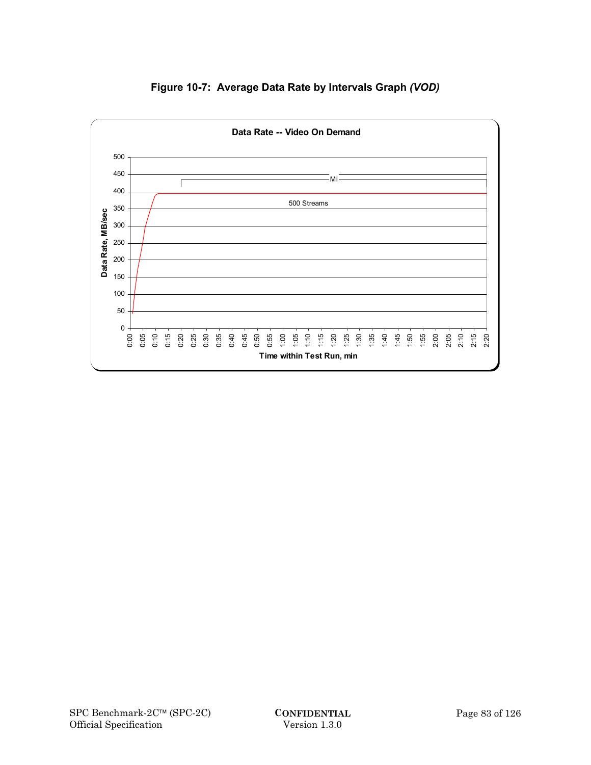

# **Figure 10-7: Average Data Rate by Intervals Graph** *(VOD)*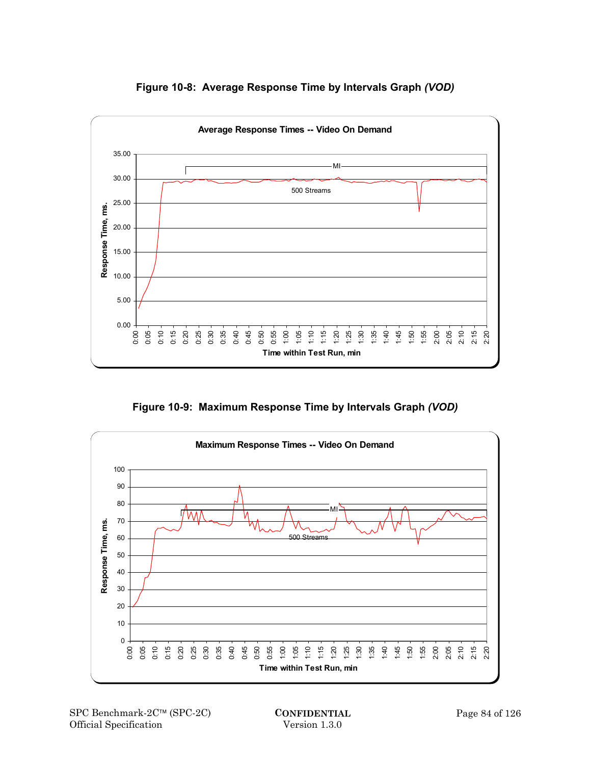

**Figure 10-8: Average Response Time by Intervals Graph** *(VOD)*

**Figure 10-9: Maximum Response Time by Intervals Graph** *(VOD)*

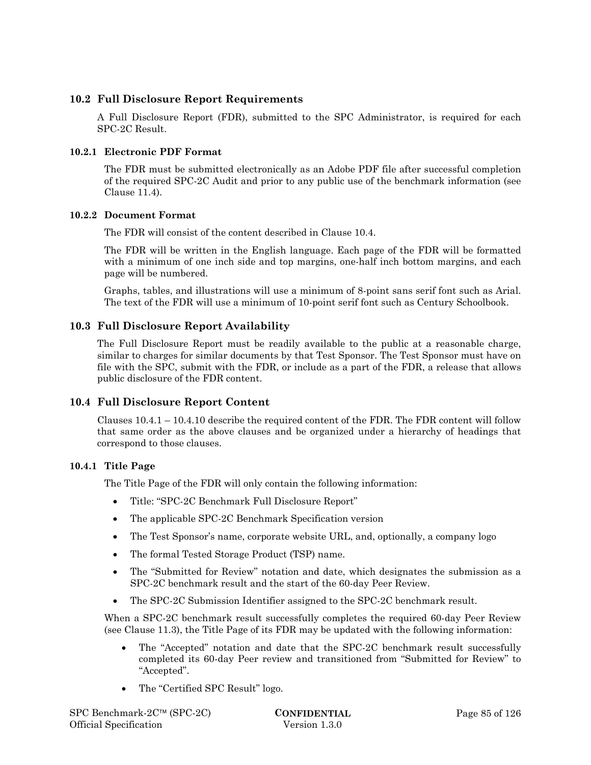# **10.2 Full Disclosure Report Requirements**

A Full Disclosure Report (FDR), submitted to the SPC Administrator, is required for each SPC-2C Result.

## **10.2.1 Electronic PDF Format**

The FDR must be submitted electronically as an Adobe PDF file after successful completion of the required SPC-2C Audit and prior to any public use of the benchmark information (see Clause 11.4).

## **10.2.2 Document Format**

The FDR will consist of the content described in Clause 10.4.

The FDR will be written in the English language. Each page of the FDR will be formatted with a minimum of one inch side and top margins, one-half inch bottom margins, and each page will be numbered.

Graphs, tables, and illustrations will use a minimum of 8-point sans serif font such as Arial. The text of the FDR will use a minimum of 10-point serif font such as Century Schoolbook.

# **10.3 Full Disclosure Report Availability**

The Full Disclosure Report must be readily available to the public at a reasonable charge, similar to charges for similar documents by that Test Sponsor. The Test Sponsor must have on file with the SPC, submit with the FDR, or include as a part of the FDR, a release that allows public disclosure of the FDR content.

## **10.4 Full Disclosure Report Content**

Clauses 10.4.1 – 10.4.10 describe the required content of the FDR. The FDR content will follow that same order as the above clauses and be organized under a hierarchy of headings that correspond to those clauses.

## **10.4.1 Title Page**

The Title Page of the FDR will only contain the following information:

- Title: "SPC-2C Benchmark Full Disclosure Report"
- The applicable SPC-2C Benchmark Specification version
- The Test Sponsor's name, corporate website URL, and, optionally, a company logo
- The formal Tested Storage Product (TSP) name.
- The "Submitted for Review" notation and date, which designates the submission as a SPC-2C benchmark result and the start of the 60-day Peer Review.
- The SPC-2C Submission Identifier assigned to the SPC-2C benchmark result.

When a SPC-2C benchmark result successfully completes the required 60-day Peer Review (see Clause 11.3), the Title Page of its FDR may be updated with the following information:

- The "Accepted" notation and date that the SPC-2C benchmark result successfully completed its 60-day Peer review and transitioned from "Submitted for Review" to "Accepted".
- The "Certified SPC Result" logo.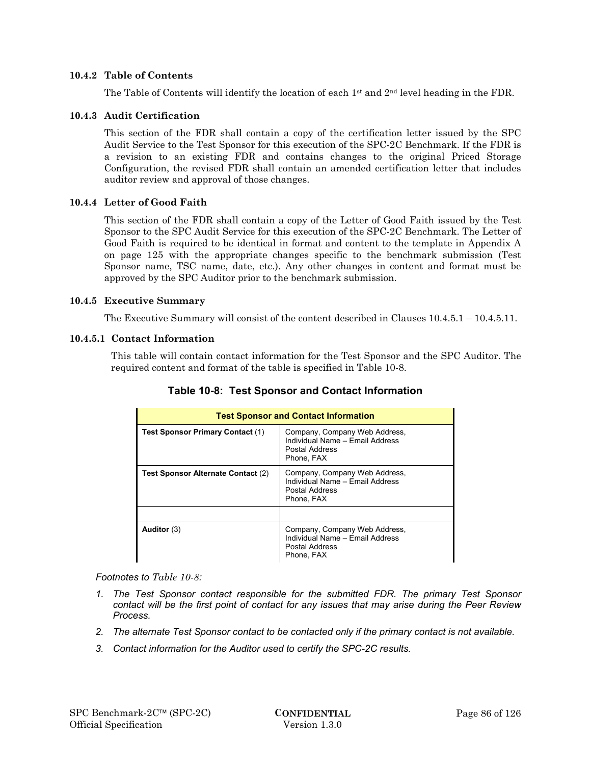### **10.4.2 Table of Contents**

The Table of Contents will identify the location of each  $1<sup>st</sup>$  and  $2<sup>nd</sup>$  level heading in the FDR.

### **10.4.3 Audit Certification**

This section of the FDR shall contain a copy of the certification letter issued by the SPC Audit Service to the Test Sponsor for this execution of the SPC-2C Benchmark. If the FDR is a revision to an existing FDR and contains changes to the original Priced Storage Configuration, the revised FDR shall contain an amended certification letter that includes auditor review and approval of those changes.

### **10.4.4 Letter of Good Faith**

This section of the FDR shall contain a copy of the Letter of Good Faith issued by the Test Sponsor to the SPC Audit Service for this execution of the SPC-2C Benchmark. The Letter of Good Faith is required to be identical in format and content to the template in Appendix A on page 125 with the appropriate changes specific to the benchmark submission (Test Sponsor name, TSC name, date, etc.). Any other changes in content and format must be approved by the SPC Auditor prior to the benchmark submission.

#### **10.4.5 Executive Summary**

The Executive Summary will consist of the content described in Clauses 10.4.5.1 – 10.4.5.11.

### **10.4.5.1 Contact Information**

This table will contain contact information for the Test Sponsor and the SPC Auditor. The required content and format of the table is specified in Table 10-8.

| <b>Test Sponsor and Contact Information</b> |                                                                                                  |  |  |  |  |  |
|---------------------------------------------|--------------------------------------------------------------------------------------------------|--|--|--|--|--|
| Test Sponsor Primary Contact (1)            | Company, Company Web Address,<br>Individual Name - Email Address<br>Postal Address<br>Phone, FAX |  |  |  |  |  |
| Test Sponsor Alternate Contact (2)          | Company, Company Web Address,<br>Individual Name - Email Address<br>Postal Address<br>Phone, FAX |  |  |  |  |  |
|                                             |                                                                                                  |  |  |  |  |  |
| Auditor $(3)$                               | Company, Company Web Address,<br>Individual Name - Email Address<br>Postal Address<br>Phone, FAX |  |  |  |  |  |

# **Table 10-8: Test Sponsor and Contact Information**

#### *Footnotes to Table 10-8:*

- *1. The Test Sponsor contact responsible for the submitted FDR. The primary Test Sponsor contact will be the first point of contact for any issues that may arise during the Peer Review Process.*
- *2. The alternate Test Sponsor contact to be contacted only if the primary contact is not available.*
- *3. Contact information for the Auditor used to certify the SPC-2C results.*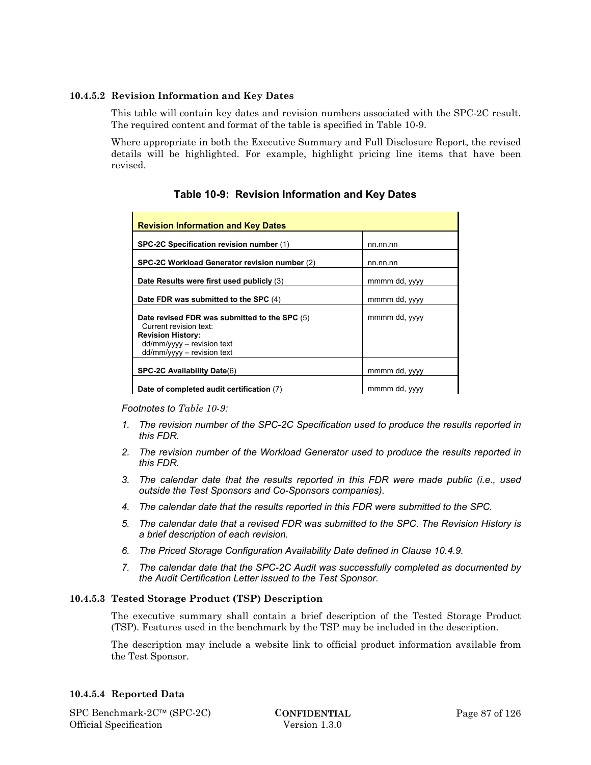## **10.4.5.2 Revision Information and Key Dates**

This table will contain key dates and revision numbers associated with the SPC-2C result. The required content and format of the table is specified in Table 10-9.

Where appropriate in both the Executive Summary and Full Disclosure Report, the revised details will be highlighted. For example, highlight pricing line items that have been revised.

| <b>Revision Information and Key Dates</b>                                                                                                                         |               |  |  |  |  |  |
|-------------------------------------------------------------------------------------------------------------------------------------------------------------------|---------------|--|--|--|--|--|
| SPC-2C Specification revision number (1)                                                                                                                          | nn.nn.nn      |  |  |  |  |  |
| SPC-2C Workload Generator revision number (2)                                                                                                                     | nn.nn.nn      |  |  |  |  |  |
| Date Results were first used publicly (3)                                                                                                                         | mmmm dd, yyyy |  |  |  |  |  |
| Date FDR was submitted to the SPC (4)                                                                                                                             | mmmm dd, yyyy |  |  |  |  |  |
| Date revised FDR was submitted to the SPC (5)<br>Current revision text:<br><b>Revision History:</b><br>$dd/mm/yyy - revision text$<br>$dd/mm/yyy -$ revision text | mmmm dd, yyyy |  |  |  |  |  |
| <b>SPC-2C Availability Date(6)</b>                                                                                                                                | mmmm dd, yyyy |  |  |  |  |  |
| Date of completed audit certification (7)                                                                                                                         | mmmm dd, yyyy |  |  |  |  |  |

# **Table 10-9: Revision Information and Key Dates**

#### *Footnotes to Table 10-9:*

- *1. The revision number of the SPC-2C Specification used to produce the results reported in this FDR.*
- *2. The revision number of the Workload Generator used to produce the results reported in this FDR.*
- *3. The calendar date that the results reported in this FDR were made public (i.e., used outside the Test Sponsors and Co-Sponsors companies).*
- *4. The calendar date that the results reported in this FDR were submitted to the SPC.*
- *5. The calendar date that a revised FDR was submitted to the SPC. The Revision History is a brief description of each revision.*
- *6. The Priced Storage Configuration Availability Date defined in Clause 10.4.9.*
- *7. The calendar date that the SPC-2C Audit was successfully completed as documented by the Audit Certification Letter issued to the Test Sponsor.*

#### **10.4.5.3 Tested Storage Product (TSP) Description**

The executive summary shall contain a brief description of the Tested Storage Product (TSP). Features used in the benchmark by the TSP may be included in the description.

The description may include a website link to official product information available from the Test Sponsor.

#### **10.4.5.4 Reported Data**

SPC Benchmark-2C™ (SPC-2C) **CONFIDENTIAL** Page 87 of 126 Official Specification Version 1.3.0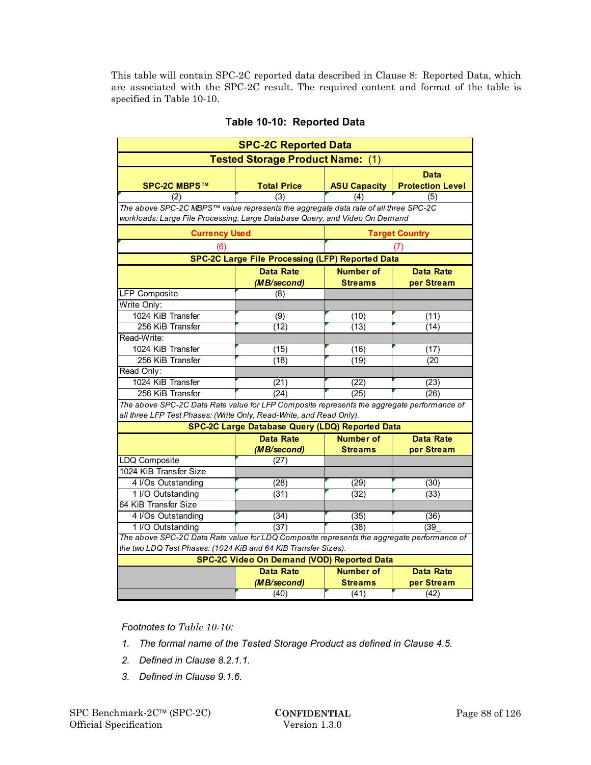This table will contain SPC-2C reported data described in Clause 8: Reported Data, which are associated with the SPC-2C result. The required content and format of the table is specified in Table 10-10.

| <b>SPC-2C Reported Data</b>                                                                                     |                                                                                     |                                    |                                 |  |  |  |  |  |
|-----------------------------------------------------------------------------------------------------------------|-------------------------------------------------------------------------------------|------------------------------------|---------------------------------|--|--|--|--|--|
| <b>Tested Storage Product Name: (1)</b>                                                                         |                                                                                     |                                    |                                 |  |  |  |  |  |
| <b>SPC-2C MBPS™</b>                                                                                             | <b>Total Price</b>                                                                  | <b>ASU Capacity</b>                | Data<br><b>Protection Level</b> |  |  |  |  |  |
| (2)                                                                                                             | (3)                                                                                 | (4)                                | (5)                             |  |  |  |  |  |
|                                                                                                                 | The above SPC-2C MBPS™ value represents the aggregate data rate of all three SPC-2C |                                    |                                 |  |  |  |  |  |
| workloads: Large File Processing, Large Database Query, and Video On Demand                                     |                                                                                     |                                    |                                 |  |  |  |  |  |
| <b>Currency Used</b>                                                                                            |                                                                                     |                                    | <b>Target Country</b>           |  |  |  |  |  |
| (6)                                                                                                             | <b>SPC-2C Large File Processing (LFP) Reported Data</b>                             |                                    | (7)                             |  |  |  |  |  |
|                                                                                                                 |                                                                                     |                                    |                                 |  |  |  |  |  |
|                                                                                                                 | <b>Data Rate</b><br>(MB/second)                                                     | <b>Number of</b><br><b>Streams</b> | <b>Data Rate</b><br>per Stream  |  |  |  |  |  |
| <b>LFP Composite</b>                                                                                            | (8)                                                                                 |                                    |                                 |  |  |  |  |  |
| Write Only:                                                                                                     |                                                                                     |                                    |                                 |  |  |  |  |  |
| 1024 KiB Transfer                                                                                               | (9)                                                                                 | (10)                               | (11)                            |  |  |  |  |  |
| 256 KiB Transfer                                                                                                | (12)                                                                                | (13)                               | (14)                            |  |  |  |  |  |
| Read-Write:                                                                                                     |                                                                                     |                                    |                                 |  |  |  |  |  |
| 1024 KiB Transfer                                                                                               | (15)                                                                                | (16)                               | (17)                            |  |  |  |  |  |
| 256 KiB Transfer                                                                                                | (18)                                                                                | (19)                               | (20)                            |  |  |  |  |  |
| Read Only:                                                                                                      |                                                                                     |                                    |                                 |  |  |  |  |  |
| 1024 KiB Transfer                                                                                               | (21)                                                                                | (22)                               | (23)                            |  |  |  |  |  |
| 256 KiB Transfer                                                                                                | (24)                                                                                | (25)                               | (26)                            |  |  |  |  |  |
| The above SPC-2C Data Rate value for LFP Composite represents the aggregate performance of                      |                                                                                     |                                    |                                 |  |  |  |  |  |
| all three LFP Test Phases: (Write Only, Read-Write, and Read Only).                                             |                                                                                     |                                    |                                 |  |  |  |  |  |
|                                                                                                                 | SPC-2C Large Database Query (LDQ) Reported Data                                     |                                    |                                 |  |  |  |  |  |
|                                                                                                                 | <b>Data Rate</b>                                                                    | <b>Number of</b>                   | <b>Data Rate</b>                |  |  |  |  |  |
|                                                                                                                 | (MB/second)                                                                         | <b>Streams</b>                     | per Stream                      |  |  |  |  |  |
| <b>LDQ Composite</b>                                                                                            | (27)                                                                                |                                    |                                 |  |  |  |  |  |
| 1024 KiB Transfer Size                                                                                          |                                                                                     |                                    |                                 |  |  |  |  |  |
| 4 I/Os Outstanding                                                                                              | (28)                                                                                | (29)                               | (30)                            |  |  |  |  |  |
| 1 I/O Outstanding                                                                                               | (31)                                                                                | (32)                               | (33)                            |  |  |  |  |  |
| 64 KiB Transfer Size                                                                                            |                                                                                     |                                    |                                 |  |  |  |  |  |
| 4 I/Os Outstanding                                                                                              | (34)                                                                                | (35)                               | (36)                            |  |  |  |  |  |
| 1 I/O Outstanding<br>The above SPC-2C Data Rate value for LDQ Composite represents the aggregate performance of | (37)                                                                                | (38)                               | (39)                            |  |  |  |  |  |
| the two LDQ Test Phases: (1024 KiB and 64 KiB Transfer Sizes).                                                  |                                                                                     |                                    |                                 |  |  |  |  |  |
|                                                                                                                 | <b>SPC-2C Video On Demand (VOD) Reported Data</b>                                   |                                    |                                 |  |  |  |  |  |
|                                                                                                                 | <b>Data Rate</b>                                                                    | <b>Number of</b>                   | <b>Data Rate</b>                |  |  |  |  |  |
|                                                                                                                 | (MB/second)                                                                         | <b>Streams</b>                     | per Stream                      |  |  |  |  |  |
|                                                                                                                 | (40)                                                                                | (41)                               | (42)                            |  |  |  |  |  |

# **Table 10-10: Reported Data**

### *Footnotes to Table 10-10:*

- *1. The formal name of the Tested Storage Product as defined in Clause 4.5.*
- *2. Defined in Clause 8.2.1.1.*
- *3. Defined in Clause 9.1.6.*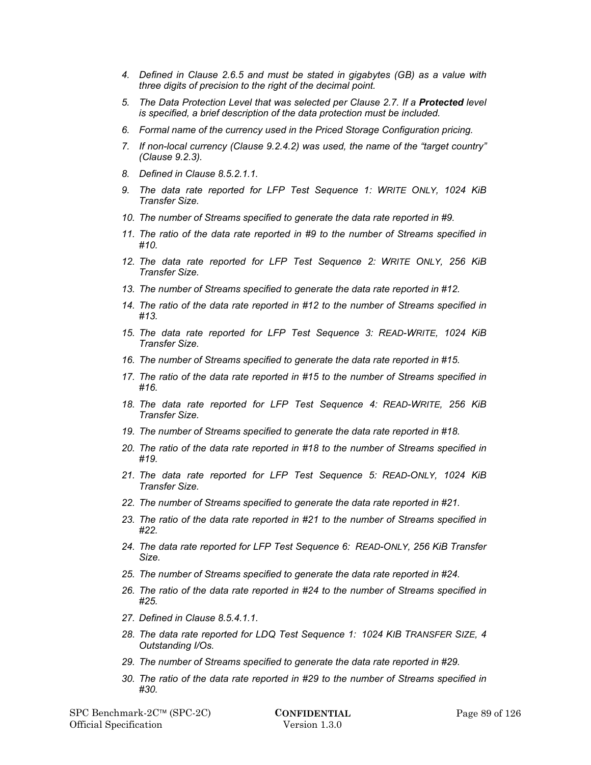- *4. Defined in Clause 2.6.5 and must be stated in gigabytes (GB) as a value with three digits of precision to the right of the decimal point.*
- 5. The Data Protection Level that was selected per Clause 2.7. If a **Protected** level *is specified, a brief description of the data protection must be included.*
- *6. Formal name of the currency used in the Priced Storage Configuration pricing.*
- *7. If non-local currency (Clause 9.2.4.2) was used, the name of the "target country" (Clause 9.2.3).*
- *8. Defined in Clause 8.5.2.1.1.*
- *9. The data rate reported for LFP Test Sequence 1: WRITE ONLY, 1024 KiB Transfer Size.*
- *10. The number of Streams specified to generate the data rate reported in #9.*
- *11. The ratio of the data rate reported in #9 to the number of Streams specified in #10.*
- *12. The data rate reported for LFP Test Sequence 2: WRITE ONLY, 256 KiB Transfer Size.*
- *13. The number of Streams specified to generate the data rate reported in #12.*
- *14. The ratio of the data rate reported in #12 to the number of Streams specified in #13.*
- *15. The data rate reported for LFP Test Sequence 3: READ-WRITE, 1024 KiB Transfer Size.*
- *16. The number of Streams specified to generate the data rate reported in #15.*
- *17. The ratio of the data rate reported in #15 to the number of Streams specified in #16.*
- *18. The data rate reported for LFP Test Sequence 4: READ-WRITE, 256 KiB Transfer Size.*
- *19. The number of Streams specified to generate the data rate reported in #18.*
- *20. The ratio of the data rate reported in #18 to the number of Streams specified in #19.*
- *21. The data rate reported for LFP Test Sequence 5: READ-ONLY, 1024 KiB Transfer Size.*
- *22. The number of Streams specified to generate the data rate reported in #21.*
- *23. The ratio of the data rate reported in #21 to the number of Streams specified in #22.*
- *24. The data rate reported for LFP Test Sequence 6: READ-ONLY, 256 KiB Transfer Size.*
- *25. The number of Streams specified to generate the data rate reported in #24.*
- *26. The ratio of the data rate reported in #24 to the number of Streams specified in #25.*
- *27. Defined in Clause 8.5.4.1.1.*
- *28. The data rate reported for LDQ Test Sequence 1: 1024 KIB TRANSFER SIZE, 4 Outstanding I/Os.*
- *29. The number of Streams specified to generate the data rate reported in #29.*
- *30. The ratio of the data rate reported in #29 to the number of Streams specified in #30.*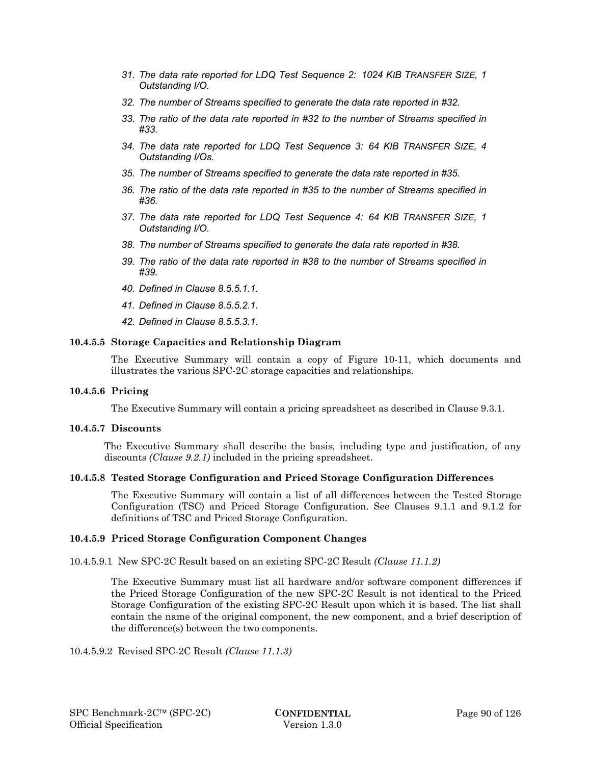- *31. The data rate reported for LDQ Test Sequence 2: 1024 KIB TRANSFER SIZE, 1 Outstanding I/O.*
- *32. The number of Streams specified to generate the data rate reported in #32.*
- *33. The ratio of the data rate reported in #32 to the number of Streams specified in #33.*
- *34. The data rate reported for LDQ Test Sequence 3: 64 KIB TRANSFER SIZE, 4 Outstanding I/Os.*
- *35. The number of Streams specified to generate the data rate reported in #35.*
- *36. The ratio of the data rate reported in #35 to the number of Streams specified in #36.*
- *37. The data rate reported for LDQ Test Sequence 4: 64 KIB TRANSFER SIZE, 1 Outstanding I/O.*
- *38. The number of Streams specified to generate the data rate reported in #38.*
- *39. The ratio of the data rate reported in #38 to the number of Streams specified in #39.*
- *40. Defined in Clause 8.5.5.1.1.*
- *41. Defined in Clause 8.5.5.2.1.*
- *42. Defined in Clause 8.5.5.3.1.*

#### **10.4.5.5 Storage Capacities and Relationship Diagram**

The Executive Summary will contain a copy of Figure 10-11, which documents and illustrates the various SPC-2C storage capacities and relationships.

#### **10.4.5.6 Pricing**

The Executive Summary will contain a pricing spreadsheet as described in Clause 9.3.1.

#### **10.4.5.7 Discounts**

The Executive Summary shall describe the basis, including type and justification, of any discounts *(Clause 9.2.1)* included in the pricing spreadsheet.

#### **10.4.5.8 Tested Storage Configuration and Priced Storage Configuration Differences**

The Executive Summary will contain a list of all differences between the Tested Storage Configuration (TSC) and Priced Storage Configuration. See Clauses 9.1.1 and 9.1.2 for definitions of TSC and Priced Storage Configuration.

#### **10.4.5.9 Priced Storage Configuration Component Changes**

10.4.5.9.1 New SPC-2C Result based on an existing SPC-2C Result *(Clause 11.1.2)*

The Executive Summary must list all hardware and/or software component differences if the Priced Storage Configuration of the new SPC-2C Result is not identical to the Priced Storage Configuration of the existing SPC-2C Result upon which it is based. The list shall contain the name of the original component, the new component, and a brief description of the difference(s) between the two components.

10.4.5.9.2 Revised SPC-2C Result *(Clause 11.1.3)*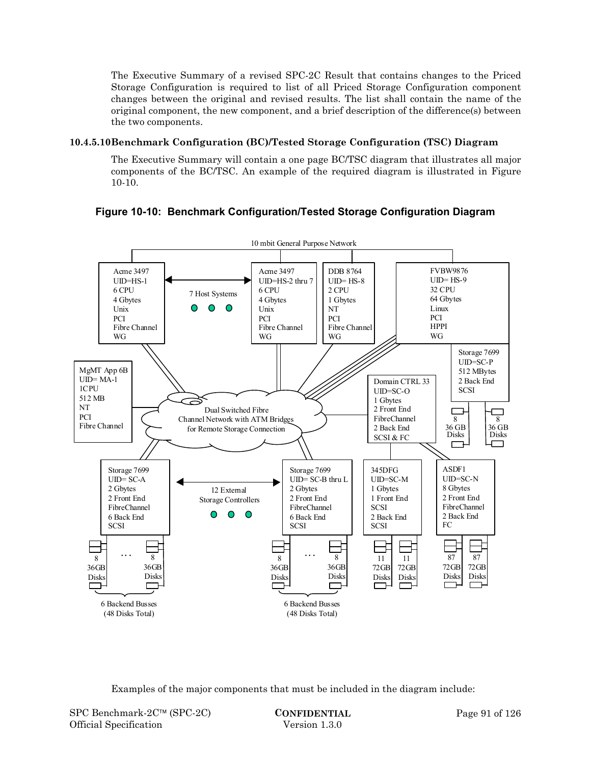The Executive Summary of a revised SPC-2C Result that contains changes to the Priced Storage Configuration is required to list of all Priced Storage Configuration component changes between the original and revised results. The list shall contain the name of the original component, the new component, and a brief description of the difference(s) between the two components.

# **10.4.5.10Benchmark Configuration (BC)/Tested Storage Configuration (TSC) Diagram**

The Executive Summary will contain a one page BC/TSC diagram that illustrates all major components of the BC/TSC. An example of the required diagram is illustrated in Figure 10-10.



**Figure 10-10: Benchmark Configuration/Tested Storage Configuration Diagram** 

Examples of the major components that must be included in the diagram include: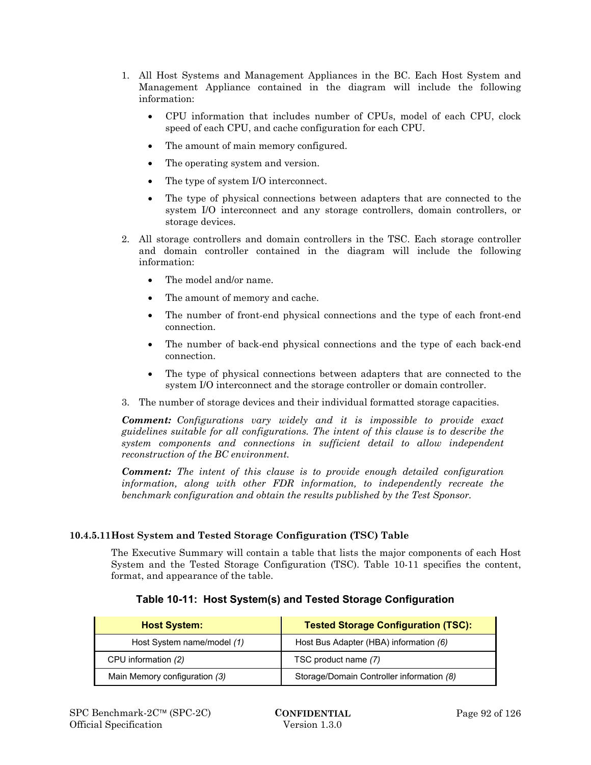- 1. All Host Systems and Management Appliances in the BC. Each Host System and Management Appliance contained in the diagram will include the following information:
	- CPU information that includes number of CPUs, model of each CPU, clock speed of each CPU, and cache configuration for each CPU.
	- The amount of main memory configured.
	- The operating system and version.
	- The type of system I/O interconnect.
	- The type of physical connections between adapters that are connected to the system I/O interconnect and any storage controllers, domain controllers, or storage devices.
- 2. All storage controllers and domain controllers in the TSC. Each storage controller and domain controller contained in the diagram will include the following information:
	- The model and/or name.
	- The amount of memory and cache.
	- The number of front-end physical connections and the type of each front-end connection.
	- The number of back-end physical connections and the type of each back-end connection.
	- The type of physical connections between adapters that are connected to the system I/O interconnect and the storage controller or domain controller.
- 3. The number of storage devices and their individual formatted storage capacities.

*Comment: Configurations vary widely and it is impossible to provide exact guidelines suitable for all configurations. The intent of this clause is to describe the system components and connections in sufficient detail to allow independent reconstruction of the BC environment.* 

*Comment: The intent of this clause is to provide enough detailed configuration information, along with other FDR information, to independently recreate the benchmark configuration and obtain the results published by the Test Sponsor.* 

## **10.4.5.11Host System and Tested Storage Configuration (TSC) Table**

The Executive Summary will contain a table that lists the major components of each Host System and the Tested Storage Configuration (TSC). Table 10-11 specifies the content, format, and appearance of the table.

| <b>Host System:</b>           | <b>Tested Storage Configuration (TSC):</b> |  |  |  |  |
|-------------------------------|--------------------------------------------|--|--|--|--|
| Host System name/model (1)    | Host Bus Adapter (HBA) information (6)     |  |  |  |  |
| CPU information (2)           | TSC product name (7)                       |  |  |  |  |
| Main Memory configuration (3) | Storage/Domain Controller information (8)  |  |  |  |  |

## **Table 10-11: Host System(s) and Tested Storage Configuration**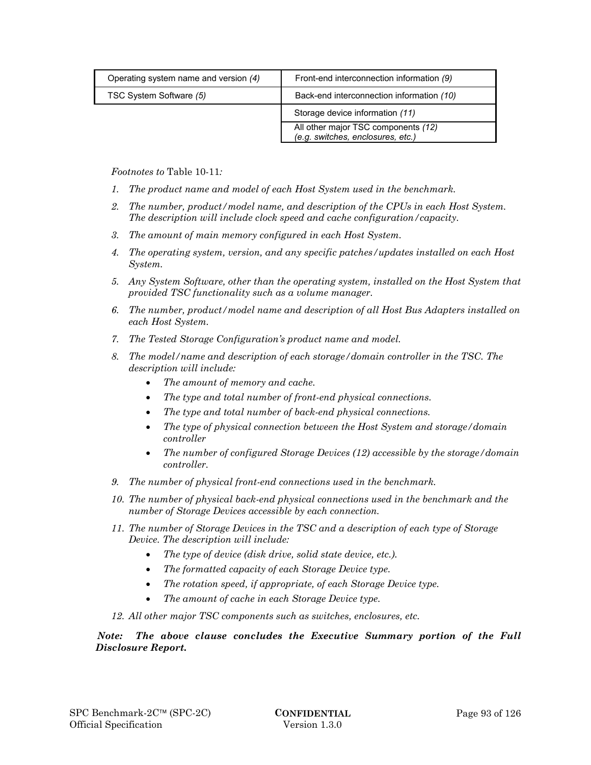| Operating system name and version (4) | Front-end interconnection information (9)                                |
|---------------------------------------|--------------------------------------------------------------------------|
| TSC System Software (5)               | Back-end interconnection information (10)                                |
|                                       | Storage device information (11)                                          |
|                                       | All other major TSC components (12)<br>(e.g. switches, enclosures, etc.) |

*Footnotes to* Table 10-11*:* 

- *1. The product name and model of each Host System used in the benchmark.*
- *2. The number, product/model name, and description of the CPUs in each Host System. The description will include clock speed and cache configuration/capacity.*
- *3. The amount of main memory configured in each Host System.*
- *4. The operating system, version, and any specific patches/updates installed on each Host System.*
- *5. Any System Software, other than the operating system, installed on the Host System that provided TSC functionality such as a volume manager.*
- *6. The number, product/model name and description of all Host Bus Adapters installed on each Host System.*
- *7. The Tested Storage Configuration's product name and model.*
- *8. The model/name and description of each storage/domain controller in the TSC. The description will include:* 
	- *The amount of memory and cache.*
	- *The type and total number of front-end physical connections.*
	- *The type and total number of back-end physical connections.*
	- *The type of physical connection between the Host System and storage/domain controller*
	- *The number of configured Storage Devices (12) accessible by the storage/domain controller.*
- *9. The number of physical front-end connections used in the benchmark.*
- *10. The number of physical back-end physical connections used in the benchmark and the number of Storage Devices accessible by each connection.*
- *11. The number of Storage Devices in the TSC and a description of each type of Storage Device. The description will include:* 
	- *The type of device (disk drive, solid state device, etc.).*
	- *The formatted capacity of each Storage Device type.*
	- *The rotation speed, if appropriate, of each Storage Device type.*
	- *The amount of cache in each Storage Device type.*
- *12. All other major TSC components such as switches, enclosures, etc.*

# *Note: The above clause concludes the Executive Summary portion of the Full Disclosure Report.*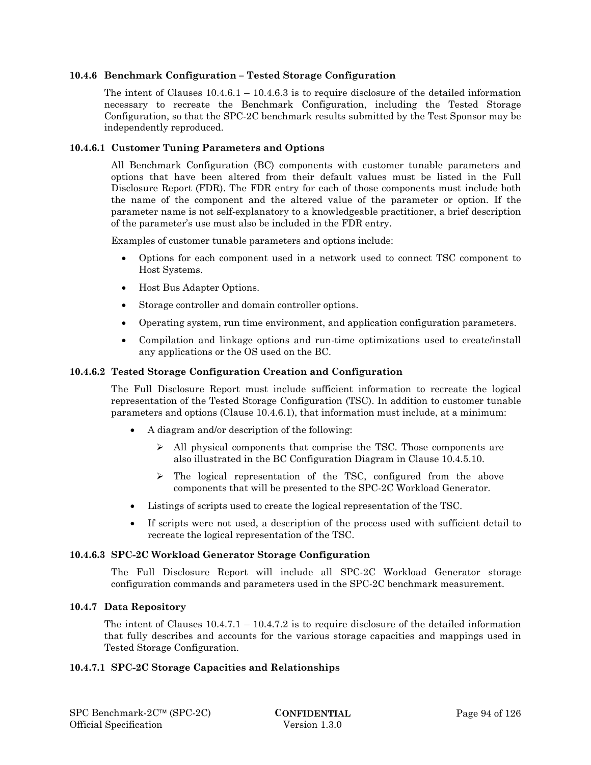### **10.4.6 Benchmark Configuration – Tested Storage Configuration**

The intent of Clauses  $10.4.6.1 - 10.4.6.3$  is to require disclosure of the detailed information necessary to recreate the Benchmark Configuration, including the Tested Storage Configuration, so that the SPC-2C benchmark results submitted by the Test Sponsor may be independently reproduced.

### **10.4.6.1 Customer Tuning Parameters and Options**

All Benchmark Configuration (BC) components with customer tunable parameters and options that have been altered from their default values must be listed in the Full Disclosure Report (FDR). The FDR entry for each of those components must include both the name of the component and the altered value of the parameter or option. If the parameter name is not self-explanatory to a knowledgeable practitioner, a brief description of the parameter's use must also be included in the FDR entry.

Examples of customer tunable parameters and options include:

- Options for each component used in a network used to connect TSC component to Host Systems.
- Host Bus Adapter Options.
- Storage controller and domain controller options.
- Operating system, run time environment, and application configuration parameters.
- Compilation and linkage options and run-time optimizations used to create/install any applications or the OS used on the BC.

#### **10.4.6.2 Tested Storage Configuration Creation and Configuration**

The Full Disclosure Report must include sufficient information to recreate the logical representation of the Tested Storage Configuration (TSC). In addition to customer tunable parameters and options (Clause 10.4.6.1), that information must include, at a minimum:

- A diagram and/or description of the following:
	- $\triangleright$  All physical components that comprise the TSC. Those components are also illustrated in the BC Configuration Diagram in Clause 10.4.5.10.
	- $\triangleright$  The logical representation of the TSC, configured from the above components that will be presented to the SPC-2C Workload Generator.
- Listings of scripts used to create the logical representation of the TSC.
- If scripts were not used, a description of the process used with sufficient detail to recreate the logical representation of the TSC.

#### **10.4.6.3 SPC-2C Workload Generator Storage Configuration**

The Full Disclosure Report will include all SPC-2C Workload Generator storage configuration commands and parameters used in the SPC-2C benchmark measurement.

#### **10.4.7 Data Repository**

The intent of Clauses  $10.4.7.1 - 10.4.7.2$  is to require disclosure of the detailed information that fully describes and accounts for the various storage capacities and mappings used in Tested Storage Configuration.

#### **10.4.7.1 SPC-2C Storage Capacities and Relationships**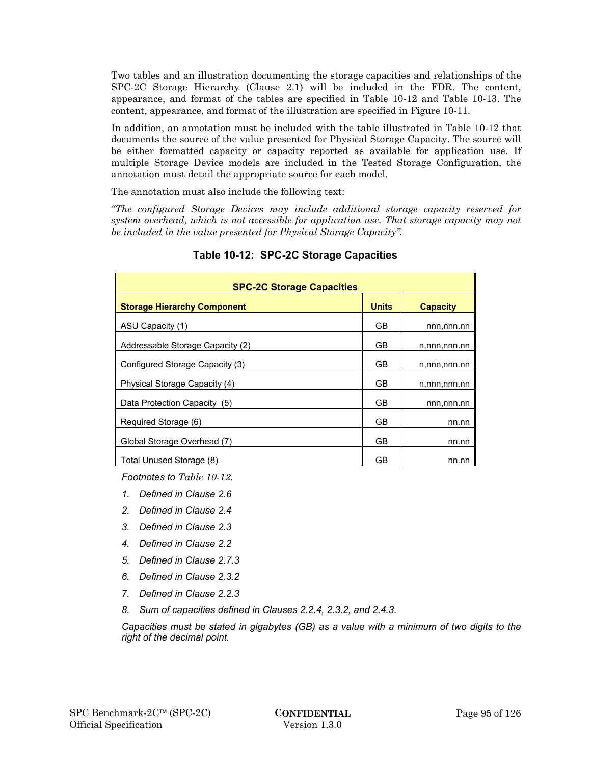Two tables and an illustration documenting the storage capacities and relationships of the SPC-2C Storage Hierarchy (Clause 2.1) will be included in the FDR. The content, appearance, and format of the tables are specified in Table 10-12 and Table 10-13. The content, appearance, and format of the illustration are specified in Figure 10-11.

In addition, an annotation must be included with the table illustrated in Table 10-12 that documents the source of the value presented for Physical Storage Capacity. The source will be either formatted capacity or capacity reported as available for application use. If multiple Storage Device models are included in the Tested Storage Configuration, the annotation must detail the appropriate source for each model.

The annotation must also include the following text:

*"The configured Storage Devices may include additional storage capacity reserved for system overhead, which is not accessible for application use. That storage capacity may not be included in the value presented for Physical Storage Capacity".*

| <b>SPC-2C Storage Capacities</b>   |              |                 |  |
|------------------------------------|--------------|-----------------|--|
| <b>Storage Hierarchy Component</b> | <b>Units</b> | <b>Capacity</b> |  |
| ASU Capacity (1)                   | GB           | nnn,nnn.nn      |  |
| Addressable Storage Capacity (2)   | GB           | n,nnn,nnn.nn    |  |
| Configured Storage Capacity (3)    | GВ           | n,nnn,nnn.nn    |  |
| Physical Storage Capacity (4)      | GВ           | n,nnn,nnn.nn    |  |
| Data Protection Capacity (5)       | GB           | nnn,nnn.nn      |  |
| Required Storage (6)               | GB           | nn.nn           |  |
| Global Storage Overhead (7)        | GB           | nn.nn           |  |
| Total Unused Storage (8)           | GВ           | nn.nn           |  |

# **Table 10-12: SPC-2C Storage Capacities**

*Footnotes to Table 10-12.* 

*1. Defined in Clause 2.6* 

- *2. Defined in Clause 2.4*
- *3. Defined in Clause 2.3*
- *4. Defined in Clause 2.2*
- *5. Defined in Clause 2.7.3*
- *6. Defined in Clause 2.3.2*
- *7. Defined in Clause 2.2.3*
- *8. Sum of capacities defined in Clauses 2.2.4, 2.3.2, and 2.4.3.*

*Capacities must be stated in gigabytes (GB) as a value with a minimum of two digits to the right of the decimal point.*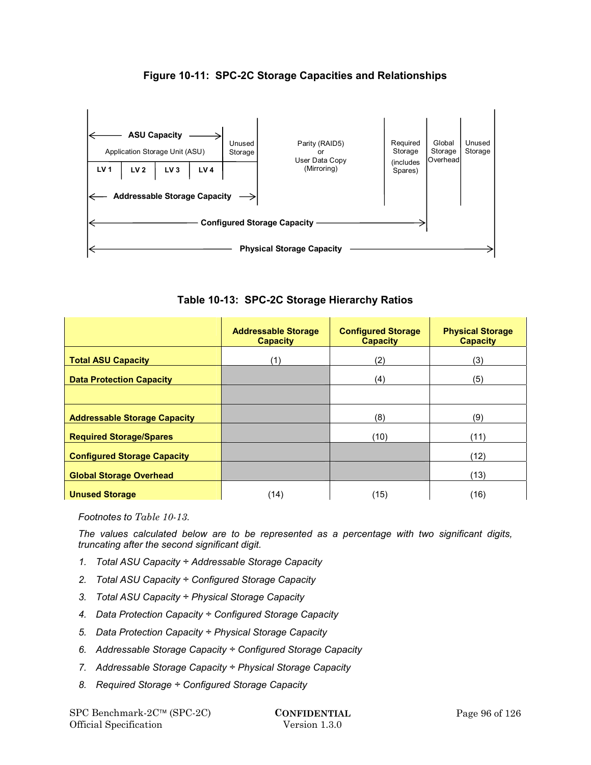

**Figure 10-11: SPC-2C Storage Capacities and Relationships** 

**Table 10-13: SPC-2C Storage Hierarchy Ratios** 

|                                     | <b>Addressable Storage</b><br><b>Capacity</b> | <b>Configured Storage</b><br><b>Capacity</b> | <b>Physical Storage</b><br><b>Capacity</b> |
|-------------------------------------|-----------------------------------------------|----------------------------------------------|--------------------------------------------|
| <b>Total ASU Capacity</b>           | (1)                                           | (2)                                          | (3)                                        |
| <b>Data Protection Capacity</b>     |                                               | (4)                                          | (5)                                        |
|                                     |                                               |                                              |                                            |
| <b>Addressable Storage Capacity</b> |                                               | (8)                                          | (9)                                        |
| <b>Required Storage/Spares</b>      |                                               | (10)                                         | (11)                                       |
| <b>Configured Storage Capacity</b>  |                                               |                                              | (12)                                       |
| <b>Global Storage Overhead</b>      |                                               |                                              | (13)                                       |
| <b>Unused Storage</b>               | (14)                                          | (15)                                         | (16)                                       |

*Footnotes to Table 10-13.* 

*The values calculated below are to be represented as a percentage with two significant digits, truncating after the second significant digit.* 

- *1. Total ASU Capacity ÷ Addressable Storage Capacity*
- *2. Total ASU Capacity ÷ Configured Storage Capacity*
- *3. Total ASU Capacity ÷ Physical Storage Capacity*
- *4. Data Protection Capacity ÷ Configured Storage Capacity*
- *5. Data Protection Capacity ÷ Physical Storage Capacity*
- *6. Addressable Storage Capacity ÷ Configured Storage Capacity*
- *7. Addressable Storage Capacity ÷ Physical Storage Capacity*
- *8. Required Storage ÷ Configured Storage Capacity*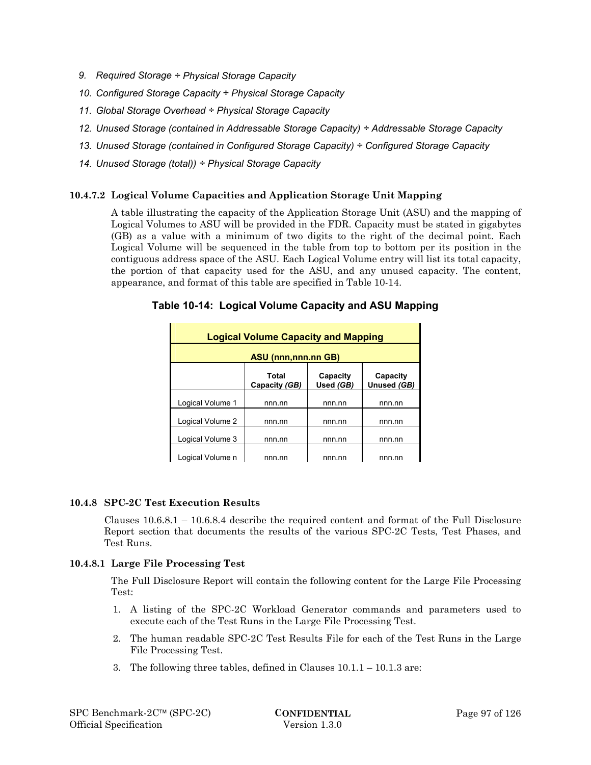- *9. Required Storage ÷ Physical Storage Capacity*
- *10. Configured Storage Capacity ÷ Physical Storage Capacity*
- *11. Global Storage Overhead ÷ Physical Storage Capacity*
- *12. Unused Storage (contained in Addressable Storage Capacity) ÷ Addressable Storage Capacity*
- *13. Unused Storage (contained in Configured Storage Capacity) ÷ Configured Storage Capacity*
- *14. Unused Storage (total)) ÷ Physical Storage Capacity*

## **10.4.7.2 Logical Volume Capacities and Application Storage Unit Mapping**

A table illustrating the capacity of the Application Storage Unit (ASU) and the mapping of Logical Volumes to ASU will be provided in the FDR. Capacity must be stated in gigabytes (GB) as a value with a minimum of two digits to the right of the decimal point. Each Logical Volume will be sequenced in the table from top to bottom per its position in the contiguous address space of the ASU. Each Logical Volume entry will list its total capacity, the portion of that capacity used for the ASU, and any unused capacity. The content, appearance, and format of this table are specified in Table 10-14.

| <b>Logical Volume Capacity and Mapping</b> |                        |                       |                         |
|--------------------------------------------|------------------------|-----------------------|-------------------------|
| <b>ASU (nnn,nnn.nn GB)</b>                 |                        |                       |                         |
|                                            | Total<br>Capacity (GB) | Capacity<br>Used (GB) | Capacity<br>Unused (GB) |
| Logical Volume 1                           | nnn.nn                 | nnn.nn                | nnn.nn                  |
| Logical Volume 2                           | nnn.nn                 | nnn.nn                | nnn nn                  |
| Logical Volume 3                           | nnn.nn                 | nnn.nn                | nnn nn                  |
| Logical Volume n                           | nnn.nn                 | nnn nn                | nnn.nn                  |

# **Table 10-14: Logical Volume Capacity and ASU Mapping**

## **10.4.8 SPC-2C Test Execution Results**

Clauses 10.6.8.1 – 10.6.8.4 describe the required content and format of the Full Disclosure Report section that documents the results of the various SPC-2C Tests, Test Phases, and Test Runs.

## **10.4.8.1 Large File Processing Test**

The Full Disclosure Report will contain the following content for the Large File Processing Test:

- 1. A listing of the SPC-2C Workload Generator commands and parameters used to execute each of the Test Runs in the Large File Processing Test.
- 2. The human readable SPC-2C Test Results File for each of the Test Runs in the Large File Processing Test.
- 3. The following three tables, defined in Clauses 10.1.1 10.1.3 are: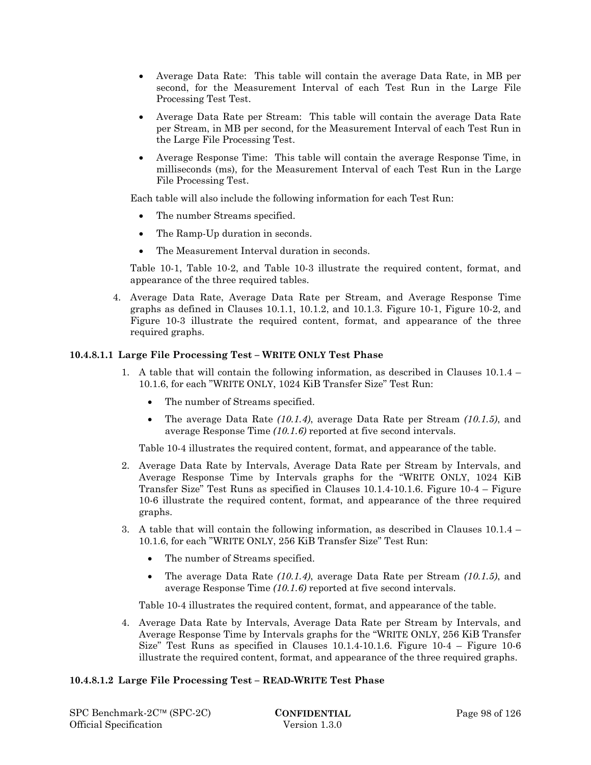- Average Data Rate: This table will contain the average Data Rate, in MB per second, for the Measurement Interval of each Test Run in the Large File Processing Test Test.
- Average Data Rate per Stream: This table will contain the average Data Rate per Stream, in MB per second, for the Measurement Interval of each Test Run in the Large File Processing Test.
- Average Response Time: This table will contain the average Response Time, in milliseconds (ms), for the Measurement Interval of each Test Run in the Large File Processing Test.

Each table will also include the following information for each Test Run:

- The number Streams specified.
- The Ramp-Up duration in seconds.
- The Measurement Interval duration in seconds.

Table 10-1, Table 10-2, and Table 10-3 illustrate the required content, format, and appearance of the three required tables.

4. Average Data Rate, Average Data Rate per Stream, and Average Response Time graphs as defined in Clauses 10.1.1, 10.1.2, and 10.1.3. Figure 10-1, Figure 10-2, and Figure 10-3 illustrate the required content, format, and appearance of the three required graphs.

### **10.4.8.1.1 Large File Processing Test – WRITE ONLY Test Phase**

- 1. A table that will contain the following information, as described in Clauses 10.1.4 10.1.6, for each "WRITE ONLY, 1024 KiB Transfer Size" Test Run:
	- The number of Streams specified.
	- The average Data Rate *(10.1.4)*, average Data Rate per Stream *(10.1.5)*, and average Response Time *(10.1.6)* reported at five second intervals.

Table 10-4 illustrates the required content, format, and appearance of the table.

- 2. Average Data Rate by Intervals, Average Data Rate per Stream by Intervals, and Average Response Time by Intervals graphs for the "WRITE ONLY, 1024 KiB Transfer Size" Test Runs as specified in Clauses 10.1.4-10.1.6. Figure 10-4 – Figure 10-6 illustrate the required content, format, and appearance of the three required graphs.
- 3. A table that will contain the following information, as described in Clauses 10.1.4 10.1.6, for each "WRITE ONLY, 256 KiB Transfer Size" Test Run:
	- The number of Streams specified.
	- The average Data Rate *(10.1.4)*, average Data Rate per Stream *(10.1.5)*, and average Response Time *(10.1.6)* reported at five second intervals.

Table 10-4 illustrates the required content, format, and appearance of the table.

4. Average Data Rate by Intervals, Average Data Rate per Stream by Intervals, and Average Response Time by Intervals graphs for the "WRITE ONLY, 256 KiB Transfer Size" Test Runs as specified in Clauses  $10.1.4$ -10.1.6. Figure  $10-4$  – Figure  $10-6$ illustrate the required content, format, and appearance of the three required graphs.

## **10.4.8.1.2 Large File Processing Test – READ-WRITE Test Phase**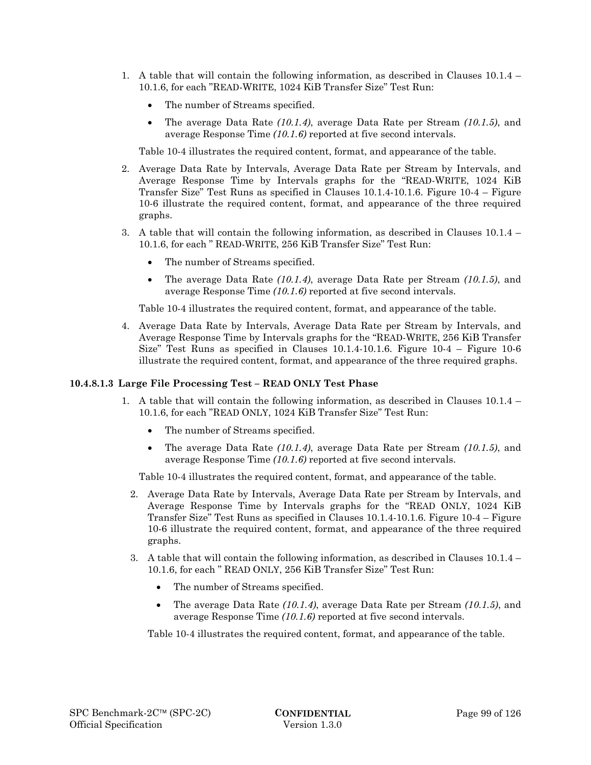- 1. A table that will contain the following information, as described in Clauses 10.1.4 10.1.6, for each "READ-WRITE, 1024 KiB Transfer Size" Test Run:
	- The number of Streams specified.
	- The average Data Rate *(10.1.4)*, average Data Rate per Stream *(10.1.5)*, and average Response Time *(10.1.6)* reported at five second intervals.

Table 10-4 illustrates the required content, format, and appearance of the table.

- 2. Average Data Rate by Intervals, Average Data Rate per Stream by Intervals, and Average Response Time by Intervals graphs for the "READ-WRITE, 1024 KiB Transfer Size" Test Runs as specified in Clauses 10.1.4-10.1.6. Figure 10-4 – Figure 10-6 illustrate the required content, format, and appearance of the three required graphs.
- 3. A table that will contain the following information, as described in Clauses 10.1.4 10.1.6, for each " READ-WRITE, 256 KiB Transfer Size" Test Run:
	- The number of Streams specified.
	- The average Data Rate *(10.1.4)*, average Data Rate per Stream *(10.1.5)*, and average Response Time *(10.1.6)* reported at five second intervals.

Table 10-4 illustrates the required content, format, and appearance of the table.

4. Average Data Rate by Intervals, Average Data Rate per Stream by Intervals, and Average Response Time by Intervals graphs for the "READ-WRITE, 256 KiB Transfer Size" Test Runs as specified in Clauses 10.1.4-10.1.6. Figure 10-4 – Figure 10-6 illustrate the required content, format, and appearance of the three required graphs.

### **10.4.8.1.3 Large File Processing Test – READ ONLY Test Phase**

- 1. A table that will contain the following information, as described in Clauses 10.1.4 10.1.6, for each "READ ONLY, 1024 KiB Transfer Size" Test Run:
	- The number of Streams specified.
	- The average Data Rate *(10.1.4)*, average Data Rate per Stream *(10.1.5)*, and average Response Time *(10.1.6)* reported at five second intervals.

Table 10-4 illustrates the required content, format, and appearance of the table.

- 2. Average Data Rate by Intervals, Average Data Rate per Stream by Intervals, and Average Response Time by Intervals graphs for the "READ ONLY, 1024 KiB Transfer Size" Test Runs as specified in Clauses 10.1.4-10.1.6. Figure 10-4 – Figure 10-6 illustrate the required content, format, and appearance of the three required graphs.
- 3. A table that will contain the following information, as described in Clauses 10.1.4 10.1.6, for each " READ ONLY, 256 KiB Transfer Size" Test Run:
	- The number of Streams specified.
	- The average Data Rate *(10.1.4)*, average Data Rate per Stream *(10.1.5)*, and average Response Time *(10.1.6)* reported at five second intervals.

Table 10-4 illustrates the required content, format, and appearance of the table.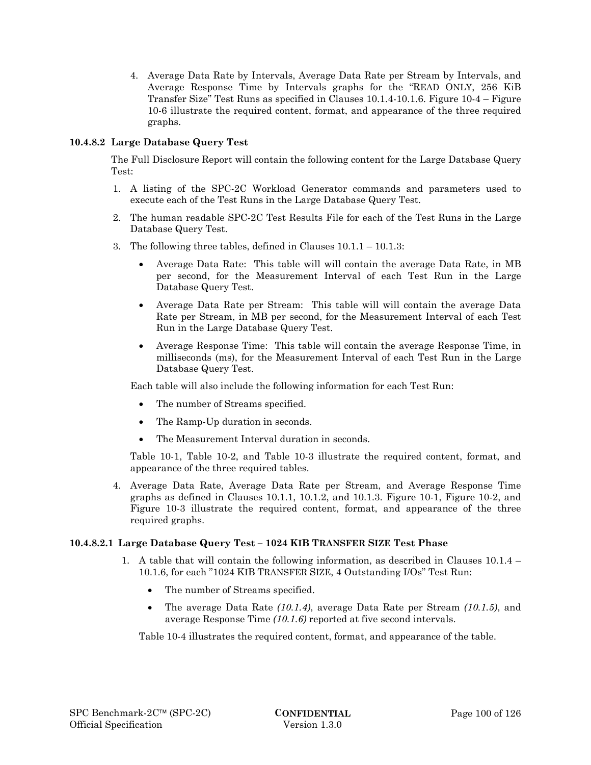4. Average Data Rate by Intervals, Average Data Rate per Stream by Intervals, and Average Response Time by Intervals graphs for the "READ ONLY, 256 KiB Transfer Size" Test Runs as specified in Clauses 10.1.4-10.1.6. Figure 10-4 – Figure 10-6 illustrate the required content, format, and appearance of the three required graphs.

# **10.4.8.2 Large Database Query Test**

The Full Disclosure Report will contain the following content for the Large Database Query Test:

- 1. A listing of the SPC-2C Workload Generator commands and parameters used to execute each of the Test Runs in the Large Database Query Test.
- 2. The human readable SPC-2C Test Results File for each of the Test Runs in the Large Database Query Test.
- 3. The following three tables, defined in Clauses 10.1.1 10.1.3:
	- Average Data Rate: This table will will contain the average Data Rate, in MB per second, for the Measurement Interval of each Test Run in the Large Database Query Test.
	- Average Data Rate per Stream: This table will will contain the average Data Rate per Stream, in MB per second, for the Measurement Interval of each Test Run in the Large Database Query Test.
	- Average Response Time: This table will contain the average Response Time, in milliseconds (ms), for the Measurement Interval of each Test Run in the Large Database Query Test.

Each table will also include the following information for each Test Run:

- The number of Streams specified.
- The Ramp-Up duration in seconds.
- The Measurement Interval duration in seconds.

Table 10-1, Table 10-2, and Table 10-3 illustrate the required content, format, and appearance of the three required tables.

4. Average Data Rate, Average Data Rate per Stream, and Average Response Time graphs as defined in Clauses 10.1.1, 10.1.2, and 10.1.3. Figure 10-1, Figure 10-2, and Figure 10-3 illustrate the required content, format, and appearance of the three required graphs.

## **10.4.8.2.1 Large Database Query Test – 1024 KIB TRANSFER SIZE Test Phase**

- 1. A table that will contain the following information, as described in Clauses 10.1.4 10.1.6, for each "1024 KIB TRANSFER SIZE, 4 Outstanding I/Os" Test Run:
	- The number of Streams specified.
	- The average Data Rate *(10.1.4)*, average Data Rate per Stream *(10.1.5)*, and average Response Time *(10.1.6)* reported at five second intervals.

Table 10-4 illustrates the required content, format, and appearance of the table.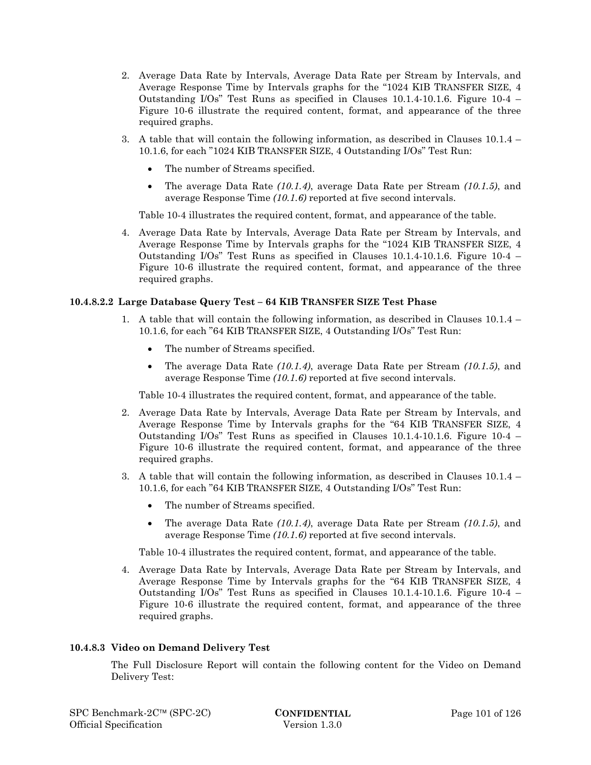- 2. Average Data Rate by Intervals, Average Data Rate per Stream by Intervals, and Average Response Time by Intervals graphs for the "1024 KIB TRANSFER SIZE, 4 Outstanding I/Os" Test Runs as specified in Clauses 10.1.4-10.1.6. Figure 10-4 – Figure 10-6 illustrate the required content, format, and appearance of the three required graphs.
- 3. A table that will contain the following information, as described in Clauses 10.1.4 10.1.6, for each "1024 KIB TRANSFER SIZE, 4 Outstanding I/Os" Test Run:
	- The number of Streams specified.
	- The average Data Rate *(10.1.4)*, average Data Rate per Stream *(10.1.5)*, and average Response Time *(10.1.6)* reported at five second intervals.

Table 10-4 illustrates the required content, format, and appearance of the table.

4. Average Data Rate by Intervals, Average Data Rate per Stream by Intervals, and Average Response Time by Intervals graphs for the "1024 KIB TRANSFER SIZE, 4 Outstanding I/Os" Test Runs as specified in Clauses 10.1.4-10.1.6. Figure 10-4 – Figure 10-6 illustrate the required content, format, and appearance of the three required graphs.

## **10.4.8.2.2 Large Database Query Test – 64 KIB TRANSFER SIZE Test Phase**

- 1. A table that will contain the following information, as described in Clauses 10.1.4 10.1.6, for each "64 KIB TRANSFER SIZE, 4 Outstanding I/Os" Test Run:
	- The number of Streams specified.
	- The average Data Rate *(10.1.4)*, average Data Rate per Stream *(10.1.5)*, and average Response Time *(10.1.6)* reported at five second intervals.

Table 10-4 illustrates the required content, format, and appearance of the table.

- 2. Average Data Rate by Intervals, Average Data Rate per Stream by Intervals, and Average Response Time by Intervals graphs for the "64 KIB TRANSFER SIZE, 4 Outstanding I/Os" Test Runs as specified in Clauses 10.1.4-10.1.6. Figure 10-4 – Figure 10-6 illustrate the required content, format, and appearance of the three required graphs.
- 3. A table that will contain the following information, as described in Clauses 10.1.4 10.1.6, for each "64 KIB TRANSFER SIZE, 4 Outstanding I/Os" Test Run:
	- The number of Streams specified.
	- The average Data Rate *(10.1.4)*, average Data Rate per Stream *(10.1.5)*, and average Response Time *(10.1.6)* reported at five second intervals.

Table 10-4 illustrates the required content, format, and appearance of the table.

4. Average Data Rate by Intervals, Average Data Rate per Stream by Intervals, and Average Response Time by Intervals graphs for the "64 KIB TRANSFER SIZE, 4 Outstanding I/Os" Test Runs as specified in Clauses 10.1.4-10.1.6. Figure 10-4 – Figure 10-6 illustrate the required content, format, and appearance of the three required graphs.

## **10.4.8.3 Video on Demand Delivery Test**

The Full Disclosure Report will contain the following content for the Video on Demand Delivery Test: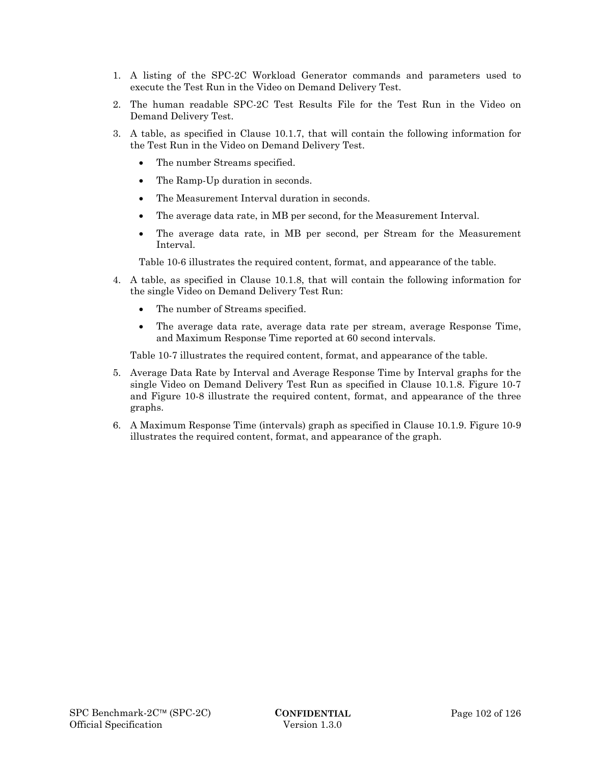- 1. A listing of the SPC-2C Workload Generator commands and parameters used to execute the Test Run in the Video on Demand Delivery Test.
- 2. The human readable SPC-2C Test Results File for the Test Run in the Video on Demand Delivery Test.
- 3. A table, as specified in Clause 10.1.7, that will contain the following information for the Test Run in the Video on Demand Delivery Test.
	- The number Streams specified.
	- The Ramp-Up duration in seconds.
	- The Measurement Interval duration in seconds.
	- The average data rate, in MB per second, for the Measurement Interval.
	- The average data rate, in MB per second, per Stream for the Measurement Interval.

Table 10-6 illustrates the required content, format, and appearance of the table.

- 4. A table, as specified in Clause 10.1.8, that will contain the following information for the single Video on Demand Delivery Test Run:
	- The number of Streams specified.
	- The average data rate, average data rate per stream, average Response Time, and Maximum Response Time reported at 60 second intervals.

Table 10-7 illustrates the required content, format, and appearance of the table.

- 5. Average Data Rate by Interval and Average Response Time by Interval graphs for the single Video on Demand Delivery Test Run as specified in Clause 10.1.8. Figure 10-7 and Figure 10-8 illustrate the required content, format, and appearance of the three graphs.
- 6. A Maximum Response Time (intervals) graph as specified in Clause 10.1.9. Figure 10-9 illustrates the required content, format, and appearance of the graph.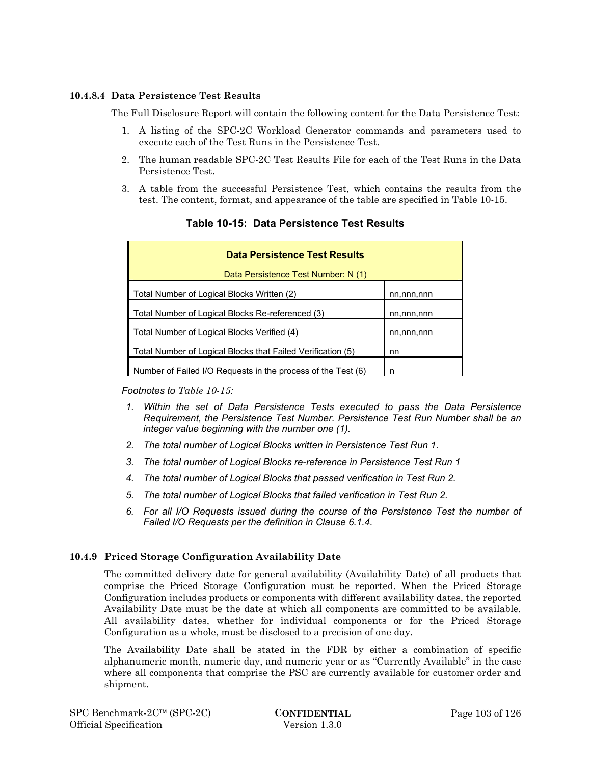### **10.4.8.4 Data Persistence Test Results**

The Full Disclosure Report will contain the following content for the Data Persistence Test:

- 1. A listing of the SPC-2C Workload Generator commands and parameters used to execute each of the Test Runs in the Persistence Test.
- 2. The human readable SPC-2C Test Results File for each of the Test Runs in the Data Persistence Test.
- 3. A table from the successful Persistence Test, which contains the results from the test. The content, format, and appearance of the table are specified in Table 10-15.

| <b>Data Persistence Test Results</b>                              |            |  |
|-------------------------------------------------------------------|------------|--|
| Data Persistence Test Number: N (1)                               |            |  |
| Total Number of Logical Blocks Written (2)                        | nn,nnn,nnn |  |
| Total Number of Logical Blocks Re-referenced (3)                  | nn,nnn,nnn |  |
| Total Number of Logical Blocks Verified (4)                       | nn,nnn,nnn |  |
| Total Number of Logical Blocks that Failed Verification (5)<br>nn |            |  |
| Number of Failed I/O Requests in the process of the Test (6)      | n          |  |

# **Table 10-15: Data Persistence Test Results**

*Footnotes to Table 10-15:* 

- *1. Within the set of Data Persistence Tests executed to pass the Data Persistence Requirement, the Persistence Test Number. Persistence Test Run Number shall be an integer value beginning with the number one (1).*
- *2. The total number of Logical Blocks written in Persistence Test Run 1.*
- *3. The total number of Logical Blocks re-reference in Persistence Test Run 1*
- *4. The total number of Logical Blocks that passed verification in Test Run 2.*
- *5. The total number of Logical Blocks that failed verification in Test Run 2.*
- *6. For all I/O Requests issued during the course of the Persistence Test the number of Failed I/O Requests per the definition in Clause 6.1.4.*

## **10.4.9 Priced Storage Configuration Availability Date**

The committed delivery date for general availability (Availability Date) of all products that comprise the Priced Storage Configuration must be reported. When the Priced Storage Configuration includes products or components with different availability dates, the reported Availability Date must be the date at which all components are committed to be available. All availability dates, whether for individual components or for the Priced Storage Configuration as a whole, must be disclosed to a precision of one day.

The Availability Date shall be stated in the FDR by either a combination of specific alphanumeric month, numeric day, and numeric year or as "Currently Available" in the case where all components that comprise the PSC are currently available for customer order and shipment.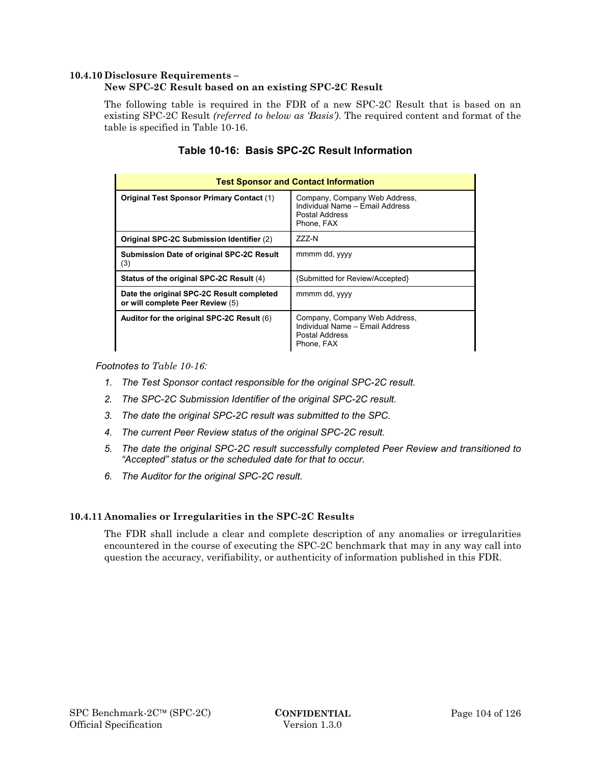### **10.4.10 Disclosure Requirements –**

### **New SPC-2C Result based on an existing SPC-2C Result**

The following table is required in the FDR of a new SPC-2C Result that is based on an existing SPC-2C Result *(referred to below as 'Basis')*. The required content and format of the table is specified in Table 10-16.

| <b>Test Sponsor and Contact Information</b>                                   |                                                                                                  |  |
|-------------------------------------------------------------------------------|--------------------------------------------------------------------------------------------------|--|
| <b>Original Test Sponsor Primary Contact (1)</b>                              | Company, Company Web Address,<br>Individual Name - Email Address<br>Postal Address<br>Phone. FAX |  |
| Original SPC-2C Submission Identifier (2)                                     | ZZZ-N                                                                                            |  |
| <b>Submission Date of original SPC-2C Result</b><br>(3)                       | mmmm dd, yyyy                                                                                    |  |
| Status of the original SPC-2C Result (4)                                      | {Submitted for Review/Accepted}                                                                  |  |
| Date the original SPC-2C Result completed<br>or will complete Peer Review (5) | mmmm dd, yyyy                                                                                    |  |
| Auditor for the original SPC-2C Result (6)                                    | Company, Company Web Address,<br>Individual Name - Email Address<br>Postal Address<br>Phone, FAX |  |

# **Table 10-16: Basis SPC-2C Result Information**

*Footnotes to Table 10-16:* 

- *1. The Test Sponsor contact responsible for the original SPC-2C result.*
- *2. The SPC-2C Submission Identifier of the original SPC-2C result.*
- *3. The date the original SPC-2C result was submitted to the SPC.*
- *4. The current Peer Review status of the original SPC-2C result.*
- *5. The date the original SPC-2C result successfully completed Peer Review and transitioned to "Accepted" status or the scheduled date for that to occur.*
- *6. The Auditor for the original SPC-2C result.*

#### **10.4.11 Anomalies or Irregularities in the SPC-2C Results**

The FDR shall include a clear and complete description of any anomalies or irregularities encountered in the course of executing the SPC-2C benchmark that may in any way call into question the accuracy, verifiability, or authenticity of information published in this FDR.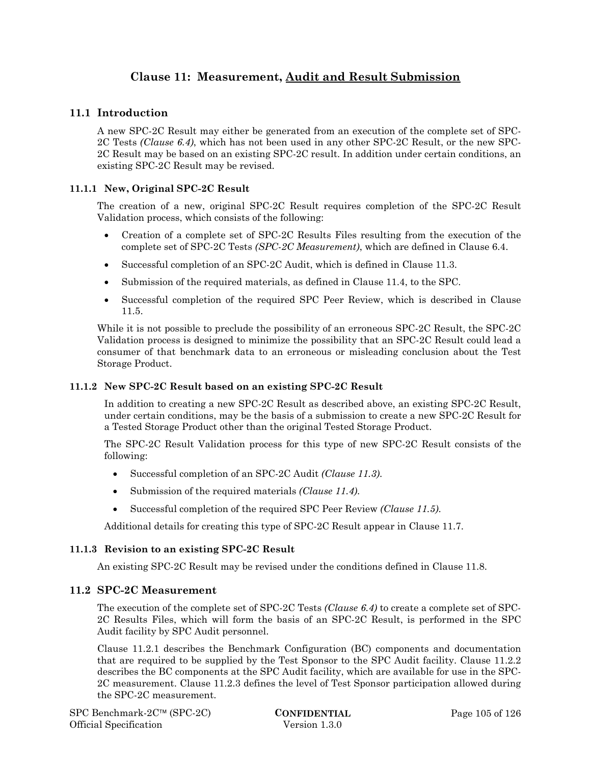# **Clause 11: Measurement, Audit and Result Submission**

# **11.1 Introduction**

A new SPC-2C Result may either be generated from an execution of the complete set of SPC-2C Tests *(Clause 6.4)*, which has not been used in any other SPC-2C Result, or the new SPC-2C Result may be based on an existing SPC-2C result. In addition under certain conditions, an existing SPC-2C Result may be revised.

## **11.1.1 New, Original SPC-2C Result**

The creation of a new, original SPC-2C Result requires completion of the SPC-2C Result Validation process, which consists of the following:

- Creation of a complete set of SPC-2C Results Files resulting from the execution of the complete set of SPC-2C Tests *(SPC-2C Measurement)*, which are defined in Clause 6.4.
- Successful completion of an SPC-2C Audit, which is defined in Clause 11.3.
- Submission of the required materials, as defined in Clause 11.4, to the SPC.
- Successful completion of the required SPC Peer Review, which is described in Clause 11.5.

While it is not possible to preclude the possibility of an erroneous SPC-2C Result, the SPC-2C Validation process is designed to minimize the possibility that an SPC-2C Result could lead a consumer of that benchmark data to an erroneous or misleading conclusion about the Test Storage Product.

## **11.1.2 New SPC-2C Result based on an existing SPC-2C Result**

In addition to creating a new SPC-2C Result as described above, an existing SPC-2C Result, under certain conditions, may be the basis of a submission to create a new SPC-2C Result for a Tested Storage Product other than the original Tested Storage Product.

The SPC-2C Result Validation process for this type of new SPC-2C Result consists of the following:

- Successful completion of an SPC-2C Audit *(Clause 11.3)*.
- Submission of the required materials *(Clause 11.4)*.
- Successful completion of the required SPC Peer Review *(Clause 11.5)*.

Additional details for creating this type of SPC-2C Result appear in Clause 11.7.

#### **11.1.3 Revision to an existing SPC-2C Result**

An existing SPC-2C Result may be revised under the conditions defined in Clause 11.8.

## **11.2 SPC-2C Measurement**

The execution of the complete set of SPC-2C Tests *(Clause 6.4)* to create a complete set of SPC-2C Results Files, which will form the basis of an SPC-2C Result, is performed in the SPC Audit facility by SPC Audit personnel.

Clause 11.2.1 describes the Benchmark Configuration (BC) components and documentation that are required to be supplied by the Test Sponsor to the SPC Audit facility. Clause 11.2.2 describes the BC components at the SPC Audit facility, which are available for use in the SPC-2C measurement. Clause 11.2.3 defines the level of Test Sponsor participation allowed during the SPC-2C measurement.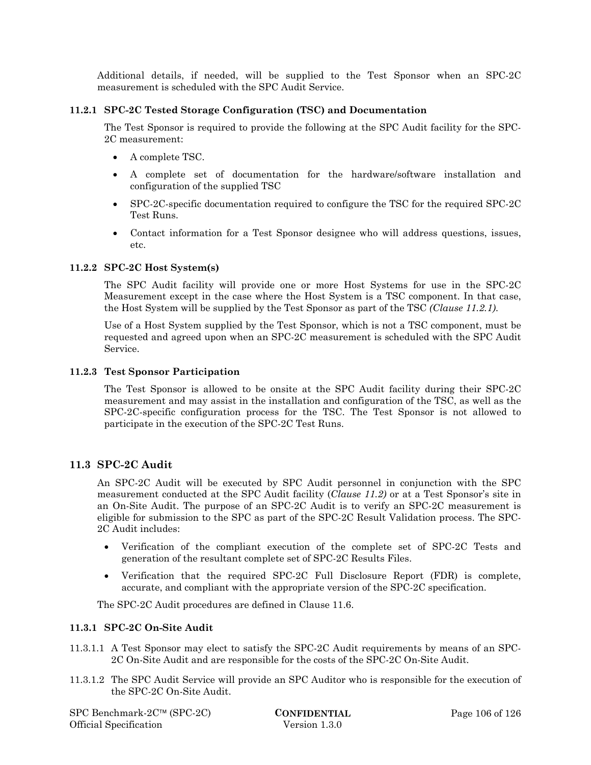Additional details, if needed, will be supplied to the Test Sponsor when an SPC-2C measurement is scheduled with the SPC Audit Service.

### **11.2.1 SPC-2C Tested Storage Configuration (TSC) and Documentation**

The Test Sponsor is required to provide the following at the SPC Audit facility for the SPC-2C measurement:

- A complete TSC.
- A complete set of documentation for the hardware/software installation and configuration of the supplied TSC
- SPC-2C-specific documentation required to configure the TSC for the required SPC-2C Test Runs.
- Contact information for a Test Sponsor designee who will address questions, issues, etc.

### **11.2.2 SPC-2C Host System(s)**

The SPC Audit facility will provide one or more Host Systems for use in the SPC-2C Measurement except in the case where the Host System is a TSC component. In that case, the Host System will be supplied by the Test Sponsor as part of the TSC *(Clause 11.2.1)*.

Use of a Host System supplied by the Test Sponsor, which is not a TSC component, must be requested and agreed upon when an SPC-2C measurement is scheduled with the SPC Audit Service.

### **11.2.3 Test Sponsor Participation**

The Test Sponsor is allowed to be onsite at the SPC Audit facility during their SPC-2C measurement and may assist in the installation and configuration of the TSC, as well as the SPC-2C-specific configuration process for the TSC. The Test Sponsor is not allowed to participate in the execution of the SPC-2C Test Runs.

## **11.3 SPC-2C Audit**

An SPC-2C Audit will be executed by SPC Audit personnel in conjunction with the SPC measurement conducted at the SPC Audit facility (*Clause 11.2)* or at a Test Sponsor's site in an On-Site Audit. The purpose of an SPC-2C Audit is to verify an SPC-2C measurement is eligible for submission to the SPC as part of the SPC-2C Result Validation process. The SPC-2C Audit includes:

- Verification of the compliant execution of the complete set of SPC-2C Tests and generation of the resultant complete set of SPC-2C Results Files.
- Verification that the required SPC-2C Full Disclosure Report (FDR) is complete, accurate, and compliant with the appropriate version of the SPC-2C specification.

The SPC-2C Audit procedures are defined in Clause 11.6.

#### **11.3.1 SPC-2C On-Site Audit**

- 11.3.1.1 A Test Sponsor may elect to satisfy the SPC-2C Audit requirements by means of an SPC-2C On-Site Audit and are responsible for the costs of the SPC-2C On-Site Audit.
- 11.3.1.2 The SPC Audit Service will provide an SPC Auditor who is responsible for the execution of the SPC-2C On-Site Audit.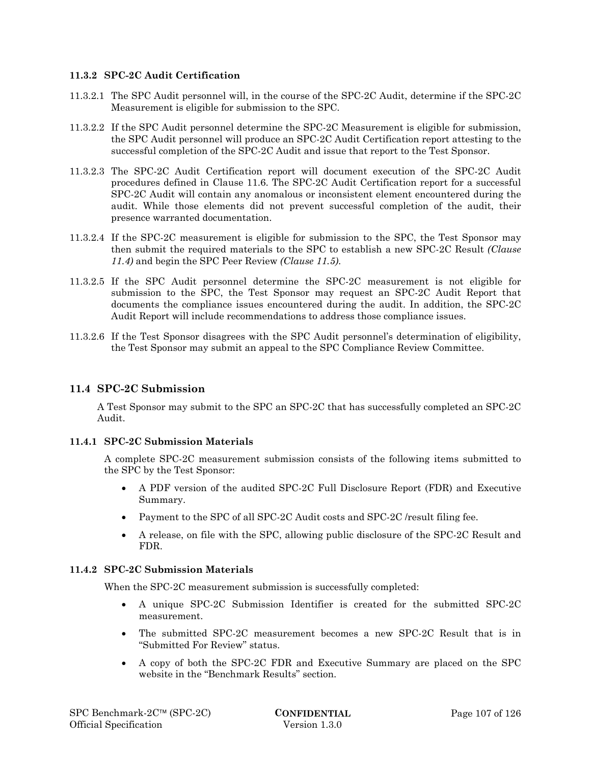### **11.3.2 SPC-2C Audit Certification**

- 11.3.2.1 The SPC Audit personnel will, in the course of the SPC-2C Audit, determine if the SPC-2C Measurement is eligible for submission to the SPC.
- 11.3.2.2 If the SPC Audit personnel determine the SPC-2C Measurement is eligible for submission, the SPC Audit personnel will produce an SPC-2C Audit Certification report attesting to the successful completion of the SPC-2C Audit and issue that report to the Test Sponsor.
- 11.3.2.3 The SPC-2C Audit Certification report will document execution of the SPC-2C Audit procedures defined in Clause 11.6. The SPC-2C Audit Certification report for a successful SPC-2C Audit will contain any anomalous or inconsistent element encountered during the audit. While those elements did not prevent successful completion of the audit, their presence warranted documentation.
- 11.3.2.4 If the SPC-2C measurement is eligible for submission to the SPC, the Test Sponsor may then submit the required materials to the SPC to establish a new SPC-2C Result *(Clause 11.4)* and begin the SPC Peer Review *(Clause 11.5)*.
- 11.3.2.5 If the SPC Audit personnel determine the SPC-2C measurement is not eligible for submission to the SPC, the Test Sponsor may request an SPC-2C Audit Report that documents the compliance issues encountered during the audit. In addition, the SPC-2C Audit Report will include recommendations to address those compliance issues.
- 11.3.2.6 If the Test Sponsor disagrees with the SPC Audit personnel's determination of eligibility, the Test Sponsor may submit an appeal to the SPC Compliance Review Committee.

## **11.4 SPC-2C Submission**

A Test Sponsor may submit to the SPC an SPC-2C that has successfully completed an SPC-2C Audit.

## **11.4.1 SPC-2C Submission Materials**

A complete SPC-2C measurement submission consists of the following items submitted to the SPC by the Test Sponsor:

- A PDF version of the audited SPC-2C Full Disclosure Report (FDR) and Executive Summary.
- Payment to the SPC of all SPC-2C Audit costs and SPC-2C /result filing fee.
- A release, on file with the SPC, allowing public disclosure of the SPC-2C Result and FDR.

# **11.4.2 SPC-2C Submission Materials**

When the SPC-2C measurement submission is successfully completed:

- A unique SPC-2C Submission Identifier is created for the submitted SPC-2C measurement.
- The submitted SPC-2C measurement becomes a new SPC-2C Result that is in "Submitted For Review" status.
- A copy of both the SPC-2C FDR and Executive Summary are placed on the SPC website in the "Benchmark Results" section.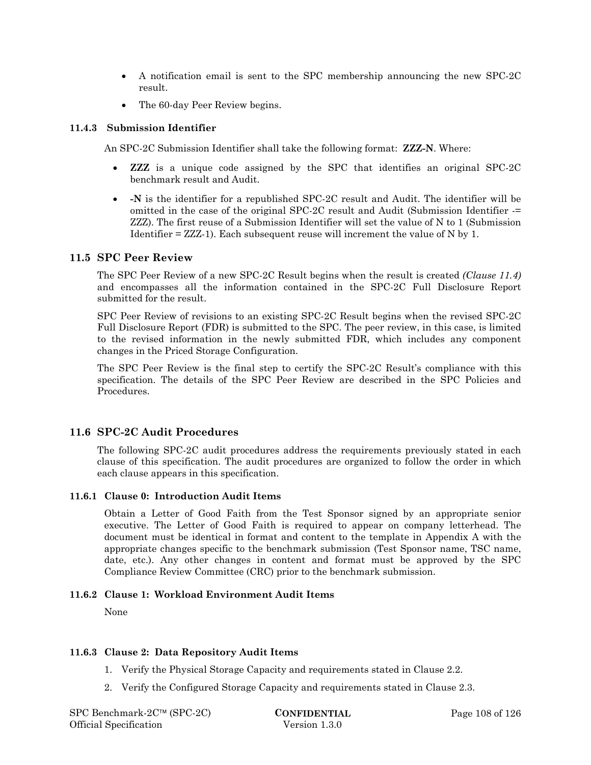- A notification email is sent to the SPC membership announcing the new SPC-2C result.
- The 60-day Peer Review begins.

#### **11.4.3 Submission Identifier**

An SPC-2C Submission Identifier shall take the following format: **ZZZ-N**. Where:

- **ZZZ** is a unique code assigned by the SPC that identifies an original SPC-2C benchmark result and Audit.
- **-N** is the identifier for a republished SPC-2C result and Audit. The identifier will be omitted in the case of the original SPC-2C result and Audit (Submission Identifier -= ZZZ). The first reuse of a Submission Identifier will set the value of N to 1 (Submission Identifier = ZZZ-1). Each subsequent reuse will increment the value of N by 1.

## **11.5 SPC Peer Review**

The SPC Peer Review of a new SPC-2C Result begins when the result is created *(Clause 11.4)* and encompasses all the information contained in the SPC-2C Full Disclosure Report submitted for the result.

SPC Peer Review of revisions to an existing SPC-2C Result begins when the revised SPC-2C Full Disclosure Report (FDR) is submitted to the SPC. The peer review, in this case, is limited to the revised information in the newly submitted FDR, which includes any component changes in the Priced Storage Configuration.

The SPC Peer Review is the final step to certify the SPC-2C Result's compliance with this specification. The details of the SPC Peer Review are described in the SPC Policies and Procedures.

## **11.6 SPC-2C Audit Procedures**

The following SPC-2C audit procedures address the requirements previously stated in each clause of this specification. The audit procedures are organized to follow the order in which each clause appears in this specification.

#### **11.6.1 Clause 0: Introduction Audit Items**

Obtain a Letter of Good Faith from the Test Sponsor signed by an appropriate senior executive. The Letter of Good Faith is required to appear on company letterhead. The document must be identical in format and content to the template in Appendix A with the appropriate changes specific to the benchmark submission (Test Sponsor name, TSC name, date, etc.). Any other changes in content and format must be approved by the SPC Compliance Review Committee (CRC) prior to the benchmark submission.

#### **11.6.2 Clause 1: Workload Environment Audit Items**

None

#### **11.6.3 Clause 2: Data Repository Audit Items**

- 1. Verify the Physical Storage Capacity and requirements stated in Clause 2.2.
- 2. Verify the Configured Storage Capacity and requirements stated in Clause 2.3.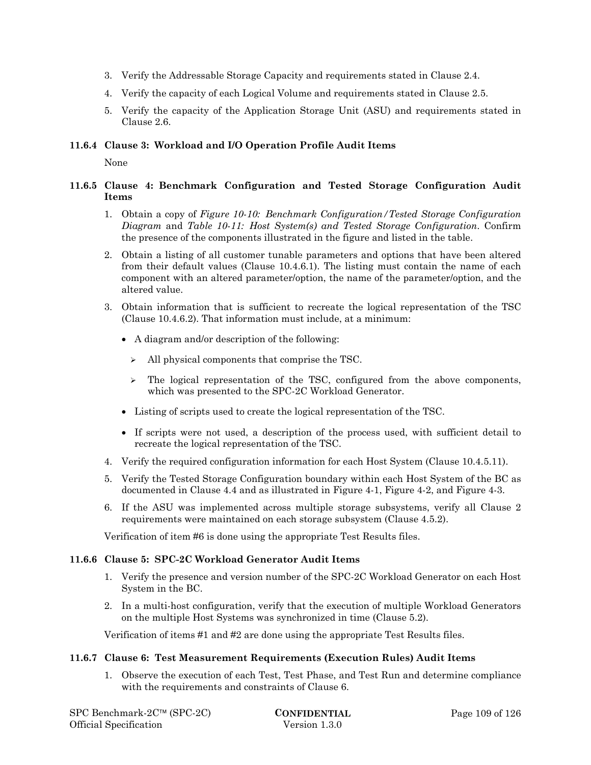- 3. Verify the Addressable Storage Capacity and requirements stated in Clause 2.4.
- 4. Verify the capacity of each Logical Volume and requirements stated in Clause 2.5.
- 5. Verify the capacity of the Application Storage Unit (ASU) and requirements stated in Clause 2.6.

#### **11.6.4 Clause 3: Workload and I/O Operation Profile Audit Items**

None

### **11.6.5 Clause 4: Benchmark Configuration and Tested Storage Configuration Audit Items**

- 1. Obtain a copy of *Figure 10-10: Benchmark Configuration/Tested Storage Configuration Diagram* and *Table 10-11: Host System(s) and Tested Storage Configuration*. Confirm the presence of the components illustrated in the figure and listed in the table.
- 2. Obtain a listing of all customer tunable parameters and options that have been altered from their default values (Clause 10.4.6.1). The listing must contain the name of each component with an altered parameter/option, the name of the parameter/option, and the altered value.
- 3. Obtain information that is sufficient to recreate the logical representation of the TSC (Clause 10.4.6.2). That information must include, at a minimum:
	- A diagram and/or description of the following:
		- $\triangleright$  All physical components that comprise the TSC.
		- $\geq$  The logical representation of the TSC, configured from the above components, which was presented to the SPC-2C Workload Generator.
	- Listing of scripts used to create the logical representation of the TSC.
	- If scripts were not used, a description of the process used, with sufficient detail to recreate the logical representation of the TSC.
- 4. Verify the required configuration information for each Host System (Clause 10.4.5.11).
- 5. Verify the Tested Storage Configuration boundary within each Host System of the BC as documented in Clause 4.4 and as illustrated in Figure 4-1, Figure 4-2, and Figure 4-3.
- 6. If the ASU was implemented across multiple storage subsystems, verify all Clause 2 requirements were maintained on each storage subsystem (Clause 4.5.2).

Verification of item #6 is done using the appropriate Test Results files.

#### **11.6.6 Clause 5: SPC-2C Workload Generator Audit Items**

- 1. Verify the presence and version number of the SPC-2C Workload Generator on each Host System in the BC.
- 2. In a multi-host configuration, verify that the execution of multiple Workload Generators on the multiple Host Systems was synchronized in time (Clause 5.2).

Verification of items #1 and #2 are done using the appropriate Test Results files.

#### **11.6.7 Clause 6: Test Measurement Requirements (Execution Rules) Audit Items**

1. Observe the execution of each Test, Test Phase, and Test Run and determine compliance with the requirements and constraints of Clause 6.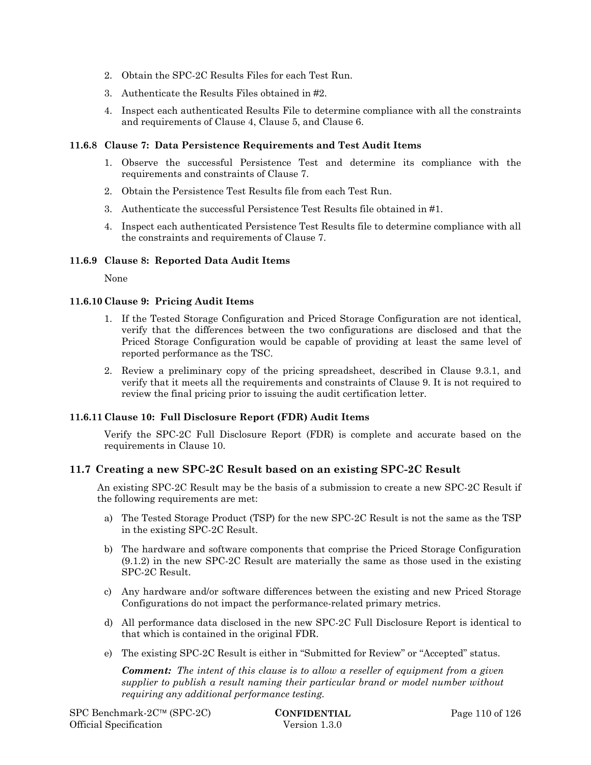- 2. Obtain the SPC-2C Results Files for each Test Run.
- 3. Authenticate the Results Files obtained in #2.
- 4. Inspect each authenticated Results File to determine compliance with all the constraints and requirements of Clause 4, Clause 5, and Clause 6.

#### **11.6.8 Clause 7: Data Persistence Requirements and Test Audit Items**

- 1. Observe the successful Persistence Test and determine its compliance with the requirements and constraints of Clause 7.
- 2. Obtain the Persistence Test Results file from each Test Run.
- 3. Authenticate the successful Persistence Test Results file obtained in #1.
- 4. Inspect each authenticated Persistence Test Results file to determine compliance with all the constraints and requirements of Clause 7.

#### **11.6.9 Clause 8: Reported Data Audit Items**

None

#### **11.6.10 Clause 9: Pricing Audit Items**

- 1. If the Tested Storage Configuration and Priced Storage Configuration are not identical, verify that the differences between the two configurations are disclosed and that the Priced Storage Configuration would be capable of providing at least the same level of reported performance as the TSC.
- 2. Review a preliminary copy of the pricing spreadsheet, described in Clause 9.3.1, and verify that it meets all the requirements and constraints of Clause 9. It is not required to review the final pricing prior to issuing the audit certification letter.

## **11.6.11 Clause 10: Full Disclosure Report (FDR) Audit Items**

Verify the SPC-2C Full Disclosure Report (FDR) is complete and accurate based on the requirements in Clause 10.

## **11.7 Creating a new SPC-2C Result based on an existing SPC-2C Result**

An existing SPC-2C Result may be the basis of a submission to create a new SPC-2C Result if the following requirements are met:

- a) The Tested Storage Product (TSP) for the new SPC-2C Result is not the same as the TSP in the existing SPC-2C Result.
- b) The hardware and software components that comprise the Priced Storage Configuration (9.1.2) in the new SPC-2C Result are materially the same as those used in the existing SPC-2C Result.
- c) Any hardware and/or software differences between the existing and new Priced Storage Configurations do not impact the performance-related primary metrics.
- d) All performance data disclosed in the new SPC-2C Full Disclosure Report is identical to that which is contained in the original FDR.
- e) The existing SPC-2C Result is either in "Submitted for Review" or "Accepted" status.

*Comment: The intent of this clause is to allow a reseller of equipment from a given supplier to publish a result naming their particular brand or model number without requiring any additional performance testing.*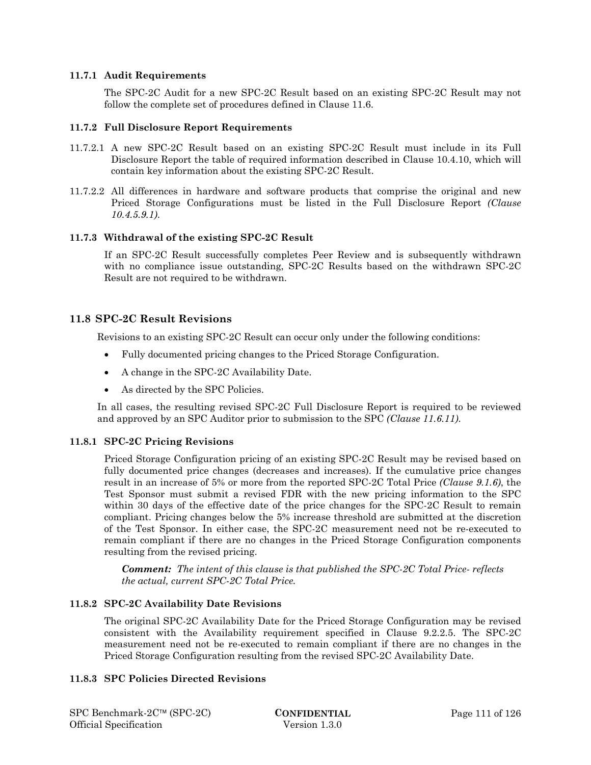#### **11.7.1 Audit Requirements**

The SPC-2C Audit for a new SPC-2C Result based on an existing SPC-2C Result may not follow the complete set of procedures defined in Clause 11.6.

#### **11.7.2 Full Disclosure Report Requirements**

- 11.7.2.1 A new SPC-2C Result based on an existing SPC-2C Result must include in its Full Disclosure Report the table of required information described in Clause 10.4.10, which will contain key information about the existing SPC-2C Result.
- 11.7.2.2 All differences in hardware and software products that comprise the original and new Priced Storage Configurations must be listed in the Full Disclosure Report *(Clause 10.4.5.9.1)*.

#### **11.7.3 Withdrawal of the existing SPC-2C Result**

If an SPC-2C Result successfully completes Peer Review and is subsequently withdrawn with no compliance issue outstanding, SPC-2C Results based on the withdrawn SPC-2C Result are not required to be withdrawn.

## **11.8 SPC-2C Result Revisions**

Revisions to an existing SPC-2C Result can occur only under the following conditions:

- Fully documented pricing changes to the Priced Storage Configuration.
- A change in the SPC-2C Availability Date.
- As directed by the SPC Policies.

In all cases, the resulting revised SPC-2C Full Disclosure Report is required to be reviewed and approved by an SPC Auditor prior to submission to the SPC *(Clause 11.6.11)*.

## **11.8.1 SPC-2C Pricing Revisions**

Priced Storage Configuration pricing of an existing SPC-2C Result may be revised based on fully documented price changes (decreases and increases). If the cumulative price changes result in an increase of 5% or more from the reported SPC-2C Total Price *(Clause 9.1.6)*, the Test Sponsor must submit a revised FDR with the new pricing information to the SPC within 30 days of the effective date of the price changes for the SPC-2C Result to remain compliant. Pricing changes below the 5% increase threshold are submitted at the discretion of the Test Sponsor. In either case, the SPC-2C measurement need not be re-executed to remain compliant if there are no changes in the Priced Storage Configuration components resulting from the revised pricing.

*Comment: The intent of this clause is that published the SPC-2C Total Price- reflects the actual, current SPC-2C Total Price.* 

#### **11.8.2 SPC-2C Availability Date Revisions**

The original SPC-2C Availability Date for the Priced Storage Configuration may be revised consistent with the Availability requirement specified in Clause 9.2.2.5. The SPC-2C measurement need not be re-executed to remain compliant if there are no changes in the Priced Storage Configuration resulting from the revised SPC-2C Availability Date.

#### **11.8.3 SPC Policies Directed Revisions**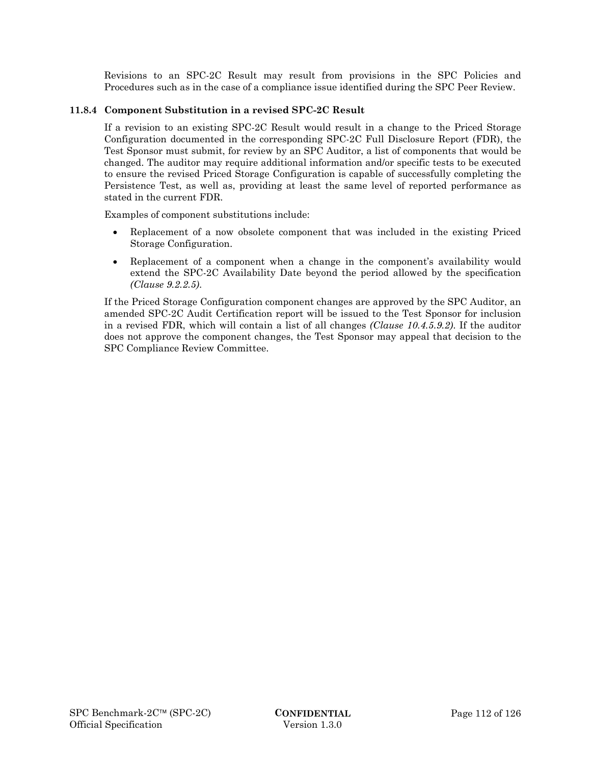Revisions to an SPC-2C Result may result from provisions in the SPC Policies and Procedures such as in the case of a compliance issue identified during the SPC Peer Review.

### **11.8.4 Component Substitution in a revised SPC-2C Result**

If a revision to an existing SPC-2C Result would result in a change to the Priced Storage Configuration documented in the corresponding SPC-2C Full Disclosure Report (FDR), the Test Sponsor must submit, for review by an SPC Auditor, a list of components that would be changed. The auditor may require additional information and/or specific tests to be executed to ensure the revised Priced Storage Configuration is capable of successfully completing the Persistence Test, as well as, providing at least the same level of reported performance as stated in the current FDR.

Examples of component substitutions include:

- Replacement of a now obsolete component that was included in the existing Priced Storage Configuration.
- Replacement of a component when a change in the component's availability would extend the SPC-2C Availability Date beyond the period allowed by the specification *(Clause 9.2.2.5)*.

If the Priced Storage Configuration component changes are approved by the SPC Auditor, an amended SPC-2C Audit Certification report will be issued to the Test Sponsor for inclusion in a revised FDR, which will contain a list of all changes *(Clause 10.4.5.9.2)*. If the auditor does not approve the component changes, the Test Sponsor may appeal that decision to the SPC Compliance Review Committee.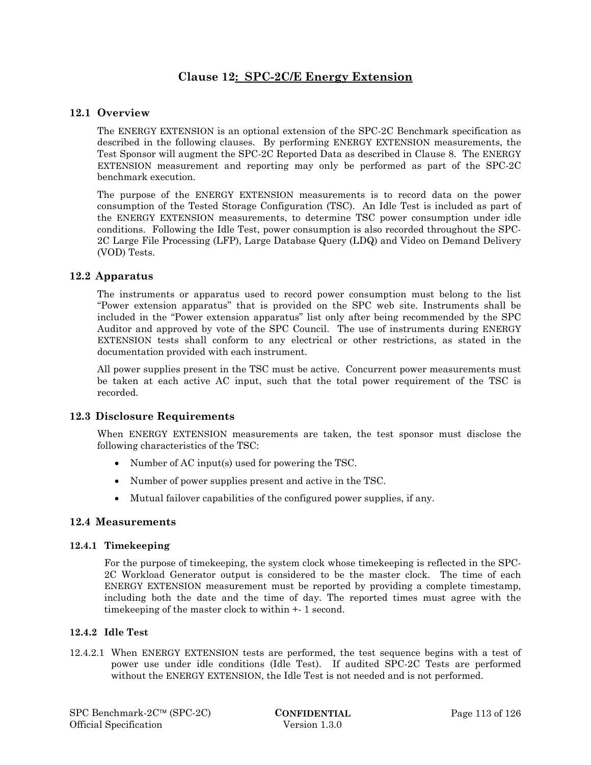## **Clause 12: SPC-2C/E Energy Extension**

## **12.1 Overview**

The ENERGY EXTENSION is an optional extension of the SPC-2C Benchmark specification as described in the following clauses. By performing ENERGY EXTENSION measurements, the Test Sponsor will augment the SPC-2C Reported Data as described in Clause 8. The ENERGY EXTENSION measurement and reporting may only be performed as part of the SPC-2C benchmark execution.

The purpose of the ENERGY EXTENSION measurements is to record data on the power consumption of the Tested Storage Configuration (TSC). An Idle Test is included as part of the ENERGY EXTENSION measurements, to determine TSC power consumption under idle conditions. Following the Idle Test, power consumption is also recorded throughout the SPC-2C Large File Processing (LFP), Large Database Query (LDQ) and Video on Demand Delivery (VOD) Tests.

## **12.2 Apparatus**

The instruments or apparatus used to record power consumption must belong to the list "Power extension apparatus" that is provided on the SPC web site. Instruments shall be included in the "Power extension apparatus" list only after being recommended by the SPC Auditor and approved by vote of the SPC Council. The use of instruments during ENERGY EXTENSION tests shall conform to any electrical or other restrictions, as stated in the documentation provided with each instrument.

All power supplies present in the TSC must be active. Concurrent power measurements must be taken at each active AC input, such that the total power requirement of the TSC is recorded.

## **12.3 Disclosure Requirements**

When ENERGY EXTENSION measurements are taken, the test sponsor must disclose the following characteristics of the TSC:

- Number of AC input(s) used for powering the TSC.
- Number of power supplies present and active in the TSC.
- Mutual failover capabilities of the configured power supplies, if any.

## **12.4 Measurements**

## **12.4.1 Timekeeping**

For the purpose of timekeeping, the system clock whose timekeeping is reflected in the SPC-2C Workload Generator output is considered to be the master clock. The time of each ENERGY EXTENSION measurement must be reported by providing a complete timestamp, including both the date and the time of day. The reported times must agree with the timekeeping of the master clock to within +- 1 second.

## **12.4.2 Idle Test**

12.4.2.1 When ENERGY EXTENSION tests are performed, the test sequence begins with a test of power use under idle conditions (Idle Test). If audited SPC-2C Tests are performed without the ENERGY EXTENSION, the Idle Test is not needed and is not performed.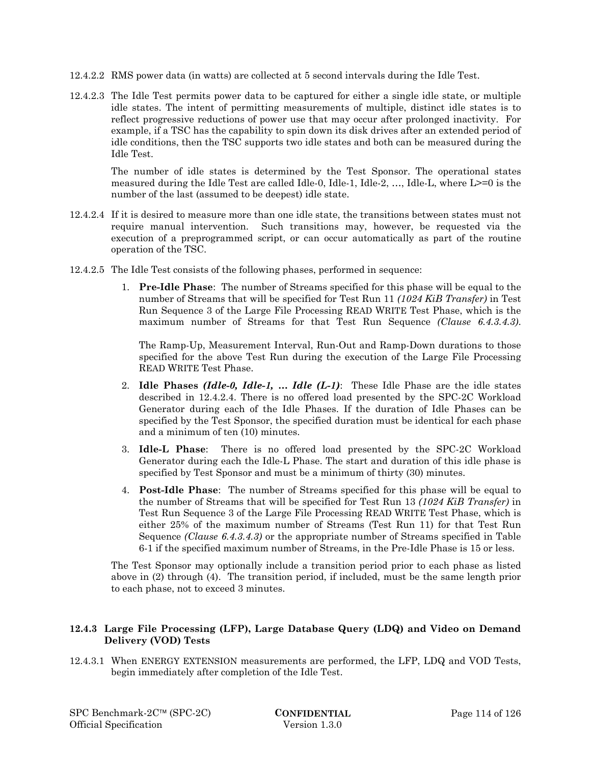- 12.4.2.2 RMS power data (in watts) are collected at 5 second intervals during the Idle Test.
- 12.4.2.3 The Idle Test permits power data to be captured for either a single idle state, or multiple idle states. The intent of permitting measurements of multiple, distinct idle states is to reflect progressive reductions of power use that may occur after prolonged inactivity. For example, if a TSC has the capability to spin down its disk drives after an extended period of idle conditions, then the TSC supports two idle states and both can be measured during the Idle Test.

The number of idle states is determined by the Test Sponsor. The operational states measured during the Idle Test are called Idle-0, Idle-1, Idle-2, …, Idle-L, where L>=0 is the number of the last (assumed to be deepest) idle state.

- 12.4.2.4 If it is desired to measure more than one idle state, the transitions between states must not require manual intervention. Such transitions may, however, be requested via the execution of a preprogrammed script, or can occur automatically as part of the routine operation of the TSC.
- 12.4.2.5 The Idle Test consists of the following phases, performed in sequence:
	- 1. **Pre-Idle Phase**: The number of Streams specified for this phase will be equal to the number of Streams that will be specified for Test Run 11 *(1024 KiB Transfer)* in Test Run Sequence 3 of the Large File Processing READ WRITE Test Phase, which is the maximum number of Streams for that Test Run Sequence *(Clause 6.4.3.4.3)*.

The Ramp-Up, Measurement Interval, Run-Out and Ramp-Down durations to those specified for the above Test Run during the execution of the Large File Processing READ WRITE Test Phase.

- 2. **Idle Phases** *(Idle-0, Idle-1, … Idle (L-1)*: These Idle Phase are the idle states described in 12.4.2.4. There is no offered load presented by the SPC-2C Workload Generator during each of the Idle Phases. If the duration of Idle Phases can be specified by the Test Sponsor, the specified duration must be identical for each phase and a minimum of ten (10) minutes.
- 3. **Idle-L Phase**: There is no offered load presented by the SPC-2C Workload Generator during each the Idle-L Phase. The start and duration of this idle phase is specified by Test Sponsor and must be a minimum of thirty (30) minutes.
- 4. **Post-Idle Phase**: The number of Streams specified for this phase will be equal to the number of Streams that will be specified for Test Run 13 *(1024 KiB Transfer)* in Test Run Sequence 3 of the Large File Processing READ WRITE Test Phase, which is either 25% of the maximum number of Streams (Test Run 11) for that Test Run Sequence *(Clause 6.4.3.4.3)* or the appropriate number of Streams specified in Table 6-1 if the specified maximum number of Streams, in the Pre-Idle Phase is 15 or less.

The Test Sponsor may optionally include a transition period prior to each phase as listed above in (2) through (4). The transition period, if included, must be the same length prior to each phase, not to exceed 3 minutes.

## **12.4.3 Large File Processing (LFP), Large Database Query (LDQ) and Video on Demand Delivery (VOD) Tests**

12.4.3.1 When ENERGY EXTENSION measurements are performed, the LFP, LDQ and VOD Tests, begin immediately after completion of the Idle Test.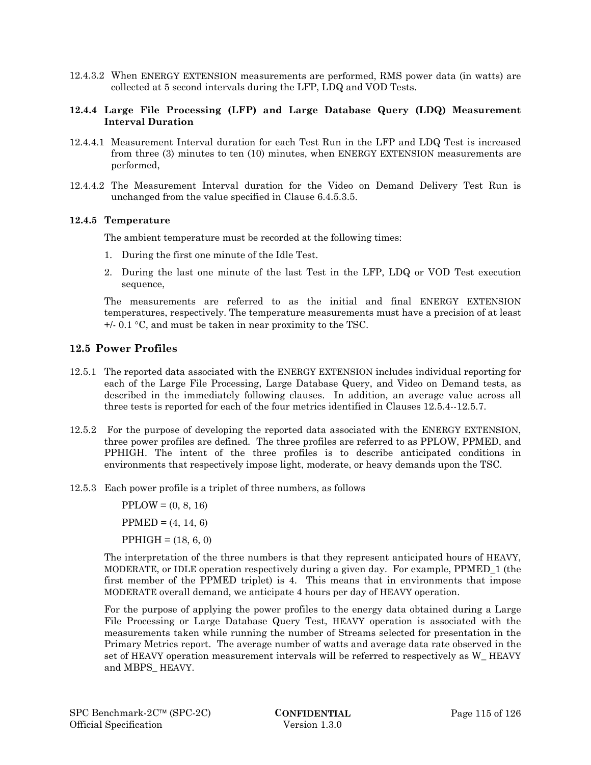12.4.3.2 When ENERGY EXTENSION measurements are performed, RMS power data (in watts) are collected at 5 second intervals during the LFP, LDQ and VOD Tests.

#### **12.4.4 Large File Processing (LFP) and Large Database Query (LDQ) Measurement Interval Duration**

- 12.4.4.1 Measurement Interval duration for each Test Run in the LFP and LDQ Test is increased from three (3) minutes to ten (10) minutes, when ENERGY EXTENSION measurements are performed,
- 12.4.4.2 The Measurement Interval duration for the Video on Demand Delivery Test Run is unchanged from the value specified in Clause 6.4.5.3.5.

#### **12.4.5 Temperature**

The ambient temperature must be recorded at the following times:

- 1. During the first one minute of the Idle Test.
- 2. During the last one minute of the last Test in the LFP, LDQ or VOD Test execution sequence,

The measurements are referred to as the initial and final ENERGY EXTENSION temperatures, respectively. The temperature measurements must have a precision of at least  $+/- 0.1$  °C, and must be taken in near proximity to the TSC.

## **12.5 Power Profiles**

- 12.5.1 The reported data associated with the ENERGY EXTENSION includes individual reporting for each of the Large File Processing, Large Database Query, and Video on Demand tests, as described in the immediately following clauses. In addition, an average value across all three tests is reported for each of the four metrics identified in Clauses 12.5.4--12.5.7.
- 12.5.2 For the purpose of developing the reported data associated with the ENERGY EXTENSION, three power profiles are defined. The three profiles are referred to as PPLOW, PPMED, and PPHIGH. The intent of the three profiles is to describe anticipated conditions in environments that respectively impose light, moderate, or heavy demands upon the TSC.
- 12.5.3 Each power profile is a triplet of three numbers, as follows

 $PPLOW = (0, 8, 16)$  $PPMED = (4, 14, 6)$  $PPHIGH = (18, 6, 0)$ 

The interpretation of the three numbers is that they represent anticipated hours of HEAVY, MODERATE, or IDLE operation respectively during a given day. For example, PPMED\_1 (the first member of the PPMED triplet) is 4. This means that in environments that impose MODERATE overall demand, we anticipate 4 hours per day of HEAVY operation.

For the purpose of applying the power profiles to the energy data obtained during a Large File Processing or Large Database Query Test, HEAVY operation is associated with the measurements taken while running the number of Streams selected for presentation in the Primary Metrics report. The average number of watts and average data rate observed in the set of HEAVY operation measurement intervals will be referred to respectively as W\_ HEAVY and MBPS\_ HEAVY.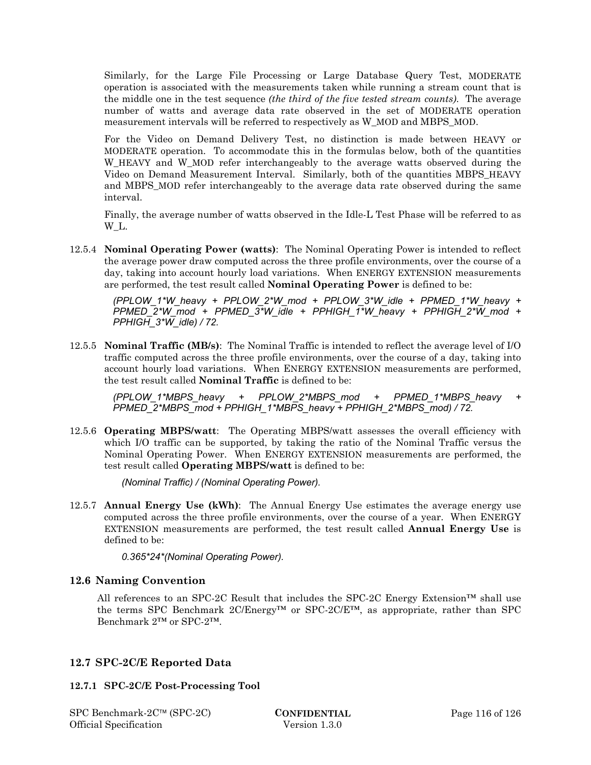Similarly, for the Large File Processing or Large Database Query Test, MODERATE operation is associated with the measurements taken while running a stream count that is the middle one in the test sequence *(the third of the five tested stream counts)*. The average number of watts and average data rate observed in the set of MODERATE operation measurement intervals will be referred to respectively as W\_MOD and MBPS\_MOD.

For the Video on Demand Delivery Test, no distinction is made between HEAVY or MODERATE operation. To accommodate this in the formulas below, both of the quantities W HEAVY and W MOD refer interchangeably to the average watts observed during the Video on Demand Measurement Interval. Similarly, both of the quantities MBPS\_HEAVY and MBPS\_MOD refer interchangeably to the average data rate observed during the same interval.

Finally, the average number of watts observed in the Idle-L Test Phase will be referred to as W\_L.

12.5.4 **Nominal Operating Power (watts)**: The Nominal Operating Power is intended to reflect the average power draw computed across the three profile environments, over the course of a day, taking into account hourly load variations. When ENERGY EXTENSION measurements are performed, the test result called **Nominal Operating Power** is defined to be:

 $(PPLOW\ 1*W\ heavy + PPLOW\ 2*W\ mod + PPLOW\ 3*W\ idle + PPMED\ 1*W\ heavy +$ *PPMED\_2\*W\_mod + PPMED\_3\*W\_idle + PPHIGH\_1\*W\_heavy + PPHIGH\_2\*W\_mod + PPHIGH\_3\*W\_idle) / 72.* 

12.5.5 **Nominal Traffic (MB/s)**: The Nominal Traffic is intended to reflect the average level of I/O traffic computed across the three profile environments, over the course of a day, taking into account hourly load variations. When ENERGY EXTENSION measurements are performed, the test result called **Nominal Traffic** is defined to be:

 *(PPLOW\_1\*MBPS\_heavy + PPLOW\_2\*MBPS\_mod + PPMED\_1\*MBPS\_heavy + PPMED\_2\*MBPS\_mod + PPHIGH\_1\*MBPS\_heavy + PPHIGH\_2\*MBPS\_mod) / 72.* 

12.5.6 **Operating MBPS/watt**: The Operating MBPS/watt assesses the overall efficiency with which I/O traffic can be supported, by taking the ratio of the Nominal Traffic versus the Nominal Operating Power. When ENERGY EXTENSION measurements are performed, the test result called **Operating MBPS/watt** is defined to be:

 *(Nominal Traffic) / (Nominal Operating Power).* 

12.5.7 **Annual Energy Use (kWh)**: The Annual Energy Use estimates the average energy use computed across the three profile environments, over the course of a year. When ENERGY EXTENSION measurements are performed, the test result called **Annual Energy Use** is defined to be:

 *0.365\*24\*(Nominal Operating Power).* 

## **12.6 Naming Convention**

All references to an SPC-2C Result that includes the SPC-2C Energy Extension<sup>™</sup> shall use the terms SPC Benchmark 2C/Energy™ or SPC-2C/E™, as appropriate, rather than SPC Benchmark 2™ or SPC-2™.

## **12.7 SPC-2C/E Reported Data**

## **12.7.1 SPC-2C/E Post-Processing Tool**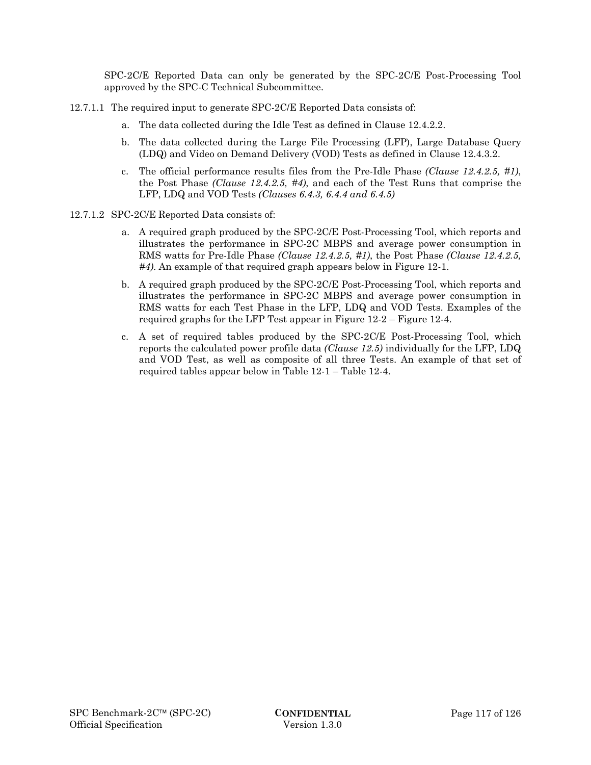SPC-2C/E Reported Data can only be generated by the SPC-2C/E Post-Processing Tool approved by the SPC-C Technical Subcommittee.

- 12.7.1.1 The required input to generate SPC-2C/E Reported Data consists of:
	- a. The data collected during the Idle Test as defined in Clause 12.4.2.2.
	- b. The data collected during the Large File Processing (LFP), Large Database Query (LDQ) and Video on Demand Delivery (VOD) Tests as defined in Clause 12.4.3.2.
	- c. The official performance results files from the Pre-Idle Phase *(Clause 12.4.2.5, #1)*, the Post Phase *(Clause 12.4.2.5, #4)*, and each of the Test Runs that comprise the LFP, LDQ and VOD Tests *(Clauses 6.4.3, 6.4.4 and 6.4.5)*
- 12.7.1.2 SPC-2C/E Reported Data consists of:
	- a. A required graph produced by the SPC-2C/E Post-Processing Tool, which reports and illustrates the performance in SPC-2C MBPS and average power consumption in RMS watts for Pre-Idle Phase *(Clause 12.4.2.5, #1)*, the Post Phase *(Clause 12.4.2.5, #4)*. An example of that required graph appears below in Figure 12-1.
	- b. A required graph produced by the SPC-2C/E Post-Processing Tool, which reports and illustrates the performance in SPC-2C MBPS and average power consumption in RMS watts for each Test Phase in the LFP, LDQ and VOD Tests. Examples of the required graphs for the LFP Test appear in Figure 12-2 – Figure 12-4.
	- c. A set of required tables produced by the SPC-2C/E Post-Processing Tool, which reports the calculated power profile data *(Clause 12.5)* individually for the LFP, LDQ and VOD Test, as well as composite of all three Tests. An example of that set of required tables appear below in Table 12-1 – Table 12-4.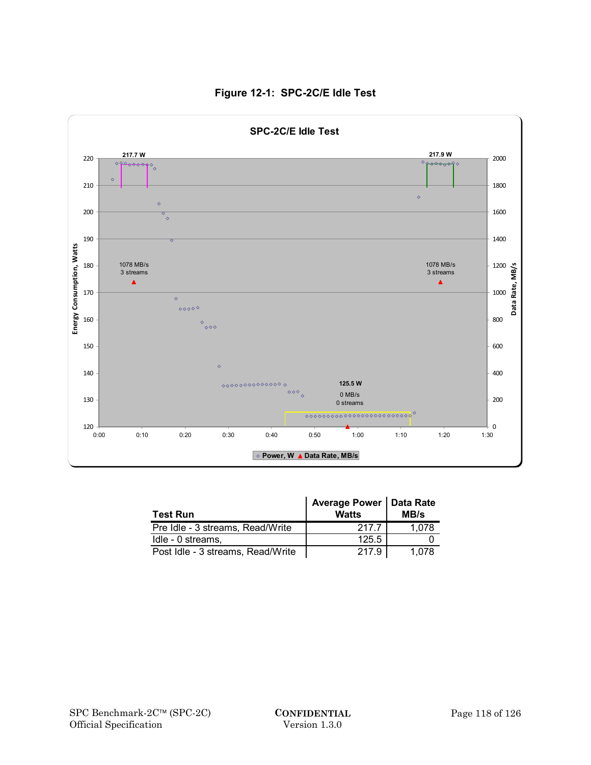

## **Figure 12-1: SPC-2C/E Idle Test**

| <b>Test Run</b>                   | Average Power   Data Rate<br><b>Watts</b> | MB/s  |
|-----------------------------------|-------------------------------------------|-------|
| Pre Idle - 3 streams, Read/Write  | 217.7                                     | 1,078 |
| Idle - 0 streams.                 | 125.5                                     |       |
| Post Idle - 3 streams, Read/Write | 217.9                                     | 1,078 |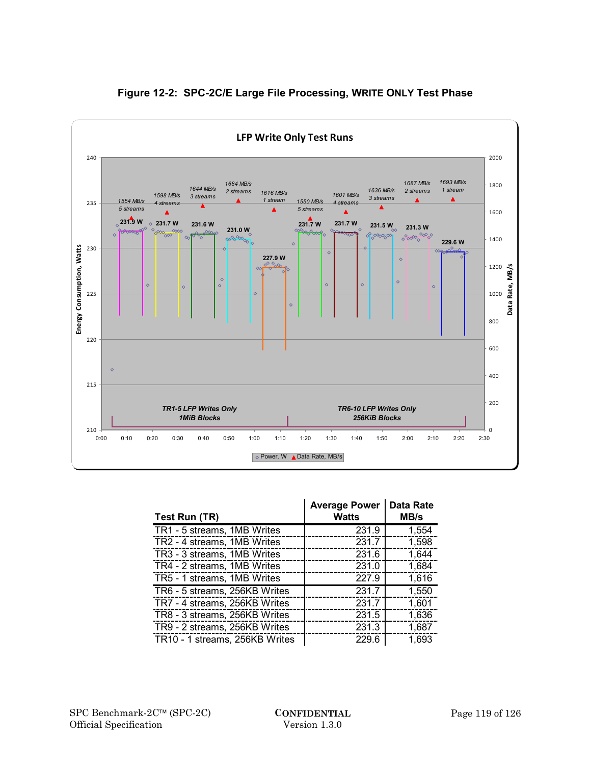

## **Figure 12-2: SPC-2C/E Large File Processing, WRITE ONLY Test Phase**

| Test Run (TR)                  | <b>Average Power</b><br><b>Watts</b> | <b>Data Rate</b><br>MB/s |
|--------------------------------|--------------------------------------|--------------------------|
| TR1 - 5 streams, 1MB Writes    | 231.9                                | 1,554                    |
| TR2 - 4 streams, 1MB Writes    | 231.7                                | 1,598                    |
| TR3 - 3 streams, 1MB Writes    | 231.6                                | 1,644                    |
| TR4 - 2 streams, 1MB Writes    | 231.0                                | 1,684                    |
| TR5 - 1 streams, 1MB Writes    | 227.9                                | 1,616                    |
| TR6 - 5 streams, 256KB Writes  | 231.7                                | 1,550                    |
| TR7 - 4 streams, 256KB Writes  | 231.7                                | 1,601                    |
| TR8 - 3 streams, 256KB Writes  | 231.5                                | 1,636                    |
| TR9 - 2 streams, 256KB Writes  | 231.3                                | 1,687                    |
| TR10 - 1 streams, 256KB Writes | 229.6                                | 1,693                    |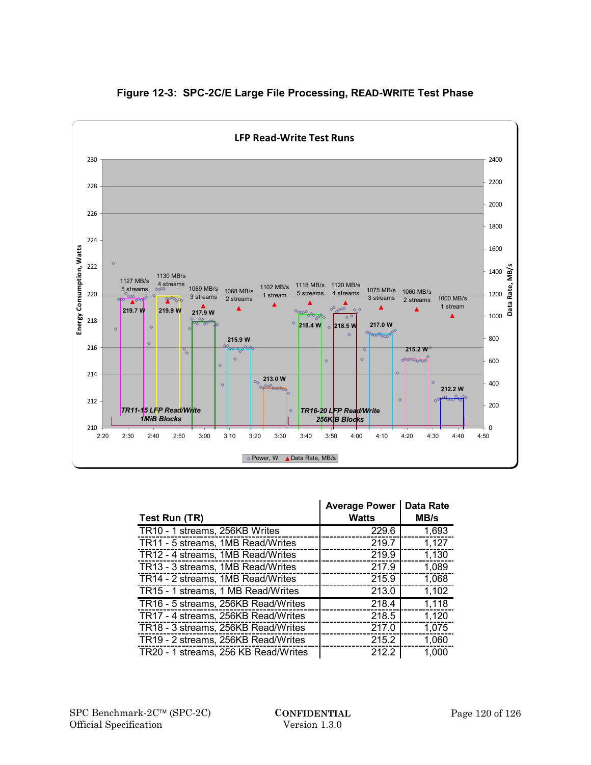

## **Figure 12-3: SPC-2C/E Large File Processing, READ-WRITE Test Phase**

| Test Run (TR)                        | <b>Average Power</b><br><b>Watts</b> | <b>Data Rate</b><br>MB/s |
|--------------------------------------|--------------------------------------|--------------------------|
| TR10 - 1 streams, 256KB Writes       | 229.6                                | 1,693                    |
| TR11 - 5 streams, 1MB Read/Writes    | 219.7                                | 1,127                    |
| TR12 - 4 streams, 1MB Read/Writes    | 219.9                                | 1,130                    |
| TR13 - 3 streams, 1MB Read/Writes    | 217.9                                | 1,089                    |
| TR14 - 2 streams, 1MB Read/Writes    | 215.9                                | 1,068                    |
| TR15 - 1 streams, 1 MB Read/Writes   | 213.0                                | 1,102                    |
| TR16 - 5 streams, 256KB Read/Writes  | 218.4                                | 1,118                    |
| TR17 - 4 streams, 256KB Read/Writes  | 218.5                                | 1,120                    |
| TR18 - 3 streams, 256KB Read/Writes  | 217.0                                | 1,075                    |
| TR19 - 2 streams, 256KB Read/Writes  | 215.2                                | 1,060                    |
| TR20 - 1 streams, 256 KB Read/Writes | 212.2                                | 1,000                    |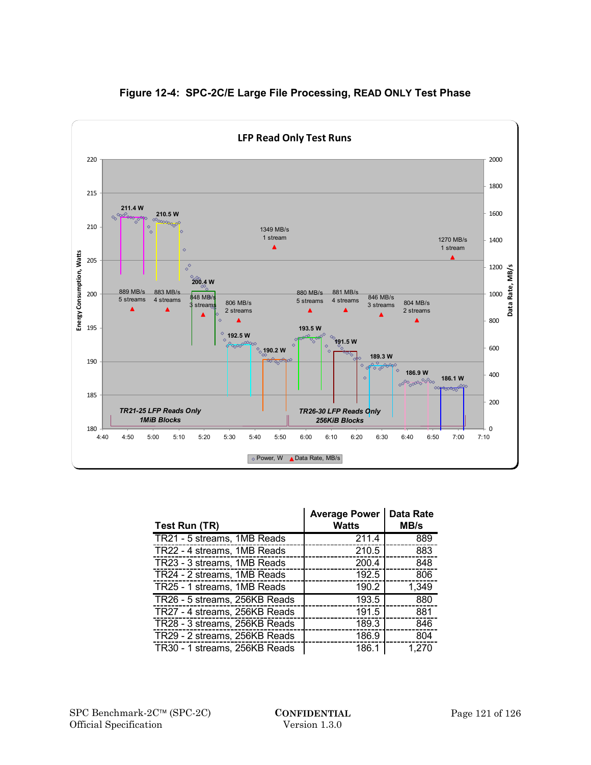

## **Figure 12-4: SPC-2C/E Large File Processing, READ ONLY Test Phase**

| Test Run (TR)                 | <b>Average Power</b><br><b>Watts</b> | <b>Data Rate</b><br>MB/s |
|-------------------------------|--------------------------------------|--------------------------|
| TR21 - 5 streams, 1MB Reads   | 211.4                                | 889                      |
| TR22 - 4 streams, 1MB Reads   | 210.5                                | 883                      |
| TR23 - 3 streams, 1MB Reads   | 200.4                                | 848                      |
| TR24 - 2 streams, 1MB Reads   | 192.5                                | 806                      |
| TR25 - 1 streams, 1MB Reads   | 190.2                                | 1,349                    |
| TR26 - 5 streams, 256KB Reads | 193.5                                | 880                      |
| TR27 - 4 streams, 256KB Reads | 191.5                                | 881                      |
| TR28 - 3 streams, 256KB Reads | 189.3                                | 846                      |
| TR29 - 2 streams, 256KB Reads | 186.9                                | 804                      |
| TR30 - 1 streams, 256KB Reads | 186.1                                | 1,270                    |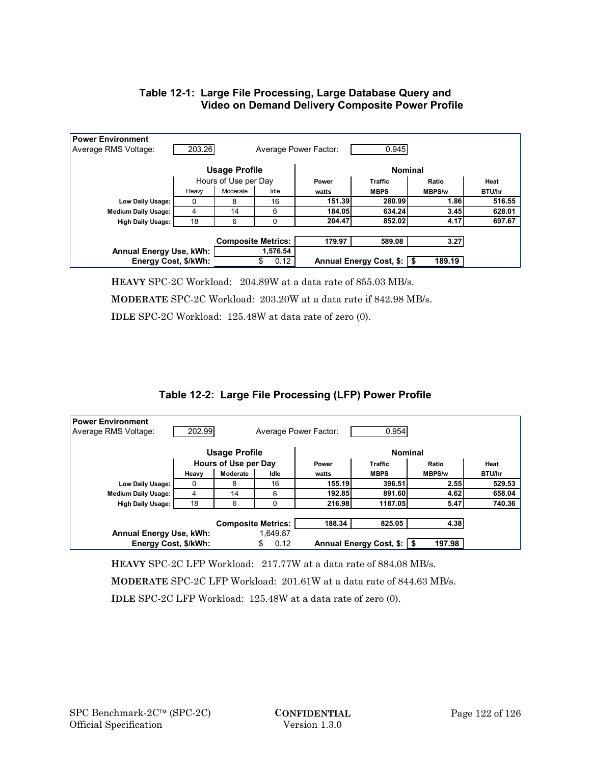## **Table 12-1: Large File Processing, Large Database Query and Video on Demand Delivery Composite Power Profile**

| <b>Power Environment</b><br>203.26<br>0.945<br>Average RMS Voltage:<br>Average Power Factor: |                           |          |          |                              |             |               |        |  |
|----------------------------------------------------------------------------------------------|---------------------------|----------|----------|------------------------------|-------------|---------------|--------|--|
| <b>Usage Profile</b>                                                                         |                           |          |          | <b>Nominal</b>               |             |               |        |  |
|                                                                                              | Hours of Use per Day      |          |          | Power                        | Traffic     | Ratio         | Heat   |  |
|                                                                                              | Heaw                      | Moderate | Idle     | watts                        | <b>MBPS</b> | <b>MBPS/w</b> | BTU/hr |  |
| Low Daily Usage:                                                                             | 0                         | 8        | 16       | 151.39                       | 280.99      | 1.86          | 516.55 |  |
| <b>Medium Daily Usage:</b>                                                                   | 4                         | 14       | 6        | 184.05                       | 634.24      | 3.45          | 628.01 |  |
| <b>High Daily Usage:</b>                                                                     | 18                        | 6        |          | 204.47                       | 852.02      | 4.17          | 697.67 |  |
|                                                                                              |                           |          |          |                              |             |               |        |  |
|                                                                                              | <b>Composite Metrics:</b> |          | 179.97   | 589.08                       | 3.27        |               |        |  |
| Annual Energy Use, kWh:                                                                      |                           |          | 1,576.54 |                              |             |               |        |  |
| Energy Cost, \$/kWh:                                                                         |                           | 0.12     |          | Annual Energy Cost, \$:   \$ | 189.19      |               |        |  |

**HEAVY** SPC-2C Workload: 204.89W at a data rate of 855.03 MB/s.

**MODERATE** SPC-2C Workload: 203.20W at a data rate if 842.98 MB/s.

**IDLE** SPC-2C Workload: 125.48W at data rate of zero (0).

## **Table 12-2: Large File Processing (LFP) Power Profile**

| <b>Power Environment</b><br>202.99<br>0.954<br>Average RMS Voltage:<br>Average Power Factor: |                      |                           |                              |                |             |               |        |  |
|----------------------------------------------------------------------------------------------|----------------------|---------------------------|------------------------------|----------------|-------------|---------------|--------|--|
| Usage Profile                                                                                |                      |                           | <b>Nominal</b>               |                |             |               |        |  |
|                                                                                              | Hours of Use per Day |                           | Power                        | <b>Traffic</b> | Ratio       | Heat          |        |  |
|                                                                                              | Heavy                | Moderate                  | Idle                         | watts          | <b>MBPS</b> | <b>MBPS/w</b> | BTU/hr |  |
| Low Daily Usage:                                                                             | 0                    | 8                         | 16                           | 155.19         | 396.51      | 2.55          | 529.53 |  |
| <b>Medium Daily Usage:</b>                                                                   | 4                    | 14                        | 6                            | 192.85         | 891.60      | 4.62          | 658.04 |  |
| <b>High Daily Usage:</b>                                                                     | 18                   | 6                         | 0                            | 216.98         | 1187.05     | 5.47          | 740.36 |  |
|                                                                                              |                      |                           |                              |                |             |               |        |  |
|                                                                                              |                      | <b>Composite Metrics:</b> |                              | 188.34         | 825.05      | 4.38          |        |  |
| 1.649.87<br>Annual Energy Use, kWh:                                                          |                      |                           |                              |                |             |               |        |  |
| Energy Cost, \$/kWh:<br>\$<br>0.12                                                           |                      |                           | Annual Energy Cost, \$:   \$ | 197.98         |             |               |        |  |

**HEAVY** SPC-2C LFP Workload: 217.77W at a data rate of 884.08 MB/s.

**MODERATE** SPC-2C LFP Workload: 201.61W at a data rate of 844.63 MB/s.

**IDLE** SPC-2C LFP Workload: 125.48W at a data rate of zero (0).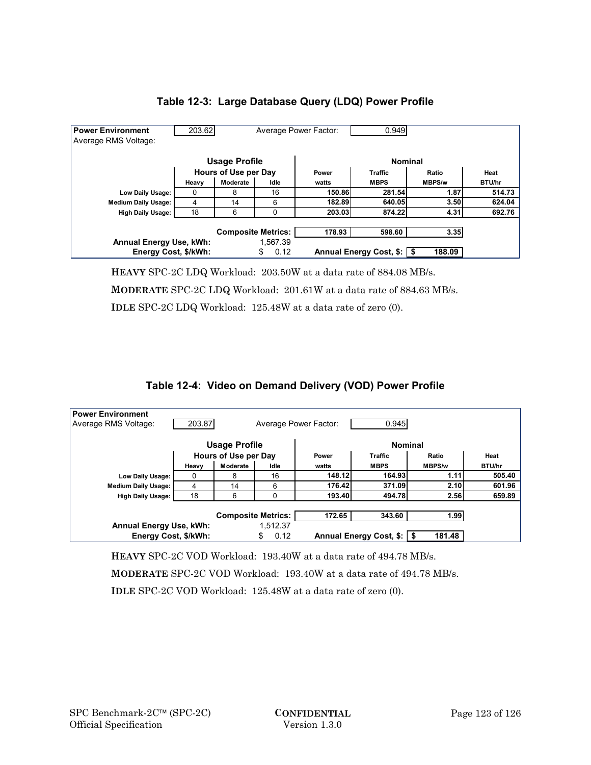

## **Table 12-3: Large Database Query (LDQ) Power Profile**

**HEAVY** SPC-2C LDQ Workload: 203.50W at a data rate of 884.08 MB/s.

**MODERATE** SPC-2C LDQ Workload: 201.61W at a data rate of 884.63 MB/s.

**IDLE** SPC-2C LDQ Workload: 125.48W at a data rate of zero (0).

# **Table 12-4: Video on Demand Delivery (VOD) Power Profile**

| <b>Power Environment</b><br>203.87<br>0.945<br>Average RMS Voltage:<br>Average Power Factor: |                      |                           |                        |                |                              |               |        |  |
|----------------------------------------------------------------------------------------------|----------------------|---------------------------|------------------------|----------------|------------------------------|---------------|--------|--|
| Usage Profile                                                                                |                      |                           |                        | <b>Nominal</b> |                              |               |        |  |
|                                                                                              | Hours of Use per Day |                           |                        | Power          | <b>Traffic</b>               | Ratio         | Heat   |  |
|                                                                                              | Heavy                | Moderate                  | Idle                   | watts          | <b>MBPS</b>                  | <b>MBPS/w</b> | BTU/hr |  |
| Low Daily Usage:                                                                             | 0                    | 8                         | 16                     | 148.12         | 164.93                       | 1.11          | 505.40 |  |
| <b>Medium Daily Usage:</b>                                                                   | 4                    | 14                        | 6                      | 176.42         | 371.09                       | 2.10          | 601.96 |  |
| <b>High Daily Usage:</b>                                                                     | 18                   | 6                         | 0                      | 193.40         | 494.78                       | 2.56          | 659.89 |  |
|                                                                                              |                      |                           |                        |                |                              |               |        |  |
|                                                                                              |                      | <b>Composite Metrics:</b> |                        | 172.65         | 343.60                       | 1.99          |        |  |
| Annual Energy Use, kWh:<br>Energy Cost, \$/kWh:                                              |                      |                           | 1,512.37<br>0.12<br>\$ |                | Annual Energy Cost, \$:   \$ | 181.48        |        |  |

**HEAVY** SPC-2C VOD Workload: 193.40W at a data rate of 494.78 MB/s.

**MODERATE** SPC-2C VOD Workload: 193.40W at a data rate of 494.78 MB/s.

**IDLE** SPC-2C VOD Workload: 125.48W at a data rate of zero (0).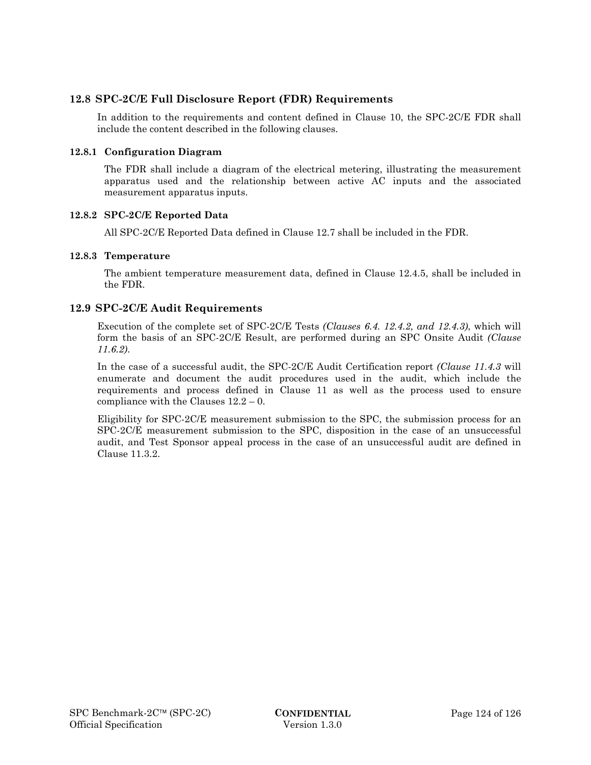## **12.8 SPC-2C/E Full Disclosure Report (FDR) Requirements**

In addition to the requirements and content defined in Clause 10, the SPC-2C/E FDR shall include the content described in the following clauses.

### **12.8.1 Configuration Diagram**

The FDR shall include a diagram of the electrical metering, illustrating the measurement apparatus used and the relationship between active AC inputs and the associated measurement apparatus inputs.

#### **12.8.2 SPC-2C/E Reported Data**

All SPC-2C/E Reported Data defined in Clause 12.7 shall be included in the FDR.

#### **12.8.3 Temperature**

The ambient temperature measurement data, defined in Clause 12.4.5, shall be included in the FDR.

## **12.9 SPC-2C/E Audit Requirements**

Execution of the complete set of SPC-2C/E Tests *(Clauses 6.4. 12.4.2, and 12.4.3)*, which will form the basis of an SPC-2C/E Result, are performed during an SPC Onsite Audit *(Clause 11.6.2)*.

In the case of a successful audit, the SPC-2C/E Audit Certification report *(Clause 11.4.3* will enumerate and document the audit procedures used in the audit, which include the requirements and process defined in Clause 11 as well as the process used to ensure compliance with the Clauses 12.2 – 0.

Eligibility for SPC-2C/E measurement submission to the SPC, the submission process for an SPC-2C/E measurement submission to the SPC, disposition in the case of an unsuccessful audit, and Test Sponsor appeal process in the case of an unsuccessful audit are defined in Clause 11.3.2.